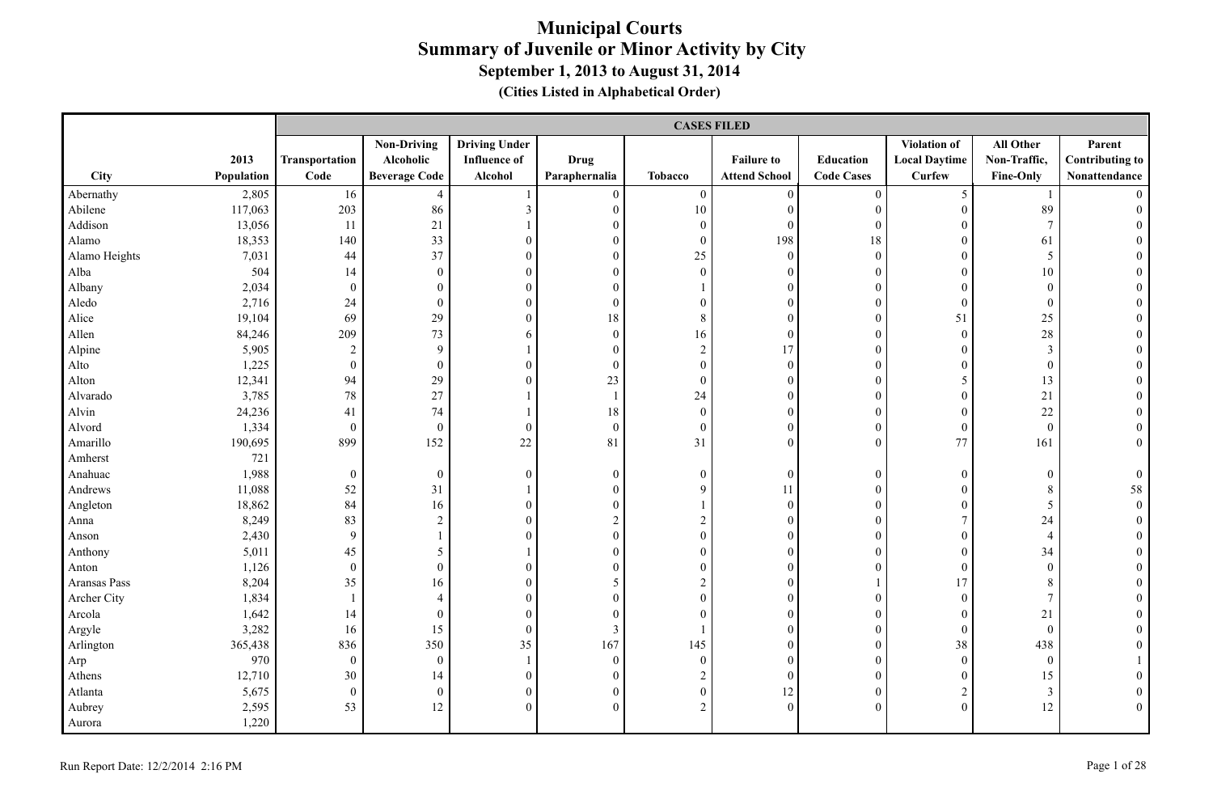|               |            |                  | <b>CASES FILED</b>   |                      |                  |                  |                      |                   |                      |                  |                        |  |
|---------------|------------|------------------|----------------------|----------------------|------------------|------------------|----------------------|-------------------|----------------------|------------------|------------------------|--|
|               |            |                  | <b>Non-Driving</b>   | <b>Driving Under</b> |                  |                  |                      |                   | Violation of         | All Other        | Parent                 |  |
|               | 2013       | Transportation   | Alcoholic            | <b>Influence of</b>  | <b>Drug</b>      |                  | <b>Failure to</b>    | Education         | <b>Local Daytime</b> | Non-Traffic,     | <b>Contributing to</b> |  |
| <b>City</b>   | Population | Code             | <b>Beverage Code</b> | Alcohol              | Paraphernalia    | <b>Tobacco</b>   | <b>Attend School</b> | <b>Code Cases</b> | Curfew               | Fine-Only        | Nonattendance          |  |
| Abernathy     | 2,805      | 16               | $\overline{4}$       |                      | $\boldsymbol{0}$ | $\boldsymbol{0}$ | $\mathbf{0}$         | $\boldsymbol{0}$  | $\mathfrak{S}$       |                  |                        |  |
| Abilene       | 117,063    | 203              | 86                   | $\mathfrak{Z}$       | $\boldsymbol{0}$ | $10\,$           | $\boldsymbol{0}$     | $\boldsymbol{0}$  | $\mathbf{0}$         | 89               |                        |  |
| Addison       | 13,056     | 11               | 21                   | 1                    | $\boldsymbol{0}$ | $\boldsymbol{0}$ | $\mathbf{0}$         | $\mathbf{0}$      | $\mathbf{0}$         | $\overline{7}$   |                        |  |
| Alamo         | 18,353     | 140              | 33                   | $\boldsymbol{0}$     | $\boldsymbol{0}$ | $\boldsymbol{0}$ | 198                  | 18                | $\theta$             | 61               |                        |  |
| Alamo Heights | 7,031      | 44               | 37                   | $\boldsymbol{0}$     | $\overline{0}$   | 25               | $\boldsymbol{0}$     | $\boldsymbol{0}$  | $\theta$             | 5                |                        |  |
| Alba          | 504        | 14               | $\boldsymbol{0}$     | $\overline{0}$       | $\overline{0}$   | $\overline{0}$   | $\mathbf{0}$         | $\boldsymbol{0}$  | $\theta$             | 10               |                        |  |
| Albany        | 2,034      | $\mathbf{0}$     | $\overline{0}$       | $\overline{0}$       | $\Omega$         |                  | $\theta$             | $\overline{0}$    | $\Omega$             | $\mathbf{0}$     |                        |  |
| Aledo         | 2,716      | 24               | $\mathbf{0}$         | $\overline{0}$       | $\boldsymbol{0}$ | $\boldsymbol{0}$ | $\mathbf{0}$         | $\boldsymbol{0}$  | $\mathbf{0}$         | $\mathbf{0}$     |                        |  |
| Alice         | 19,104     | 69               | 29                   | $\boldsymbol{0}$     | 18               | $8\,$            | $\mathbf{0}$         | $\boldsymbol{0}$  | 51                   | 25               |                        |  |
| Allen         | 84,246     | 209              | 73                   | 6                    | $\boldsymbol{0}$ | 16               | $\boldsymbol{0}$     | $\boldsymbol{0}$  | $\boldsymbol{0}$     | 28               | $\theta$               |  |
| Alpine        | 5,905      | $\sqrt{2}$       | 9                    | $\mathbf{1}$         | $\boldsymbol{0}$ | $\sqrt{2}$       | 17                   | $\boldsymbol{0}$  | $\boldsymbol{0}$     | $\mathfrak{Z}$   |                        |  |
| Alto          | 1,225      | $\boldsymbol{0}$ | $\boldsymbol{0}$     | $\boldsymbol{0}$     | $\boldsymbol{0}$ | $\boldsymbol{0}$ | $\boldsymbol{0}$     | $\boldsymbol{0}$  | $\boldsymbol{0}$     | $\boldsymbol{0}$ |                        |  |
| Alton         | 12,341     | 94               | 29                   | $\overline{0}$       | 23               | $\boldsymbol{0}$ | $\mathbf{0}$         | $\boldsymbol{0}$  | 5                    | 13               |                        |  |
| Alvarado      | 3,785      | $78\,$           | 27                   | $\mathbf{1}$         | 1                | 24               | $\mathbf{0}$         | $\mathbf{0}$      | $\mathbf{0}$         | 21               |                        |  |
| Alvin         | 24,236     | 41               | 74                   |                      | $18\,$           | $\boldsymbol{0}$ | $\mathbf{0}$         | $\boldsymbol{0}$  | $\overline{0}$       | 22               |                        |  |
| Alvord        | 1,334      | $\boldsymbol{0}$ | $\boldsymbol{0}$     | $\boldsymbol{0}$     | $\boldsymbol{0}$ | $\boldsymbol{0}$ | $\boldsymbol{0}$     | $\boldsymbol{0}$  | $\mathbf{0}$         | $\mathbf{0}$     |                        |  |
| Amarillo      | 190,695    | 899              | 152                  | $22\,$               | 81               | 31               | $\mathbf{0}$         | $\mathbf{0}$      | 77                   | 161              | $\overline{0}$         |  |
| Amherst       | 721        |                  |                      |                      |                  |                  |                      |                   |                      |                  |                        |  |
| Anahuac       | 1,988      | $\boldsymbol{0}$ | $\boldsymbol{0}$     | $\boldsymbol{0}$     | $\boldsymbol{0}$ | $\boldsymbol{0}$ | $\boldsymbol{0}$     | $\boldsymbol{0}$  | $\boldsymbol{0}$     | $\boldsymbol{0}$ | $\overline{0}$         |  |
| Andrews       | 11,088     | 52               | 31                   | $\mathbf{1}$         | $\boldsymbol{0}$ | 9                | 11                   | $\boldsymbol{0}$  | $\theta$             | 8                | 58                     |  |
| Angleton      | 18,862     | 84               | 16                   | $\overline{0}$       | $\boldsymbol{0}$ |                  | $\mathbf{0}$         | $\boldsymbol{0}$  | $\overline{0}$       | 5                | $\overline{0}$         |  |
| Anna          | 8,249      | 83               | $\overline{2}$       | $\boldsymbol{0}$     | $\overline{c}$   | $\overline{c}$   | $\theta$             | $\boldsymbol{0}$  | $\tau$               | 24               | $\theta$               |  |
| Anson         | 2,430      | $\overline{9}$   | $\mathbf{1}$         | $\overline{0}$       | $\boldsymbol{0}$ | $\boldsymbol{0}$ | $\mathbf{0}$         | $\mathbf{0}$      | $\overline{0}$       | $\overline{4}$   |                        |  |
| Anthony       | 5,011      | 45               | 5                    |                      | $\boldsymbol{0}$ | $\boldsymbol{0}$ | $\mathbf{0}$         | $\boldsymbol{0}$  | $\overline{0}$       | 34               |                        |  |
| Anton         | 1,126      | $\boldsymbol{0}$ | $\mathbf{0}$         | $\overline{0}$       | $\overline{0}$   | $\boldsymbol{0}$ | $\mathbf{0}$         | $\overline{0}$    | $\mathbf{0}$         | $\boldsymbol{0}$ |                        |  |
| Aransas Pass  | 8,204      | 35               | 16                   | $\boldsymbol{0}$     | 5                | $\sqrt{2}$       | $\boldsymbol{0}$     |                   | 17                   | $\,8\,$          |                        |  |
| Archer City   | 1,834      | $\mathbf{1}$     | $\overline{4}$       | $\boldsymbol{0}$     | $\boldsymbol{0}$ | $\boldsymbol{0}$ | $\mathbf{0}$         | $\boldsymbol{0}$  | $\boldsymbol{0}$     | $7\phantom{.0}$  |                        |  |
| Arcola        | 1,642      | 14               | $\overline{0}$       | $\boldsymbol{0}$     | $\mathbf{0}$     | $\overline{0}$   | $\mathbf{0}$         | $\boldsymbol{0}$  | $\mathbf{0}$         | 21               |                        |  |
| Argyle        | 3,282      | 16               | 15                   | $\overline{0}$       | $\mathfrak{Z}$   |                  | $\theta$             | $\mathbf{0}$      | $\mathbf{0}$         | $\mathbf{0}$     |                        |  |
| Arlington     | 365,438    | 836              | 350                  | 35                   | 167              | 145              | $\mathbf{0}$         | $\boldsymbol{0}$  | 38                   | 438              |                        |  |
| Arp           | 970        | $\boldsymbol{0}$ | $\boldsymbol{0}$     | $\mathbf{1}$         | $\boldsymbol{0}$ | $\boldsymbol{0}$ | $\mathbf{0}$         | $\boldsymbol{0}$  | $\mathbf{0}$         | $\boldsymbol{0}$ |                        |  |
| Athens        | 12,710     | 30               | 14                   | $\boldsymbol{0}$     | $\boldsymbol{0}$ | $\boldsymbol{2}$ | $\mathbf{0}$         | $\boldsymbol{0}$  | $\boldsymbol{0}$     | 15               |                        |  |
| Atlanta       | 5,675      | $\boldsymbol{0}$ | $\boldsymbol{0}$     | $\boldsymbol{0}$     | $\boldsymbol{0}$ | $\boldsymbol{0}$ | 12                   | $\boldsymbol{0}$  | $\overline{c}$       | 3                |                        |  |
| Aubrey        | 2,595      | 53               | 12                   | $\boldsymbol{0}$     | $\overline{0}$   | $\overline{2}$   | $\mathbf{0}$         | $\mathbf{0}$      | $\theta$             | 12               | $\theta$               |  |
| Aurora        | 1,220      |                  |                      |                      |                  |                  |                      |                   |                      |                  |                        |  |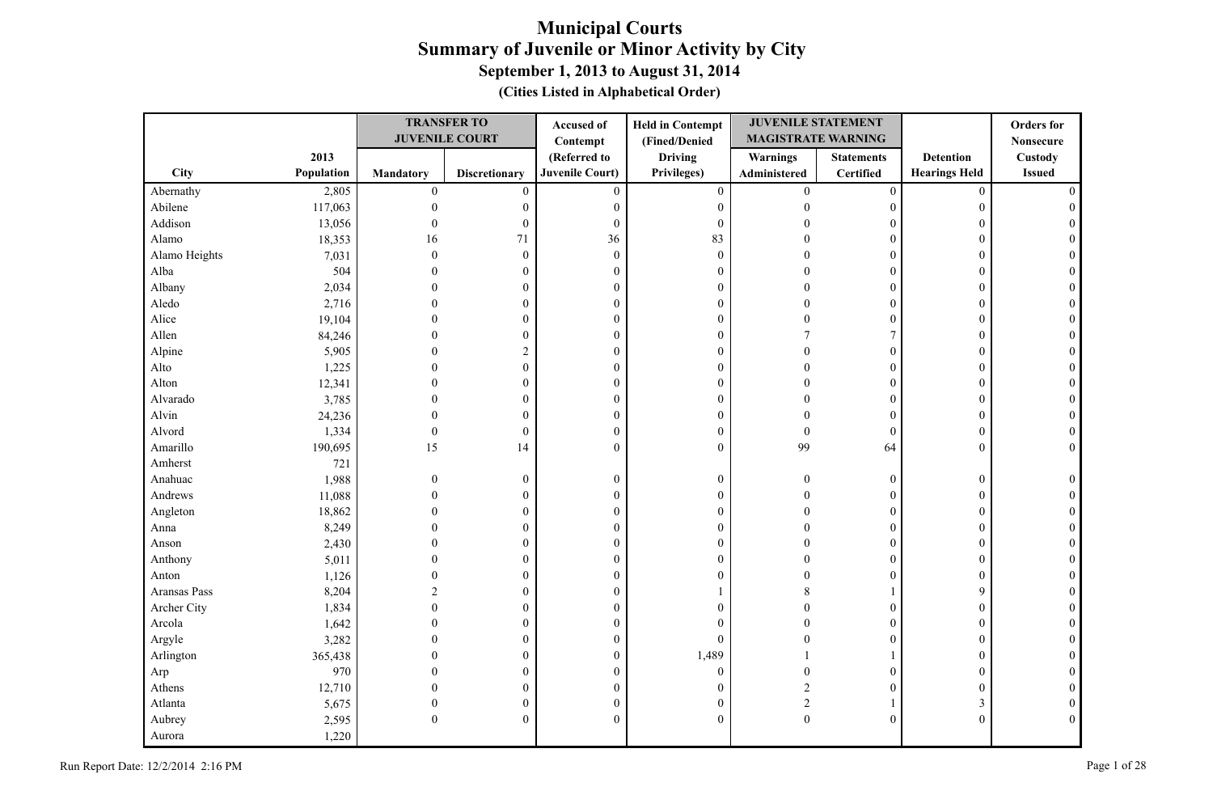|               |            |                  | <b>TRANSFER TO</b>    | Accused of             | <b>Held in Contempt</b> | <b>JUVENILE STATEMENT</b> |                   |                      | <b>Orders</b> for |
|---------------|------------|------------------|-----------------------|------------------------|-------------------------|---------------------------|-------------------|----------------------|-------------------|
|               |            |                  | <b>JUVENILE COURT</b> | Contempt               | (Fined/Denied           | <b>MAGISTRATE WARNING</b> |                   |                      | <b>Nonsecure</b>  |
|               | 2013       |                  |                       | (Referred to           | <b>Driving</b>          | <b>Warnings</b>           | <b>Statements</b> | <b>Detention</b>     | Custody           |
| City          | Population | <b>Mandatory</b> | <b>Discretionary</b>  | <b>Juvenile Court)</b> | Privileges)             | Administered              | <b>Certified</b>  | <b>Hearings Held</b> | <b>Issued</b>     |
| Abernathy     | 2,805      | $\mathbf{0}$     | $\mathbf{0}$          | $\mathbf{0}$           | $\boldsymbol{0}$        | $\overline{0}$            | $\boldsymbol{0}$  | $\mathbf{0}$         |                   |
| Abilene       | 117,063    | $\theta$         | $\boldsymbol{0}$      | $\boldsymbol{0}$       | $\boldsymbol{0}$        | $\Omega$                  | $\mathbf{0}$      | $\boldsymbol{0}$     |                   |
| Addison       | 13,056     | $\theta$         | $\boldsymbol{0}$      | $\boldsymbol{0}$       | $\boldsymbol{0}$        |                           | $\mathbf{0}$      | 0                    |                   |
| Alamo         | 18,353     | 16               | 71                    | 36                     | 83                      |                           | $\mathbf{0}$      | $\mathbf{0}$         |                   |
| Alamo Heights | 7,031      | $\theta$         | $\boldsymbol{0}$      | $\mathbf{0}$           | $\boldsymbol{0}$        |                           | $\mathbf{0}$      | $\mathbf{0}$         |                   |
| Alba          | 504        | $\Omega$         | $\boldsymbol{0}$      | $\boldsymbol{0}$       | $\boldsymbol{0}$        |                           | $\overline{0}$    | $\mathbf{0}$         |                   |
| Albany        | 2,034      | $\Omega$         | $\theta$              | $\mathbf{0}$           | $\boldsymbol{0}$        | $\Omega$                  | $\Omega$          | $\theta$             |                   |
| Aledo         | 2,716      | $\Omega$         | $\overline{0}$        | $\boldsymbol{0}$       | $\boldsymbol{0}$        | $\Omega$                  | $\mathbf{0}$      | $\mathbf{0}$         |                   |
| Alice         | 19,104     | $\Omega$         | $\boldsymbol{0}$      | $\boldsymbol{0}$       | $\boldsymbol{0}$        | $\Omega$                  | $\boldsymbol{0}$  | $\mathbf{0}$         |                   |
| Allen         | 84,246     |                  | $\boldsymbol{0}$      | $\boldsymbol{0}$       | $\boldsymbol{0}$        |                           | 7                 | $\mathbf{0}$         | 0                 |
| Alpine        | 5,905      | $\Omega$         | $\overline{c}$        | $\boldsymbol{0}$       | $\boldsymbol{0}$        | $\Omega$                  | $\overline{0}$    | $\mathbf{0}$         |                   |
| Alto          | 1,225      | $\theta$         | $\boldsymbol{0}$      | $\boldsymbol{0}$       | $\boldsymbol{0}$        | $\Omega$                  | $\overline{0}$    | $\theta$             | $\Omega$          |
| Alton         | 12,341     |                  | 0                     | $\boldsymbol{0}$       | $\boldsymbol{0}$        | $\Omega$                  | $\boldsymbol{0}$  | 0                    |                   |
| Alvarado      | 3,785      | $\Omega$         | $\boldsymbol{0}$      | $\boldsymbol{0}$       | $\boldsymbol{0}$        | $\sqrt{ }$                | $\overline{0}$    | $\mathbf{0}$         |                   |
| Alvin         | 24,236     | $\Omega$         | $\boldsymbol{0}$      | $\boldsymbol{0}$       | $\boldsymbol{0}$        |                           | $\mathbf{0}$      | $\mathbf{0}$         |                   |
| Alvord        | 1,334      | $\mathbf{0}$     | $\boldsymbol{0}$      | $\boldsymbol{0}$       | $\boldsymbol{0}$        | $\theta$                  | $\mathbf{0}$      | $\boldsymbol{0}$     |                   |
| Amarillo      | 190,695    | 15               | 14                    | $\theta$               | $\overline{0}$          | 99                        | 64                | $\theta$             |                   |
| Amherst       | 721        |                  |                       |                        |                         |                           |                   |                      |                   |
| Anahuac       | 1,988      | $\theta$         | $\boldsymbol{0}$      | $\boldsymbol{0}$       | $\boldsymbol{0}$        | $\Omega$                  | $\mathbf{0}$      | $\boldsymbol{0}$     |                   |
| Andrews       | 11,088     | $\Omega$         | $\boldsymbol{0}$      | $\boldsymbol{0}$       | $\boldsymbol{0}$        | $\Omega$                  | 0                 | $\mathbf{0}$         |                   |
| Angleton      | 18,862     |                  | $\mathbf{0}$          | $\theta$               | $\boldsymbol{0}$        | $\Omega$                  | $\boldsymbol{0}$  | $\mathbf{0}$         |                   |
| Anna          | 8,249      |                  | $\boldsymbol{0}$      | $\boldsymbol{0}$       | $\boldsymbol{0}$        |                           | $\boldsymbol{0}$  | $\mathbf{0}$         |                   |
| Anson         | 2,430      |                  | 0                     | $\boldsymbol{0}$       | $\boldsymbol{0}$        |                           | $\mathbf{0}$      | 0                    |                   |
| Anthony       | 5,011      |                  | $\theta$              | $\boldsymbol{0}$       | $\boldsymbol{0}$        |                           | $\mathbf{0}$      | $\mathbf{0}$         |                   |
| Anton         | 1,126      |                  | 0                     | $\boldsymbol{0}$       | $\boldsymbol{0}$        |                           | $\mathbf{0}$      | $\mathbf{0}$         |                   |
| Aransas Pass  | 8,204      | $\mathcal{D}$    | 0                     | $\boldsymbol{0}$       | 1                       |                           |                   | 9                    |                   |
| Archer City   | 1,834      |                  | $\theta$              | $\boldsymbol{0}$       | $\overline{0}$          |                           | $\overline{0}$    | $\theta$             |                   |
| Arcola        | 1,642      | $\Omega$         | $\theta$              | $\boldsymbol{0}$       | $\overline{0}$          | $\Omega$                  | $\mathbf{0}$      | $\Omega$             |                   |
| Argyle        | 3,282      | $\Omega$         | $\boldsymbol{0}$      | $\boldsymbol{0}$       | $\overline{0}$          |                           | $\mathbf{0}$      | $\mathbf{0}$         |                   |
| Arlington     | 365,438    | 0                | 0                     | $\boldsymbol{0}$       | 1,489                   |                           |                   | $\mathbf{0}$         |                   |
| Arp           | 970        |                  | $\mathbf{0}$          | $\mathbf{0}$           | $\overline{0}$          | $\sqrt{ }$                | $\overline{0}$    | $\mathbf{0}$         | $\Omega$          |
| Athens        | 12,710     |                  | 0                     | $\boldsymbol{0}$       | $\boldsymbol{0}$        |                           | 0                 | $\boldsymbol{0}$     |                   |
| Atlanta       | 5,675      | $\theta$         | $\boldsymbol{0}$      | $\boldsymbol{0}$       | $\boldsymbol{0}$        | $\overline{2}$            | 1                 | 3                    | $\mathbf{0}$      |
| Aubrey        | 2,595      | $\theta$         | $\mathbf{0}$          | $\mathbf{0}$           | $\overline{0}$          | $\boldsymbol{0}$          | $\overline{0}$    | $\boldsymbol{0}$     | $\theta$          |
| Aurora        | 1,220      |                  |                       |                        |                         |                           |                   |                      |                   |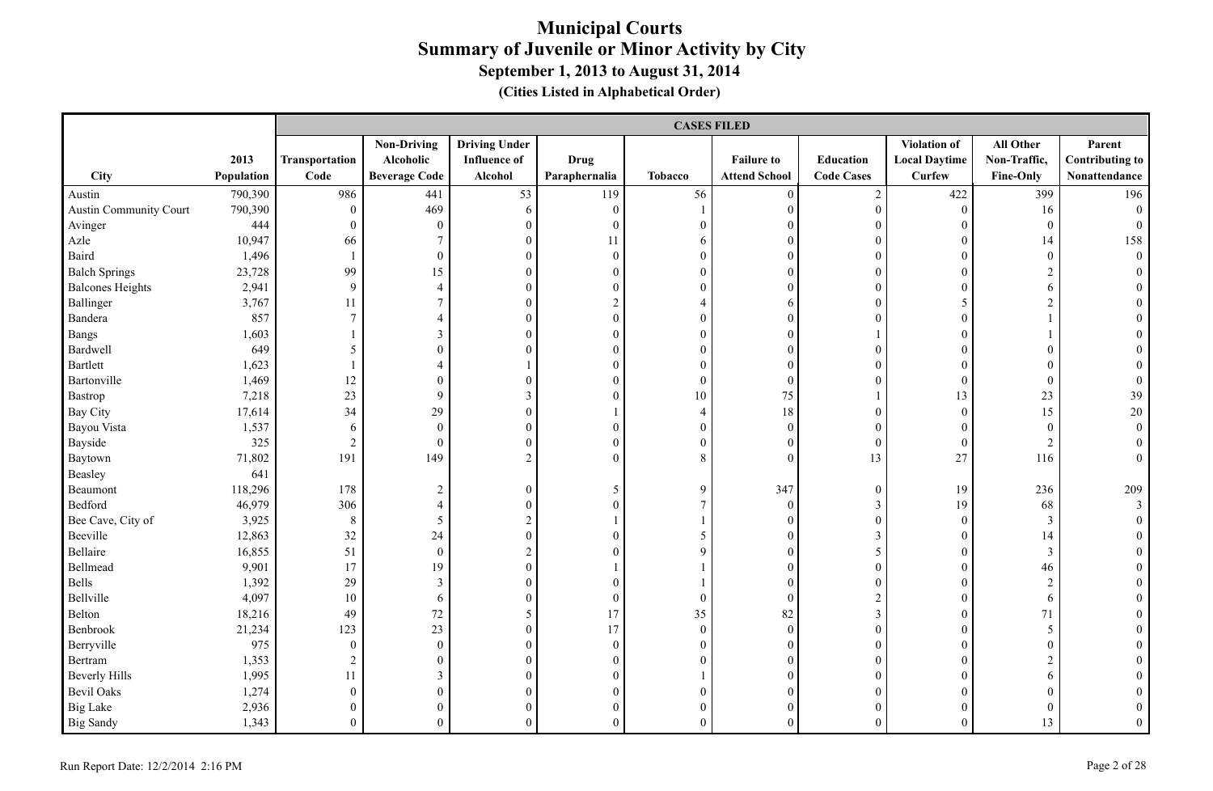|                         |            |                  | <b>CASES FILED</b>   |                      |                  |                  |                      |                   |                      |                  |                        |  |
|-------------------------|------------|------------------|----------------------|----------------------|------------------|------------------|----------------------|-------------------|----------------------|------------------|------------------------|--|
|                         |            |                  | <b>Non-Driving</b>   | <b>Driving Under</b> |                  |                  |                      |                   | Violation of         | All Other        | Parent                 |  |
|                         | 2013       | Transportation   | Alcoholic            | <b>Influence of</b>  | <b>Drug</b>      |                  | <b>Failure to</b>    | Education         | <b>Local Daytime</b> | Non-Traffic,     | <b>Contributing to</b> |  |
| City                    | Population | Code             | <b>Beverage Code</b> | Alcohol              | Paraphernalia    | <b>Tobacco</b>   | <b>Attend School</b> | <b>Code Cases</b> | <b>Curfew</b>        | Fine-Only        | Nonattendance          |  |
| Austin                  | 790,390    | 986              | 441                  | 53                   | 119              | 56               | $\mathbf{0}$         | $\sqrt{2}$        | 422                  | 399              | 196                    |  |
| Austin Community Court  | 790,390    | $\boldsymbol{0}$ | 469                  | 6                    | $\overline{0}$   |                  | $\mathbf{0}$         | $\boldsymbol{0}$  | $\mathbf{0}$         | 16               | $\overline{0}$         |  |
| Avinger                 | 444        | $\boldsymbol{0}$ | $\boldsymbol{0}$     | $\boldsymbol{0}$     | $\mathbf{0}$     | $\mathbf{0}$     | $\mathbf{0}$         | $\boldsymbol{0}$  | $\boldsymbol{0}$     | $\boldsymbol{0}$ | $\boldsymbol{0}$       |  |
| Azle                    | 10,947     | 66               | $7\overline{ }$      | $\boldsymbol{0}$     | 11               | 6                | $\mathbf{0}$         | $\boldsymbol{0}$  | $\theta$             | 14               | 158                    |  |
| Baird                   | 1,496      | $\mathbf{1}$     | $\overline{0}$       | $\boldsymbol{0}$     | $\mathbf{0}$     | $\mathbf{0}$     | $\mathbf{0}$         | $\mathbf{0}$      | $\theta$             | $\boldsymbol{0}$ | $\boldsymbol{0}$       |  |
| <b>Balch Springs</b>    | 23,728     | 99               | 15                   | $\boldsymbol{0}$     | $\boldsymbol{0}$ | $\boldsymbol{0}$ | $\mathbf{0}$         | $\boldsymbol{0}$  | $\mathbf{0}$         | $\sqrt{2}$       | $\theta$               |  |
| <b>Balcones Heights</b> | 2,941      | 9                | $\overline{4}$       | $\boldsymbol{0}$     | $\overline{0}$   | $\boldsymbol{0}$ | $\mathbf{0}$         | $\boldsymbol{0}$  | $\theta$             | 6                |                        |  |
| Ballinger               | 3,767      | 11               | $7\overline{ }$      | $\boldsymbol{0}$     | $\overline{2}$   | $\overline{4}$   | 6                    | $\boldsymbol{0}$  | 5                    | $\overline{2}$   |                        |  |
| Bandera                 | 857        | $\overline{7}$   | $\overline{4}$       | $\overline{0}$       | $\boldsymbol{0}$ | $\mathbf{0}$     | $\mathbf{0}$         | $\overline{0}$    | $\overline{0}$       |                  |                        |  |
| Bangs                   | 1,603      |                  | $\mathfrak{Z}$       | $\boldsymbol{0}$     | $\boldsymbol{0}$ | $\boldsymbol{0}$ | $\boldsymbol{0}$     |                   | $\overline{0}$       |                  | $\Omega$               |  |
| Bardwell                | 649        | $5\phantom{.0}$  | $\boldsymbol{0}$     | $\boldsymbol{0}$     | $\boldsymbol{0}$ | $\boldsymbol{0}$ | $\boldsymbol{0}$     | $\boldsymbol{0}$  | $\boldsymbol{0}$     | $\boldsymbol{0}$ | $\theta$               |  |
| Bartlett                | 1,623      | 1                | $\overline{4}$       | $\mathbf{1}$         | $\boldsymbol{0}$ | $\boldsymbol{0}$ | $\boldsymbol{0}$     | $\boldsymbol{0}$  | $\theta$             | $\boldsymbol{0}$ | $\theta$               |  |
| Bartonville             | 1,469      | 12               | $\boldsymbol{0}$     | $\boldsymbol{0}$     | $\boldsymbol{0}$ | $\boldsymbol{0}$ | $\mathbf{0}$         | $\mathbf{0}$      | $\mathbf{0}$         | $\boldsymbol{0}$ | $\mathbf{0}$           |  |
| Bastrop                 | 7,218      | 23               | 9                    | $\mathfrak{Z}$       | $\overline{0}$   | 10               | $75\,$               |                   | 13                   | 23               | 39                     |  |
| Bay City                | 17,614     | 34               | 29                   | $\boldsymbol{0}$     |                  | $\overline{4}$   | $18\,$               | $\boldsymbol{0}$  | $\boldsymbol{0}$     | 15               | $20\,$                 |  |
| Bayou Vista             | 1,537      | $\sqrt{6}$       | $\boldsymbol{0}$     | $\boldsymbol{0}$     | $\boldsymbol{0}$ | $\boldsymbol{0}$ | $\boldsymbol{0}$     | $\boldsymbol{0}$  | $\overline{0}$       | $\boldsymbol{0}$ | $\boldsymbol{0}$       |  |
| Bayside                 | 325        | $\sqrt{2}$       | $\overline{0}$       | $\boldsymbol{0}$     | $\boldsymbol{0}$ | $\boldsymbol{0}$ | $\boldsymbol{0}$     | $\boldsymbol{0}$  | $\mathbf{0}$         | $\boldsymbol{2}$ | $\theta$               |  |
| Baytown                 | 71,802     | 191              | 149                  | $\overline{c}$       | $\overline{0}$   | 8                | $\mathbf{0}$         | 13                | 27                   | 116              | $\overline{0}$         |  |
| Beasley                 | 641        |                  |                      |                      |                  |                  |                      |                   |                      |                  |                        |  |
| Beaumont                | 118,296    | 178              | $\overline{2}$       | $\boldsymbol{0}$     | 5                | 9                | 347                  | $\boldsymbol{0}$  | 19                   | 236              | 209                    |  |
| Bedford                 | 46,979     | 306              | $\overline{4}$       | $\boldsymbol{0}$     | $\boldsymbol{0}$ | $\overline{7}$   | $\mathbf{0}$         | $\mathfrak{Z}$    | 19                   | 68               | $\mathfrak{Z}$         |  |
| Bee Cave, City of       | 3,925      | $\,8\,$          | 5                    | $\overline{c}$       | 1                |                  | $\mathbf{0}$         | $\boldsymbol{0}$  | $\boldsymbol{0}$     | $\mathfrak{Z}$   | $\theta$               |  |
| Beeville                | 12,863     | 32               | 24                   | $\overline{0}$       | $\Omega$         | 5                | $\theta$             | 3                 | $\Omega$             | 14               |                        |  |
| Bellaire                | 16,855     | 51               | $\boldsymbol{0}$     | $\overline{c}$       | $\theta$         | 9                | $\mathbf{0}$         | 5                 | $\theta$             | $\mathfrak{Z}$   |                        |  |
| Bellmead                | 9,901      | 17               | 19                   | $\boldsymbol{0}$     |                  |                  | $\mathbf{0}$         | $\boldsymbol{0}$  | $\overline{0}$       | 46               |                        |  |
| Bells                   | 1,392      | 29               | $\mathfrak{Z}$       | $\boldsymbol{0}$     | $\boldsymbol{0}$ |                  | $\mathbf{0}$         | $\boldsymbol{0}$  | $\boldsymbol{0}$     | $\sqrt{2}$       | $\theta$               |  |
| Bellville               | 4,097      | 10               | 6                    | $\boldsymbol{0}$     | $\mathbf{0}$     | $\mathbf{0}$     | $\mathbf{0}$         | $\sqrt{2}$        | $\theta$             | 6                |                        |  |
| Belton                  | 18,216     | 49               | 72                   | 5                    | 17               | 35               | 82                   | $\mathfrak{Z}$    | $\mathbf{0}$         | $71\,$           |                        |  |
| Benbrook                | 21,234     | 123              | 23                   | $\boldsymbol{0}$     | 17               | $\boldsymbol{0}$ | $\boldsymbol{0}$     | $\boldsymbol{0}$  | $\mathbf{0}$         | 5                |                        |  |
| Berryville              | 975        | $\boldsymbol{0}$ | $\boldsymbol{0}$     | $\boldsymbol{0}$     | $\boldsymbol{0}$ | $\boldsymbol{0}$ | $\mathbf{0}$         | $\boldsymbol{0}$  | $\theta$             | $\boldsymbol{0}$ | $\theta$               |  |
| Bertram                 | 1,353      | $\sqrt{2}$       | $\mathbf{0}$         | $\overline{0}$       | $\overline{0}$   | $\overline{0}$   | $\mathbf{0}$         | $\boldsymbol{0}$  | $\theta$             | $\overline{2}$   |                        |  |
| <b>Beverly Hills</b>    | 1,995      | 11               | $\mathbf{3}$         | $\overline{0}$       | $\overline{0}$   |                  | $\mathbf{0}$         | $\mathbf{0}$      | $\Omega$             | 6                |                        |  |
| <b>Bevil Oaks</b>       | 1,274      | $\boldsymbol{0}$ | $\overline{0}$       | $\boldsymbol{0}$     | $\boldsymbol{0}$ | $\mathbf{0}$     | $\mathbf{0}$         | $\boldsymbol{0}$  | $\overline{0}$       | $\boldsymbol{0}$ |                        |  |
| <b>Big Lake</b>         | 2,936      | $\boldsymbol{0}$ | $\boldsymbol{0}$     | $\boldsymbol{0}$     | $\boldsymbol{0}$ | $\boldsymbol{0}$ | $\mathbf{0}$         | $\boldsymbol{0}$  | $\overline{0}$       | $\boldsymbol{0}$ | $\mathbf{0}$           |  |
| <b>Big Sandy</b>        | 1,343      | $\overline{0}$   | $\mathbf{0}$         | $\overline{0}$       | $\overline{0}$   | $\overline{0}$   | $\theta$             | $\overline{0}$    | $\theta$             | 13               | $\theta$               |  |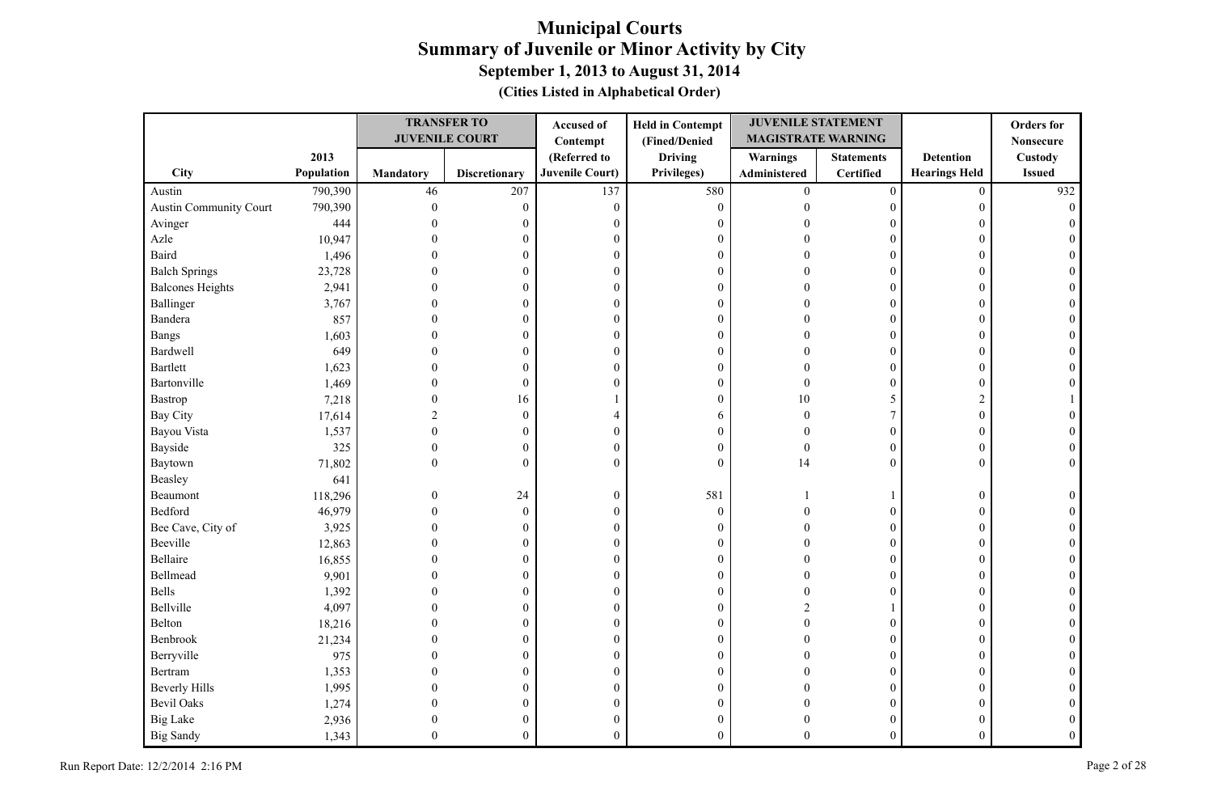|                               |            |                  | <b>TRANSFER TO</b><br><b>JUVENILE COURT</b> | Accused of<br>Contempt | <b>Held in Contempt</b><br>(Fined/Denied | <b>JUVENILE STATEMENT</b><br><b>MAGISTRATE WARNING</b> |                   |                      | <b>Orders</b> for<br><b>Nonsecure</b> |
|-------------------------------|------------|------------------|---------------------------------------------|------------------------|------------------------------------------|--------------------------------------------------------|-------------------|----------------------|---------------------------------------|
|                               | 2013       |                  |                                             | (Referred to           | <b>Driving</b>                           | <b>Warnings</b>                                        | <b>Statements</b> | <b>Detention</b>     | Custody                               |
| <b>City</b>                   | Population | <b>Mandatory</b> | <b>Discretionary</b>                        | <b>Juvenile Court)</b> | Privileges)                              | Administered                                           | Certified         | <b>Hearings Held</b> | <b>Issued</b>                         |
| Austin                        | 790,390    | 46               | 207                                         | 137                    | 580                                      | $\mathbf{0}$                                           | $\boldsymbol{0}$  | $\overline{0}$       | 932                                   |
| <b>Austin Community Court</b> | 790,390    | $\mathbf{0}$     | $\boldsymbol{0}$                            | $\mathbf{0}$           | $\boldsymbol{0}$                         | $\theta$                                               | $\overline{0}$    | 0                    |                                       |
| Avinger                       | 444        |                  | 0                                           | $\boldsymbol{0}$       | $\boldsymbol{0}$                         |                                                        | $\theta$          | $\Omega$             |                                       |
| Azle                          | 10,947     |                  | 0                                           | $\boldsymbol{0}$       | $\boldsymbol{0}$                         |                                                        | $\theta$          | $\Omega$             |                                       |
| Baird                         | 1,496      |                  | 0                                           | $\theta$               | $\boldsymbol{0}$                         |                                                        | $\theta$          | 0                    |                                       |
| <b>Balch Springs</b>          | 23,728     |                  | 0                                           | $\boldsymbol{0}$       | $\boldsymbol{0}$                         |                                                        | $\overline{0}$    | $\Omega$             |                                       |
| <b>Balcones Heights</b>       | 2,941      | $\Omega$         | 0                                           | $\boldsymbol{0}$       | $\boldsymbol{0}$                         |                                                        | $\overline{0}$    | $\Omega$             |                                       |
| Ballinger                     | 3,767      | $\Omega$         | $\overline{0}$                              | $\boldsymbol{0}$       | $\boldsymbol{0}$                         |                                                        | $\overline{0}$    | $\Omega$             |                                       |
| Bandera                       | 857        | 0                | $\overline{0}$                              | $\boldsymbol{0}$       | $\mathbf{0}$                             |                                                        | $\overline{0}$    | $\Omega$             |                                       |
| <b>Bangs</b>                  | 1,603      |                  | 0                                           | $\mathbf{0}$           | $\mathbf{0}$                             |                                                        | $\theta$          | $\Omega$             |                                       |
| Bardwell                      | 649        | 0                | 0                                           | $\boldsymbol{0}$       | $\mathbf{0}$                             |                                                        | $\overline{0}$    | $\overline{0}$       |                                       |
| <b>Bartlett</b>               | 1,623      | 0                | 0                                           | $\boldsymbol{0}$       | $\boldsymbol{0}$                         |                                                        | $\overline{0}$    | $\Omega$             |                                       |
| Bartonville                   | 1,469      | 0                | $\boldsymbol{0}$                            | $\theta$               | $\boldsymbol{0}$                         | $\Omega$                                               | $\overline{0}$    | 0                    |                                       |
| Bastrop                       | 7,218      | $\theta$         | 16                                          |                        | $\boldsymbol{0}$                         | 10                                                     | 5                 | 2                    |                                       |
| <b>Bay City</b>               | 17,614     | $\overline{2}$   | $\boldsymbol{0}$                            | $\overline{4}$         | 6                                        | $\theta$                                               | 7                 | $\overline{0}$       |                                       |
| Bayou Vista                   | 1,537      | $\Omega$         | $\mathbf{0}$                                | $\boldsymbol{0}$       | $\mathbf{0}$                             | $\sqrt{ }$                                             | $\theta$          | $\Omega$             |                                       |
| Bayside                       | 325        | $\mathbf{0}$     | $\boldsymbol{0}$                            | $\boldsymbol{0}$       | $\boldsymbol{0}$                         | $\theta$                                               | $\overline{0}$    | $\theta$             |                                       |
| Baytown                       | 71,802     | $\Omega$         | $\theta$                                    | $\Omega$               | $\theta$                                 | 14                                                     | $\Omega$          | $\Omega$             |                                       |
| Beasley                       | 641        |                  |                                             |                        |                                          |                                                        |                   |                      |                                       |
| Beaumont                      | 118,296    | $\theta$         | 24                                          | $\boldsymbol{0}$       | 581                                      |                                                        |                   | 0                    |                                       |
| Bedford                       | 46,979     | 0                | $\mathbf{0}$                                | $\theta$               | $\mathbf{0}$                             |                                                        | $\theta$          | $\Omega$             |                                       |
| Bee Cave, City of             | 3,925      |                  | $\boldsymbol{0}$                            | $\boldsymbol{0}$       | $\mathbf{0}$                             |                                                        | $\overline{0}$    | $\overline{0}$       |                                       |
| Beeville                      | 12,863     |                  | 0                                           | $\boldsymbol{0}$       | $\boldsymbol{0}$                         |                                                        | $\overline{0}$    | $\Omega$             |                                       |
| Bellaire                      | 16,855     |                  | 0                                           | $\boldsymbol{0}$       | $\boldsymbol{0}$                         |                                                        | $\overline{0}$    | $\Omega$             |                                       |
| Bellmead                      | 9,901      |                  | $\boldsymbol{0}$                            | $\boldsymbol{0}$       | $\boldsymbol{0}$                         |                                                        | $\overline{0}$    | $\Omega$             |                                       |
| Bells                         | 1,392      |                  | $\theta$                                    | $\boldsymbol{0}$       | $\boldsymbol{0}$                         |                                                        | $\theta$          | $\Omega$             |                                       |
| Bellville                     | 4,097      |                  | 0                                           | $\boldsymbol{0}$       | $\boldsymbol{0}$                         | $\mathcal{D}$                                          |                   | $\Omega$             |                                       |
| Belton                        | 18,216     |                  | 0                                           | $\boldsymbol{0}$       | $\boldsymbol{0}$                         |                                                        | $\overline{0}$    | 0                    |                                       |
| Benbrook                      | 21,234     | 0                | $\theta$                                    | $\boldsymbol{0}$       | $\boldsymbol{0}$                         |                                                        | $\theta$          | 0                    |                                       |
| Berryville                    | 975        | $\Omega$         | $\overline{0}$                              | $\boldsymbol{0}$       | $\boldsymbol{0}$                         |                                                        | $\overline{0}$    | $\overline{0}$       |                                       |
| Bertram                       | 1,353      |                  | 0                                           | $\boldsymbol{0}$       | $\boldsymbol{0}$                         |                                                        | $\overline{0}$    | $\Omega$             |                                       |
| <b>Beverly Hills</b>          | 1,995      |                  | 0                                           | $\theta$               | $\mathbf{0}$                             |                                                        | $\overline{0}$    | $\Omega$             |                                       |
| <b>Bevil Oaks</b>             | 1,274      |                  | 0                                           | $\boldsymbol{0}$       | $\boldsymbol{0}$                         |                                                        | $\boldsymbol{0}$  |                      |                                       |
| <b>Big Lake</b>               | 2,936      | 0                | 0                                           | $\boldsymbol{0}$       | $\boldsymbol{0}$                         |                                                        | 0                 |                      |                                       |
| <b>Big Sandy</b>              | 1,343      | $\Omega$         | $\theta$                                    | $\theta$               | $\theta$                                 | $\Omega$                                               | $\theta$          | $\theta$             |                                       |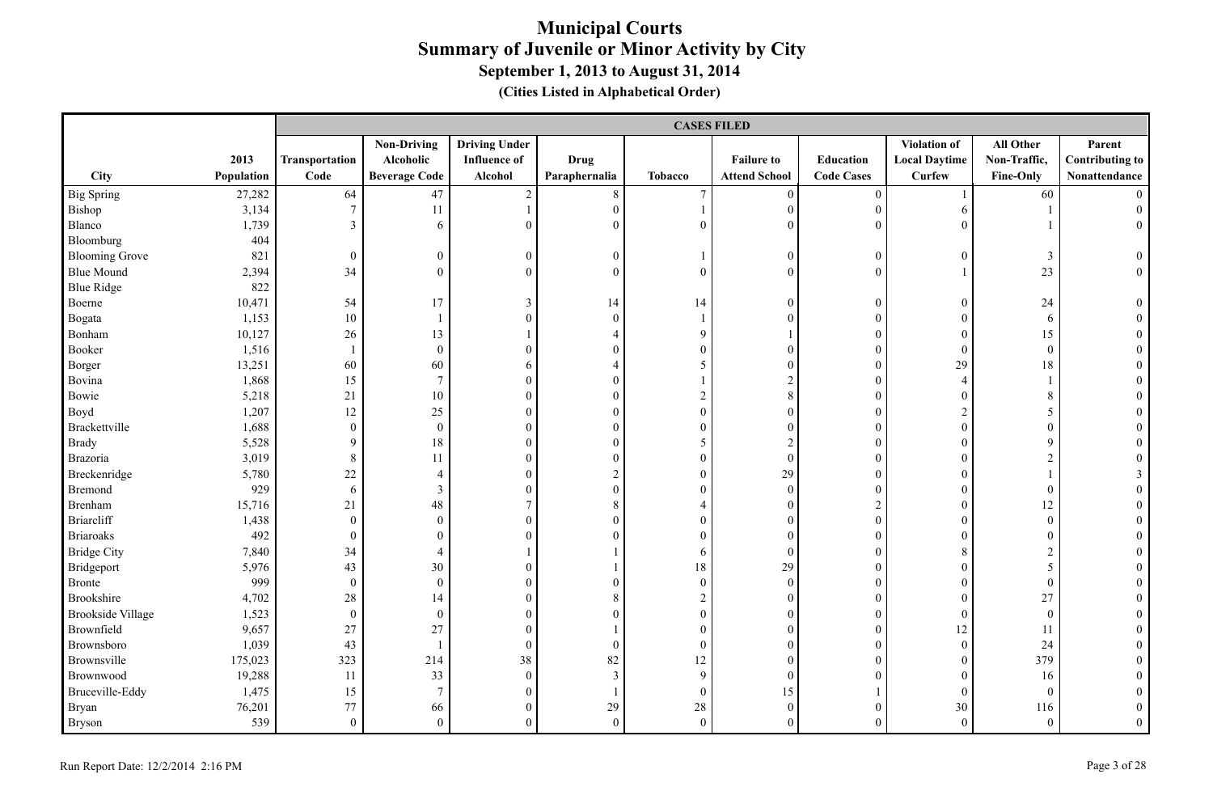|                          |            |                  | <b>CASES FILED</b>   |                      |                  |                  |                      |                   |                      |                  |                        |  |
|--------------------------|------------|------------------|----------------------|----------------------|------------------|------------------|----------------------|-------------------|----------------------|------------------|------------------------|--|
|                          |            |                  | <b>Non-Driving</b>   | <b>Driving Under</b> |                  |                  |                      |                   | <b>Violation of</b>  | All Other        | Parent                 |  |
|                          | 2013       | Transportation   | Alcoholic            | <b>Influence of</b>  | <b>Drug</b>      |                  | <b>Failure to</b>    | Education         | <b>Local Daytime</b> | Non-Traffic,     | <b>Contributing to</b> |  |
| City                     | Population | Code             | <b>Beverage Code</b> | Alcohol              | Paraphernalia    | <b>Tobacco</b>   | <b>Attend School</b> | <b>Code Cases</b> | <b>Curfew</b>        | <b>Fine-Only</b> | Nonattendance          |  |
| <b>Big Spring</b>        | 27,282     | 64               | $47\,$               | $\overline{c}$       | $8\,$            | $\boldsymbol{7}$ | $\boldsymbol{0}$     | $\boldsymbol{0}$  |                      | 60               | $\Omega$               |  |
| Bishop                   | 3,134      | $\boldsymbol{7}$ | 11                   | $\mathbf{1}$         | $\boldsymbol{0}$ |                  | $\boldsymbol{0}$     | $\boldsymbol{0}$  | 6                    |                  | $\overline{0}$         |  |
| Blanco                   | 1,739      | $\mathfrak{Z}$   | 6                    | $\mathbf{0}$         | $\mathbf{0}$     | $\mathbf{0}$     | $\mathbf{0}$         | $\overline{0}$    | $\overline{0}$       |                  | $\overline{0}$         |  |
| Bloomburg                | 404        |                  |                      |                      |                  |                  |                      |                   |                      |                  |                        |  |
| <b>Blooming Grove</b>    | 821        | $\boldsymbol{0}$ | $\overline{0}$       | $\boldsymbol{0}$     | $\boldsymbol{0}$ |                  | $\boldsymbol{0}$     | $\boldsymbol{0}$  | $\overline{0}$       | 3                | $\boldsymbol{0}$       |  |
| <b>Blue Mound</b>        | 2,394      | 34               | $\theta$             | $\boldsymbol{0}$     | $\boldsymbol{0}$ | $\boldsymbol{0}$ | $\boldsymbol{0}$     | $\theta$          |                      | 23               | $\overline{0}$         |  |
| <b>Blue Ridge</b>        | 822        |                  |                      |                      |                  |                  |                      |                   |                      |                  |                        |  |
| Boerne                   | 10,471     | 54               | 17                   | 3                    | 14               | 14               | $\mathbf{0}$         | $\mathbf{0}$      | $\overline{0}$       | 24               | $\overline{0}$         |  |
| Bogata                   | 1,153      | $10\,$           |                      | $\boldsymbol{0}$     | $\boldsymbol{0}$ | $\overline{1}$   | $\mathbf{0}$         | $\boldsymbol{0}$  | $\overline{0}$       | 6                |                        |  |
| Bonham                   | 10,127     | $26\,$           | 13                   |                      | 4                | 9                | $\mathbf{1}$         | $\overline{0}$    | $\boldsymbol{0}$     | 15               | $\mathbf{0}$           |  |
| Booker                   | 1,516      | $\mathbf{1}$     | $\boldsymbol{0}$     | $\boldsymbol{0}$     | $\boldsymbol{0}$ | $\boldsymbol{0}$ | $\mathbf{0}$         | $\boldsymbol{0}$  | $\overline{0}$       | $\boldsymbol{0}$ | $\theta$               |  |
| Borger                   | 13,251     | 60               | 60                   | 6                    | $\overline{4}$   | 5                | $\mathbf{0}$         | $\boldsymbol{0}$  | 29                   | 18               | $\theta$               |  |
| Bovina                   | 1,868      | 15               | $\overline{7}$       | $\mathbf{0}$         | $\mathbf{0}$     | $\mathbf{1}$     | $\overline{2}$       | $\overline{0}$    | $\overline{4}$       |                  |                        |  |
| Bowie                    | 5,218      | 21               | 10                   | $\boldsymbol{0}$     | $\boldsymbol{0}$ | $\sqrt{2}$       | 8                    | $\theta$          | $\overline{0}$       | $\,8\,$          |                        |  |
| Boyd                     | 1,207      | 12               | 25                   | $\boldsymbol{0}$     | $\mathbf{0}$     | $\boldsymbol{0}$ | $\mathbf{0}$         | $\boldsymbol{0}$  | $\overline{2}$       | 5                |                        |  |
| Brackettville            | 1,688      | $\boldsymbol{0}$ | $\mathbf{0}$         | $\boldsymbol{0}$     | $\boldsymbol{0}$ | $\boldsymbol{0}$ | $\mathbf{0}$         | $\boldsymbol{0}$  | $\overline{0}$       | $\boldsymbol{0}$ |                        |  |
| <b>Brady</b>             | 5,528      | 9                | $18\,$               | $\boldsymbol{0}$     | $\boldsymbol{0}$ | 5                | $\overline{2}$       | $\boldsymbol{0}$  | $\overline{0}$       | 9                |                        |  |
| Brazoria                 | 3,019      | $8\,$            | 11                   | $\boldsymbol{0}$     | $\boldsymbol{0}$ | $\boldsymbol{0}$ | $\boldsymbol{0}$     | $\boldsymbol{0}$  | $\boldsymbol{0}$     | $\overline{2}$   | $\theta$               |  |
| Breckenridge             | 5,780      | $22\,$           | $\overline{4}$       | $\mathbf{0}$         | $\sqrt{2}$       | $\mathbf{0}$     | 29                   | $\overline{0}$    | $\overline{0}$       |                  | 3                      |  |
| Bremond                  | 929        | 6                | $\mathfrak{Z}$       | $\boldsymbol{0}$     | $\boldsymbol{0}$ | $\boldsymbol{0}$ | $\boldsymbol{0}$     | $\overline{0}$    | $\overline{0}$       | $\boldsymbol{0}$ |                        |  |
| Brenham                  | 15,716     | 21               | 48                   | $\overline{7}$       | $\,$ 8 $\,$      | $\overline{4}$   | $\boldsymbol{0}$     | $\overline{2}$    | $\overline{0}$       | 12               |                        |  |
| Briarcliff               | 1,438      | $\boldsymbol{0}$ | $\boldsymbol{0}$     | $\boldsymbol{0}$     | $\boldsymbol{0}$ | $\boldsymbol{0}$ | $\boldsymbol{0}$     | $\boldsymbol{0}$  | $\boldsymbol{0}$     | $\boldsymbol{0}$ | $\theta$               |  |
| Briaroaks                | 492        | $\boldsymbol{0}$ | $\theta$             | $\mathbf{0}$         | $\mathbf{0}$     | $\mathbf{0}$     | $\boldsymbol{0}$     | $\boldsymbol{0}$  | $\overline{0}$       | $\boldsymbol{0}$ |                        |  |
| <b>Bridge City</b>       | 7,840      | 34               | $\overline{4}$       |                      |                  | 6                | $\mathbf{0}$         | $\overline{0}$    | 8                    | $\overline{2}$   |                        |  |
| Bridgeport               | 5,976      | 43               | 30                   | $\overline{0}$       |                  | 18               | 29                   | $\boldsymbol{0}$  | $\Omega$             | 5                |                        |  |
| <b>Bronte</b>            | 999        | $\boldsymbol{0}$ | $\boldsymbol{0}$     | $\boldsymbol{0}$     | $\boldsymbol{0}$ | $\boldsymbol{0}$ | $\boldsymbol{0}$     | $\overline{0}$    | $\boldsymbol{0}$     | $\boldsymbol{0}$ | $\theta$               |  |
| Brookshire               | 4,702      | $28\,$           | 14                   | $\boldsymbol{0}$     | $\,$ 8 $\,$      | $\sqrt{2}$       | $\boldsymbol{0}$     | $\boldsymbol{0}$  | $\overline{0}$       | 27               | $\theta$               |  |
| <b>Brookside Village</b> | 1,523      | $\boldsymbol{0}$ | $\boldsymbol{0}$     | $\boldsymbol{0}$     | $\mathbf{0}$     | $\boldsymbol{0}$ | $\boldsymbol{0}$     | $\overline{0}$    | $\boldsymbol{0}$     | $\boldsymbol{0}$ | $\theta$               |  |
| Brownfield               | 9,657      | 27               | 27                   | $\mathbf{0}$         |                  | $\mathbf{0}$     | $\mathbf{0}$         | $\overline{0}$    | 12                   | 11               |                        |  |
| Brownsboro               | 1,039      | 43               |                      | $\mathbf{0}$         | $\mathbf{0}$     | $\mathbf{0}$     | $\mathbf{0}$         | $\theta$          | $\overline{0}$       | 24               |                        |  |
| Brownsville              | 175,023    | 323              | 214                  | $38\,$               | 82               | 12               | $\theta$             | $\theta$          | $\overline{0}$       | 379              |                        |  |
| Brownwood                | 19,288     | 11               | 33                   | $\boldsymbol{0}$     | $\mathfrak{Z}$   | 9                | $\mathbf{0}$         | $\overline{0}$    | $\overline{0}$       | 16               |                        |  |
| Bruceville-Eddy          | 1,475      | 15               | $\overline{7}$       | $\boldsymbol{0}$     | $\mathbf{1}$     | $\boldsymbol{0}$ | 15                   |                   | $\overline{0}$       | $\mathbf{0}$     |                        |  |
| Bryan                    | 76,201     | $77 \,$          | 66                   | $\boldsymbol{0}$     | 29               | 28               | $\boldsymbol{0}$     | $\boldsymbol{0}$  | 30                   | 116              | $\theta$               |  |
| Bryson                   | 539        | $\overline{0}$   | $\mathbf{0}$         | $\theta$             | $\theta$         | $\overline{0}$   | $\theta$             | $\Omega$          | $\overline{0}$       | $\overline{0}$   | $\overline{0}$         |  |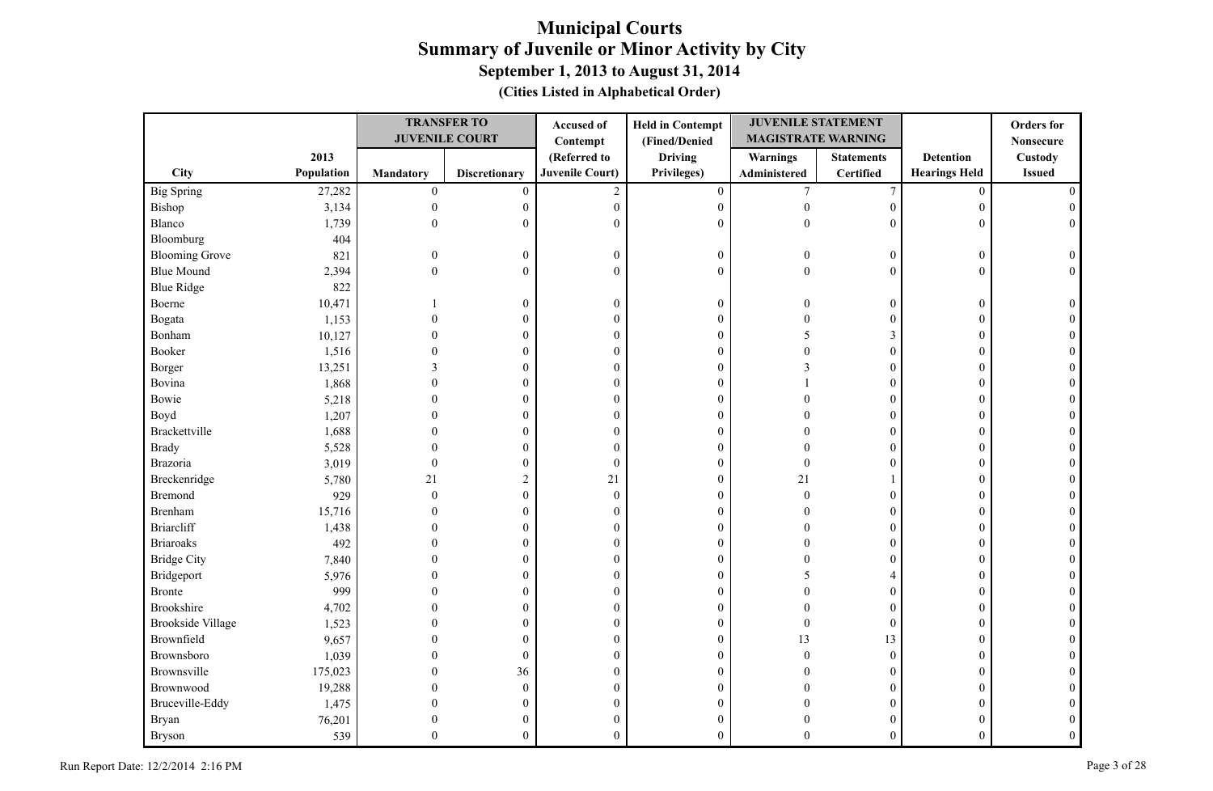|                          |            |                  | <b>TRANSFER TO</b>    | Accused of             | <b>Held in Contempt</b> | <b>JUVENILE STATEMENT</b> |                   |                      | <b>Orders</b> for |
|--------------------------|------------|------------------|-----------------------|------------------------|-------------------------|---------------------------|-------------------|----------------------|-------------------|
|                          |            |                  | <b>JUVENILE COURT</b> | Contempt               | (Fined/Denied           | <b>MAGISTRATE WARNING</b> |                   |                      | <b>Nonsecure</b>  |
|                          | 2013       |                  |                       | (Referred to           | <b>Driving</b>          | Warnings                  | <b>Statements</b> | <b>Detention</b>     | Custody           |
| City                     | Population | <b>Mandatory</b> | <b>Discretionary</b>  | <b>Juvenile Court)</b> | Privileges)             | Administered              | Certified         | <b>Hearings Held</b> | <b>Issued</b>     |
| <b>Big Spring</b>        | 27,282     | $\boldsymbol{0}$ | $\mathbf{0}$          | $\overline{2}$         | $\overline{0}$          | $7\phantom{.0}$           | $\overline{7}$    | $\mathbf{0}$         |                   |
| Bishop                   | 3,134      | $\overline{0}$   | $\boldsymbol{0}$      | $\boldsymbol{0}$       | $\boldsymbol{0}$        | $\boldsymbol{0}$          | $\mathbf{0}$      | $\overline{0}$       |                   |
| Blanco                   | 1,739      | $\mathbf{0}$     | $\boldsymbol{0}$      | $\mathbf{0}$           | $\mathbf{0}$            | $\mathbf{0}$              | $\theta$          | $\overline{0}$       |                   |
| Bloomburg                | 404        |                  |                       |                        |                         |                           |                   |                      |                   |
| <b>Blooming Grove</b>    | 821        | $\Omega$         | $\boldsymbol{0}$      | $\boldsymbol{0}$       | $\boldsymbol{0}$        | $\Omega$                  | $\overline{0}$    | $\overline{0}$       | $\Omega$          |
| <b>Blue Mound</b>        | 2,394      | $\overline{0}$   | $\boldsymbol{0}$      | $\mathbf{0}$           | $\mathbf{0}$            | $\theta$                  | $\mathbf{0}$      | $\overline{0}$       | $\Omega$          |
| <b>Blue Ridge</b>        | 822        |                  |                       |                        |                         |                           |                   |                      |                   |
| Boerne                   | 10,471     |                  | $\mathbf{0}$          | $\boldsymbol{0}$       | $\boldsymbol{0}$        | $\Omega$                  | $\mathbf{0}$      | $\overline{0}$       |                   |
| Bogata                   | 1,153      | $\Omega$         | $\overline{0}$        | $\boldsymbol{0}$       | $\mathbf{0}$            | $\Omega$                  | $\mathbf{0}$      | $\theta$             |                   |
| Bonham                   | 10,127     | 0                | 0                     | $\boldsymbol{0}$       | $\boldsymbol{0}$        | .5                        | 3                 | $\Omega$             |                   |
| Booker                   | 1,516      |                  | 0                     | $\boldsymbol{0}$       | $\boldsymbol{0}$        | $\sqrt{ }$                | $\boldsymbol{0}$  | 0                    |                   |
| Borger                   | 13,251     | 3                | 0                     | $\boldsymbol{0}$       | $\boldsymbol{0}$        | $\mathcal{R}$             | $\overline{0}$    | $\Omega$             |                   |
| Bovina                   | 1,868      | $\theta$         | 0                     | $\boldsymbol{0}$       | $\boldsymbol{0}$        |                           | $\overline{0}$    | $\Omega$             |                   |
| Bowie                    | 5,218      | $\theta$         | $\boldsymbol{0}$      | $\boldsymbol{0}$       | $\boldsymbol{0}$        |                           | $\overline{0}$    | $\mathbf{0}$         |                   |
| Boyd                     | 1,207      | $\Omega$         | $\theta$              | $\boldsymbol{0}$       | $\boldsymbol{0}$        |                           | $\theta$          | $\Omega$             |                   |
| Brackettville            | 1,688      | $\Omega$         | $\overline{0}$        | $\boldsymbol{0}$       | $\boldsymbol{0}$        |                           | $\overline{0}$    | $\Omega$             |                   |
| <b>Brady</b>             | 5,528      | $\Omega$         | $\boldsymbol{0}$      | $\boldsymbol{0}$       | $\boldsymbol{0}$        | $\Omega$                  | $\theta$          | $\Omega$             |                   |
| Brazoria                 | 3,019      | $\mathbf{0}$     | $\boldsymbol{0}$      | $\boldsymbol{0}$       | $\boldsymbol{0}$        | $\theta$                  | $\overline{0}$    | $\mathbf{0}$         |                   |
| Breckenridge             | 5,780      | 21               | $\overline{2}$        | 21                     | $\mathbf{0}$            | 21                        |                   | $\theta$             |                   |
| <b>Bremond</b>           | 929        | $\Omega$         | $\overline{0}$        | $\theta$               | $\mathbf{0}$            | $\theta$                  | $\overline{0}$    | $\Omega$             |                   |
| Brenham                  | 15,716     | 0                | $\boldsymbol{0}$      | $\boldsymbol{0}$       | $\boldsymbol{0}$        | $\Omega$                  | $\overline{0}$    | $\overline{0}$       |                   |
| <b>Briarcliff</b>        | 1,438      | 0                | 0                     | $\boldsymbol{0}$       | $\boldsymbol{0}$        | O                         | 0                 | $\overline{0}$       |                   |
| <b>Briaroaks</b>         | 492        |                  | 0                     | $\boldsymbol{0}$       | $\boldsymbol{0}$        |                           | $\overline{0}$    | $\Omega$             |                   |
| <b>Bridge City</b>       | 7,840      |                  | $\boldsymbol{0}$      | $\boldsymbol{0}$       | $\boldsymbol{0}$        |                           | $\overline{0}$    | $\Omega$             |                   |
| Bridgeport               | 5,976      |                  | 0                     | $\boldsymbol{0}$       | $\boldsymbol{0}$        |                           | 4                 | $\Omega$             |                   |
| <b>Bronte</b>            | 999        | ∩                | 0                     | $\boldsymbol{0}$       | $\mathbf{0}$            |                           | $\overline{0}$    | 0                    |                   |
| <b>Brookshire</b>        | 4,702      | $\Omega$         | $\overline{0}$        | $\boldsymbol{0}$       | $\boldsymbol{0}$        | $\Omega$                  | $\overline{0}$    | $\Omega$             |                   |
| <b>Brookside Village</b> | 1,523      | $\Omega$         | 0                     | $\boldsymbol{0}$       | $\boldsymbol{0}$        | $\theta$                  | $\boldsymbol{0}$  | $\Omega$             |                   |
| Brownfield               | 9,657      | $\Omega$         | $\boldsymbol{0}$      | $\boldsymbol{0}$       | $\boldsymbol{0}$        | 13                        | 13                | $\theta$             |                   |
| Brownsboro               | 1,039      | $\Omega$         | $\boldsymbol{0}$      | $\mathbf{0}$           | $\mathbf{0}$            | $\Omega$                  | $\mathbf{0}$      | $\Omega$             |                   |
| Brownsville              | 175,023    | $\theta$         | 36                    | $\boldsymbol{0}$       | $\boldsymbol{0}$        | $\Omega$                  | $\overline{0}$    | $\overline{0}$       |                   |
| Brownwood                | 19,288     | $\theta$         | $\boldsymbol{0}$      | $\boldsymbol{0}$       | $\boldsymbol{0}$        | $\sqrt{ }$                | $\overline{0}$    | 0                    |                   |
| Bruceville-Eddy          | 1,475      | $\Omega$         | $\boldsymbol{0}$      | $\boldsymbol{0}$       | $\boldsymbol{0}$        | $\sqrt{ }$                | 0                 | 0                    |                   |
| Bryan                    | 76,201     | $\theta$         | $\theta$              | $\boldsymbol{0}$       | $\boldsymbol{0}$        |                           | $\overline{0}$    | 0                    |                   |
| <b>Bryson</b>            | 539        | $\Omega$         | $\overline{0}$        | $\mathbf{0}$           | $\mathbf{0}$            | $\Omega$                  | $\theta$          | $\theta$             |                   |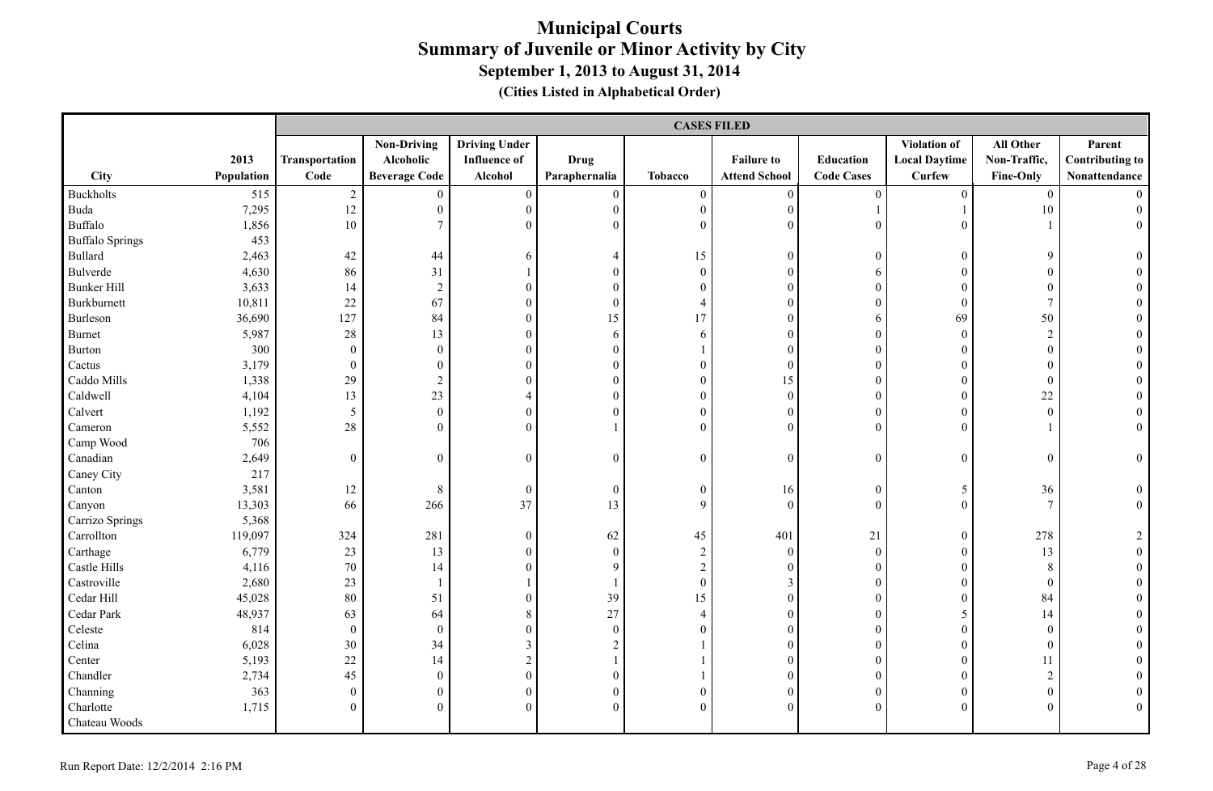|                        |            |                  | <b>CASES FILED</b>   |                      |                  |                  |                      |                   |                      |                  |                        |  |  |
|------------------------|------------|------------------|----------------------|----------------------|------------------|------------------|----------------------|-------------------|----------------------|------------------|------------------------|--|--|
|                        |            |                  | <b>Non-Driving</b>   | <b>Driving Under</b> |                  |                  |                      |                   | Violation of         | All Other        | Parent                 |  |  |
|                        | 2013       | Transportation   | Alcoholic            | <b>Influence</b> of  | <b>Drug</b>      |                  | <b>Failure to</b>    | Education         | <b>Local Daytime</b> | Non-Traffic,     | <b>Contributing to</b> |  |  |
| City                   | Population | Code             | <b>Beverage Code</b> | Alcohol              | Paraphernalia    | <b>Tobacco</b>   | <b>Attend School</b> | <b>Code Cases</b> | <b>Curfew</b>        | <b>Fine-Only</b> | Nonattendance          |  |  |
| Buckholts              | 515        | $\sqrt{2}$       | $\mathbf{0}$         | $\boldsymbol{0}$     | $\mathbf{0}$     | $\boldsymbol{0}$ | $\boldsymbol{0}$     | $\boldsymbol{0}$  | $\overline{0}$       | $\overline{0}$   |                        |  |  |
| Buda                   | 7,295      | 12               | $\mathbf{0}$         | $\overline{0}$       | $\mathbf{0}$     | $\boldsymbol{0}$ | $\boldsymbol{0}$     |                   |                      | 10               | $\Omega$               |  |  |
| Buffalo                | 1,856      | 10               | $7\phantom{.0}$      | $\mathbf{0}$         | $\mathbf{0}$     | $\overline{0}$   | $\mathbf{0}$         | $\theta$          | $\overline{0}$       |                  | $\overline{0}$         |  |  |
| <b>Buffalo Springs</b> | 453        |                  |                      |                      |                  |                  |                      |                   |                      |                  |                        |  |  |
| Bullard                | 2,463      | 42               | 44                   | 6                    | 4                | 15               | $\mathbf{0}$         | $\boldsymbol{0}$  | $\mathbf{0}$         | 9                | $\theta$               |  |  |
| Bulverde               | 4,630      | 86               | 31                   |                      | $\mathbf{0}$     | $\overline{0}$   | $\mathbf{0}$         | 6                 | $\theta$             | $\boldsymbol{0}$ |                        |  |  |
| <b>Bunker Hill</b>     | 3,633      | 14               | $\sqrt{2}$           | $\theta$             | $\mathbf{0}$     | $\Omega$         | $\theta$             | $\theta$          | $\Omega$             | $\mathbf{0}$     |                        |  |  |
| Burkburnett            | 10,811     | 22               | 67                   | $\mathbf{0}$         | $\mathbf{0}$     | 4                | $\mathbf{0}$         | $\theta$          | $\theta$             | $\tau$           |                        |  |  |
| Burleson               | 36,690     | 127              | 84                   | $\boldsymbol{0}$     | 15               | 17               | $\mathbf{0}$         | 6                 | 69                   | 50               |                        |  |  |
| Burnet                 | 5,987      | $28\,$           | 13                   | $\boldsymbol{0}$     | 6                | 6                | $\boldsymbol{0}$     | $\overline{0}$    | $\boldsymbol{0}$     | $\overline{2}$   |                        |  |  |
| Burton                 | 300        | $\boldsymbol{0}$ | $\boldsymbol{0}$     | $\boldsymbol{0}$     | $\boldsymbol{0}$ |                  | $\mathbf{0}$         | $\boldsymbol{0}$  | $\boldsymbol{0}$     | $\boldsymbol{0}$ |                        |  |  |
| Cactus                 | 3,179      | $\overline{0}$   | $\boldsymbol{0}$     | $\mathbf{0}$         | $\boldsymbol{0}$ | $\boldsymbol{0}$ | $\mathbf{0}$         | $\boldsymbol{0}$  | $\boldsymbol{0}$     | $\boldsymbol{0}$ |                        |  |  |
| Caddo Mills            | 1,338      | 29               | $\sqrt{2}$           | $\mathbf{0}$         | $\mathbf{0}$     | $\mathbf{0}$     | 15                   | $\overline{0}$    | $\overline{0}$       | $\mathbf{0}$     |                        |  |  |
| Caldwell               | 4,104      | 13               | 23                   | $\overline{4}$       | $\boldsymbol{0}$ | $\boldsymbol{0}$ | $\boldsymbol{0}$     | $\theta$          | $\boldsymbol{0}$     | $22\,$           |                        |  |  |
| Calvert                | 1,192      | $\overline{5}$   | $\boldsymbol{0}$     | $\boldsymbol{0}$     | $\mathbf{0}$     | $\boldsymbol{0}$ | $\mathbf{0}$         | $\boldsymbol{0}$  | $\overline{0}$       | $\mathbf{0}$     | $\theta$               |  |  |
| Cameron                | 5,552      | $28\,$           | $\overline{0}$       | $\mathbf{0}$         |                  | $\overline{0}$   | $\mathbf{0}$         | $\overline{0}$    | $\theta$             |                  | $\overline{0}$         |  |  |
| Camp Wood              | 706        |                  |                      |                      |                  |                  |                      |                   |                      |                  |                        |  |  |
| Canadian               | 2,649      | $\mathbf{0}$     | $\boldsymbol{0}$     | $\mathbf{0}$         | $\boldsymbol{0}$ | $\boldsymbol{0}$ | $\mathbf{0}$         | $\boldsymbol{0}$  | $\boldsymbol{0}$     | $\boldsymbol{0}$ | $\boldsymbol{0}$       |  |  |
| Caney City             | 217        |                  |                      |                      |                  |                  |                      |                   |                      |                  |                        |  |  |
| Canton                 | 3,581      | 12               | 8                    | $\boldsymbol{0}$     | $\boldsymbol{0}$ | $\boldsymbol{0}$ | 16                   | $\boldsymbol{0}$  | 5                    | 36               | $\boldsymbol{0}$       |  |  |
| Canyon                 | 13,303     | 66               | 266                  | 37                   | 13               | 9                | $\mathbf{0}$         | $\overline{0}$    | $\overline{0}$       | $\overline{7}$   | $\overline{0}$         |  |  |
| Carrizo Springs        | 5,368      |                  |                      |                      |                  |                  |                      |                   |                      |                  |                        |  |  |
| Carrollton             | 119,097    | 324              | 281                  | $\boldsymbol{0}$     | 62               | 45               | 401                  | 21                | $\mathbf{0}$         | 278              | 2                      |  |  |
| Carthage               | 6,779      | 23               | 13                   | $\mathbf{0}$         | $\mathbf{0}$     | $\boldsymbol{2}$ | $\mathbf{0}$         | $\mathbf{0}$      | $\theta$             | 13               | $\theta$               |  |  |
| Castle Hills           | 4,116      | 70               | 14                   | $\overline{0}$       | 9                | $\overline{c}$   | $\mathbf{0}$         | $\boldsymbol{0}$  | $\overline{0}$       | 8                |                        |  |  |
| Castroville            | 2,680      | 23               | $\mathbf{1}$         |                      | $\overline{1}$   | $\boldsymbol{0}$ | $\mathfrak{Z}$       | $\boldsymbol{0}$  | $\boldsymbol{0}$     | $\boldsymbol{0}$ |                        |  |  |
| Cedar Hill             | 45,028     | 80               | 51                   | $\boldsymbol{0}$     | 39               | 15               | $\boldsymbol{0}$     | $\boldsymbol{0}$  | $\overline{0}$       | 84               |                        |  |  |
| Cedar Park             | 48,937     | 63               | 64                   | 8                    | 27               | $\overline{4}$   | $\mathbf{0}$         | $\boldsymbol{0}$  | 5                    | 14               |                        |  |  |
| Celeste                | 814        | $\boldsymbol{0}$ | $\boldsymbol{0}$     | $\mathbf{0}$         | $\boldsymbol{0}$ | $\overline{0}$   | $\mathbf{0}$         | $\overline{0}$    | $\overline{0}$       | $\boldsymbol{0}$ |                        |  |  |
| Celina                 | 6,028      | 30               | 34                   | $\mathfrak{Z}$       | $\sqrt{2}$       |                  | $\mathbf{0}$         | $\theta$          | $\overline{0}$       | $\boldsymbol{0}$ |                        |  |  |
| Center                 | 5,193      | 22               | 14                   | $\sqrt{2}$           |                  |                  | $\theta$             | $\theta$          | $\Omega$             | 11               |                        |  |  |
| Chandler               | 2,734      | 45               | $\boldsymbol{0}$     | $\boldsymbol{0}$     | $\boldsymbol{0}$ |                  | $\mathbf{0}$         | $\boldsymbol{0}$  | $\theta$             | $\overline{2}$   |                        |  |  |
| Channing               | 363        | $\boldsymbol{0}$ | $\boldsymbol{0}$     | $\boldsymbol{0}$     | $\boldsymbol{0}$ | $\boldsymbol{0}$ | $\mathbf{0}$         | $\boldsymbol{0}$  | $\overline{0}$       | $\boldsymbol{0}$ |                        |  |  |
| Charlotte              | 1,715      | $\theta$         | $\boldsymbol{0}$     | $\theta$             | $\theta$         | $\theta$         | $\theta$             | $\theta$          | $\Omega$             | $\mathbf{0}$     | $\Omega$               |  |  |
| Chateau Woods          |            |                  |                      |                      |                  |                  |                      |                   |                      |                  |                        |  |  |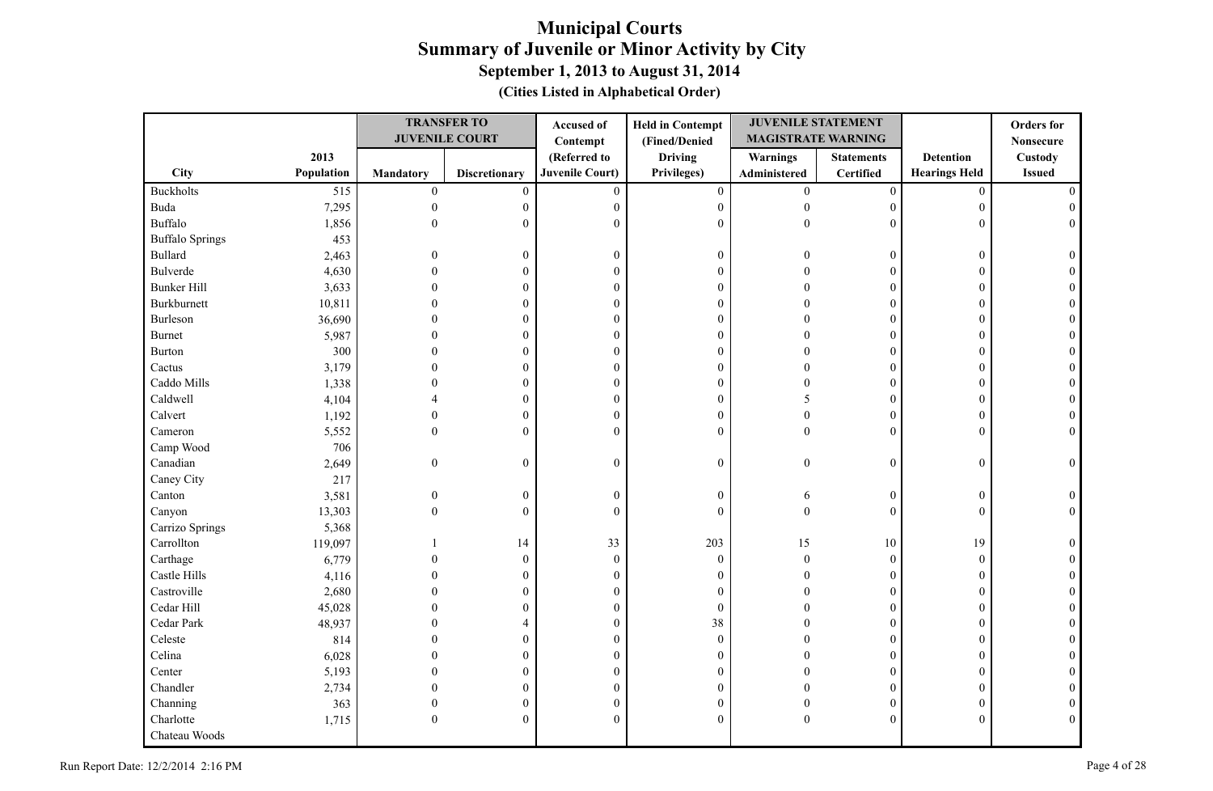|                        |            |                  | <b>TRANSFER TO</b>    | Accused of             | <b>Held in Contempt</b> | <b>JUVENILE STATEMENT</b> |                   |                      | <b>Orders</b> for |
|------------------------|------------|------------------|-----------------------|------------------------|-------------------------|---------------------------|-------------------|----------------------|-------------------|
|                        |            |                  | <b>JUVENILE COURT</b> | Contempt               | (Fined/Denied           | <b>MAGISTRATE WARNING</b> |                   |                      | <b>Nonsecure</b>  |
|                        | 2013       |                  |                       | (Referred to           | <b>Driving</b>          | Warnings                  | <b>Statements</b> | <b>Detention</b>     | Custody           |
| <b>City</b>            | Population | <b>Mandatory</b> | <b>Discretionary</b>  | <b>Juvenile Court)</b> | Privileges)             | Administered              | Certified         | <b>Hearings Held</b> | <b>Issued</b>     |
| <b>Buckholts</b>       | 515        | $\boldsymbol{0}$ | $\mathbf{0}$          | $\mathbf{0}$           | $\boldsymbol{0}$        | $\overline{0}$            | $\boldsymbol{0}$  | $\mathbf{0}$         |                   |
| Buda                   | 7,295      | $\boldsymbol{0}$ | $\boldsymbol{0}$      | $\boldsymbol{0}$       | $\boldsymbol{0}$        | $\theta$                  | $\overline{0}$    | $\overline{0}$       |                   |
| Buffalo                | 1,856      | $\Omega$         | $\overline{0}$        | $\Omega$               | $\theta$                | $\theta$                  | $\Omega$          | $\Omega$             |                   |
| <b>Buffalo Springs</b> | 453        |                  |                       |                        |                         |                           |                   |                      |                   |
| <b>Bullard</b>         | 2,463      | $\theta$         | $\boldsymbol{0}$      | $\boldsymbol{0}$       | $\boldsymbol{0}$        |                           | $\overline{0}$    | $\overline{0}$       |                   |
| <b>Bulverde</b>        | 4,630      | $\Omega$         | 0                     | $\boldsymbol{0}$       | $\boldsymbol{0}$        |                           | $\theta$          | $\Omega$             |                   |
| <b>Bunker Hill</b>     | 3,633      | $\Omega$         | $\overline{0}$        | $\boldsymbol{0}$       | $\boldsymbol{0}$        |                           | $\theta$          | $\Omega$             |                   |
| Burkburnett            | 10,811     | $\Omega$         | 0                     | $\boldsymbol{0}$       | $\boldsymbol{0}$        |                           | $\overline{0}$    | $\Omega$             |                   |
| Burleson               | 36,690     | 0                | $\boldsymbol{0}$      | $\boldsymbol{0}$       | $\boldsymbol{0}$        |                           | $\boldsymbol{0}$  | $\Omega$             |                   |
| <b>Burnet</b>          | 5,987      | $\Omega$         | 0                     | $\mathbf{0}$           | $\mathbf{0}$            | $\Omega$                  | $\theta$          | $\Omega$             |                   |
| <b>Burton</b>          | 300        | $\theta$         | 0                     | $\boldsymbol{0}$       | $\boldsymbol{0}$        | $\Omega$                  | $\overline{0}$    | $\overline{0}$       |                   |
| Cactus                 | 3,179      | $\Omega$         | 0                     | $\boldsymbol{0}$       | $\boldsymbol{0}$        | $\sqrt{ }$                | 0                 | $\overline{0}$       |                   |
| Caddo Mills            | 1,338      | $\Omega$         | 0                     | $\boldsymbol{0}$       | $\boldsymbol{0}$        | $\sqrt{ }$                | $\overline{0}$    | $\theta$             |                   |
| Caldwell               | 4,104      |                  | $\boldsymbol{0}$      | $\boldsymbol{0}$       | $\boldsymbol{0}$        | 5                         | $\overline{0}$    | $\mathbf{0}$         |                   |
| Calvert                | 1,192      | $\theta$         | $\boldsymbol{0}$      | $\boldsymbol{0}$       | $\boldsymbol{0}$        | $\Omega$                  | $\overline{0}$    | $\mathbf{0}$         |                   |
| Cameron                | 5,552      | $\Omega$         | $\mathbf{0}$          | $\mathbf{0}$           | $\mathbf{0}$            | $\theta$                  | $\overline{0}$    | $\theta$             |                   |
| Camp Wood              | 706        |                  |                       |                        |                         |                           |                   |                      |                   |
| Canadian               | 2,649      | $\mathbf{0}$     | $\boldsymbol{0}$      | $\boldsymbol{0}$       | $\boldsymbol{0}$        | $\theta$                  | $\boldsymbol{0}$  | $\mathbf{0}$         | 0                 |
| Caney City             | 217        |                  |                       |                        |                         |                           |                   |                      |                   |
| Canton                 | 3,581      | $\mathbf{0}$     | $\boldsymbol{0}$      | $\boldsymbol{0}$       | $\boldsymbol{0}$        | 6                         | $\boldsymbol{0}$  | $\boldsymbol{0}$     |                   |
| Canyon                 | 13,303     | $\Omega$         | $\boldsymbol{0}$      | $\theta$               | $\mathbf{0}$            | $\theta$                  | $\overline{0}$    | $\mathbf{0}$         |                   |
| Carrizo Springs        | 5,368      |                  |                       |                        |                         |                           |                   |                      |                   |
| Carrollton             | 119,097    |                  | 14                    | 33                     | 203                     | 15                        | $10\,$            | 19                   |                   |
| Carthage               | 6,779      | $\theta$         | $\boldsymbol{0}$      | $\boldsymbol{0}$       | $\boldsymbol{0}$        | $\boldsymbol{0}$          | $\boldsymbol{0}$  | $\boldsymbol{0}$     |                   |
| Castle Hills           | 4,116      |                  | $\mathbf{0}$          | $\boldsymbol{0}$       | $\mathbf{0}$            |                           | $\Omega$          | $\Omega$             |                   |
| Castroville            | 2,680      |                  | 0                     | $\boldsymbol{0}$       | $\boldsymbol{0}$        |                           | $\overline{0}$    | $\Omega$             |                   |
| Cedar Hill             | 45,028     |                  | 0                     | $\boldsymbol{0}$       | $\boldsymbol{0}$        |                           | $\overline{0}$    | $\overline{0}$       |                   |
| Cedar Park             | 48,937     | $\Omega$         | 4                     | $\mathbf{0}$           | 38                      |                           | $\theta$          | $\Omega$             |                   |
| Celeste                | 814        | $\Omega$         | $\overline{0}$        | $\boldsymbol{0}$       | $\boldsymbol{0}$        |                           | $\overline{0}$    | $\Omega$             |                   |
| Celina                 | 6,028      | 0                | $\boldsymbol{0}$      | $\boldsymbol{0}$       | $\mathbf{0}$            | $\Omega$                  | $\overline{0}$    | $\theta$             |                   |
| Center                 | 5,193      | 0                | $\theta$              | $\mathbf{0}$           | $\mathbf{0}$            |                           | $\theta$          | $\Omega$             |                   |
| Chandler               | 2,734      | 0                | 0                     | $\boldsymbol{0}$       | $\mathbf{0}$            |                           | $\overline{0}$    | $\overline{0}$       |                   |
| Channing               | 363        | $\mathbf{0}$     | 0                     | $\boldsymbol{0}$       | $\boldsymbol{0}$        | $\Omega$                  | 0                 | $\overline{0}$       |                   |
| Charlotte              | 1,715      | $\theta$         | 0                     | $\mathbf{0}$           | $\mathbf{0}$            | $\theta$                  | $\theta$          | $\Omega$             | $\Omega$          |
| Chateau Woods          |            |                  |                       |                        |                         |                           |                   |                      |                   |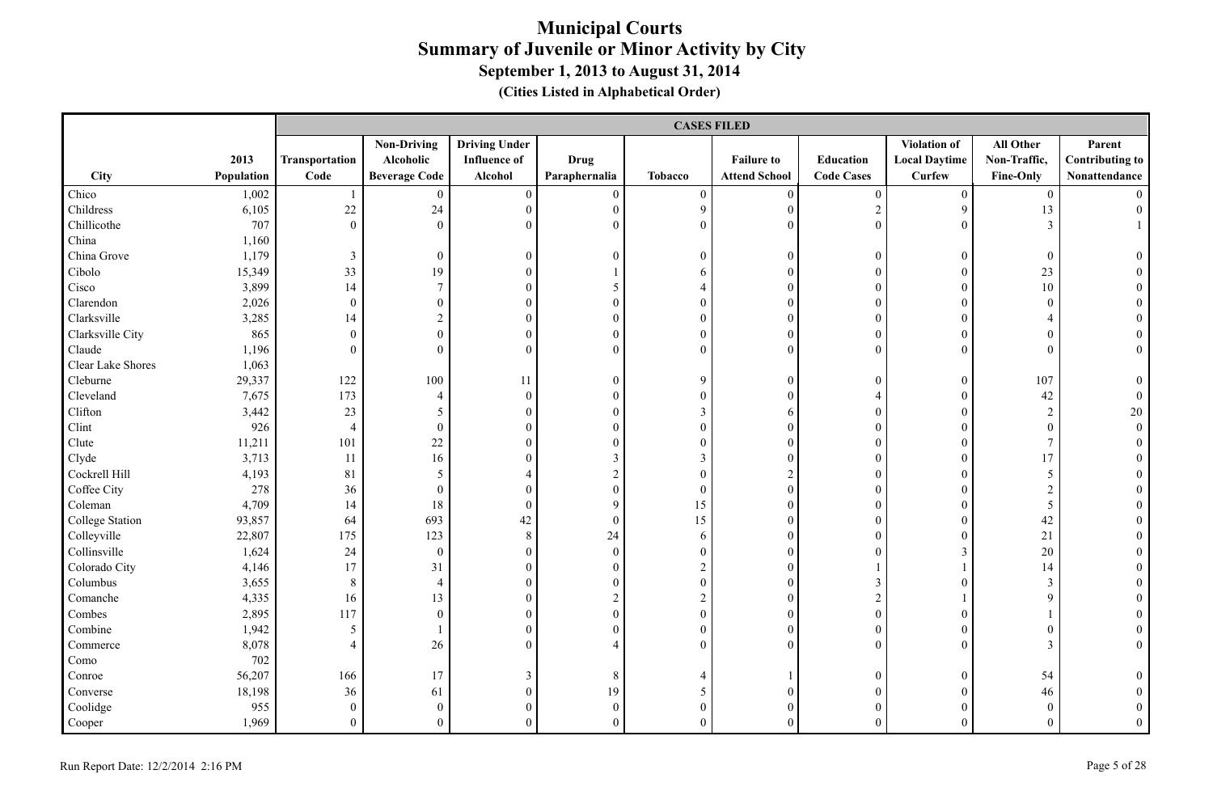|                        |            |                  | <b>CASES FILED</b>   |                      |                  |                  |                      |                   |                      |                  |                        |  |
|------------------------|------------|------------------|----------------------|----------------------|------------------|------------------|----------------------|-------------------|----------------------|------------------|------------------------|--|
|                        |            |                  | <b>Non-Driving</b>   | <b>Driving Under</b> |                  |                  |                      |                   | Violation of         | All Other        | Parent                 |  |
|                        | 2013       | Transportation   | Alcoholic            | <b>Influence</b> of  | <b>Drug</b>      |                  | <b>Failure to</b>    | Education         | <b>Local Daytime</b> | Non-Traffic,     | <b>Contributing to</b> |  |
| City                   | Population | Code             | <b>Beverage Code</b> | Alcohol              | Paraphernalia    | <b>Tobacco</b>   | <b>Attend School</b> | <b>Code Cases</b> | <b>Curfew</b>        | <b>Fine-Only</b> | Nonattendance          |  |
| Chico                  | 1,002      |                  | $\overline{0}$       | $\boldsymbol{0}$     | $\mathbf{0}$     | $\boldsymbol{0}$ | $\boldsymbol{0}$     | $\boldsymbol{0}$  | $\overline{0}$       | $\overline{0}$   |                        |  |
| Childress              | 6,105      | 22               | 24                   | $\overline{0}$       | $\mathbf{0}$     | 9                | $\overline{0}$       | $\sqrt{2}$        | 9                    | 13               | $\theta$               |  |
| Chillicothe            | 707        | $\mathbf{0}$     | $\boldsymbol{0}$     | $\mathbf{0}$         | $\mathbf{0}$     | $\overline{0}$   | $\mathbf{0}$         | $\mathbf{0}$      | $\overline{0}$       | 3                |                        |  |
| China                  | 1,160      |                  |                      |                      |                  |                  |                      |                   |                      |                  |                        |  |
| China Grove            | 1,179      | $\mathfrak{Z}$   | $\boldsymbol{0}$     | $\boldsymbol{0}$     | $\mathbf{0}$     | $\mathbf{0}$     | $\mathbf{0}$         | $\boldsymbol{0}$  | $\overline{0}$       | $\boldsymbol{0}$ | $\theta$               |  |
| Cibolo                 | 15,349     | 33               | 19                   | $\mathbf{0}$         |                  | 6                | $\mathbf{0}$         | $\theta$          | $\overline{0}$       | 23               |                        |  |
| Cisco                  | 3,899      | 14               | $\overline{7}$       | $\mathbf{0}$         | 5                | $\overline{4}$   | $\theta$             | $\theta$          | $\Omega$             | 10               |                        |  |
| Clarendon              | 2,026      | $\mathbf{0}$     | $\boldsymbol{0}$     | $\mathbf{0}$         | $\mathbf{0}$     | $\overline{0}$   | $\mathbf{0}$         | $\theta$          | $\Omega$             | $\mathbf{0}$     |                        |  |
| Clarksville            | 3,285      | 14               | $\boldsymbol{2}$     | $\boldsymbol{0}$     | $\boldsymbol{0}$ | $\mathbf{0}$     | $\boldsymbol{0}$     | $\overline{0}$    | $\overline{0}$       | $\overline{4}$   |                        |  |
| Clarksville City       | 865        | $\boldsymbol{0}$ | $\boldsymbol{0}$     | $\boldsymbol{0}$     | $\boldsymbol{0}$ | $\boldsymbol{0}$ | $\boldsymbol{0}$     | $\overline{0}$    | $\boldsymbol{0}$     | $\mathbf{0}$     | $\theta$               |  |
| Claude                 | 1,196      | $\mathbf{0}$     | $\mathbf{0}$         | $\mathbf{0}$         | $\mathbf{0}$     | $\overline{0}$   | $\mathbf{0}$         | $\overline{0}$    | $\overline{0}$       | $\mathbf{0}$     | $\overline{0}$         |  |
| Clear Lake Shores      | 1,063      |                  |                      |                      |                  |                  |                      |                   |                      |                  |                        |  |
| Cleburne               | 29,337     | 122              | 100                  | -11                  | $\mathbf{0}$     | 9                | $\mathbf{0}$         | $\boldsymbol{0}$  | $\overline{0}$       | 107              | $\theta$               |  |
| Cleveland              | 7,675      | 173              | $\overline{4}$       | $\boldsymbol{0}$     | $\boldsymbol{0}$ | $\boldsymbol{0}$ | $\boldsymbol{0}$     | $\overline{4}$    | $\overline{0}$       | 42               | $\theta$               |  |
| Clifton                | 3,442      | 23               | $5\overline{)}$      | $\boldsymbol{0}$     | $\boldsymbol{0}$ | $\mathfrak{Z}$   | 6                    | $\boldsymbol{0}$  | $\theta$             | $\sqrt{2}$       | $20\,$                 |  |
| Clint                  | 926        | $\overline{4}$   | $\boldsymbol{0}$     | $\mathbf{0}$         | $\mathbf{0}$     | $\boldsymbol{0}$ | $\mathbf{0}$         | $\boldsymbol{0}$  | $\theta$             | $\boldsymbol{0}$ | $\overline{0}$         |  |
| Clute                  | 11,211     | 101              | 22                   | $\overline{0}$       | $\mathbf{0}$     | $\boldsymbol{0}$ | $\mathbf{0}$         | $\boldsymbol{0}$  | $\overline{0}$       | $7\overline{ }$  |                        |  |
| Clyde                  | 3,713      | 11               | 16                   | $\mathbf{0}$         | $\mathfrak{Z}$   | $\mathfrak{Z}$   | $\mathbf{0}$         | $\boldsymbol{0}$  | $\overline{0}$       | 17               |                        |  |
| Cockrell Hill          | 4,193      | 81               | 5                    | 4                    | $\sqrt{2}$       | $\overline{0}$   | 2                    | $\theta$          | $\theta$             | 5                | $\Omega$               |  |
| Coffee City            | 278        | 36               | $\boldsymbol{0}$     | $\mathbf{0}$         | $\boldsymbol{0}$ | $\boldsymbol{0}$ | $\boldsymbol{0}$     | $\overline{0}$    | $\mathbf{0}$         | $\overline{2}$   |                        |  |
| Coleman                | 4,709      | 14               | 18                   | $\boldsymbol{0}$     | 9                | 15               | $\mathbf{0}$         | $\overline{0}$    | $\theta$             | 5                |                        |  |
| <b>College Station</b> | 93,857     | 64               | 693                  | $42\,$               | $\boldsymbol{0}$ | 15               | $\mathbf{0}$         | $\overline{0}$    | $\theta$             | 42               |                        |  |
| Colleyville            | 22,807     | 175              | 123                  | $\,8\,$              | 24               | 6                | $\mathbf{0}$         | $\theta$          | $\Omega$             | 21               |                        |  |
| Collinsville           | 1,624      | 24               | $\mathbf{0}$         | $\overline{0}$       | $\mathbf{0}$     | $\overline{0}$   | $\mathbf{0}$         | $\theta$          | 3                    | 20               |                        |  |
| Colorado City          | 4,146      | 17               | 31                   | $\overline{0}$       | $\mathbf{0}$     | $\overline{2}$   | $\overline{0}$       |                   |                      | 14               |                        |  |
| Columbus               | 3,655      | $\,$ 8 $\,$      | $\overline{4}$       | $\boldsymbol{0}$     | $\boldsymbol{0}$ | $\boldsymbol{0}$ | $\mathbf{0}$         | $\mathfrak{Z}$    | $\overline{0}$       | $\mathfrak{Z}$   |                        |  |
| Comanche               | 4,335      | 16               | 13                   | $\boldsymbol{0}$     | $\sqrt{2}$       | $\boldsymbol{2}$ | $\mathbf{0}$         | $\sqrt{2}$        |                      | 9                |                        |  |
| Combes                 | 2,895      | 117              | $\boldsymbol{0}$     | $\mathbf{0}$         | $\boldsymbol{0}$ | $\boldsymbol{0}$ | $\boldsymbol{0}$     | $\boldsymbol{0}$  | $\theta$             |                  |                        |  |
| Combine                | 1,942      | 5                |                      | $\mathbf{0}$         | $\mathbf{0}$     | $\boldsymbol{0}$ | $\mathbf{0}$         | $\overline{0}$    | $\theta$             | $\boldsymbol{0}$ |                        |  |
| Commerce               | 8,078      | $\overline{4}$   | 26                   | $\theta$             | $\overline{4}$   | $\Omega$         | $\theta$             | $\theta$          | $\overline{0}$       | 3                | $\theta$               |  |
| Como                   | 702        |                  |                      |                      |                  |                  |                      |                   |                      |                  |                        |  |
| Conroe                 | 56,207     | 166              | 17                   | 3                    | 8                | 4                |                      | $\overline{0}$    | $\theta$             | 54               |                        |  |
| Converse               | 18,198     | 36               | 61                   | $\boldsymbol{0}$     | 19               | 5                | $\mathbf{0}$         | $\overline{0}$    | $\theta$             | 46               |                        |  |
| Coolidge               | 955        | $\mathbf{0}$     | $\boldsymbol{0}$     | $\mathbf{0}$         | $\mathbf{0}$     | $\boldsymbol{0}$ | $\mathbf{0}$         | $\overline{0}$    | $\overline{0}$       | $\boldsymbol{0}$ | $\theta$               |  |
| Cooper                 | 1,969      | $\theta$         | $\theta$             | $\theta$             | $\theta$         | $\theta$         | $\Omega$             | $\theta$          | $\Omega$             | $\theta$         | $\theta$               |  |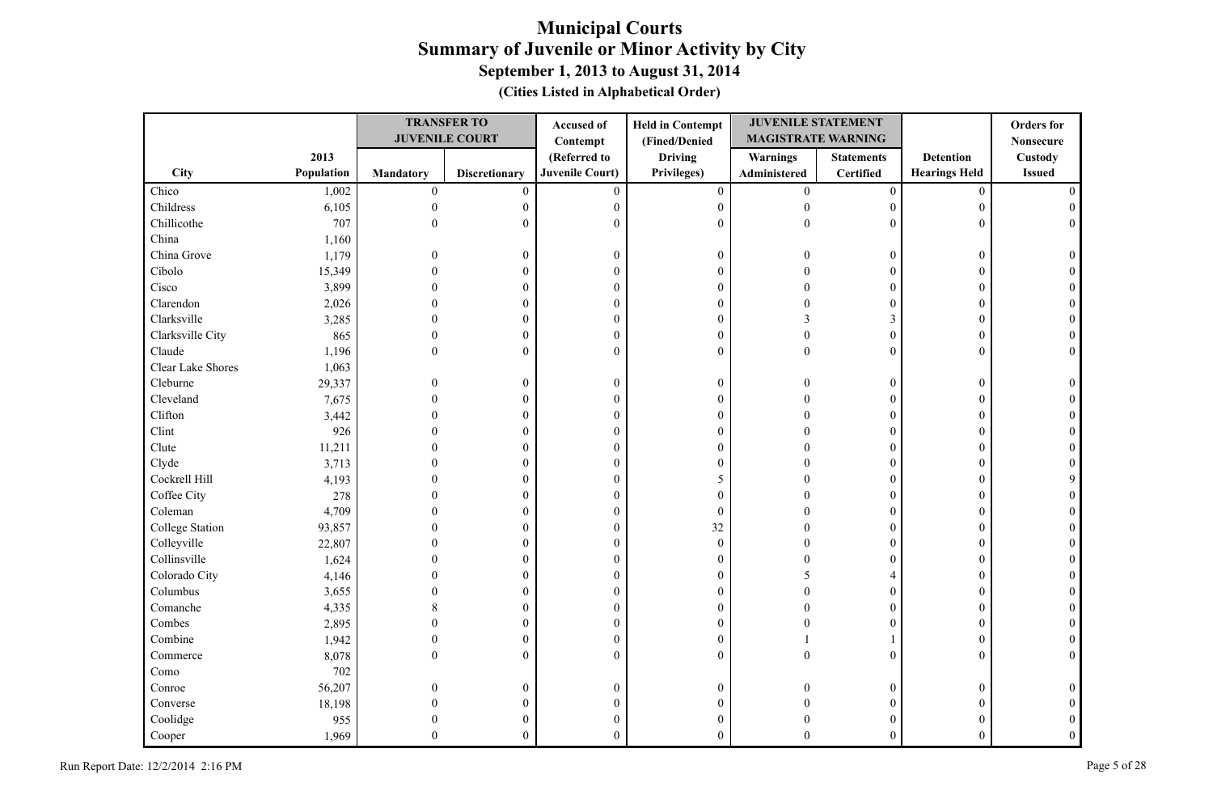|                        |            |              | <b>TRANSFER TO</b>    | Accused of             | <b>Held in Contempt</b> | <b>JUVENILE STATEMENT</b> |                   |                      | <b>Orders</b> for |
|------------------------|------------|--------------|-----------------------|------------------------|-------------------------|---------------------------|-------------------|----------------------|-------------------|
|                        |            |              | <b>JUVENILE COURT</b> | Contempt               | (Fined/Denied           | <b>MAGISTRATE WARNING</b> |                   |                      | <b>Nonsecure</b>  |
|                        | 2013       |              |                       | (Referred to           | <b>Driving</b>          | <b>Warnings</b>           | <b>Statements</b> | <b>Detention</b>     | Custody           |
| City                   | Population | Mandatory    | <b>Discretionary</b>  | <b>Juvenile Court)</b> | Privileges)             | Administered              | <b>Certified</b>  | <b>Hearings Held</b> | <b>Issued</b>     |
| Chico                  | 1,002      | $\mathbf{0}$ | $\overline{0}$        | $\mathbf{0}$           | $\mathbf{0}$            | $\overline{0}$            | $\boldsymbol{0}$  | $\mathbf{0}$         |                   |
| Childress              | 6,105      | $\mathbf{0}$ | 0                     | $\mathbf{0}$           | $\boldsymbol{0}$        | $\theta$                  | $\overline{0}$    | $\boldsymbol{0}$     |                   |
| Chillicothe            | 707        | $\Omega$     | $\theta$              | $\Omega$               | $\boldsymbol{0}$        | $\Omega$                  | $\Omega$          | $\theta$             |                   |
| China                  | 1,160      |              |                       |                        |                         |                           |                   |                      |                   |
| China Grove            | 1,179      | $\Omega$     | $\boldsymbol{0}$      | $\boldsymbol{0}$       | $\boldsymbol{0}$        |                           | $\boldsymbol{0}$  | $\boldsymbol{0}$     |                   |
| Cibolo                 | 15,349     |              | $\Omega$              | $\theta$               | $\boldsymbol{0}$        |                           | $\Omega$          | $\theta$             |                   |
| Cisco                  | 3,899      |              | $\theta$              | $\mathbf{0}$           | $\boldsymbol{0}$        |                           | $\theta$          | $\theta$             |                   |
| Clarendon              | 2,026      |              | $\theta$              | $\boldsymbol{0}$       | $\boldsymbol{0}$        |                           | $\theta$          | $\mathbf{0}$         |                   |
| Clarksville            | 3,285      |              | $\theta$              | $\boldsymbol{0}$       | $\boldsymbol{0}$        | 3                         | 3                 | $\theta$             |                   |
| Clarksville City       | 865        | $\Omega$     | $\theta$              | $\mathbf{0}$           | $\boldsymbol{0}$        | $\Omega$                  | $\mathbf{0}$      | $\theta$             |                   |
| Claude                 | 1,196      | $\Omega$     | $\theta$              | $\overline{0}$         | $\boldsymbol{0}$        | $\Omega$                  | $\mathbf{0}$      | $\mathbf{0}$         |                   |
| Clear Lake Shores      | 1,063      |              |                       |                        |                         |                           |                   |                      |                   |
| Cleburne               | 29,337     | $\theta$     | $\theta$              | $\mathbf{0}$           | $\boldsymbol{0}$        |                           | $\boldsymbol{0}$  | $\boldsymbol{0}$     |                   |
| Cleveland              | 7,675      |              | $\theta$              | $\boldsymbol{0}$       | $\boldsymbol{0}$        |                           | $\mathbf{0}$      | $\mathbf{0}$         |                   |
| Clifton                | 3,442      |              | $\theta$              | $\boldsymbol{0}$       | $\boldsymbol{0}$        |                           | $\overline{0}$    | $\theta$             |                   |
| Clint                  | 926        |              | $\theta$              | $\mathbf{0}$           | $\boldsymbol{0}$        |                           | $\Omega$          | $\theta$             |                   |
| Clute                  | 11,211     |              | $\theta$              | $\mathbf{0}$           | $\boldsymbol{0}$        |                           | $\overline{0}$    | $\mathbf{0}$         |                   |
| Clyde                  | 3,713      |              | $\mathbf{0}$          | $\boldsymbol{0}$       | $\boldsymbol{0}$        |                           | $\theta$          | $\mathbf{0}$         |                   |
| Cockrell Hill          | 4,193      |              | $\mathbf{0}$          | $\mathbf{0}$           | 5                       |                           | $\theta$          | $\mathbf{0}$         |                   |
| Coffee City            | 278        |              | $\theta$              | $\theta$               | $\boldsymbol{0}$        |                           | $\theta$          | $\mathbf{0}$         |                   |
| Coleman                | 4,709      |              | $\mathbf{0}$          | $\boldsymbol{0}$       | $\boldsymbol{0}$        |                           | $\overline{0}$    | $\mathbf{0}$         |                   |
| <b>College Station</b> | 93,857     |              | 0                     | $\mathbf{0}$           | 32                      |                           | $\overline{0}$    | $\mathbf{0}$         |                   |
| Colleyville            | 22,807     |              | 0                     | $\boldsymbol{0}$       | $\boldsymbol{0}$        |                           | $\overline{0}$    | $\mathbf{0}$         |                   |
| Collinsville           | 1,624      |              | 0                     | $\boldsymbol{0}$       | $\boldsymbol{0}$        |                           | $\overline{0}$    | $\theta$             |                   |
| Colorado City          | 4,146      |              | $\theta$              | $\mathbf{0}$           | $\boldsymbol{0}$        |                           | 4                 | $\Omega$             |                   |
| Columbus               | 3,655      |              | $\theta$              | $\mathbf{0}$           | $\boldsymbol{0}$        |                           | $\overline{0}$    | $\mathbf{0}$         |                   |
| Comanche               | 4,335      |              | $\mathbf{0}$          | $\boldsymbol{0}$       | $\boldsymbol{0}$        |                           | $\overline{0}$    | $\mathbf{0}$         |                   |
| Combes                 | 2,895      |              | $\theta$              | $\mathbf{0}$           | $\boldsymbol{0}$        |                           | $\theta$          | $\theta$             |                   |
| Combine                | 1,942      | $\theta$     | $\theta$              | $\boldsymbol{0}$       | $\boldsymbol{0}$        |                           |                   | $\mathbf{0}$         |                   |
| Commerce               | 8,078      | $\theta$     | $\mathbf{0}$          | $\mathbf{0}$           | $\boldsymbol{0}$        |                           | $\mathbf{0}$      | $\mathbf{0}$         |                   |
| Como                   | 702        |              |                       |                        |                         |                           |                   |                      |                   |
| Conroe                 | 56,207     | $\Omega$     | $\theta$              | $\boldsymbol{0}$       | $\boldsymbol{0}$        |                           | $\boldsymbol{0}$  | $\mathbf{0}$         |                   |
| Converse               | 18,198     |              | 0                     | $\boldsymbol{0}$       | $\boldsymbol{0}$        |                           | $\overline{0}$    | $\theta$             |                   |
| Coolidge               | 955        |              |                       | $\mathbf{0}$           | $\boldsymbol{0}$        |                           | $\theta$          | 0                    |                   |
| Cooper                 | 1,969      | $\Omega$     | $\mathbf{0}$          | $\theta$               | $\overline{0}$          | $\Omega$                  | $\theta$          | $\Omega$             |                   |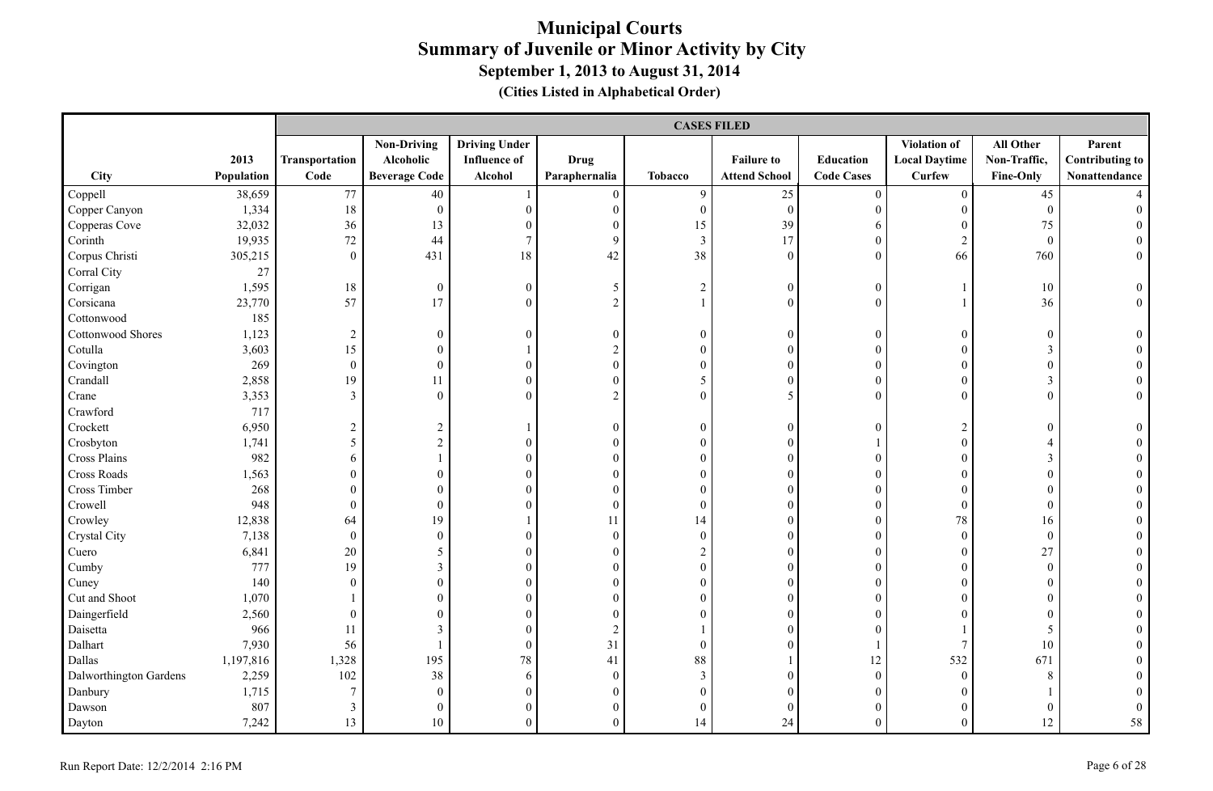|                        |            |                  | <b>CASES FILED</b>   |                      |                  |                  |                      |                   |                      |                  |                        |  |
|------------------------|------------|------------------|----------------------|----------------------|------------------|------------------|----------------------|-------------------|----------------------|------------------|------------------------|--|
|                        |            |                  | <b>Non-Driving</b>   | <b>Driving Under</b> |                  |                  |                      |                   | Violation of         | All Other        | Parent                 |  |
|                        | 2013       | Transportation   | Alcoholic            | <b>Influence of</b>  | Drug             |                  | <b>Failure to</b>    | Education         | <b>Local Daytime</b> | Non-Traffic,     | <b>Contributing to</b> |  |
| City                   | Population | Code             | <b>Beverage Code</b> | Alcohol              | Paraphernalia    | Tobacco          | <b>Attend School</b> | <b>Code Cases</b> | <b>Curfew</b>        | <b>Fine-Only</b> | Nonattendance          |  |
| Coppell                | 38,659     | 77               | 40                   |                      | $\boldsymbol{0}$ | $\mathbf{9}$     | 25                   | $\boldsymbol{0}$  | $\overline{0}$       | 45               |                        |  |
| Copper Canyon          | 1,334      | 18               | $\mathbf{0}$         | $\boldsymbol{0}$     | $\overline{0}$   | $\boldsymbol{0}$ | $\mathbf{0}$         | $\boldsymbol{0}$  | $\mathbf{0}$         | $\overline{0}$   | $\Omega$               |  |
| Copperas Cove          | 32,032     | 36               | 13                   | $\boldsymbol{0}$     | $\mathbf{0}$     | 15               | 39                   | 6                 | $\mathbf{0}$         | 75               |                        |  |
| Corinth                | 19,935     | 72               | 44                   | $\tau$               | 9                | $\mathfrak{Z}$   | 17                   | $\boldsymbol{0}$  | $\overline{2}$       | $\mathbf{0}$     | $\overline{0}$         |  |
| Corpus Christi         | 305,215    | $\mathbf{0}$     | 431                  | $18\,$               | 42               | 38               | $\mathbf{0}$         | $\boldsymbol{0}$  | 66                   | 760              | $\boldsymbol{0}$       |  |
| Corral City            | 27         |                  |                      |                      |                  |                  |                      |                   |                      |                  |                        |  |
| Corrigan               | 1,595      | 18               | $\overline{0}$       | $\mathbf{0}$         | 5                | $\overline{c}$   | $\mathbf{0}$         | $\mathbf{0}$      |                      | 10               | $\overline{0}$         |  |
| Corsicana              | 23,770     | 57               | 17                   | $\overline{0}$       | $\overline{2}$   | $\mathbf{1}$     | $\mathbf{0}$         | $\mathbf{0}$      |                      | 36               | $\overline{0}$         |  |
| Cottonwood             | 185        |                  |                      |                      |                  |                  |                      |                   |                      |                  |                        |  |
| Cottonwood Shores      | 1,123      | $\sqrt{2}$       | $\boldsymbol{0}$     | $\overline{0}$       | $\boldsymbol{0}$ | $\boldsymbol{0}$ | $\boldsymbol{0}$     | $\boldsymbol{0}$  | $\mathbf{0}$         | $\boldsymbol{0}$ | $\boldsymbol{0}$       |  |
| Cotulla                | 3,603      | 15               | $\boldsymbol{0}$     | $\mathbf{1}$         | $\overline{c}$   | $\mathbf{0}$     | $\mathbf{0}$         | $\boldsymbol{0}$  | $\boldsymbol{0}$     | $\mathfrak{Z}$   |                        |  |
| Covington              | 269        | $\boldsymbol{0}$ | $\boldsymbol{0}$     | $\boldsymbol{0}$     | $\boldsymbol{0}$ | $\boldsymbol{0}$ | $\mathbf{0}$         | $\boldsymbol{0}$  | $\theta$             | $\boldsymbol{0}$ | $\overline{0}$         |  |
| Crandall               | 2,858      | 19               | 11                   | $\overline{0}$       | $\overline{0}$   | 5                | $\mathbf{0}$         | $\boldsymbol{0}$  | $\theta$             | 3                | $\overline{0}$         |  |
| Crane                  | 3,353      | $\overline{3}$   | $\boldsymbol{0}$     | $\boldsymbol{0}$     | $\sqrt{2}$       | $\boldsymbol{0}$ | 5                    | $\boldsymbol{0}$  | $\Omega$             | $\boldsymbol{0}$ | $\boldsymbol{0}$       |  |
| Crawford               | 717        |                  |                      |                      |                  |                  |                      |                   |                      |                  |                        |  |
| Crockett               | 6,950      | $\sqrt{2}$       | $\overline{c}$       | 1                    | $\boldsymbol{0}$ | $\mathbf{0}$     | $\boldsymbol{0}$     | $\boldsymbol{0}$  | $\overline{c}$       | $\boldsymbol{0}$ | $\theta$               |  |
| Crosbyton              | 1,741      | 5                | $\overline{2}$       | $\boldsymbol{0}$     | $\boldsymbol{0}$ | $\boldsymbol{0}$ | $\mathbf{0}$         | 1                 | $\boldsymbol{0}$     | $\overline{4}$   |                        |  |
| Cross Plains           | 982        | 6                | 1                    | $\boldsymbol{0}$     | $\boldsymbol{0}$ | $\boldsymbol{0}$ | $\mathbf{0}$         | $\boldsymbol{0}$  | $\overline{0}$       | $\mathfrak{Z}$   | $\theta$               |  |
| Cross Roads            | 1,563      | $\boldsymbol{0}$ | $\boldsymbol{0}$     | $\boldsymbol{0}$     | $\mathbf{0}$     | $\mathbf{0}$     | $\mathbf{0}$         | $\mathbf{0}$      | $\mathbf{0}$         | $\boldsymbol{0}$ | $\Omega$               |  |
| Cross Timber           | 268        | $\boldsymbol{0}$ | $\boldsymbol{0}$     | $\boldsymbol{0}$     | $\mathbf{0}$     | $\mathbf{0}$     | $\boldsymbol{0}$     | $\boldsymbol{0}$  | $\Omega$             | $\boldsymbol{0}$ |                        |  |
| Crowell                | 948        | $\boldsymbol{0}$ | $\boldsymbol{0}$     | $\boldsymbol{0}$     | $\mathbf{0}$     | $\mathbf{0}$     | $\mathbf{0}$         | $\boldsymbol{0}$  | $\boldsymbol{0}$     | $\boldsymbol{0}$ |                        |  |
| Crowley                | 12,838     | 64               | 19                   | $\mathbf{1}$         | 11               | 14               | $\mathbf{0}$         | $\boldsymbol{0}$  | $78\,$               | 16               |                        |  |
| Crystal City           | 7,138      | $\mathbf{0}$     | $\mathbf{0}$         | $\overline{0}$       | $\mathbf{0}$     | $\boldsymbol{0}$ | $\mathbf{0}$         | $\mathbf{0}$      | $\mathbf{0}$         | $\mathbf{0}$     |                        |  |
| Cuero                  | 6,841      | 20               | 5                    | $\overline{0}$       | $\overline{0}$   | $\overline{c}$   | $\mathbf{0}$         | $\mathbf{0}$      | $\theta$             | 27               |                        |  |
| Cumby                  | 777        | 19               | $\overline{3}$       | $\overline{0}$       | $\overline{0}$   | $\boldsymbol{0}$ | $\mathbf{0}$         | $\overline{0}$    | $\mathbf{0}$         | $\mathbf{0}$     |                        |  |
| Cuney                  | 140        | $\boldsymbol{0}$ | $\boldsymbol{0}$     | $\boldsymbol{0}$     | $\boldsymbol{0}$ | $\boldsymbol{0}$ | $\boldsymbol{0}$     | $\boldsymbol{0}$  | $\boldsymbol{0}$     | $\boldsymbol{0}$ | $\theta$               |  |
| Cut and Shoot          | 1,070      | 1                | $\boldsymbol{0}$     | $\boldsymbol{0}$     | $\boldsymbol{0}$ | $\boldsymbol{0}$ | $\boldsymbol{0}$     | $\boldsymbol{0}$  | $\boldsymbol{0}$     | $\boldsymbol{0}$ | $\theta$               |  |
| Daingerfield           | 2,560      | $\boldsymbol{0}$ | $\boldsymbol{0}$     | $\boldsymbol{0}$     | $\boldsymbol{0}$ | $\boldsymbol{0}$ | $\boldsymbol{0}$     | $\boldsymbol{0}$  | $\theta$             | $\boldsymbol{0}$ | $\theta$               |  |
| Daisetta               | 966        | 11               | $\overline{3}$       | $\boldsymbol{0}$     | $\boldsymbol{2}$ |                  | $\mathbf{0}$         | $\theta$          |                      | 5                |                        |  |
| Dalhart                | 7,930      | 56               |                      | $\overline{0}$       | 31               | $\mathbf{0}$     | $\mathbf{0}$         |                   | $\overline{7}$       | 10               |                        |  |
| Dallas                 | 1,197,816  | 1,328            | 195                  | $78\,$               | 41               | 88               |                      | 12                | 532                  | 671              |                        |  |
| Dalworthington Gardens | 2,259      | 102              | 38                   | 6                    | $\boldsymbol{0}$ | $\mathfrak{Z}$   | $\mathbf{0}$         | $\boldsymbol{0}$  | $\mathbf{0}$         | 8                |                        |  |
| Danbury                | 1,715      | $\overline{7}$   | $\mathbf{0}$         | $\overline{0}$       | $\boldsymbol{0}$ | $\boldsymbol{0}$ | $\mathbf{0}$         | $\boldsymbol{0}$  | $\theta$             |                  |                        |  |
| Dawson                 | 807        | $\mathfrak{Z}$   | $\mathbf{0}$         | $\boldsymbol{0}$     | $\mathbf{0}$     | $\boldsymbol{0}$ | $\mathbf{0}$         | $\boldsymbol{0}$  | $\overline{0}$       | $\boldsymbol{0}$ | $\mathbf{0}$           |  |
| Dayton                 | 7,242      | 13               | 10                   | $\overline{0}$       | $\overline{0}$   | 14               | 24                   | $\theta$          | $\Omega$             | 12               | 58                     |  |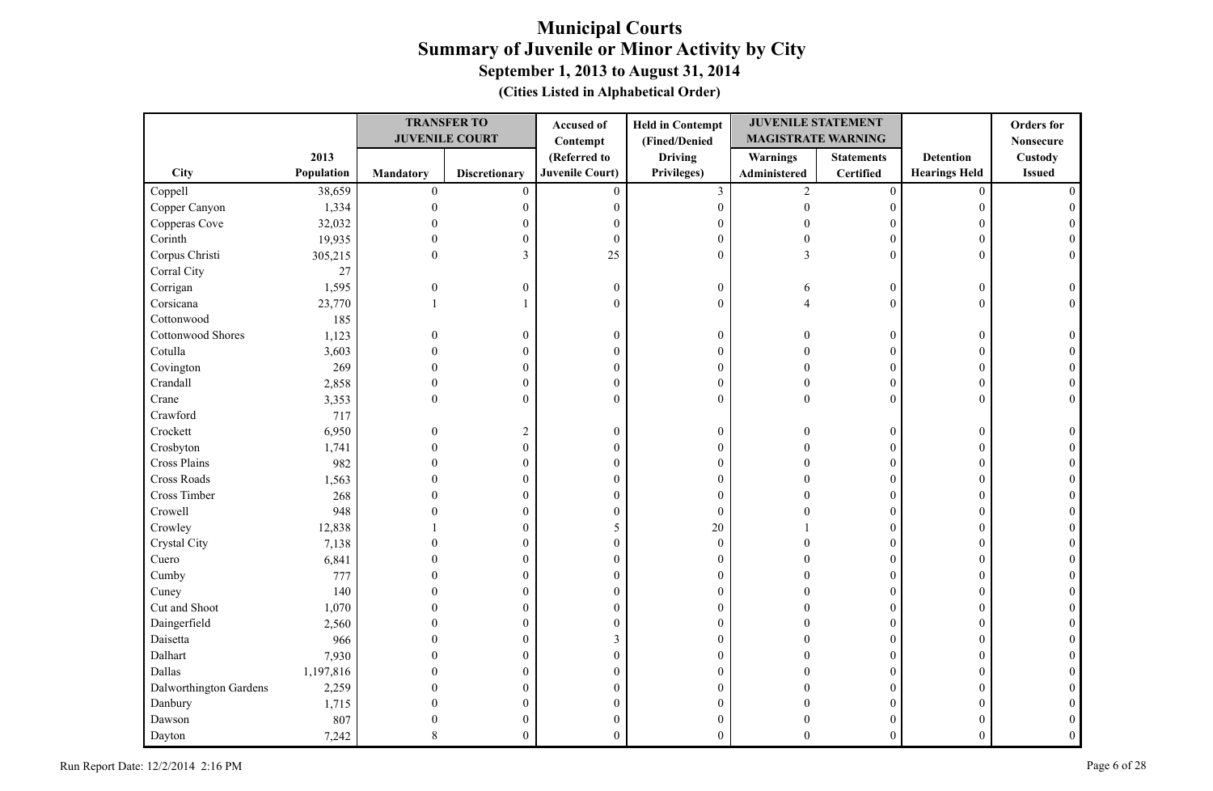|                        |            |                  | <b>TRANSFER TO</b>    | Accused of             | <b>Held in Contempt</b> | <b>JUVENILE STATEMENT</b> |                   |                      | <b>Orders</b> for |
|------------------------|------------|------------------|-----------------------|------------------------|-------------------------|---------------------------|-------------------|----------------------|-------------------|
|                        |            |                  | <b>JUVENILE COURT</b> | Contempt               | (Fined/Denied           | <b>MAGISTRATE WARNING</b> |                   |                      | <b>Nonsecure</b>  |
|                        | 2013       |                  |                       | (Referred to           | <b>Driving</b>          | <b>Warnings</b>           | <b>Statements</b> | <b>Detention</b>     | Custody           |
| City                   | Population | <b>Mandatory</b> | <b>Discretionary</b>  | <b>Juvenile Court)</b> | Privileges)             | Administered              | Certified         | <b>Hearings Held</b> | <b>Issued</b>     |
| Coppell                | 38,659     | $\boldsymbol{0}$ | $\mathbf{0}$          | $\overline{0}$         | $\mathfrak{Z}$          | $\overline{c}$            | $\boldsymbol{0}$  | $\mathbf{0}$         |                   |
| Copper Canyon          | 1,334      | $\theta$         | $\boldsymbol{0}$      | $\boldsymbol{0}$       | $\boldsymbol{0}$        | $\theta$                  | $\boldsymbol{0}$  | $\Omega$             |                   |
| Copperas Cove          | 32,032     |                  | 0                     | $\theta$               | $\boldsymbol{0}$        | $\sqrt{ }$                | $\Omega$          | 0                    |                   |
| Corinth                | 19,935     | $\theta$         | $\boldsymbol{0}$      | $\boldsymbol{0}$       | $\boldsymbol{0}$        | $\Omega$                  | $\theta$          | $\overline{0}$       |                   |
| Corpus Christi         | 305,215    | $\Omega$         | 3                     | 25                     | $\theta$                | $\mathcal{E}$             | $\overline{0}$    | $\Omega$             |                   |
| Corral City            | 27         |                  |                       |                        |                         |                           |                   |                      |                   |
| Corrigan               | 1,595      | $\overline{0}$   | $\boldsymbol{0}$      | $\boldsymbol{0}$       | $\boldsymbol{0}$        | 6                         | $\boldsymbol{0}$  | $\mathbf{0}$         |                   |
| Corsicana              | 23,770     |                  |                       | $\theta$               | $\mathbf{0}$            |                           | $\overline{0}$    | $\Omega$             |                   |
| Cottonwood             | 185        |                  |                       |                        |                         |                           |                   |                      |                   |
| Cottonwood Shores      | 1,123      | $\Omega$         | $\boldsymbol{0}$      | $\boldsymbol{0}$       | $\boldsymbol{0}$        | $\Omega$                  | $\boldsymbol{0}$  | $\theta$             |                   |
| Cotulla                | 3,603      | $\theta$         | $\mathbf{0}$          | $\mathbf{0}$           | $\mathbf{0}$            |                           | $\overline{0}$    | $\Omega$             |                   |
| Covington              | 269        | $\theta$         | 0                     | $\boldsymbol{0}$       | $\boldsymbol{0}$        | $\Omega$                  | $\boldsymbol{0}$  | 0                    |                   |
| Crandall               | 2,858      | $\theta$         | 0                     | $\boldsymbol{0}$       | $\mathbf{0}$            | $\Omega$                  | $\overline{0}$    | $\Omega$             |                   |
| Crane                  | 3,353      | $\overline{0}$   | $\overline{0}$        | $\mathbf{0}$           | $\mathbf{0}$            | $\theta$                  | $\overline{0}$    | 0                    | $\Omega$          |
| Crawford               | 717        |                  |                       |                        |                         |                           |                   |                      |                   |
| Crockett               | 6,950      | $\Omega$         | $\overline{c}$        | $\boldsymbol{0}$       | $\boldsymbol{0}$        |                           | $\overline{0}$    | $\Omega$             |                   |
| Crosbyton              | 1,741      | $\Omega$         | $\boldsymbol{0}$      | $\boldsymbol{0}$       | $\boldsymbol{0}$        |                           | $\overline{0}$    | $\theta$             |                   |
| Cross Plains           | 982        | $\Omega$         | 0                     | $\boldsymbol{0}$       | $\boldsymbol{0}$        | $\sqrt{ }$                | $\Omega$          | $\Omega$             |                   |
| Cross Roads            | 1,563      | $\Omega$         | $\overline{0}$        | $\theta$               | $\mathbf{0}$            |                           | $\theta$          | $\Omega$             |                   |
| Cross Timber           | 268        | $\Omega$         | $\overline{0}$        | $\boldsymbol{0}$       | $\mathbf{0}$            |                           | $\overline{0}$    | $\overline{0}$       |                   |
| Crowell                | 948        |                  | $\theta$              | $\mathbf{0}$           | $\theta$                |                           | $\theta$          | 0                    |                   |
| Crowley                | 12,838     |                  | 0                     | 5                      | 20                      |                           | $\overline{0}$    | $\Omega$             |                   |
| Crystal City           | 7,138      |                  | 0                     | $\boldsymbol{0}$       | $\boldsymbol{0}$        |                           | 0                 | 0                    |                   |
| Cuero                  | 6,841      |                  | $\theta$              | $\boldsymbol{0}$       | $\boldsymbol{0}$        |                           | $\theta$          | 0                    |                   |
| Cumby                  | 777        |                  | 0                     | $\boldsymbol{0}$       | $\boldsymbol{0}$        |                           | $\overline{0}$    | $\overline{0}$       |                   |
| Cuney                  | 140        |                  | $\theta$              | $\boldsymbol{0}$       | $\boldsymbol{0}$        |                           | $\overline{0}$    | $\Omega$             |                   |
| Cut and Shoot          | 1,070      |                  | $\theta$              | $\boldsymbol{0}$       | $\boldsymbol{0}$        |                           | $\theta$          | $\Omega$             |                   |
| Daingerfield           | 2,560      | $\Omega$         | 0                     | $\boldsymbol{0}$       | $\boldsymbol{0}$        |                           | $\overline{0}$    | $\Omega$             |                   |
| Daisetta               | 966        | $\Omega$         | $\theta$              | 3                      | $\mathbf{0}$            |                           | $\theta$          | $\Omega$             |                   |
| Dalhart                | 7,930      | $\Omega$         | $\overline{0}$        | $\boldsymbol{0}$       | $\boldsymbol{0}$        |                           | $\overline{0}$    | $\Omega$             |                   |
| Dallas                 | 1,197,816  | ∩                | $\theta$              | $\boldsymbol{0}$       | $\boldsymbol{0}$        |                           | $\overline{0}$    | $\Omega$             |                   |
| Dalworthington Gardens | 2,259      |                  | $\theta$              | $\theta$               | $\mathbf{0}$            |                           | $\theta$          | 0                    |                   |
| Danbury                | 1,715      |                  | 0                     | $\boldsymbol{0}$       | $\boldsymbol{0}$        |                           | $\overline{0}$    | 0                    |                   |
| Dawson                 | 807        |                  | 0                     | $\boldsymbol{0}$       | $\boldsymbol{0}$        |                           | 0                 |                      |                   |
| Dayton                 | 7,242      |                  | $\theta$              | $\theta$               | $\Omega$                | ∩                         | $\Omega$          | $\Omega$             |                   |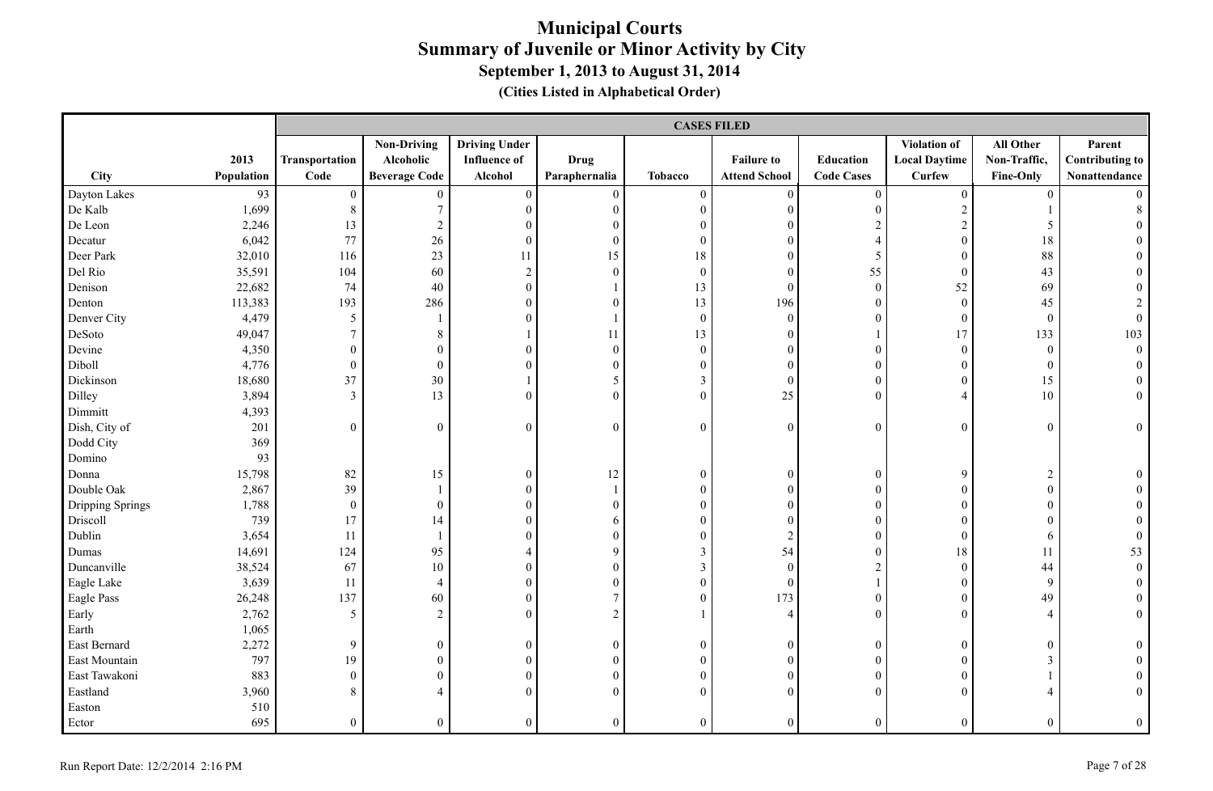|                  |            |                  | <b>CASES FILED</b>   |                      |                  |                  |                      |                   |                      |                  |                        |  |  |
|------------------|------------|------------------|----------------------|----------------------|------------------|------------------|----------------------|-------------------|----------------------|------------------|------------------------|--|--|
|                  |            |                  | <b>Non-Driving</b>   | <b>Driving Under</b> |                  |                  |                      |                   | Violation of         | All Other        | Parent                 |  |  |
|                  | 2013       | Transportation   | Alcoholic            | <b>Influence of</b>  | <b>Drug</b>      |                  | <b>Failure to</b>    | Education         | <b>Local Daytime</b> | Non-Traffic,     | <b>Contributing to</b> |  |  |
| City             | Population | Code             | <b>Beverage Code</b> | Alcohol              | Paraphernalia    | <b>Tobacco</b>   | <b>Attend School</b> | <b>Code Cases</b> | <b>Curfew</b>        | Fine-Only        | Nonattendance          |  |  |
| Dayton Lakes     | 93         | $\boldsymbol{0}$ | $\mathbf{0}$         | $\boldsymbol{0}$     | $\boldsymbol{0}$ | $\boldsymbol{0}$ | $\mathbf{0}$         | $\boldsymbol{0}$  | $\overline{0}$       | $\overline{0}$   |                        |  |  |
| De Kalb          | 1,699      | $8\,$            | $\tau$               | $\boldsymbol{0}$     | $\boldsymbol{0}$ | $\boldsymbol{0}$ | $\mathbf{0}$         | $\boldsymbol{0}$  | $\sqrt{2}$           |                  | 8                      |  |  |
| De Leon          | 2,246      | 13               | $\overline{c}$       | $\boldsymbol{0}$     | $\mathbf{0}$     | $\mathbf{0}$     | $\mathbf{0}$         | $\overline{2}$    | $\sqrt{2}$           | 5                |                        |  |  |
| Decatur          | 6,042      | 77               | 26                   | $\boldsymbol{0}$     | $\overline{0}$   | $\overline{0}$   | $\mathbf{0}$         | $\overline{4}$    | $\overline{0}$       | 18               |                        |  |  |
| Deer Park        | 32,010     | 116              | $23\,$               | 11                   | 15               | $18\,$           | $\theta$             | 5                 | $\theta$             | 88               |                        |  |  |
| Del Rio          | 35,591     | 104              | 60                   | $\overline{c}$       | $\overline{0}$   | $\boldsymbol{0}$ | $\mathbf{0}$         | 55                | $\boldsymbol{0}$     | 43               |                        |  |  |
| Denison          | 22,682     | 74               | 40                   | $\boldsymbol{0}$     |                  | 13               | $\mathbf{0}$         | $\boldsymbol{0}$  | 52                   | 69               |                        |  |  |
| Denton           | 113,383    | 193              | 286                  | $\overline{0}$       | $\theta$         | 13               | 196                  | $\mathbf{0}$      | $\mathbf{0}$         | 45               |                        |  |  |
| Denver City      | 4,479      | 5                | 1                    | $\overline{0}$       |                  | $\mathbf{0}$     | $\mathbf{0}$         | $\overline{0}$    | $\mathbf{0}$         | $\mathbf{0}$     | $\overline{0}$         |  |  |
| DeSoto           | 49,047     | $\boldsymbol{7}$ | $8\,$                | $\mathbf{1}$         | 11               | 13               | $\boldsymbol{0}$     | $\mathbf{1}$      | 17                   | 133              | 103                    |  |  |
| Devine           | 4,350      | $\boldsymbol{0}$ | $\boldsymbol{0}$     | $\boldsymbol{0}$     | $\mathbf{0}$     | $\boldsymbol{0}$ | $\boldsymbol{0}$     | $\boldsymbol{0}$  | $\boldsymbol{0}$     | $\boldsymbol{0}$ | $\boldsymbol{0}$       |  |  |
| Diboll           | 4,776      | $\boldsymbol{0}$ | $\boldsymbol{0}$     | $\boldsymbol{0}$     | $\boldsymbol{0}$ | $\boldsymbol{0}$ | $\boldsymbol{0}$     | $\boldsymbol{0}$  | $\boldsymbol{0}$     | $\boldsymbol{0}$ | $\theta$               |  |  |
| Dickinson        | 18,680     | 37               | 30                   | $\mathbf{1}$         | 5                | $\mathfrak{Z}$   | $\mathbf{0}$         | $\boldsymbol{0}$  | $\overline{0}$       | 15               | $\overline{0}$         |  |  |
| Dilley           | 3,894      | $\overline{3}$   | 13                   | $\overline{0}$       | $\mathbf{0}$     | $\boldsymbol{0}$ | 25                   | $\mathbf{0}$      | $\overline{4}$       | 10               | $\boldsymbol{0}$       |  |  |
| Dimmitt          | 4,393      |                  |                      |                      |                  |                  |                      |                   |                      |                  |                        |  |  |
| Dish, City of    | 201        | $\boldsymbol{0}$ | $\boldsymbol{0}$     | $\boldsymbol{0}$     | $\boldsymbol{0}$ | $\boldsymbol{0}$ | $\boldsymbol{0}$     | $\boldsymbol{0}$  | $\theta$             | $\boldsymbol{0}$ | $\overline{0}$         |  |  |
| Dodd City        | 369        |                  |                      |                      |                  |                  |                      |                   |                      |                  |                        |  |  |
| Domino           | 93         |                  |                      |                      |                  |                  |                      |                   |                      |                  |                        |  |  |
| Donna            | 15,798     | 82               | 15                   | $\boldsymbol{0}$     | 12               | $\boldsymbol{0}$ | $\boldsymbol{0}$     | $\boldsymbol{0}$  | 9                    | $\overline{2}$   |                        |  |  |
| Double Oak       | 2,867      | 39               | 1                    | $\boldsymbol{0}$     | $\mathbf{1}$     | $\boldsymbol{0}$ | $\boldsymbol{0}$     | $\boldsymbol{0}$  | $\mathbf{0}$         | $\boldsymbol{0}$ |                        |  |  |
| Dripping Springs | 1,788      | $\boldsymbol{0}$ | $\boldsymbol{0}$     | $\boldsymbol{0}$     | $\overline{0}$   | $\boldsymbol{0}$ | $\mathbf{0}$         | $\boldsymbol{0}$  | $\theta$             | $\boldsymbol{0}$ |                        |  |  |
| Driscoll         | 739        | 17               | 14                   | $\overline{0}$       | 6                | $\overline{0}$   | $\mathbf{0}$         | $\boldsymbol{0}$  | $\theta$             | $\mathbf{0}$     | $\Omega$               |  |  |
| Dublin           | 3,654      | 11               | 1                    | $\overline{0}$       | $\overline{0}$   | $\Omega$         | 2                    | $\mathbf{0}$      | $\theta$             | 6                | $\Omega$               |  |  |
| Dumas            | 14,691     | 124              | 95                   | 4                    | 9                | $\mathfrak{Z}$   | 54                   | $\boldsymbol{0}$  | $18\,$               | 11               | 53                     |  |  |
| Duncanville      | 38,524     | 67               | $10\,$               | $\overline{0}$       | $\boldsymbol{0}$ | $\mathfrak{Z}$   | $\mathbf{0}$         | $\overline{2}$    | $\boldsymbol{0}$     | 44               | $\boldsymbol{0}$       |  |  |
| Eagle Lake       | 3,639      | 11               | $\overline{4}$       | $\boldsymbol{0}$     | $\boldsymbol{0}$ | $\boldsymbol{0}$ | $\mathbf{0}$         | $\mathbf{1}$      | $\boldsymbol{0}$     | 9                | $\theta$               |  |  |
| Eagle Pass       | 26,248     | 137              | 60                   | $\boldsymbol{0}$     | $\tau$           | $\mathbf{0}$     | 173                  | $\boldsymbol{0}$  | $\mathbf{0}$         | 49               |                        |  |  |
| Early            | 2,762      | 5                | $\overline{2}$       | $\boldsymbol{0}$     | $\boldsymbol{2}$ |                  | 4                    | $\boldsymbol{0}$  | $\overline{0}$       | $\overline{4}$   | $\overline{0}$         |  |  |
| Earth            | 1,065      |                  |                      |                      |                  |                  |                      |                   |                      |                  |                        |  |  |
| East Bernard     | 2,272      | 9                | $\boldsymbol{0}$     | $\boldsymbol{0}$     | $\boldsymbol{0}$ | $\boldsymbol{0}$ | $\boldsymbol{0}$     | $\boldsymbol{0}$  | $\boldsymbol{0}$     | $\boldsymbol{0}$ | $\overline{0}$         |  |  |
| East Mountain    | 797        | 19               | $\mathbf{0}$         | $\overline{0}$       | $\overline{0}$   | $\overline{0}$   | $\mathbf{0}$         | $\mathbf{0}$      | $\theta$             | 3                |                        |  |  |
| East Tawakoni    | 883        | $\mathbf{0}$     | $\overline{0}$       | $\overline{0}$       | $\overline{0}$   | $\overline{0}$   | $\mathbf{0}$         | $\mathbf{0}$      | $\Omega$             |                  |                        |  |  |
| Eastland         | 3,960      | 8                | $\overline{4}$       | $\overline{0}$       | $\overline{0}$   | $\overline{0}$   | $\mathbf{0}$         | $\theta$          | $\overline{0}$       | $\overline{4}$   |                        |  |  |
| Easton           | 510        |                  |                      |                      |                  |                  |                      |                   |                      |                  |                        |  |  |
| Ector            | 695        | $\boldsymbol{0}$ | $\overline{0}$       | $\overline{0}$       | $\overline{0}$   | $\mathbf{0}$     | $\mathbf{0}$         | $\mathbf{0}$      | $\mathbf{0}$         | $\overline{0}$   | $\boldsymbol{0}$       |  |  |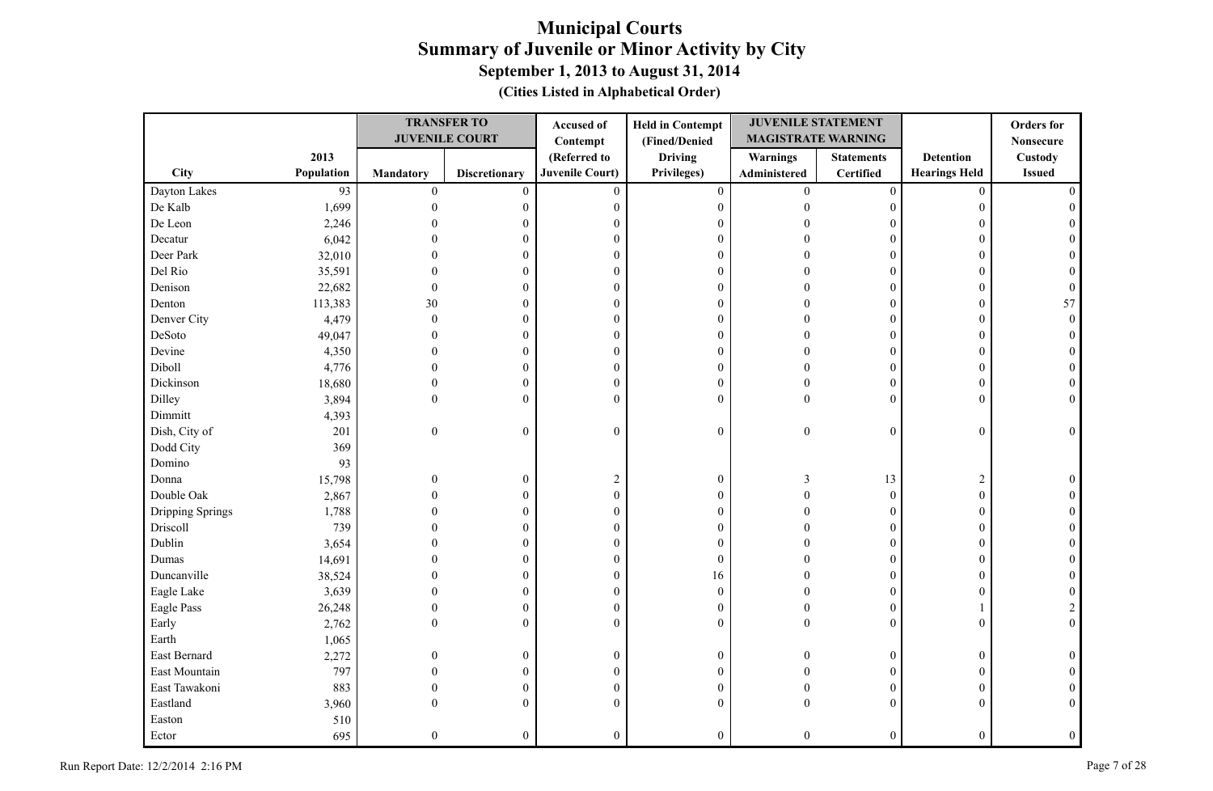|                  |            |                  | <b>TRANSFER TO</b>    | Accused of             | <b>Held in Contempt</b> | <b>JUVENILE STATEMENT</b> |                   |                      | <b>Orders</b> for |
|------------------|------------|------------------|-----------------------|------------------------|-------------------------|---------------------------|-------------------|----------------------|-------------------|
|                  |            |                  | <b>JUVENILE COURT</b> | Contempt               | (Fined/Denied           | <b>MAGISTRATE WARNING</b> |                   |                      | <b>Nonsecure</b>  |
|                  | 2013       |                  |                       | (Referred to           | <b>Driving</b>          | Warnings                  | <b>Statements</b> | <b>Detention</b>     | Custody           |
| <b>City</b>      | Population | <b>Mandatory</b> | <b>Discretionary</b>  | <b>Juvenile Court)</b> | Privileges)             | Administered              | Certified         | <b>Hearings Held</b> | <b>Issued</b>     |
| Dayton Lakes     | 93         | $\boldsymbol{0}$ | $\mathbf{0}$          | $\mathbf{0}$           | $\boldsymbol{0}$        | $\overline{0}$            | $\boldsymbol{0}$  | $\mathbf{0}$         |                   |
| De Kalb          | 1,699      | $\mathbf{0}$     | $\boldsymbol{0}$      | $\boldsymbol{0}$       | $\boldsymbol{0}$        | $\theta$                  | $\overline{0}$    | $\overline{0}$       |                   |
| De Leon          | 2,246      |                  | 0                     | $\theta$               | $\mathbf{0}$            |                           | $\Omega$          | 0                    |                   |
| Decatur          | 6,042      |                  | 0                     | $\boldsymbol{0}$       | $\mathbf{0}$            |                           | $\theta$          | $\Omega$             |                   |
| Deer Park        | 32,010     |                  | 0                     | $\boldsymbol{0}$       | $\boldsymbol{0}$        |                           | $\Omega$          | $\Omega$             |                   |
| Del Rio          | 35,591     |                  | 0                     | $\theta$               | $\mathbf{0}$            |                           | $\theta$          | $\Omega$             |                   |
| Denison          | 22,682     | $\theta$         | $\overline{0}$        | $\boldsymbol{0}$       | $\boldsymbol{0}$        |                           | $\theta$          | $\Omega$             |                   |
| Denton           | 113,383    | 30               | 0                     | $\boldsymbol{0}$       | $\boldsymbol{0}$        |                           | $\overline{0}$    | $\Omega$             | 57                |
| Denver City      | 4,479      | $\Omega$         | $\overline{0}$        | $\boldsymbol{0}$       | $\boldsymbol{0}$        |                           | $\overline{0}$    | $\overline{0}$       |                   |
| DeSoto           | 49,047     | $\Omega$         | 0                     | $\theta$               | $\mathbf{0}$            |                           | $\overline{0}$    | $\Omega$             |                   |
| Devine           | 4,350      | 0                | 0                     | $\boldsymbol{0}$       | $\boldsymbol{0}$        | $\Omega$                  | $\theta$          | $\Omega$             |                   |
| Diboll           | 4,776      | $\Omega$         | 0                     | $\boldsymbol{0}$       | $\mathbf{0}$            | $\Omega$                  | $\overline{0}$    | $\Omega$             |                   |
| Dickinson        | 18,680     | $\mathbf{0}$     | 0                     | $\boldsymbol{0}$       | $\boldsymbol{0}$        | $\Omega$                  | $\overline{0}$    | $\overline{0}$       |                   |
| Dilley           | 3,894      | $\theta$         | $\boldsymbol{0}$      | $\boldsymbol{0}$       | $\theta$                | $\theta$                  | $\theta$          | $\Omega$             |                   |
| Dimmitt          | 4,393      |                  |                       |                        |                         |                           |                   |                      |                   |
| Dish, City of    | 201        | $\boldsymbol{0}$ | $\boldsymbol{0}$      | $\boldsymbol{0}$       | $\boldsymbol{0}$        | $\boldsymbol{0}$          | $\overline{0}$    | $\overline{0}$       | $\theta$          |
| Dodd City        | 369        |                  |                       |                        |                         |                           |                   |                      |                   |
| Domino           | 93         |                  |                       |                        |                         |                           |                   |                      |                   |
| Donna            | 15,798     | $\mathbf{0}$     | $\boldsymbol{0}$      | $\overline{2}$         | $\boldsymbol{0}$        | 3                         | 13                | $\overline{c}$       |                   |
| Double Oak       | 2,867      | $\Omega$         | $\mathbf{0}$          | $\mathbf{0}$           | $\mathbf{0}$            | $\Omega$                  | $\mathbf{0}$      | $\overline{0}$       |                   |
| Dripping Springs | 1,788      |                  | 0                     | $\theta$               | $\mathbf{0}$            |                           | $\theta$          | $\Omega$             |                   |
| Driscoll         | 739        |                  | 0                     | $\boldsymbol{0}$       | $\boldsymbol{0}$        |                           | $\overline{0}$    | $\overline{0}$       |                   |
| Dublin           | 3,654      |                  | 0                     | $\mathbf{0}$           | $\mathbf{0}$            |                           | $\overline{0}$    | $\Omega$             |                   |
| Dumas            | 14,691     |                  | 0                     | $\boldsymbol{0}$       | $\boldsymbol{0}$        |                           | $\overline{0}$    | $\Omega$             |                   |
| Duncanville      | 38,524     |                  | $\boldsymbol{0}$      | $\boldsymbol{0}$       | 16                      |                           | $\overline{0}$    | $\overline{0}$       |                   |
| Eagle Lake       | 3,639      | $\Omega$         | $\overline{0}$        | $\boldsymbol{0}$       | $\boldsymbol{0}$        |                           | $\theta$          | $\Omega$             |                   |
| Eagle Pass       | 26,248     | $\Omega$         | 0                     | $\boldsymbol{0}$       | $\boldsymbol{0}$        |                           | $\overline{0}$    |                      | 2                 |
| Early            | 2,762      | $\Omega$         | $\boldsymbol{0}$      | $\mathbf{0}$           | $\mathbf{0}$            | $\Omega$                  | $\overline{0}$    | $\overline{0}$       | $\Omega$          |
| Earth            | 1,065      |                  |                       |                        |                         |                           |                   |                      |                   |
| East Bernard     | 2,272      | $\overline{0}$   | $\boldsymbol{0}$      | $\boldsymbol{0}$       | $\boldsymbol{0}$        | $\theta$                  | $\boldsymbol{0}$  | $\mathbf{0}$         |                   |
| East Mountain    | 797        | $\Omega$         | $\boldsymbol{0}$      | $\boldsymbol{0}$       | $\boldsymbol{0}$        | $\Omega$                  | $\overline{0}$    | $\overline{0}$       |                   |
| East Tawakoni    | 883        | $\theta$         | $\mathbf{0}$          | $\mathbf{0}$           | $\mathbf{0}$            | $\Omega$                  | $\overline{0}$    | $\Omega$             |                   |
| Eastland         | 3,960      | $\Omega$         | $\boldsymbol{0}$      | $\theta$               | $\mathbf{0}$            | $\Omega$                  | $\overline{0}$    | 0                    | $\Omega$          |
| Easton           | 510        |                  |                       |                        |                         |                           |                   |                      |                   |
| Ector            | 695        | $\Omega$         | $\overline{0}$        | $\overline{0}$         | $\mathbf{0}$            | $\theta$                  | $\overline{0}$    | $\overline{0}$       | $\mathbf{0}$      |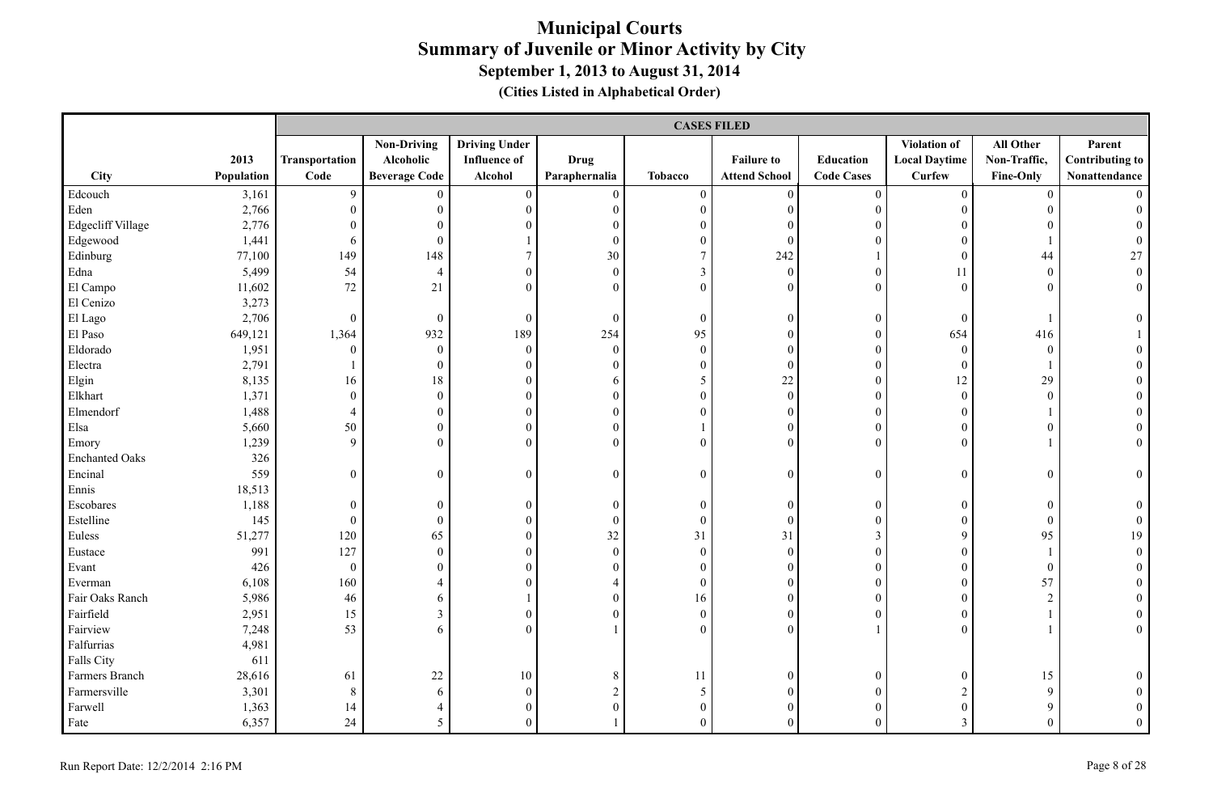|                       |            |                | <b>CASES FILED</b>   |                      |                  |                  |                      |                   |                      |                  |                        |  |
|-----------------------|------------|----------------|----------------------|----------------------|------------------|------------------|----------------------|-------------------|----------------------|------------------|------------------------|--|
|                       |            |                | <b>Non-Driving</b>   | <b>Driving Under</b> |                  |                  |                      |                   | Violation of         | All Other        | Parent                 |  |
|                       | 2013       | Transportation | Alcoholic            | <b>Influence of</b>  | <b>Drug</b>      |                  | <b>Failure to</b>    | Education         | <b>Local Daytime</b> | Non-Traffic,     | <b>Contributing to</b> |  |
| City                  | Population | Code           | <b>Beverage Code</b> | Alcohol              | Paraphernalia    | <b>Tobacco</b>   | <b>Attend School</b> | <b>Code Cases</b> | <b>Curfew</b>        | Fine-Only        | Nonattendance          |  |
| Edcouch               | 3,161      | 9              | $\overline{0}$       | $\boldsymbol{0}$     | $\mathbf{0}$     | $\boldsymbol{0}$ | $\overline{0}$       | $\boldsymbol{0}$  | $\overline{0}$       | $\overline{0}$   | $\Omega$               |  |
| Eden                  | 2,766      | $\theta$       | $\boldsymbol{0}$     | $\mathbf{0}$         | $\mathbf{0}$     | $\boldsymbol{0}$ | $\overline{0}$       | $\boldsymbol{0}$  | $\overline{0}$       | $\boldsymbol{0}$ |                        |  |
| Edgecliff Village     | 2,776      | $\theta$       | $\boldsymbol{0}$     | $\Omega$             | $\mathbf{0}$     | $\overline{0}$   | $\mathbf{0}$         | $\theta$          | $\theta$             | $\boldsymbol{0}$ |                        |  |
| Edgewood              | 1,441      | 6              | $\overline{0}$       |                      | $\mathbf{0}$     | $\boldsymbol{0}$ | $\mathbf{0}$         | $\theta$          | $\Omega$             |                  |                        |  |
| Edinburg              | 77,100     | 149            | 148                  | $\overline{7}$       | 30               | $\tau$           | 242                  |                   | $\overline{0}$       | 44               | 27                     |  |
| Edna                  | 5,499      | 54             | $\overline{4}$       | $\boldsymbol{0}$     | $\boldsymbol{0}$ | $\mathfrak{Z}$   | $\boldsymbol{0}$     | $\boldsymbol{0}$  | 11                   | $\boldsymbol{0}$ | $\overline{0}$         |  |
| El Campo              | 11,602     | 72             | 21                   | $\mathbf{0}$         | $\mathbf{0}$     | $\overline{0}$   | $\mathbf{0}$         | $\overline{0}$    | $\overline{0}$       | $\overline{0}$   | $\overline{0}$         |  |
| El Cenizo             | 3,273      |                |                      |                      |                  |                  |                      |                   |                      |                  |                        |  |
| El Lago               | 2,706      | $\bf{0}$       | $\boldsymbol{0}$     | $\boldsymbol{0}$     | $\mathbf{0}$     | $\boldsymbol{0}$ | $\boldsymbol{0}$     | $\boldsymbol{0}$  | $\overline{0}$       |                  | $\theta$               |  |
| El Paso               | 649,121    | 1,364          | 932                  | 189                  | 254              | 95               | $\mathbf{0}$         | $\mathbf{0}$      | 654                  | 416              |                        |  |
| Eldorado              | 1,951      | $\mathbf{0}$   | $\boldsymbol{0}$     | $\mathbf{0}$         | $\boldsymbol{0}$ | $\boldsymbol{0}$ | $\boldsymbol{0}$     | $\boldsymbol{0}$  | $\mathbf{0}$         | $\boldsymbol{0}$ |                        |  |
| Electra               | 2,791      |                | $\boldsymbol{0}$     | $\mathbf{0}$         | $\mathbf{0}$     | $\boldsymbol{0}$ | $\mathbf{0}$         | $\overline{0}$    | $\mathbf{0}$         |                  |                        |  |
| Elgin                 | 8,135      | 16             | $18\,$               | $\mathbf{0}$         | 6                | 5                | $22\,$               | $\boldsymbol{0}$  | 12                   | 29               |                        |  |
| Elkhart               | 1,371      | $\theta$       | $\mathbf{0}$         | $\mathbf{0}$         | $\mathbf{0}$     | $\overline{0}$   | $\mathbf{0}$         | $\mathbf{0}$      | $\mathbf{0}$         | $\mathbf{0}$     |                        |  |
| Elmendorf             | 1,488      | $\overline{4}$ | $\boldsymbol{0}$     | $\boldsymbol{0}$     | $\boldsymbol{0}$ | $\boldsymbol{0}$ | $\boldsymbol{0}$     | $\boldsymbol{0}$  | $\theta$             |                  |                        |  |
| Elsa                  | 5,660      | 50             | $\boldsymbol{0}$     | $\boldsymbol{0}$     | $\boldsymbol{0}$ |                  | $\mathbf{0}$         | $\boldsymbol{0}$  | $\overline{0}$       | $\boldsymbol{0}$ |                        |  |
| Emory                 | 1,239      | 9              | $\boldsymbol{0}$     | $\mathbf{0}$         | $\mathbf{0}$     | $\mathbf{0}$     | $\mathbf{0}$         | $\theta$          | $\overline{0}$       |                  | $\overline{0}$         |  |
| <b>Enchanted Oaks</b> | 326        |                |                      |                      |                  |                  |                      |                   |                      |                  |                        |  |
| Encinal               | 559        | $\theta$       | $\mathbf{0}$         | $\mathbf{0}$         | $\mathbf{0}$     | $\overline{0}$   | $\mathbf{0}$         | $\theta$          | $\Omega$             | $\mathbf{0}$     | $\overline{0}$         |  |
| Ennis                 | 18,513     |                |                      |                      |                  |                  |                      |                   |                      |                  |                        |  |
| Escobares             | 1,188      | $\theta$       | $\boldsymbol{0}$     | $\boldsymbol{0}$     | $\boldsymbol{0}$ | $\boldsymbol{0}$ | $\mathbf{0}$         | $\boldsymbol{0}$  | $\mathbf{0}$         | $\boldsymbol{0}$ | $\theta$               |  |
| Estelline             | 145        | $\theta$       | $\mathbf{0}$         | $\mathbf{0}$         | $\mathbf{0}$     | $\overline{0}$   | $\theta$             | $\theta$          | $\theta$             | $\mathbf{0}$     |                        |  |
| Euless                | 51,277     | 120            | 65                   | $\overline{0}$       | 32               | 31               | 31                   | 3                 | 9                    | 95               | 19                     |  |
| Eustace               | 991        | 127            | $\boldsymbol{0}$     | $\mathbf{0}$         | $\boldsymbol{0}$ | $\boldsymbol{0}$ | $\boldsymbol{0}$     | $\boldsymbol{0}$  | $\overline{0}$       |                  | $\theta$               |  |
| Evant                 | 426        | $\mathbf{0}$   | $\boldsymbol{0}$     | $\boldsymbol{0}$     | $\boldsymbol{0}$ | $\boldsymbol{0}$ | $\boldsymbol{0}$     | $\overline{0}$    | $\boldsymbol{0}$     | $\boldsymbol{0}$ | $\theta$               |  |
| Everman               | 6,108      | 160            | $\overline{4}$       | $\mathbf{0}$         | $\overline{4}$   | $\boldsymbol{0}$ | $\mathbf{0}$         | $\boldsymbol{0}$  | $\theta$             | 57               |                        |  |
| Fair Oaks Ranch       | 5,986      | $46\,$         | 6                    |                      | $\boldsymbol{0}$ | 16               | $\mathbf{0}$         | $\theta$          | $\theta$             | $\overline{c}$   |                        |  |
| Fairfield             | 2,951      | 15             | $\mathfrak{Z}$       | $\mathbf{0}$         | $\mathbf{0}$     | $\boldsymbol{0}$ | $\mathbf{0}$         | $\theta$          | $\theta$             |                  |                        |  |
| Fairview              | 7,248      | 53             | 6                    | $\mathbf{0}$         |                  | $\overline{0}$   | $\mathbf{0}$         |                   | $\theta$             |                  | $\overline{0}$         |  |
| Falfurrias            | 4,981      |                |                      |                      |                  |                  |                      |                   |                      |                  |                        |  |
| Falls City            | 611        |                |                      |                      |                  |                  |                      |                   |                      |                  |                        |  |
| Farmers Branch        | 28,616     | 61             | 22                   | 10                   | 8                | 11               | $\mathbf{0}$         | $\boldsymbol{0}$  | $\overline{0}$       | 15               |                        |  |
| Farmersville          | 3,301      | 8              | 6                    | $\boldsymbol{0}$     | $\sqrt{2}$       | 5                | $\boldsymbol{0}$     | $\boldsymbol{0}$  | $\sqrt{2}$           | 9                |                        |  |
| Farwell               | 1,363      | 14             | $\overline{4}$       | $\boldsymbol{0}$     | $\boldsymbol{0}$ | $\mathbf{0}$     | $\mathbf{0}$         | $\overline{0}$    | $\theta$             | 9                |                        |  |
| Fate                  | 6,357      | 24             | 5                    | $\theta$             |                  | $\overline{0}$   | $\theta$             | $\theta$          | 3                    | $\overline{0}$   | $\theta$               |  |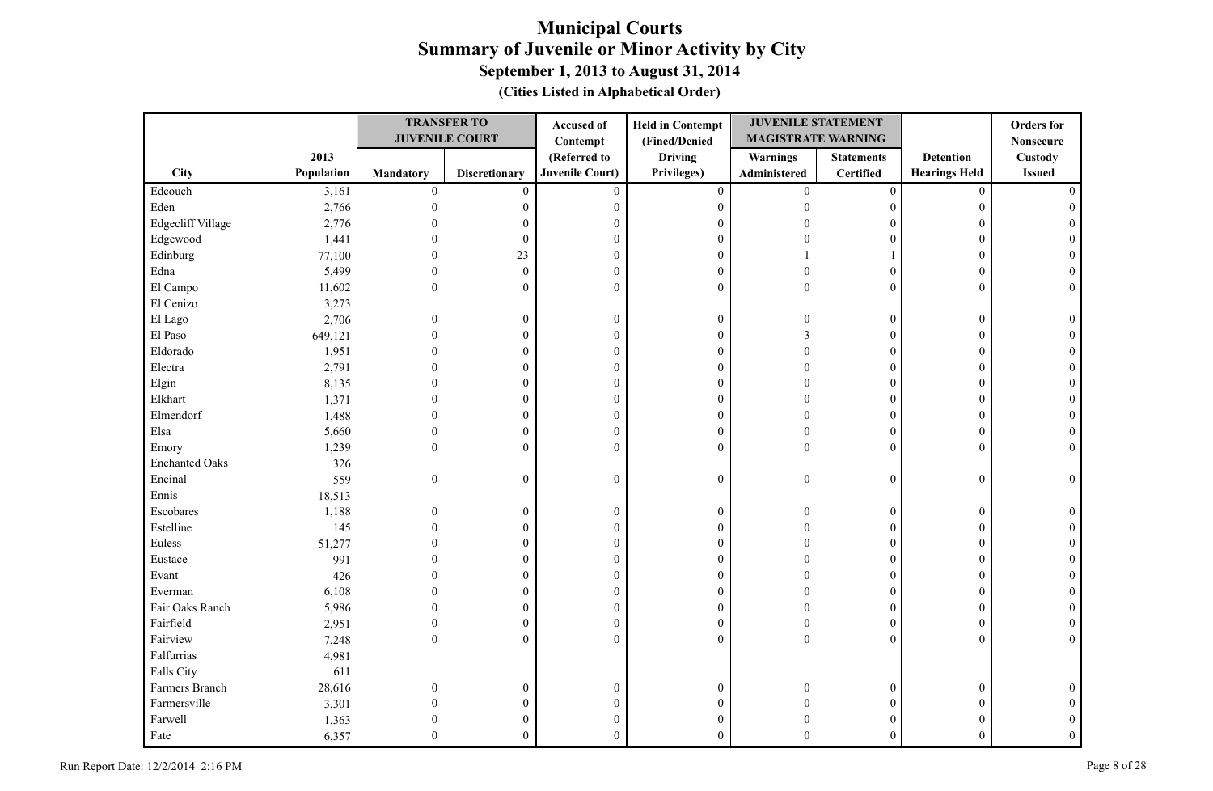|                       |            |                  | <b>TRANSFER TO</b>    | Accused of             | <b>Held in Contempt</b> | <b>JUVENILE STATEMENT</b> |                   |                      | <b>Orders</b> for |
|-----------------------|------------|------------------|-----------------------|------------------------|-------------------------|---------------------------|-------------------|----------------------|-------------------|
|                       |            |                  | <b>JUVENILE COURT</b> | Contempt               | (Fined/Denied           | <b>MAGISTRATE WARNING</b> |                   |                      | <b>Nonsecure</b>  |
|                       | 2013       |                  |                       | (Referred to           | <b>Driving</b>          | Warnings                  | <b>Statements</b> | <b>Detention</b>     | <b>Custody</b>    |
| City                  | Population | <b>Mandatory</b> | <b>Discretionary</b>  | <b>Juvenile Court)</b> | Privileges)             | Administered              | Certified         | <b>Hearings Held</b> | <b>Issued</b>     |
| Edcouch               | 3,161      | $\boldsymbol{0}$ | $\mathbf{0}$          | $\mathbf{0}$           | $\boldsymbol{0}$        | $\overline{0}$            | $\boldsymbol{0}$  | $\mathbf{0}$         |                   |
| Eden                  | 2,766      | $\mathbf{0}$     | $\boldsymbol{0}$      | $\boldsymbol{0}$       | $\boldsymbol{0}$        | $\theta$                  | $\overline{0}$    | $\overline{0}$       |                   |
| Edgecliff Village     | 2,776      |                  | 0                     | $\theta$               | $\mathbf{0}$            |                           | $\Omega$          | $\Omega$             |                   |
| Edgewood              | 1,441      |                  | $\boldsymbol{0}$      | $\boldsymbol{0}$       | $\boldsymbol{0}$        |                           | $\theta$          | $\Omega$             |                   |
| Edinburg              | 77,100     |                  | 23                    | $\boldsymbol{0}$       | $\boldsymbol{0}$        |                           |                   | $\overline{0}$       |                   |
| Edna                  | 5,499      | $\Omega$         | $\mathbf{0}$          | $\boldsymbol{0}$       | $\boldsymbol{0}$        |                           | $\theta$          | $\Omega$             |                   |
| El Campo              | 11,602     | $\Omega$         | $\boldsymbol{0}$      | $\mathbf{0}$           | $\mathbf{0}$            | $\Omega$                  | $\theta$          | $\theta$             |                   |
| El Cenizo             | 3,273      |                  |                       |                        |                         |                           |                   |                      |                   |
| El Lago               | 2,706      | $\overline{0}$   | $\boldsymbol{0}$      | $\boldsymbol{0}$       | $\boldsymbol{0}$        | $\theta$                  | $\boldsymbol{0}$  | $\mathbf{0}$         |                   |
| El Paso               | 649,121    | $\Omega$         | $\mathbf{0}$          | $\theta$               | $\boldsymbol{0}$        | $\mathcal{E}$             | $\overline{0}$    | $\Omega$             |                   |
| Eldorado              | 1,951      | 0                | 0                     | $\boldsymbol{0}$       | $\boldsymbol{0}$        | $\Omega$                  | 0                 | $\Omega$             |                   |
| Electra               | 2,791      | $\Omega$         | 0                     | $\boldsymbol{0}$       | $\mathbf{0}$            |                           | $\overline{0}$    | $\Omega$             |                   |
| Elgin                 | 8,135      | $\theta$         | 0                     | $\boldsymbol{0}$       | $\boldsymbol{0}$        |                           | $\overline{0}$    | $\Omega$             |                   |
| Elkhart               | 1,371      | $\theta$         | 0                     | $\boldsymbol{0}$       | $\boldsymbol{0}$        | $\sqrt{ }$                | 0                 | $\Omega$             |                   |
| Elmendorf             | 1,488      | $\Omega$         | $\overline{0}$        | $\boldsymbol{0}$       | $\mathbf{0}$            |                           | $\theta$          | $\Omega$             |                   |
| Elsa                  | 5,660      | $\Omega$         | $\boldsymbol{0}$      | $\boldsymbol{0}$       | $\boldsymbol{0}$        | $\Omega$                  | $\overline{0}$    | $\overline{0}$       |                   |
| Emory                 | 1,239      | $\Omega$         | $\overline{0}$        | $\theta$               | $\theta$                | $\theta$                  | $\theta$          | $\Omega$             |                   |
| <b>Enchanted Oaks</b> | 326        |                  |                       |                        |                         |                           |                   |                      |                   |
| Encinal               | 559        | $\boldsymbol{0}$ | $\boldsymbol{0}$      | $\boldsymbol{0}$       | $\boldsymbol{0}$        | $\theta$                  | $\boldsymbol{0}$  | $\overline{0}$       | $\Omega$          |
| Ennis                 | 18,513     |                  |                       |                        |                         |                           |                   |                      |                   |
| Escobares             | 1,188      | $\theta$         | $\boldsymbol{0}$      | $\boldsymbol{0}$       | $\boldsymbol{0}$        | $\Omega$                  | $\overline{0}$    | $\mathbf{0}$         |                   |
| Estelline             | 145        |                  | $\boldsymbol{0}$      | $\boldsymbol{0}$       | $\boldsymbol{0}$        | 0                         | $\overline{0}$    | $\mathbf{0}$         |                   |
| Euless                | 51,277     |                  | 0                     | $\mathbf{0}$           | $\mathbf{0}$            |                           | $\overline{0}$    | $\Omega$             |                   |
| Eustace               | 991        |                  | 0                     | $\boldsymbol{0}$       | $\boldsymbol{0}$        |                           | $\overline{0}$    | $\Omega$             |                   |
| Evant                 | 426        |                  | $\boldsymbol{0}$      | $\boldsymbol{0}$       | $\boldsymbol{0}$        |                           | $\overline{0}$    | $\overline{0}$       |                   |
| Everman               | 6,108      |                  | $\overline{0}$        | $\boldsymbol{0}$       | $\boldsymbol{0}$        |                           | $\theta$          | $\Omega$             |                   |
| Fair Oaks Ranch       | 5,986      |                  | 0                     | $\boldsymbol{0}$       | $\boldsymbol{0}$        |                           | $\overline{0}$    | $\Omega$             |                   |
| Fairfield             | 2,951      | $\mathbf{0}$     | $\boldsymbol{0}$      | $\boldsymbol{0}$       | $\boldsymbol{0}$        | $\Omega$                  | $\boldsymbol{0}$  | $\mathbf{0}$         |                   |
| Fairview              | 7,248      | $\theta$         | $\overline{0}$        | $\theta$               | $\mathbf{0}$            | $\theta$                  | $\overline{0}$    | $\theta$             | $\Omega$          |
| Falfurrias            | 4,981      |                  |                       |                        |                         |                           |                   |                      |                   |
| Falls City            | 611        |                  |                       |                        |                         |                           |                   |                      |                   |
| Farmers Branch        | 28,616     | $\theta$         | $\boldsymbol{0}$      | $\boldsymbol{0}$       | $\boldsymbol{0}$        | $\Omega$                  | $\overline{0}$    | $\mathbf{0}$         |                   |
| Farmersville          | 3,301      | $\theta$         | 0                     | $\boldsymbol{0}$       | $\boldsymbol{0}$        |                           | 0                 |                      |                   |
| Farwell               | 1,363      |                  | 0                     | $\boldsymbol{0}$       | $\boldsymbol{0}$        |                           | 0                 |                      |                   |
| Fate                  | 6,357      | $\Omega$         | $\theta$              | $\theta$               | $\theta$                | $\Omega$                  | $\theta$          | $\theta$             |                   |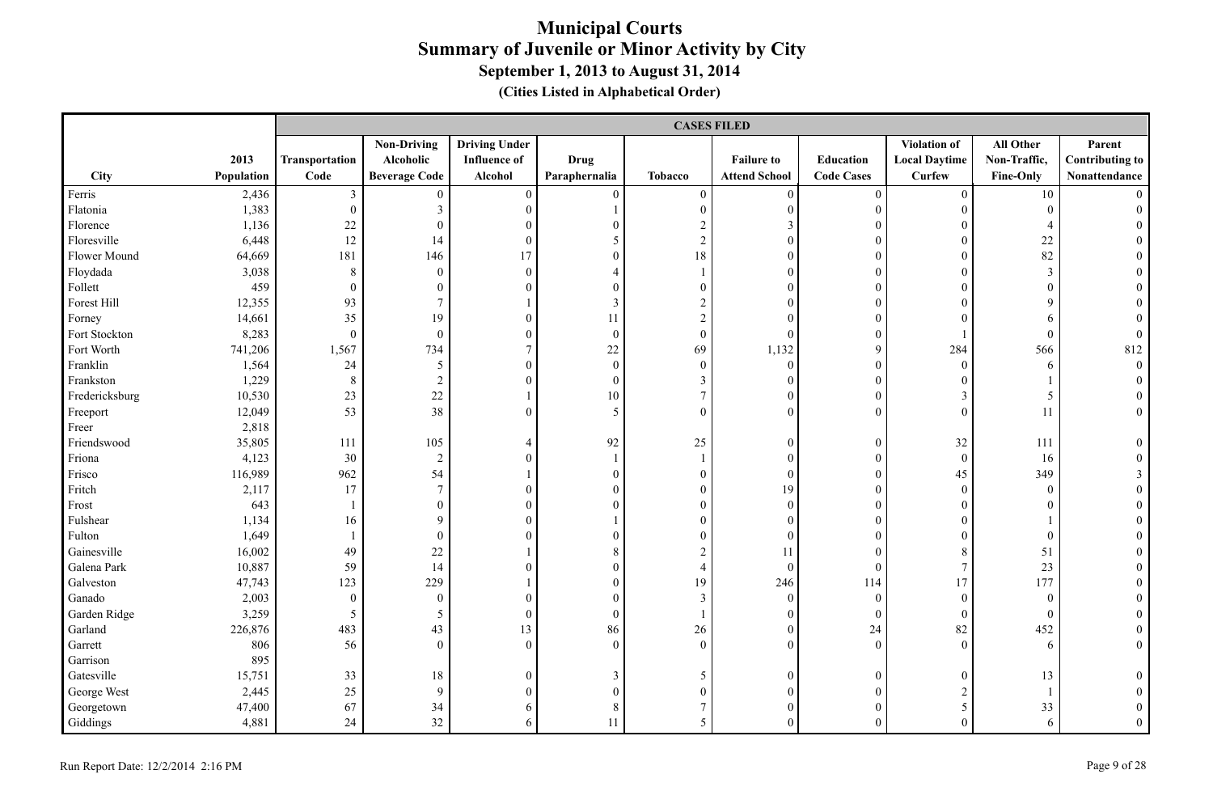|                |            |                  | <b>CASES FILED</b>   |                      |                  |                  |                      |                   |                      |                  |                        |  |  |
|----------------|------------|------------------|----------------------|----------------------|------------------|------------------|----------------------|-------------------|----------------------|------------------|------------------------|--|--|
|                |            |                  | <b>Non-Driving</b>   | <b>Driving Under</b> |                  |                  |                      |                   | Violation of         | All Other        | Parent                 |  |  |
|                | 2013       | Transportation   | Alcoholic            | <b>Influence of</b>  | Drug             |                  | <b>Failure to</b>    | <b>Education</b>  | <b>Local Daytime</b> | Non-Traffic,     | <b>Contributing to</b> |  |  |
| City           | Population | Code             | <b>Beverage Code</b> | Alcohol              | Paraphernalia    | <b>Tobacco</b>   | <b>Attend School</b> | <b>Code Cases</b> | <b>Curfew</b>        | Fine-Only        | Nonattendance          |  |  |
| Ferris         | 2,436      | 3                | $\mathbf{0}$         | $\boldsymbol{0}$     | $\theta$         | $\boldsymbol{0}$ | $\mathbf{0}$         | $\boldsymbol{0}$  | $\theta$             | 10               |                        |  |  |
| Flatonia       | 1,383      | $\boldsymbol{0}$ | $\mathfrak{Z}$       | $\overline{0}$       |                  | $\boldsymbol{0}$ | $\boldsymbol{0}$     | $\boldsymbol{0}$  | $\boldsymbol{0}$     | $\boldsymbol{0}$ |                        |  |  |
| Florence       | 1,136      | 22               | $\mathbf{0}$         | $\mathbf{0}$         | $\mathbf{0}$     | $\overline{c}$   | $\mathfrak{Z}$       | $\theta$          | $\theta$             | $\overline{4}$   |                        |  |  |
| Floresville    | 6,448      | 12               | 14                   | $\mathbf{0}$         | 5                | $\overline{2}$   | $\mathbf{0}$         | $\theta$          | $\theta$             | 22               |                        |  |  |
| Flower Mound   | 64,669     | 181              | 146                  | 17                   | $\theta$         | 18               | $\theta$             | $\theta$          | $\Omega$             | 82               |                        |  |  |
| Floydada       | 3,038      | 8                | $\overline{0}$       | $\boldsymbol{0}$     | $\overline{4}$   |                  | $\mathbf{0}$         | $\overline{0}$    | $\theta$             | $\mathfrak{Z}$   |                        |  |  |
| Follett        | 459        | $\theta$         | $\mathbf{0}$         | $\theta$             | $\mathbf{0}$     | $\overline{0}$   | $\theta$             | $\theta$          | $\Omega$             | $\mathbf{0}$     |                        |  |  |
| Forest Hill    | 12,355     | 93               | $7\overline{ }$      |                      | $\mathfrak{Z}$   | $\overline{c}$   | $\mathbf{0}$         | $\overline{0}$    | $\Omega$             | 9                |                        |  |  |
| Forney         | 14,661     | 35               | 19                   | $\overline{0}$       | 11               | $\boldsymbol{2}$ | $\theta$             | $\mathbf{0}$      | $\Omega$             | 6                |                        |  |  |
| Fort Stockton  | 8,283      | $\mathbf{0}$     | $\boldsymbol{0}$     | $\boldsymbol{0}$     | $\boldsymbol{0}$ | $\boldsymbol{0}$ | $\mathbf{0}$         | $\overline{0}$    |                      | $\boldsymbol{0}$ | $\boldsymbol{0}$       |  |  |
| Fort Worth     | 741,206    | 1,567            | 734                  | 7                    | $22\,$           | 69               | 1,132                | 9                 | 284                  | 566              | 812                    |  |  |
| Franklin       | 1,564      | 24               | 5                    | $\boldsymbol{0}$     | $\boldsymbol{0}$ | $\boldsymbol{0}$ | $\boldsymbol{0}$     | $\boldsymbol{0}$  | $\mathbf{0}$         | 6                | $\boldsymbol{0}$       |  |  |
| Frankston      | 1,229      | $\,8\,$          | $\sqrt{2}$           | $\mathbf{0}$         | $\mathbf{0}$     | $\mathfrak{Z}$   | $\mathbf{0}$         | $\boldsymbol{0}$  | $\theta$             |                  |                        |  |  |
| Fredericksburg | 10,530     | 23               | 22                   |                      | 10               | $\tau$           | $\mathbf{0}$         | $\theta$          | 3                    | 5                | $\theta$               |  |  |
| Freeport       | 12,049     | 53               | 38                   | $\mathbf{0}$         | 5                | $\overline{0}$   | $\mathbf{0}$         | $\overline{0}$    | $\overline{0}$       | 11               | $\boldsymbol{0}$       |  |  |
| Freer          | 2,818      |                  |                      |                      |                  |                  |                      |                   |                      |                  |                        |  |  |
| Friendswood    | 35,805     | 111              | 105                  | 4                    | 92               | 25               | $\mathbf{0}$         | $\boldsymbol{0}$  | 32                   | 111              | $\Omega$               |  |  |
| Friona         | 4,123      | 30               | $\overline{2}$       | $\mathbf{0}$         | $\overline{1}$   | $\mathbf{1}$     | $\mathbf{0}$         | $\boldsymbol{0}$  | $\mathbf{0}$         | 16               | $\Omega$               |  |  |
| Frisco         | 116,989    | 962              | 54                   |                      | $\boldsymbol{0}$ | $\boldsymbol{0}$ | $\boldsymbol{0}$     | $\mathbf{0}$      | 45                   | 349              | 3                      |  |  |
| Fritch         | 2,117      | 17               | $7\phantom{.0}$      | $\mathbf{0}$         | $\boldsymbol{0}$ | $\boldsymbol{0}$ | 19                   | $\overline{0}$    | $\boldsymbol{0}$     | $\boldsymbol{0}$ | $\theta$               |  |  |
| Frost          | 643        |                  | $\boldsymbol{0}$     | $\theta$             | $\theta$         | $\overline{0}$   | $\mathbf{0}$         | $\overline{0}$    | $\theta$             | $\mathbf{0}$     |                        |  |  |
| Fulshear       | 1,134      | 16               | 9                    | $\theta$             |                  | $\overline{0}$   | $\theta$             | $\theta$          | $\theta$             |                  |                        |  |  |
| Fulton         | 1,649      |                  | $\theta$             | $\Omega$             | $\theta$         | $\Omega$         | $\theta$             | $\theta$          | $\Omega$             | $\theta$         |                        |  |  |
| Gainesville    | 16,002     | 49               | 22                   |                      | 8                | $\overline{c}$   | 11                   | $\theta$          | 8                    | 51               |                        |  |  |
| Galena Park    | 10,887     | 59               | 14                   | $\Omega$             | $\boldsymbol{0}$ | $\overline{4}$   | $\mathbf{0}$         | $\boldsymbol{0}$  | $\tau$               | 23               |                        |  |  |
| Galveston      | 47,743     | 123              | 229                  |                      | $\boldsymbol{0}$ | 19               | 246                  | 114               | 17                   | 177              | $\theta$               |  |  |
| Ganado         | 2,003      | $\mathbf{0}$     | $\boldsymbol{0}$     | $\mathbf{0}$         | $\mathbf{0}$     | 3                | $\mathbf{0}$         | $\mathbf{0}$      | $\overline{0}$       | $\mathbf{0}$     |                        |  |  |
| Garden Ridge   | 3,259      | 5                | 5                    | $\boldsymbol{0}$     | $\boldsymbol{0}$ |                  | $\boldsymbol{0}$     | $\boldsymbol{0}$  | $\mathbf{0}$         | $\mathbf{0}$     |                        |  |  |
| Garland        | 226,876    | 483              | 43                   | 13                   | 86               | 26               | $\mathbf{0}$         | 24                | 82                   | 452              |                        |  |  |
| Garrett        | 806        | 56               | $\theta$             | $\mathbf{0}$         | $\mathbf{0}$     | $\mathbf{0}$     | $\mathbf{0}$         | $\mathbf{0}$      | $\overline{0}$       | 6                | $\overline{0}$         |  |  |
| Garrison       | 895        |                  |                      |                      |                  |                  |                      |                   |                      |                  |                        |  |  |
| Gatesville     | 15,751     | 33               | 18                   | $\mathbf{0}$         | 3                | 5                | $\mathbf{0}$         | $\theta$          | $\theta$             | 13               |                        |  |  |
| George West    | 2,445      | 25               | 9                    | $\mathbf{0}$         | $\boldsymbol{0}$ | $\boldsymbol{0}$ | $\mathbf{0}$         | $\mathbf{0}$      | $\overline{c}$       |                  |                        |  |  |
| Georgetown     | 47,400     | 67               | 34                   | 6                    | $\,8\,$          | $\overline{7}$   | $\mathbf{0}$         | $\overline{0}$    | 5                    | 33               | $\boldsymbol{0}$       |  |  |
| Giddings       | 4,881      | 24               | 32                   | 6                    | 11               | 5                | $\theta$             | $\theta$          | $\Omega$             | 6                | $\theta$               |  |  |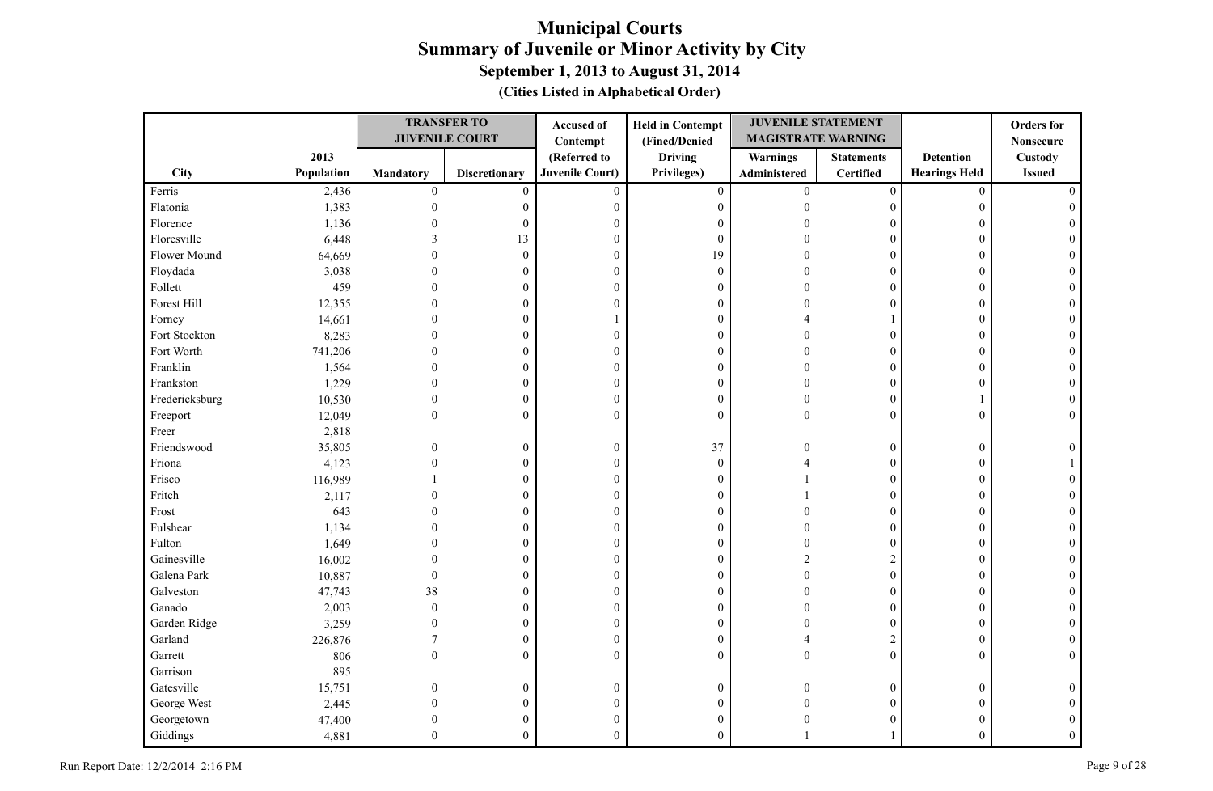|                |            |                  | <b>TRANSFER TO</b>    | Accused of             | <b>Held in Contempt</b> | <b>JUVENILE STATEMENT</b> |                   |                      | <b>Orders</b> for |
|----------------|------------|------------------|-----------------------|------------------------|-------------------------|---------------------------|-------------------|----------------------|-------------------|
|                |            |                  | <b>JUVENILE COURT</b> | Contempt               | (Fined/Denied           | <b>MAGISTRATE WARNING</b> |                   |                      | <b>Nonsecure</b>  |
|                | 2013       |                  |                       | (Referred to           | <b>Driving</b>          | <b>Warnings</b>           | <b>Statements</b> | <b>Detention</b>     | Custody           |
| City           | Population | Mandatory        | <b>Discretionary</b>  | <b>Juvenile Court)</b> | Privileges)             | Administered              | <b>Certified</b>  | <b>Hearings Held</b> | <b>Issued</b>     |
| Ferris         | 2,436      | $\boldsymbol{0}$ | $\mathbf{0}$          | $\mathbf{0}$           | $\mathbf{0}$            | $\mathbf{0}$              | $\boldsymbol{0}$  | $\mathbf{0}$         |                   |
| Flatonia       | 1,383      | $\theta$         | 0                     | $\mathbf{0}$           | $\boldsymbol{0}$        | $\Omega$                  | $\overline{0}$    | $\boldsymbol{0}$     |                   |
| Florence       | 1,136      |                  | $\mathbf{0}$          | $\theta$               | $\boldsymbol{0}$        |                           | $\Omega$          | $\Omega$             |                   |
| Floresville    | 6,448      |                  | 13                    | $\mathbf{0}$           | $\boldsymbol{0}$        |                           | $\theta$          | $\theta$             |                   |
| Flower Mound   | 64,669     |                  | $\mathbf{0}$          | $\boldsymbol{0}$       | 19                      |                           | $\theta$          | $\theta$             |                   |
| Floydada       | 3,038      |                  | $\Omega$              | $\boldsymbol{0}$       | $\boldsymbol{0}$        |                           | $\Omega$          | $\Omega$             |                   |
| Follett        | 459        |                  | $\theta$              | $\mathbf{0}$           | $\boldsymbol{0}$        |                           | $\theta$          | $\theta$             |                   |
| Forest Hill    | 12,355     |                  | 0                     | $\mathbf{0}$           | $\boldsymbol{0}$        |                           | $\theta$          | $\mathbf{0}$         |                   |
| Forney         | 14,661     |                  | 0                     |                        | $\boldsymbol{0}$        |                           |                   | $\Omega$             |                   |
| Fort Stockton  | 8,283      |                  | $\theta$              | $\theta$               | $\boldsymbol{0}$        |                           | $\overline{0}$    | $\Omega$             |                   |
| Fort Worth     | 741,206    |                  | $\mathbf{0}$          | $\boldsymbol{0}$       | $\boldsymbol{0}$        |                           | $\overline{0}$    | $\theta$             |                   |
| Franklin       | 1,564      |                  | 0                     | $\mathbf{0}$           | $\mathbf{0}$            |                           | $\overline{0}$    | $\Omega$             |                   |
| Frankston      | 1,229      |                  | 0                     | $\mathbf{0}$           | $\boldsymbol{0}$        |                           | $\overline{0}$    | $\Omega$             |                   |
| Fredericksburg | 10,530     | $\theta$         | $\boldsymbol{0}$      | $\boldsymbol{0}$       | $\boldsymbol{0}$        | $\Omega$                  | $\overline{0}$    |                      |                   |
| Freeport       | 12,049     | $\theta$         | $\mathbf{0}$          | $\mathbf{0}$           | $\boldsymbol{0}$        | $\Omega$                  | $\Omega$          | $\mathbf{0}$         |                   |
| Freer          | 2,818      |                  |                       |                        |                         |                           |                   |                      |                   |
| Friendswood    | 35,805     | $\theta$         | $\boldsymbol{0}$      | $\mathbf{0}$           | 37                      |                           | $\overline{0}$    | $\boldsymbol{0}$     |                   |
| Friona         | 4,123      | $\Omega$         | $\theta$              | $\boldsymbol{0}$       | $\boldsymbol{0}$        |                           | $\overline{0}$    | $\mathbf{0}$         |                   |
| Frisco         | 116,989    |                  | $\mathbf{0}$          | $\theta$               | $\boldsymbol{0}$        |                           | $\theta$          | $\mathbf{0}$         |                   |
| Fritch         | 2,117      |                  | $\theta$              | $\theta$               | $\boldsymbol{0}$        |                           | $\theta$          | $\mathbf{0}$         |                   |
| Frost          | 643        |                  | $\mathbf{0}$          | $\boldsymbol{0}$       | $\mathbf{0}$            |                           | $\overline{0}$    | $\mathbf{0}$         |                   |
| Fulshear       | 1,134      |                  | 0                     | $\mathbf{0}$           | $\boldsymbol{0}$        |                           | $\overline{0}$    | $\mathbf{0}$         |                   |
| Fulton         | 1,649      |                  | 0                     | $\boldsymbol{0}$       | $\boldsymbol{0}$        |                           | $\overline{0}$    | $\mathbf{0}$         |                   |
| Gainesville    | 16,002     |                  | 0                     | $\boldsymbol{0}$       | $\boldsymbol{0}$        |                           | $\overline{c}$    | $\theta$             |                   |
| Galena Park    | 10,887     | $\theta$         | $\theta$              | $\mathbf{0}$           | $\boldsymbol{0}$        |                           | $\mathbf{0}$      | $\Omega$             |                   |
| Galveston      | 47,743     | 38               | $\theta$              | $\mathbf{0}$           | $\boldsymbol{0}$        |                           | $\overline{0}$    | $\mathbf{0}$         |                   |
| Ganado         | 2,003      | $\theta$         | $\mathbf{0}$          | $\boldsymbol{0}$       | $\boldsymbol{0}$        |                           | $\overline{0}$    | $\theta$             |                   |
| Garden Ridge   | 3,259      |                  | $\mathbf{0}$          | $\mathbf{0}$           | $\boldsymbol{0}$        |                           | $\mathbf{0}$      | $\theta$             |                   |
| Garland        | 226,876    |                  | $\theta$              | $\boldsymbol{0}$       | $\boldsymbol{0}$        |                           | $\overline{c}$    | $\mathbf{0}$         |                   |
| Garrett        | 806        | $\theta$         | $\mathbf{0}$          | $\mathbf{0}$           | $\boldsymbol{0}$        | $\Omega$                  | $\theta$          | $\mathbf{0}$         |                   |
| Garrison       | 895        |                  |                       |                        |                         |                           |                   |                      |                   |
| Gatesville     | 15,751     | $\Omega$         | $\mathbf{0}$          | $\boldsymbol{0}$       | $\boldsymbol{0}$        |                           | $\boldsymbol{0}$  | $\mathbf{0}$         |                   |
| George West    | 2,445      |                  | 0                     | $\boldsymbol{0}$       | $\boldsymbol{0}$        |                           | $\overline{0}$    | $\Omega$             |                   |
| Georgetown     | 47,400     |                  |                       | $\mathbf{0}$           | $\boldsymbol{0}$        |                           | $\Omega$          | 0                    |                   |
| Giddings       | 4,881      | $\Omega$         | $\mathbf{0}$          | $\theta$               | $\overline{0}$          |                           |                   | $\Omega$             |                   |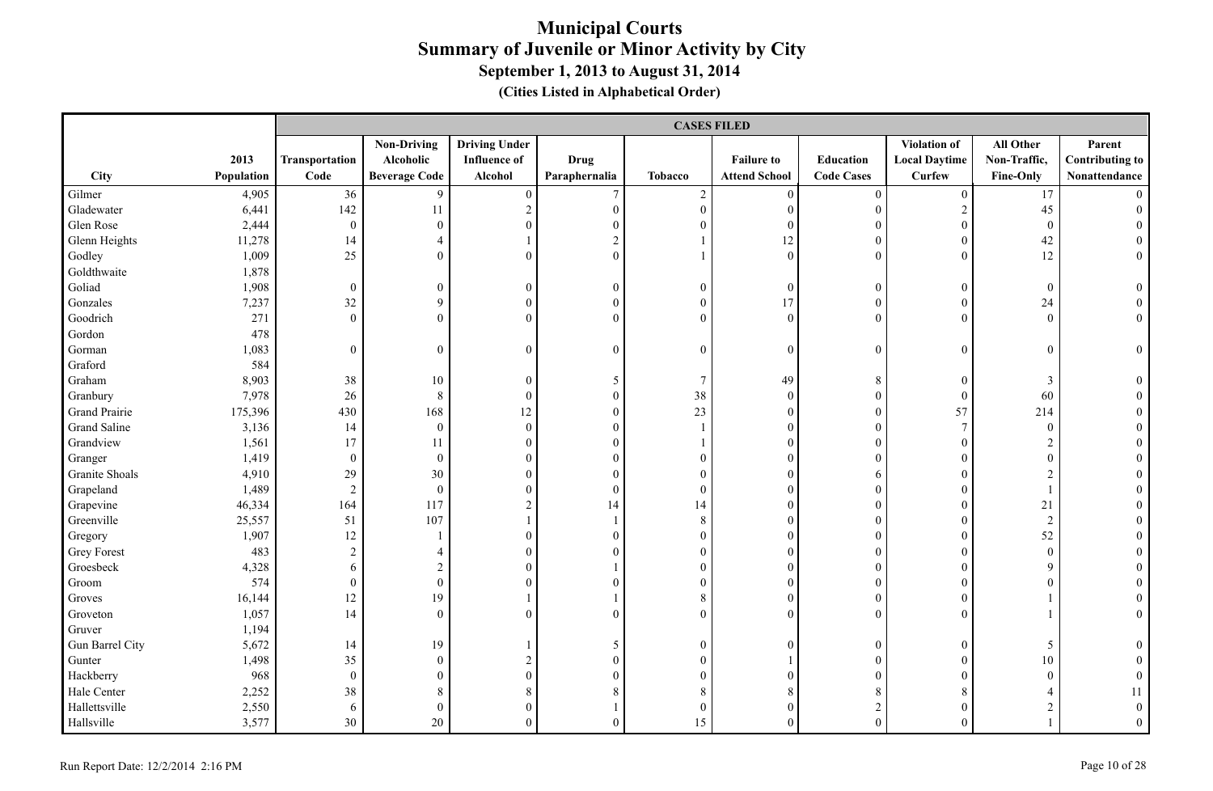|                    |            |                  | <b>CASES FILED</b>   |                      |                  |                  |                      |                   |                      |                  |                        |  |  |
|--------------------|------------|------------------|----------------------|----------------------|------------------|------------------|----------------------|-------------------|----------------------|------------------|------------------------|--|--|
|                    |            |                  | <b>Non-Driving</b>   | <b>Driving Under</b> |                  |                  |                      |                   | <b>Violation of</b>  | All Other        | Parent                 |  |  |
|                    | 2013       | Transportation   | Alcoholic            | <b>Influence of</b>  | <b>Drug</b>      |                  | <b>Failure to</b>    | Education         | <b>Local Daytime</b> | Non-Traffic,     | <b>Contributing to</b> |  |  |
| City               | Population | Code             | <b>Beverage Code</b> | Alcohol              | Paraphernalia    | <b>Tobacco</b>   | <b>Attend School</b> | <b>Code Cases</b> | <b>Curfew</b>        | Fine-Only        | Nonattendance          |  |  |
| Gilmer             | 4,905      | 36               | 9                    | $\boldsymbol{0}$     | $\boldsymbol{7}$ | $\sqrt{2}$       | $\bf{0}$             | $\boldsymbol{0}$  | $\mathbf{0}$         | 17               | $\Omega$               |  |  |
| Gladewater         | 6,441      | 142              | 11                   | $\sqrt{2}$           | $\boldsymbol{0}$ | $\boldsymbol{0}$ | $\boldsymbol{0}$     | $\boldsymbol{0}$  | $\sqrt{2}$           | 45               | $\overline{0}$         |  |  |
| Glen Rose          | 2,444      | $\boldsymbol{0}$ | $\overline{0}$       | $\theta$             | $\boldsymbol{0}$ | $\boldsymbol{0}$ | $\boldsymbol{0}$     | $\boldsymbol{0}$  | $\boldsymbol{0}$     | $\boldsymbol{0}$ |                        |  |  |
| Glenn Heights      | 11,278     | 14               | $\overline{4}$       | $\mathbf{1}$         | $\sqrt{2}$       | $\mathbf{1}$     | 12                   | $\boldsymbol{0}$  | $\boldsymbol{0}$     | 42               | $\overline{0}$         |  |  |
| Godley             | 1,009      | 25               | $\Omega$             | $\theta$             | $\theta$         |                  | $\theta$             | $\boldsymbol{0}$  | $\overline{0}$       | 12               | $\overline{0}$         |  |  |
| Goldthwaite        | 1,878      |                  |                      |                      |                  |                  |                      |                   |                      |                  |                        |  |  |
| Goliad             | 1,908      | $\boldsymbol{0}$ | $\overline{0}$       | $\mathbf{0}$         | $\boldsymbol{0}$ | $\boldsymbol{0}$ | $\mathbf{0}$         | $\boldsymbol{0}$  | $\overline{0}$       | $\boldsymbol{0}$ | $\overline{0}$         |  |  |
| Gonzales           | 7,237      | 32               | 9                    | $\mathbf{0}$         | $\boldsymbol{0}$ | $\boldsymbol{0}$ | 17                   | $\boldsymbol{0}$  | $\overline{0}$       | 24               | $\overline{0}$         |  |  |
| Goodrich           | 271        | $\overline{0}$   | $\Omega$             | $\theta$             | $\theta$         | $\overline{0}$   | $\mathbf{0}$         | $\mathbf{0}$      | $\overline{0}$       | $\theta$         | $\overline{0}$         |  |  |
| Gordon             | 478        |                  |                      |                      |                  |                  |                      |                   |                      |                  |                        |  |  |
| Gorman             | 1,083      | $\boldsymbol{0}$ | $\overline{0}$       | $\mathbf{0}$         | $\boldsymbol{0}$ | $\mathbf{0}$     | $\mathbf{0}$         | $\boldsymbol{0}$  | $\overline{0}$       | $\boldsymbol{0}$ | $\boldsymbol{0}$       |  |  |
| Graford            | 584        |                  |                      |                      |                  |                  |                      |                   |                      |                  |                        |  |  |
| Graham             | 8,903      | 38               | 10                   | $\boldsymbol{0}$     | $\sqrt{5}$       | $\overline{7}$   | 49                   | $\,8\,$           | $\overline{0}$       | 3                | $\overline{0}$         |  |  |
| Granbury           | 7,978      | 26               | $\,8\,$              | $\mathbf{0}$         | $\mathbf{0}$     | 38               | $\mathbf{0}$         | $\mathbf{0}$      | $\overline{0}$       | 60               |                        |  |  |
| Grand Prairie      | 175,396    | 430              | 168                  | 12                   | $\boldsymbol{0}$ | 23               | $\boldsymbol{0}$     | $\boldsymbol{0}$  | 57                   | 214              |                        |  |  |
| Grand Saline       | 3,136      | 14               | $\overline{0}$       | $\boldsymbol{0}$     | $\boldsymbol{0}$ | $\mathbf{1}$     | $\mathbf{0}$         | $\boldsymbol{0}$  | $\tau$               | $\boldsymbol{0}$ |                        |  |  |
| Grandview          | 1,561      | 17               | 11                   | $\boldsymbol{0}$     | $\boldsymbol{0}$ | $\mathbf{1}$     | $\boldsymbol{0}$     | $\boldsymbol{0}$  | $\boldsymbol{0}$     | $\overline{2}$   |                        |  |  |
| Granger            | 1,419      | $\boldsymbol{0}$ | $\mathbf{0}$         | $\boldsymbol{0}$     | $\theta$         | $\mathbf{0}$     | $\mathbf{0}$         | $\mathbf{0}$      | $\overline{0}$       | $\boldsymbol{0}$ | $\theta$               |  |  |
| Granite Shoals     | 4,910      | 29               | 30                   | $\overline{0}$       | $\overline{0}$   | $\boldsymbol{0}$ | $\boldsymbol{0}$     | 6                 | $\overline{0}$       | $\overline{2}$   |                        |  |  |
| Grapeland          | 1,489      | $\overline{2}$   | $\mathbf{0}$         | $\overline{0}$       | $\boldsymbol{0}$ | $\boldsymbol{0}$ | $\boldsymbol{0}$     | $\theta$          | $\boldsymbol{0}$     |                  |                        |  |  |
| Grapevine          | 46,334     | 164              | 117                  | $\overline{c}$       | 14               | 14               | $\theta$             | $\boldsymbol{0}$  | $\overline{0}$       | 21               |                        |  |  |
| Greenville         | 25,557     | 51               | 107                  | $\mathbf{1}$         |                  | $\,8\,$          | $\theta$             | $\theta$          | $\overline{0}$       | $\overline{2}$   |                        |  |  |
| Gregory            | 1,907      | 12               |                      | $\Omega$             | $\Omega$         | $\overline{0}$   | $\Omega$             | $\boldsymbol{0}$  | $\Omega$             | 52               |                        |  |  |
| <b>Grey Forest</b> | 483        | $\sqrt{2}$       | 4                    | $\boldsymbol{0}$     | $\theta$         | $\boldsymbol{0}$ | $\overline{0}$       | $\boldsymbol{0}$  | $\overline{0}$       | $\boldsymbol{0}$ |                        |  |  |
| Groesbeck          | 4,328      | $\sqrt{6}$       | $\overline{c}$       | $\overline{0}$       |                  | $\boldsymbol{0}$ | $\boldsymbol{0}$     | $\boldsymbol{0}$  | $\overline{0}$       | 9                |                        |  |  |
| Groom              | 574        | $\boldsymbol{0}$ | $\boldsymbol{0}$     | $\theta$             | $\theta$         | $\boldsymbol{0}$ | $\boldsymbol{0}$     | $\boldsymbol{0}$  | $\boldsymbol{0}$     | $\boldsymbol{0}$ | $\theta$               |  |  |
| Groves             | 16,144     | 12               | 19                   | 1                    |                  | $8\,$            | $\boldsymbol{0}$     | $\boldsymbol{0}$  | $\overline{0}$       |                  |                        |  |  |
| Groveton           | 1,057      | 14               | $\overline{0}$       | $\overline{0}$       | $\theta$         | $\boldsymbol{0}$ | $\boldsymbol{0}$     | $\boldsymbol{0}$  | $\overline{0}$       | $\mathbf{1}$     | $\overline{0}$         |  |  |
| Gruver             | 1,194      |                  |                      |                      |                  |                  |                      |                   |                      |                  |                        |  |  |
| Gun Barrel City    | 5,672      | 14               | 19                   |                      | 5                | $\boldsymbol{0}$ | $\boldsymbol{0}$     | $\boldsymbol{0}$  | $\boldsymbol{0}$     | 5                | $\theta$               |  |  |
| Gunter             | 1,498      | 35               | $\theta$             | $\sqrt{2}$           | $\boldsymbol{0}$ | $\boldsymbol{0}$ |                      | $\boldsymbol{0}$  | $\overline{0}$       | 10               |                        |  |  |
| Hackberry          | 968        | $\mathbf{0}$     | $\overline{0}$       | $\mathbf{0}$         | $\overline{0}$   | $\overline{0}$   | $\overline{0}$       | $\mathbf{0}$      | $\overline{0}$       | $\mathbf{0}$     | $\Omega$               |  |  |
| Hale Center        | 2,252      | 38               | 8                    | 8                    | 8                | 8                | $8\,$                | 8                 | 8                    | $\overline{4}$   | 11                     |  |  |
| Hallettsville      | 2,550      | 6                | $\boldsymbol{0}$     | $\overline{0}$       |                  | $\boldsymbol{0}$ | $\boldsymbol{0}$     | $\overline{c}$    | $\boldsymbol{0}$     | $\boldsymbol{2}$ | $\theta$               |  |  |
| Hallsville         | 3,577      | 30               | 20                   | $\theta$             | $\Omega$         | 15               | $\overline{0}$       | $\theta$          | $\Omega$             |                  | $\Omega$               |  |  |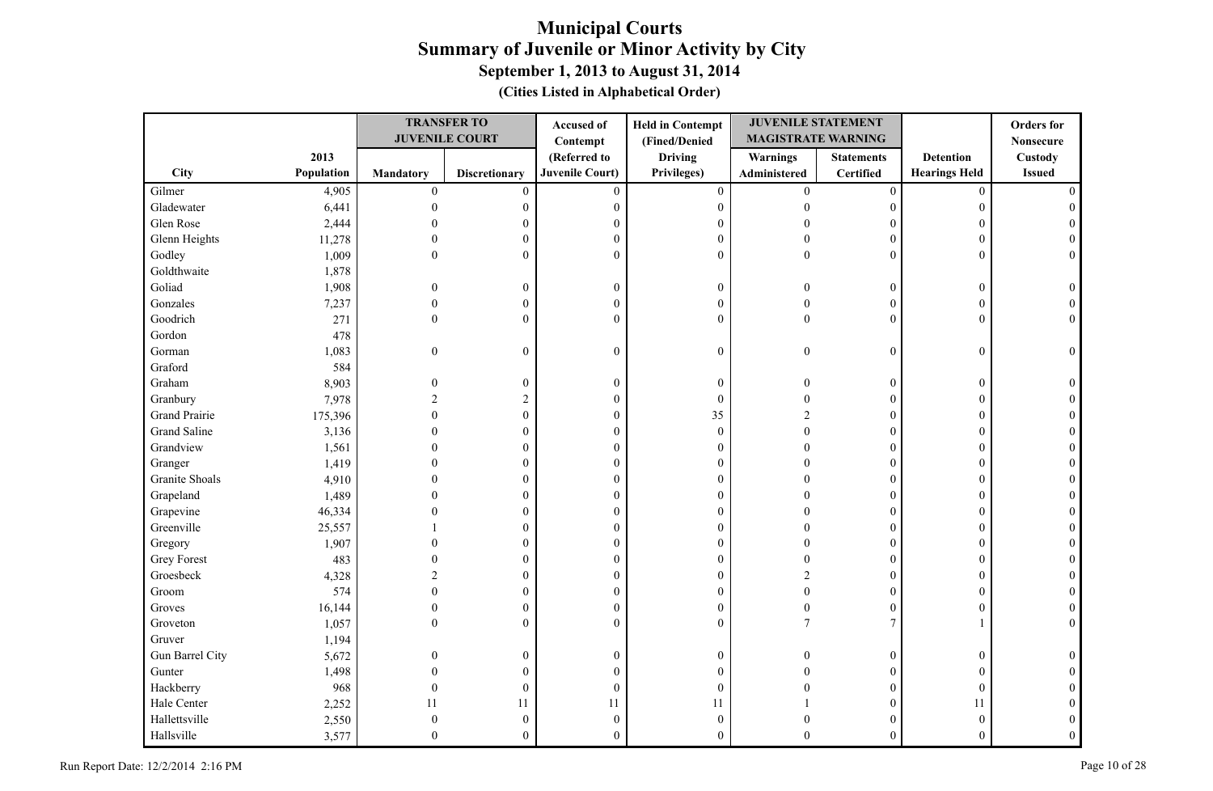|                      |            |                  | <b>TRANSFER TO</b>    | Accused of             | <b>Held in Contempt</b> | <b>JUVENILE STATEMENT</b> |                   |                      | <b>Orders</b> for |
|----------------------|------------|------------------|-----------------------|------------------------|-------------------------|---------------------------|-------------------|----------------------|-------------------|
|                      |            |                  | <b>JUVENILE COURT</b> | Contempt               | (Fined/Denied           | <b>MAGISTRATE WARNING</b> |                   |                      | <b>Nonsecure</b>  |
|                      | 2013       |                  |                       | (Referred to           | <b>Driving</b>          | <b>Warnings</b>           | <b>Statements</b> | <b>Detention</b>     | Custody           |
| City                 | Population | <b>Mandatory</b> | <b>Discretionary</b>  | <b>Juvenile Court)</b> | Privileges)             | Administered              | <b>Certified</b>  | <b>Hearings Held</b> | <b>Issued</b>     |
| Gilmer               | 4,905      | $\boldsymbol{0}$ | $\mathbf{0}$          | $\mathbf{0}$           | $\mathbf{0}$            | $\mathbf{0}$              | $\boldsymbol{0}$  | $\mathbf{0}$         |                   |
| Gladewater           | 6,441      | $\Omega$         | 0                     | $\mathbf{0}$           | $\boldsymbol{0}$        | $\Omega$                  | $\boldsymbol{0}$  | $\boldsymbol{0}$     |                   |
| Glen Rose            | 2,444      |                  | $\theta$              | $\theta$               | $\boldsymbol{0}$        |                           | 0                 | $\mathbf{0}$         |                   |
| Glenn Heights        | 11,278     |                  | $\theta$              | $\boldsymbol{0}$       | $\boldsymbol{0}$        |                           | $\mathbf{0}$      | $\mathbf{0}$         |                   |
| Godley               | 1,009      | $\theta$         | $\boldsymbol{0}$      | $\mathbf{0}$           | $\mathbf{0}$            | $\Omega$                  | $\overline{0}$    | $\mathbf{0}$         | $\Omega$          |
| Goldthwaite          | 1,878      |                  |                       |                        |                         |                           |                   |                      |                   |
| Goliad               | 1,908      | $\Omega$         | $\boldsymbol{0}$      | $\mathbf{0}$           | $\boldsymbol{0}$        |                           | $\boldsymbol{0}$  | $\boldsymbol{0}$     |                   |
| Gonzales             | 7,237      | $\overline{0}$   | $\boldsymbol{0}$      | $\mathbf{0}$           | $\boldsymbol{0}$        |                           | $\mathbf{0}$      | $\mathbf{0}$         |                   |
| Goodrich             | 271        | $\theta$         | $\mathbf{0}$          | $\overline{0}$         | $\mathbf{0}$            | $\Omega$                  | $\theta$          | $\mathbf{0}$         |                   |
| Gordon               | 478        |                  |                       |                        |                         |                           |                   |                      |                   |
| Gorman               | 1,083      | $\boldsymbol{0}$ | $\boldsymbol{0}$      | $\mathbf{0}$           | $\boldsymbol{0}$        | $\theta$                  | $\boldsymbol{0}$  | $\boldsymbol{0}$     | $\theta$          |
| Graford              | 584        |                  |                       |                        |                         |                           |                   |                      |                   |
| Graham               | 8,903      | $\theta$         | $\boldsymbol{0}$      | $\mathbf{0}$           | $\boldsymbol{0}$        |                           | $\boldsymbol{0}$  | $\boldsymbol{0}$     |                   |
| Granbury             | 7,978      | $\overline{c}$   | $\overline{c}$        | $\boldsymbol{0}$       | $\boldsymbol{0}$        |                           | $\boldsymbol{0}$  | $\boldsymbol{0}$     |                   |
| <b>Grand Prairie</b> | 175,396    |                  | $\mathbf{0}$          | $\boldsymbol{0}$       | 35                      |                           | $\mathbf{0}$      | $\theta$             |                   |
| Grand Saline         | 3,136      |                  | $\theta$              | $\theta$               | $\boldsymbol{0}$        |                           | $\mathbf{0}$      | $\theta$             |                   |
| Grandview            | 1,561      |                  | $\theta$              | $\mathbf{0}$           | $\boldsymbol{0}$        |                           | $\Omega$          | $\theta$             |                   |
| Granger              | 1,419      |                  | $\theta$              | $\mathbf{0}$           | $\boldsymbol{0}$        |                           | $\theta$          | $\theta$             |                   |
| Granite Shoals       | 4,910      |                  | $\mathbf{0}$          | $\mathbf{0}$           | $\boldsymbol{0}$        |                           | $\mathbf{0}$      | $\mathbf{0}$         |                   |
| Grapeland            | 1,489      |                  | $\theta$              | $\theta$               | $\boldsymbol{0}$        |                           | $\theta$          | $\mathbf{0}$         |                   |
| Grapevine            | 46,334     |                  | $\theta$              | $\mathbf{0}$           | $\boldsymbol{0}$        |                           | $\theta$          | $\theta$             |                   |
| Greenville           | 25,557     |                  | $\mathbf{0}$          | $\theta$               | $\mathbf{0}$            |                           | $\mathbf{0}$      | $\mathbf{0}$         |                   |
| Gregory              | 1,907      |                  | $\theta$              | $\mathbf{0}$           | $\boldsymbol{0}$        |                           | $\theta$          | $\theta$             |                   |
| Grey Forest          | 483        |                  | $\theta$              | $\boldsymbol{0}$       | $\boldsymbol{0}$        |                           | $\theta$          | $\theta$             |                   |
| Groesbeck            | 4,328      |                  | $\boldsymbol{0}$      | $\boldsymbol{0}$       | $\boldsymbol{0}$        |                           | $\boldsymbol{0}$  | $\overline{0}$       |                   |
| Groom                | 574        |                  | $\mathbf{0}$          | $\mathbf{0}$           | $\boldsymbol{0}$        |                           | $\overline{0}$    | $\theta$             |                   |
| Groves               | 16,144     | $\Omega$         | $\theta$              | $\mathbf{0}$           | $\boldsymbol{0}$        |                           | $\overline{0}$    | $\theta$             |                   |
| Groveton             | 1,057      | $\theta$         | $\boldsymbol{0}$      | $\theta$               | $\boldsymbol{0}$        | 7                         | $\overline{7}$    |                      |                   |
| Gruver               | 1,194      |                  |                       |                        |                         |                           |                   |                      |                   |
| Gun Barrel City      | 5,672      | $\overline{0}$   | $\boldsymbol{0}$      | $\boldsymbol{0}$       | $\boldsymbol{0}$        |                           | $\boldsymbol{0}$  | $\boldsymbol{0}$     |                   |
| Gunter               | 1,498      | 0                | $\boldsymbol{0}$      | $\theta$               | $\mathbf{0}$            |                           | $\mathbf{0}$      | $\mathbf{0}$         |                   |
| Hackberry            | 968        | $\Omega$         | $\boldsymbol{0}$      | $\theta$               | $\boldsymbol{0}$        |                           | $\overline{0}$    | $\mathbf{0}$         |                   |
| Hale Center          | 2,252      | 11               | 11                    | 11                     | 11                      |                           | $\mathbf{0}$      | 11                   |                   |
| Hallettsville        | 2,550      | $\Omega$         | $\boldsymbol{0}$      | $\theta$               | $\boldsymbol{0}$        |                           | $\theta$          | $\theta$             |                   |
| Hallsville           | 3,577      | $\Omega$         | $\theta$              | $\theta$               | $\theta$                |                           | $\theta$          | $\theta$             | $\Omega$          |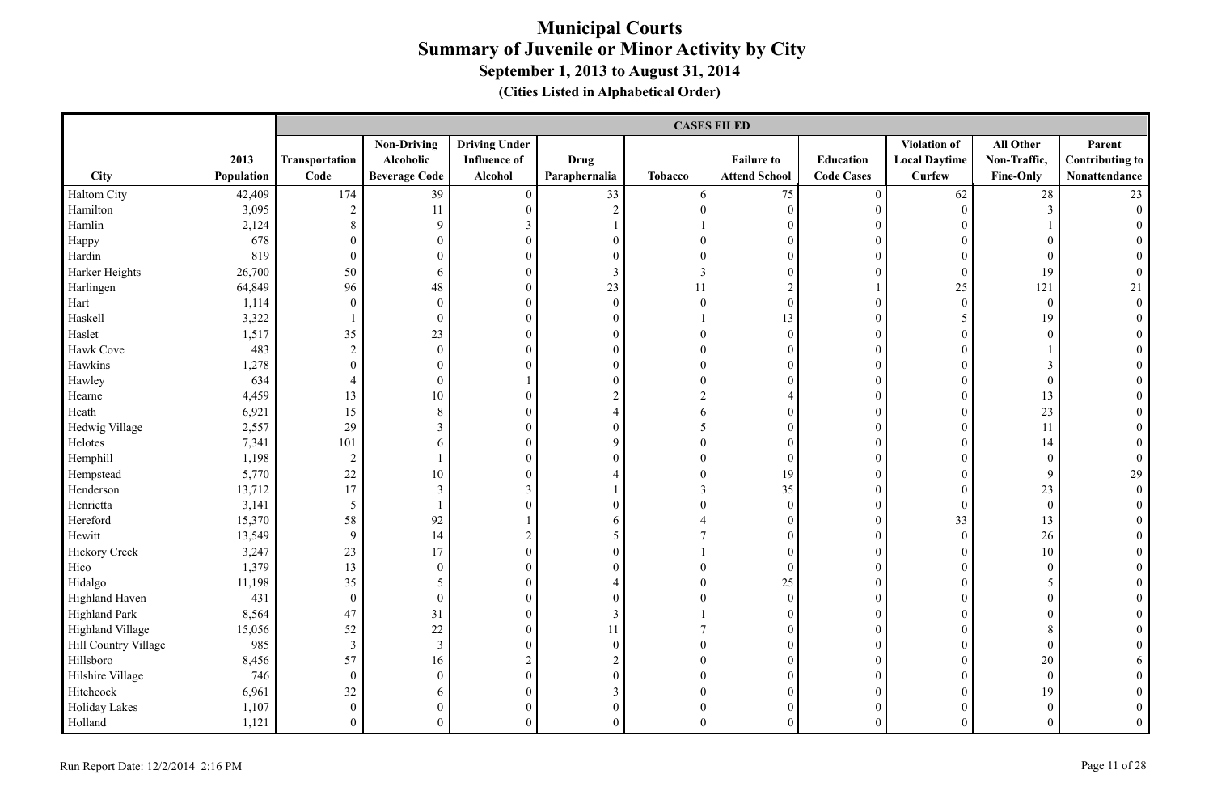|                      |            |                  | <b>CASES FILED</b>   |                      |                  |                          |                      |                   |                      |                  |                        |  |  |
|----------------------|------------|------------------|----------------------|----------------------|------------------|--------------------------|----------------------|-------------------|----------------------|------------------|------------------------|--|--|
|                      |            |                  | <b>Non-Driving</b>   | <b>Driving Under</b> |                  |                          |                      |                   | Violation of         | All Other        | Parent                 |  |  |
|                      | 2013       | Transportation   | Alcoholic            | <b>Influence</b> of  | <b>Drug</b>      |                          | <b>Failure to</b>    | Education         | <b>Local Daytime</b> | Non-Traffic,     | <b>Contributing to</b> |  |  |
| City                 | Population | Code             | <b>Beverage Code</b> | Alcohol              | Paraphernalia    | <b>Tobacco</b>           | <b>Attend School</b> | <b>Code Cases</b> | <b>Curfew</b>        | <b>Fine-Only</b> | Nonattendance          |  |  |
| Haltom City          | 42,409     | 174              | 39                   | $\boldsymbol{0}$     | 33               | 6                        | 75                   | $\boldsymbol{0}$  | 62                   | 28               | 23                     |  |  |
| Hamilton             | 3,095      | $\overline{c}$   | 11                   | $\overline{0}$       | $\sqrt{2}$       | $\overline{0}$           | $\mathbf{0}$         | $\boldsymbol{0}$  | $\boldsymbol{0}$     | $\mathfrak{Z}$   | $\overline{0}$         |  |  |
| Hamlin               | 2,124      | 8                | 9                    | 3                    | $\mathbf{1}$     |                          | $\boldsymbol{0}$     | $\overline{0}$    | $\boldsymbol{0}$     |                  |                        |  |  |
| Happy                | 678        | $\theta$         | $\boldsymbol{0}$     | $\mathbf{0}$         | $\mathbf{0}$     | $\boldsymbol{0}$         | $\boldsymbol{0}$     | $\overline{0}$    | $\mathbf{0}$         | $\boldsymbol{0}$ |                        |  |  |
| Hardin               | 819        | $\theta$         | $\boldsymbol{0}$     | $\theta$             | $\mathbf{0}$     | $\overline{0}$           | $\mathbf{0}$         | $\overline{0}$    | $\theta$             | $\mathbf{0}$     |                        |  |  |
| Harker Heights       | 26,700     | 50               | 6                    | $\mathbf{0}$         | $\overline{3}$   | 3                        | $\mathbf{0}$         | $\theta$          | $\theta$             | 19               |                        |  |  |
| Harlingen            | 64,849     | 96               | 48                   | $\mathbf{0}$         | 23               | 11                       | $\overline{c}$       |                   | 25                   | 121              | 21                     |  |  |
| Hart                 | 1,114      | $\theta$         | $\mathbf{0}$         | $\mathbf{0}$         | $\mathbf{0}$     | $\overline{0}$           | $\mathbf{0}$         | $\overline{0}$    | $\mathbf{0}$         | $\mathbf{0}$     | $\overline{0}$         |  |  |
| Haskell              | 3,322      |                  | $\boldsymbol{0}$     | $\boldsymbol{0}$     | $\boldsymbol{0}$ |                          | 13                   | $\boldsymbol{0}$  | 5                    | 19               |                        |  |  |
| Haslet               | 1,517      | 35               | 23                   | $\boldsymbol{0}$     | $\boldsymbol{0}$ | $\mathbf{0}$             | $\boldsymbol{0}$     | $\overline{0}$    | $\boldsymbol{0}$     | $\boldsymbol{0}$ | $\theta$               |  |  |
| Hawk Cove            | 483        | $\sqrt{2}$       | $\boldsymbol{0}$     | $\boldsymbol{0}$     | $\boldsymbol{0}$ | $\mathbf{0}$             | $\mathbf{0}$         | $\overline{0}$    | $\mathbf{0}$         |                  |                        |  |  |
| Hawkins              | 1,278      | $\boldsymbol{0}$ | $\boldsymbol{0}$     | $\mathbf{0}$         | $\boldsymbol{0}$ | $\boldsymbol{0}$         | $\mathbf{0}$         | $\overline{0}$    | $\theta$             | $\mathfrak{Z}$   |                        |  |  |
| Hawley               | 634        | $\overline{4}$   | $\mathbf{0}$         |                      | $\mathbf{0}$     | $\mathbf{0}$             | $\mathbf{0}$         | $\overline{0}$    | $\overline{0}$       | $\mathbf{0}$     |                        |  |  |
| Hearne               | 4,459      | 13               | 10                   | $\boldsymbol{0}$     | $\sqrt{2}$       | $\boldsymbol{2}$         | $\overline{4}$       | $\theta$          | $\overline{0}$       | 13               |                        |  |  |
| Heath                | 6,921      | 15               | $8\,$                | $\mathbf{0}$         | $\overline{4}$   | 6                        | $\mathbf{0}$         | $\boldsymbol{0}$  | $\theta$             | 23               |                        |  |  |
| Hedwig Village       | 2,557      | 29               | $\overline{3}$       | $\overline{0}$       | $\boldsymbol{0}$ | 5                        | $\mathbf{0}$         | $\boldsymbol{0}$  | $\overline{0}$       | 11               |                        |  |  |
| Helotes              | 7,341      | 101              | 6                    | $\boldsymbol{0}$     | $\mathbf{9}$     | $\boldsymbol{0}$         | $\mathbf{0}$         | $\boldsymbol{0}$  | $\overline{0}$       | 14               |                        |  |  |
| Hemphill             | 1,198      | 2                |                      | $\overline{0}$       | $\mathbf{0}$     | $\boldsymbol{0}$         | $\mathbf{0}$         | $\overline{0}$    | $\overline{0}$       | $\boldsymbol{0}$ | $\overline{0}$         |  |  |
| Hempstead            | 5,770      | 22               | 10                   | $\mathbf{0}$         | 4                | $\boldsymbol{0}$         | 19                   | $\theta$          | $\theta$             | 9                | 29                     |  |  |
| Henderson            | 13,712     | 17               | $\mathfrak{Z}$       | $\mathfrak{Z}$       |                  | $\mathfrak{Z}$           | 35                   | $\overline{0}$    | $\mathbf{0}$         | 23               | $\boldsymbol{0}$       |  |  |
| Henrietta            | 3,141      | $\mathfrak{H}$   |                      | $\mathbf{0}$         | $\mathbf{0}$     | $\boldsymbol{0}$         | $\boldsymbol{0}$     | $\overline{0}$    | $\theta$             | $\mathbf{0}$     | $\theta$               |  |  |
| Hereford             | 15,370     | 58               | 92                   |                      | 6                | $\overline{\mathcal{L}}$ | $\mathbf{0}$         | $\overline{0}$    | 33                   | 13               |                        |  |  |
| Hewitt               | 13,549     | 9                | 14                   | $\overline{c}$       | 5                | $\overline{7}$           | $\mathbf{0}$         | $\overline{0}$    | $\mathbf{0}$         | 26               |                        |  |  |
| Hickory Creek        | 3,247      | 23               | 17                   | $\mathbf{0}$         | $\mathbf{0}$     |                          | $\mathbf{0}$         | $\overline{0}$    | $\Omega$             | 10               |                        |  |  |
| Hico                 | 1,379      | 13               | $\mathbf{0}$         | $\mathbf{0}$         | $\mathbf{0}$     | $\boldsymbol{0}$         | $\mathbf{0}$         | $\boldsymbol{0}$  | $\Omega$             | $\mathbf{0}$     |                        |  |  |
| Hidalgo              | 11,198     | 35               | 5                    | $\boldsymbol{0}$     | $\overline{4}$   | $\boldsymbol{0}$         | 25                   | $\overline{0}$    | $\overline{0}$       | 5                |                        |  |  |
| Highland Haven       | 431        | $\boldsymbol{0}$ | $\boldsymbol{0}$     | $\boldsymbol{0}$     | $\boldsymbol{0}$ | $\boldsymbol{0}$         | $\boldsymbol{0}$     | $\overline{0}$    | $\theta$             | $\boldsymbol{0}$ |                        |  |  |
| Highland Park        | 8,564      | 47               | 31                   | $\boldsymbol{0}$     | $\mathfrak{Z}$   |                          | $\boldsymbol{0}$     | $\overline{0}$    | $\theta$             | $\boldsymbol{0}$ |                        |  |  |
| Highland Village     | 15,056     | 52               | 22                   | $\mathbf{0}$         | 11               | $\tau$                   | $\mathbf{0}$         | $\overline{0}$    | $\theta$             | $\,8\,$          |                        |  |  |
| Hill Country Village | 985        | $\overline{3}$   | 3                    | $\mathbf{0}$         | $\mathbf{0}$     | $\overline{0}$           | $\mathbf{0}$         | $\theta$          | $\overline{0}$       | $\mathbf{0}$     |                        |  |  |
| Hillsboro            | 8,456      | 57               | 16                   | $\sqrt{2}$           | $\sqrt{2}$       | $\overline{0}$           | $\theta$             | $\overline{0}$    | $\Omega$             | 20               |                        |  |  |
| Hilshire Village     | 746        | $\overline{0}$   | $\boldsymbol{0}$     | $\boldsymbol{0}$     | $\boldsymbol{0}$ | $\boldsymbol{0}$         | $\mathbf{0}$         | $\boldsymbol{0}$  | $\theta$             | $\boldsymbol{0}$ |                        |  |  |
| Hitchcock            | 6,961      | 32               | 6                    | $\boldsymbol{0}$     | $\mathfrak{Z}$   | $\boldsymbol{0}$         | $\mathbf{0}$         | $\overline{0}$    | $\theta$             | 19               |                        |  |  |
| Holiday Lakes        | 1,107      | $\mathbf{0}$     | $\boldsymbol{0}$     | $\mathbf{0}$         | $\boldsymbol{0}$ | $\overline{0}$           | $\mathbf{0}$         | $\overline{0}$    | $\overline{0}$       | $\boldsymbol{0}$ | $\theta$               |  |  |
| Holland              | 1,121      | $\theta$         | $\overline{0}$       | $\theta$             | $\theta$         | $\Omega$                 | $\theta$             | $\theta$          | $\Omega$             | $\theta$         | $\theta$               |  |  |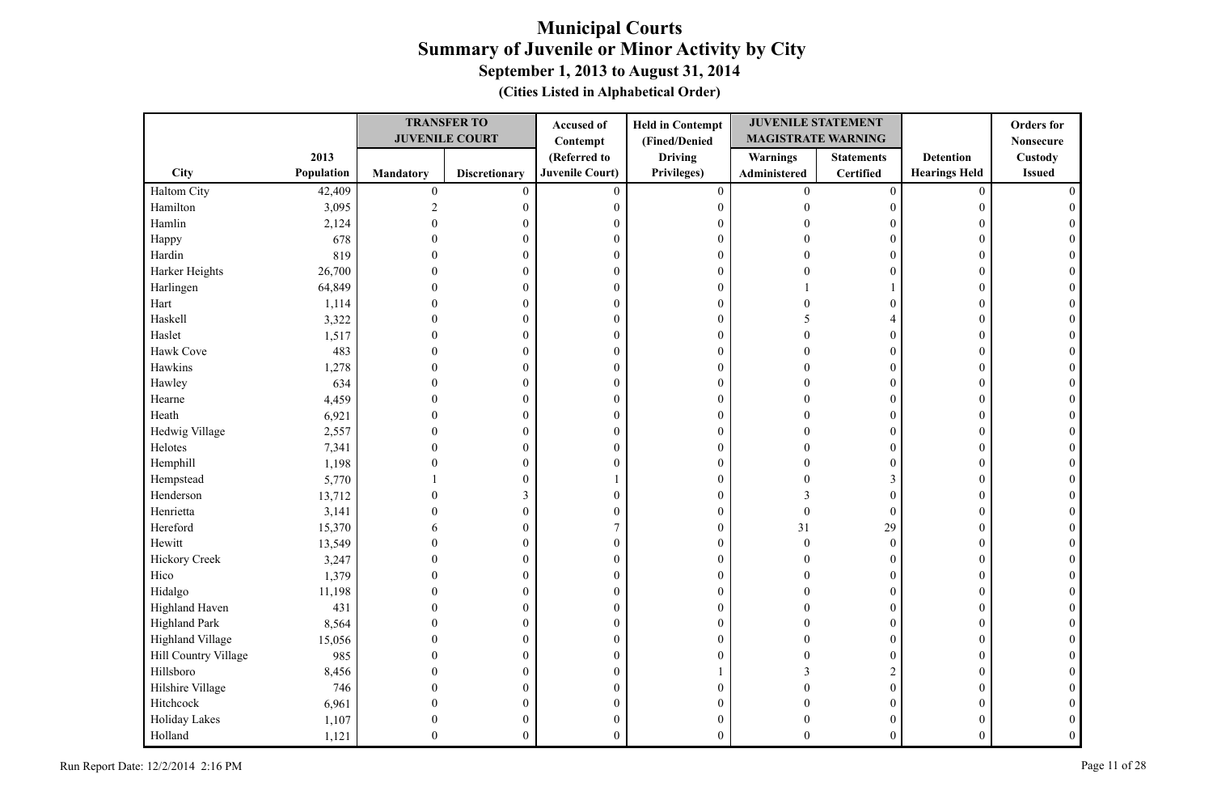|                      |            |                  | <b>TRANSFER TO</b>    | Accused of             | <b>Held in Contempt</b> | <b>JUVENILE STATEMENT</b> |                   |                      | <b>Orders</b> for |
|----------------------|------------|------------------|-----------------------|------------------------|-------------------------|---------------------------|-------------------|----------------------|-------------------|
|                      |            |                  | <b>JUVENILE COURT</b> | Contempt               | (Fined/Denied           | <b>MAGISTRATE WARNING</b> |                   |                      | <b>Nonsecure</b>  |
|                      | 2013       |                  |                       | (Referred to           | <b>Driving</b>          | <b>Warnings</b>           | <b>Statements</b> | <b>Detention</b>     | <b>Custody</b>    |
| City                 | Population | Mandatory        | <b>Discretionary</b>  | <b>Juvenile Court)</b> | Privileges)             | Administered              | <b>Certified</b>  | <b>Hearings Held</b> | <b>Issued</b>     |
| Haltom City          | 42,409     | $\boldsymbol{0}$ | $\mathbf{0}$          | $\mathbf{0}$           | $\boldsymbol{0}$        | $\overline{0}$            | $\boldsymbol{0}$  | $\mathbf{0}$         |                   |
| Hamilton             | 3,095      | $\overline{2}$   | 0                     | $\boldsymbol{0}$       | $\mathbf{0}$            | $\theta$                  | $\mathbf{0}$      | $\theta$             |                   |
| Hamlin               | 2,124      |                  | $\theta$              | $\mathbf{0}$           | $\boldsymbol{0}$        |                           | $\Omega$          | $\Omega$             |                   |
| Happy                | 678        |                  | $\theta$              | $\mathbf{0}$           | $\boldsymbol{0}$        |                           | $\theta$          | $\theta$             |                   |
| Hardin               | 819        |                  | $\theta$              | $\boldsymbol{0}$       | $\boldsymbol{0}$        |                           | $\boldsymbol{0}$  | $\theta$             |                   |
| Harker Heights       | 26,700     |                  | $\theta$              | $\theta$               | $\boldsymbol{0}$        |                           | $\theta$          | $\Omega$             |                   |
| Harlingen            | 64,849     |                  | $\theta$              | $\mathbf{0}$           | $\boldsymbol{0}$        |                           |                   | $\mathbf{0}$         |                   |
| Hart                 | 1,114      |                  | $\theta$              | $\boldsymbol{0}$       | $\boldsymbol{0}$        |                           | $\boldsymbol{0}$  | $\mathbf{0}$         |                   |
| Haskell              | 3,322      |                  | $\mathbf{0}$          | $\mathbf{0}$           | $\boldsymbol{0}$        |                           | $\overline{4}$    | $\Omega$             |                   |
| Haslet               | 1,517      |                  | $\mathbf{0}$          | $\mathbf{0}$           | $\boldsymbol{0}$        |                           | $\mathbf{0}$      | $\Omega$             |                   |
| Hawk Cove            | 483        |                  | $\theta$              | $\boldsymbol{0}$       | $\boldsymbol{0}$        |                           | $\theta$          | $\Omega$             |                   |
| Hawkins              | 1,278      |                  | $\theta$              | $\mathbf{0}$           | $\boldsymbol{0}$        |                           | $\mathbf{0}$      | $\Omega$             |                   |
| Hawley               | 634        |                  | $\theta$              | $\boldsymbol{0}$       | $\boldsymbol{0}$        |                           | $\boldsymbol{0}$  | $\theta$             |                   |
| Hearne               | 4,459      |                  | $\boldsymbol{0}$      | $\boldsymbol{0}$       | $\boldsymbol{0}$        |                           | $\boldsymbol{0}$  | $\Omega$             |                   |
| Heath                | 6,921      |                  | $\mathbf{0}$          | $\boldsymbol{0}$       | $\boldsymbol{0}$        |                           | $\mathbf{0}$      | $\Omega$             |                   |
| Hedwig Village       | 2,557      |                  | $\mathbf{0}$          | $\mathbf{0}$           | $\boldsymbol{0}$        |                           | $\theta$          | $\theta$             |                   |
| Helotes              | 7,341      |                  | $\mathbf{0}$          | $\mathbf{0}$           | $\boldsymbol{0}$        |                           | $\Omega$          | $\Omega$             |                   |
| Hemphill             | 1,198      |                  | $\mathbf{0}$          | $\mathbf{0}$           | $\boldsymbol{0}$        |                           | $\theta$          | $\mathbf{0}$         |                   |
| Hempstead            | 5,770      |                  | $\boldsymbol{0}$      |                        | $\boldsymbol{0}$        |                           | 3                 | $\theta$             |                   |
| Henderson            | 13,712     |                  | 3                     | $\mathbf{0}$           | $\boldsymbol{0}$        | 3                         | $\Omega$          | $\Omega$             |                   |
| Henrietta            | 3,141      |                  | $\mathbf{0}$          | $\mathbf{0}$           | $\boldsymbol{0}$        | $\Omega$                  | $\mathbf{0}$      | $\theta$             |                   |
| Hereford             | 15,370     |                  | $\boldsymbol{0}$      | 7                      | $\boldsymbol{0}$        | 31                        | 29                | $\mathbf{0}$         |                   |
| Hewitt               | 13,549     |                  | $\theta$              | $\mathbf{0}$           | $\boldsymbol{0}$        | $\Omega$                  | $\theta$          | $\theta$             |                   |
| <b>Hickory Creek</b> | 3,247      |                  | $\theta$              | $\boldsymbol{0}$       | $\boldsymbol{0}$        |                           | $\theta$          | $\theta$             |                   |
| Hico                 | 1,379      |                  | $\overline{0}$        | $\boldsymbol{0}$       | $\boldsymbol{0}$        |                           | $\theta$          | $\theta$             |                   |
| Hidalgo              | 11,198     |                  | $\Omega$              | $\mathbf{0}$           | $\boldsymbol{0}$        |                           | $\theta$          | $\Omega$             |                   |
| Highland Haven       | 431        |                  | $\theta$              | $\mathbf{0}$           | $\boldsymbol{0}$        |                           | $\mathbf{0}$      | $\theta$             |                   |
| Highland Park        | 8,564      |                  | $\overline{0}$        | $\boldsymbol{0}$       | $\boldsymbol{0}$        |                           | $\mathbf{0}$      | $\theta$             |                   |
| Highland Village     | 15,056     |                  | $\theta$              | $\mathbf{0}$           | $\boldsymbol{0}$        |                           | $\mathbf{0}$      | $\Omega$             |                   |
| Hill Country Village | 985        |                  | $\mathbf{0}$          | $\mathbf{0}$           | $\boldsymbol{0}$        |                           | $\theta$          | $\theta$             |                   |
| Hillsboro            | 8,456      |                  | $\mathbf{0}$          | $\boldsymbol{0}$       |                         | 3                         | $\overline{c}$    | $\Omega$             |                   |
| Hilshire Village     | 746        |                  | $\theta$              | $\mathbf{0}$           | $\boldsymbol{0}$        |                           | $\mathbf{0}$      | $\Omega$             |                   |
| Hitchcock            | 6,961      |                  | $\theta$              | $\boldsymbol{0}$       | $\boldsymbol{0}$        |                           | $\mathbf{0}$      | $\Omega$             |                   |
| Holiday Lakes        | 1,107      |                  | 0                     | $\boldsymbol{0}$       | $\mathbf{0}$            |                           | $\theta$          | 0                    |                   |
| Holland              | 1,121      | $\Omega$         | $\theta$              | $\theta$               | $\theta$                | 0                         | $\theta$          | $\theta$             |                   |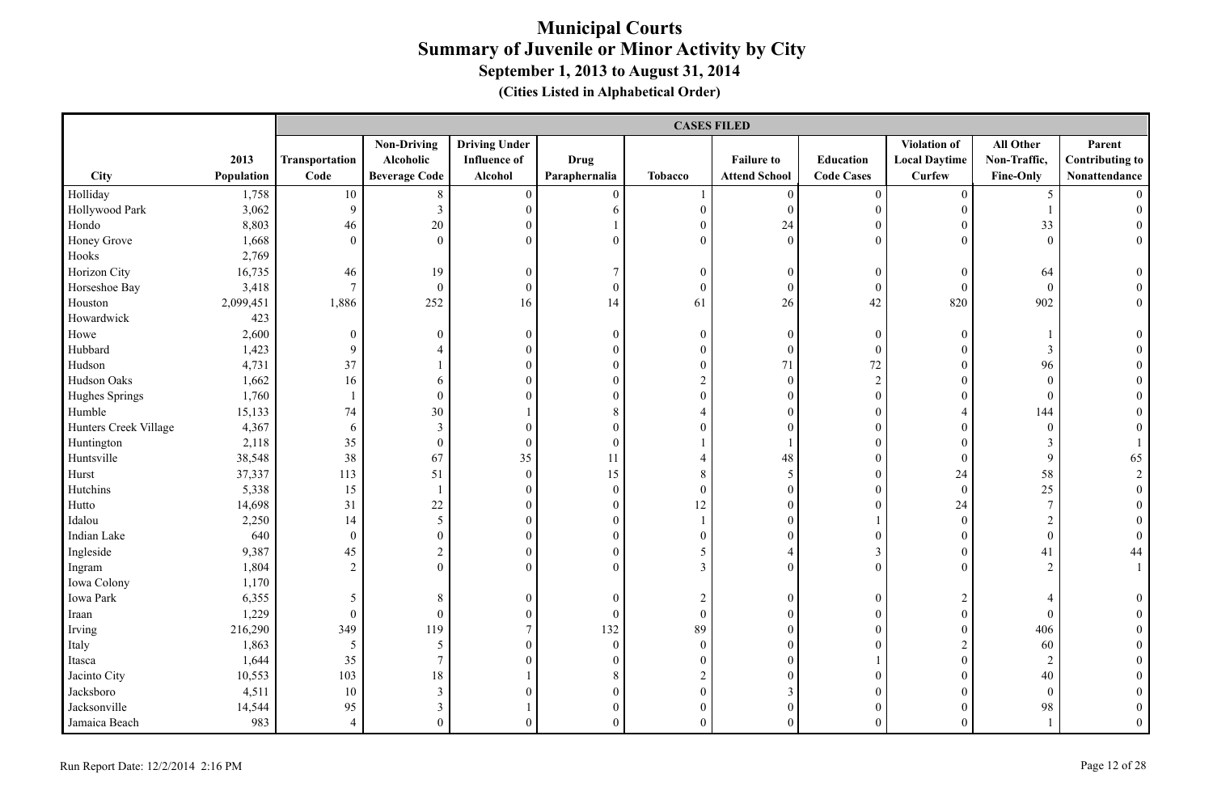|                       |            |                | <b>CASES FILED</b>   |                      |                  |                  |                      |                   |                      |                  |                        |  |  |
|-----------------------|------------|----------------|----------------------|----------------------|------------------|------------------|----------------------|-------------------|----------------------|------------------|------------------------|--|--|
|                       |            |                | <b>Non-Driving</b>   | <b>Driving Under</b> |                  |                  |                      |                   | Violation of         | All Other        | Parent                 |  |  |
|                       | 2013       | Transportation | Alcoholic            | <b>Influence</b> of  | <b>Drug</b>      |                  | <b>Failure to</b>    | Education         | <b>Local Daytime</b> | Non-Traffic,     | <b>Contributing to</b> |  |  |
| City                  | Population | Code           | <b>Beverage Code</b> | Alcohol              | Paraphernalia    | <b>Tobacco</b>   | <b>Attend School</b> | <b>Code Cases</b> | <b>Curfew</b>        | <b>Fine-Only</b> | Nonattendance          |  |  |
| Holliday              | 1,758      | 10             | 8                    | $\boldsymbol{0}$     | $\overline{0}$   |                  | $\boldsymbol{0}$     | $\boldsymbol{0}$  | $\overline{0}$       | 5                |                        |  |  |
| Hollywood Park        | 3,062      | 9              | $\mathfrak{Z}$       | $\overline{0}$       | 6                | $\mathbf{0}$     | $\overline{0}$       | $\boldsymbol{0}$  | $\boldsymbol{0}$     |                  |                        |  |  |
| Hondo                 | 8,803      | 46             | 20                   | $\boldsymbol{0}$     |                  | $\mathbf{0}$     | 24                   | $\boldsymbol{0}$  | $\boldsymbol{0}$     | 33               |                        |  |  |
| Honey Grove           | 1,668      | $\theta$       | $\mathbf{0}$         | $\mathbf{0}$         | $\theta$         | $\overline{0}$   | $\mathbf{0}$         | $\theta$          | $\overline{0}$       | $\mathbf{0}$     | $\overline{0}$         |  |  |
| Hooks                 | 2,769      |                |                      |                      |                  |                  |                      |                   |                      |                  |                        |  |  |
| Horizon City          | 16,735     | 46             | 19                   | $\mathbf{0}$         | 7                | $\mathbf{0}$     | $\mathbf{0}$         | $\boldsymbol{0}$  | $\mathbf{0}$         | 64               | $\overline{0}$         |  |  |
| Horseshoe Bay         | 3,418      | $\overline{7}$ | $\mathbf{0}$         | $\mathbf{0}$         | $\boldsymbol{0}$ | $\overline{0}$   | $\mathbf{0}$         | $\boldsymbol{0}$  | $\theta$             | $\theta$         |                        |  |  |
| Houston               | 2,099,451  | 1,886          | 252                  | 16                   | 14               | 61               | 26                   | 42                | 820                  | 902              | $\theta$               |  |  |
| Howardwick            | 423        |                |                      |                      |                  |                  |                      |                   |                      |                  |                        |  |  |
| Howe                  | 2,600      | $\theta$       | $\mathbf{0}$         | $\boldsymbol{0}$     | $\mathbf{0}$     | $\mathbf{0}$     | $\boldsymbol{0}$     | $\boldsymbol{0}$  | $\theta$             |                  | $\theta$               |  |  |
| Hubbard               | 1,423      | 9              | $\overline{4}$       | $\boldsymbol{0}$     | $\mathbf{0}$     | $\mathbf{0}$     | $\mathbf{0}$         | $\boldsymbol{0}$  | $\theta$             | 3                |                        |  |  |
| Hudson                | 4,731      | 37             |                      | $\mathbf{0}$         | $\boldsymbol{0}$ | $\boldsymbol{0}$ | 71                   | 72                | $\overline{0}$       | 96               |                        |  |  |
| Hudson Oaks           | 1,662      | 16             | 6                    | $\mathbf{0}$         | $\mathbf{0}$     | $\overline{c}$   | $\mathbf{0}$         | $\overline{2}$    | $\overline{0}$       | $\mathbf{0}$     |                        |  |  |
| Hughes Springs        | 1,760      |                | $\theta$             | $\theta$             | $\boldsymbol{0}$ | $\boldsymbol{0}$ | $\boldsymbol{0}$     | $\theta$          | $\overline{0}$       | $\mathbf{0}$     |                        |  |  |
| Humble                | 15,133     | 74             | 30                   |                      | $\,8\,$          | $\overline{4}$   | $\theta$             | $\overline{0}$    | 4                    | 144              |                        |  |  |
| Hunters Creek Village | 4,367      | 6              | $\mathfrak{Z}$       | $\mathbf{0}$         | $\mathbf{0}$     | $\theta$         | $\mathbf{0}$         | $\overline{0}$    | $\theta$             | $\boldsymbol{0}$ |                        |  |  |
| Huntington            | 2,118      | 35             | $\boldsymbol{0}$     | $\mathbf{0}$         | $\mathbf{0}$     |                  |                      | $\boldsymbol{0}$  | $\overline{0}$       | $\mathfrak{Z}$   |                        |  |  |
| Huntsville            | 38,548     | 38             | 67                   | 35                   | 11               | 4                | 48                   | $\overline{0}$    | $\boldsymbol{0}$     | 9                | 65                     |  |  |
| Hurst                 | 37,337     | 113            | 51                   | $\mathbf{0}$         | 15               | 8                | 5                    | $\mathbf{0}$      | 24                   | 58               | $\overline{2}$         |  |  |
| Hutchins              | 5,338      | 15             | $\mathbf{1}$         | $\boldsymbol{0}$     | $\boldsymbol{0}$ | $\boldsymbol{0}$ | $\boldsymbol{0}$     | $\overline{0}$    | $\boldsymbol{0}$     | 25               |                        |  |  |
| Hutto                 | 14,698     | 31             | $22\,$               | $\mathbf{0}$         | $\mathbf{0}$     | 12               | $\mathbf{0}$         | $\overline{0}$    | 24                   | $\tau$           |                        |  |  |
| Idalou                | 2,250      | 14             | 5                    | $\mathbf{0}$         | $\boldsymbol{0}$ |                  | $\mathbf{0}$         |                   | $\boldsymbol{0}$     | $\sqrt{2}$       |                        |  |  |
| Indian Lake           | 640        | $\theta$       | $\mathbf{0}$         | $\mathbf{0}$         | $\mathbf{0}$     | $\overline{0}$   | $\mathbf{0}$         | $\theta$          | $\theta$             | $\mathbf{0}$     | $\theta$               |  |  |
| Ingleside             | 9,387      | 45             | $\overline{2}$       | $\mathbf{0}$         | $\mathbf{0}$     | 5                | $\overline{4}$       | $\mathfrak{Z}$    | $\theta$             | 41               | 44                     |  |  |
| Ingram                | 1,804      | 2              | $\overline{0}$       | $\theta$             | $\theta$         | $\overline{3}$   | $\theta$             | $\overline{0}$    | $\Omega$             | $\overline{2}$   |                        |  |  |
| Iowa Colony           | 1,170      |                |                      |                      |                  |                  |                      |                   |                      |                  |                        |  |  |
| Iowa Park             | 6,355      | 5              | 8                    | $\boldsymbol{0}$     | $\mathbf{0}$     | $\overline{c}$   | $\boldsymbol{0}$     | $\boldsymbol{0}$  | $\overline{c}$       | $\overline{4}$   |                        |  |  |
| Iraan                 | 1,229      | $\mathbf{0}$   | $\boldsymbol{0}$     | $\boldsymbol{0}$     | $\mathbf{0}$     | $\boldsymbol{0}$ | $\mathbf{0}$         | $\overline{0}$    | $\mathbf{0}$         | $\mathbf{0}$     |                        |  |  |
| Irving                | 216,290    | 349            | 119                  | $\tau$               | 132              | 89               | $\mathbf{0}$         | $\overline{0}$    | $\theta$             | 406              |                        |  |  |
| Italy                 | 1,863      | 5              | 5                    | $\mathbf{0}$         | $\mathbf{0}$     | $\overline{0}$   | $\mathbf{0}$         | $\theta$          | $\overline{c}$       | 60               |                        |  |  |
| Itasca                | 1,644      | 35             | $\tau$               | $\Omega$             | $\theta$         | $\overline{0}$   | $\theta$             |                   | $\Omega$             | $\overline{2}$   |                        |  |  |
| Jacinto City          | 10,553     | 103            | $18\,$               |                      | 8                | $\boldsymbol{2}$ | $\mathbf{0}$         | $\boldsymbol{0}$  | $\theta$             | 40               |                        |  |  |
| Jacksboro             | 4,511      | 10             | $\mathfrak{Z}$       | $\Omega$             | $\mathbf{0}$     | $\boldsymbol{0}$ | 3                    | $\mathbf{0}$      | $\theta$             | $\mathbf{0}$     |                        |  |  |
| Jacksonville          | 14,544     | 95             | $\overline{3}$       |                      | $\mathbf{0}$     | $\overline{0}$   | $\mathbf{0}$         | $\theta$          | $\overline{0}$       | 98               | $\theta$               |  |  |
| Jamaica Beach         | 983        | $\overline{4}$ | $\Omega$             | $\Omega$             | $\theta$         | $\theta$         | $\theta$             | $\theta$          | $\Omega$             |                  | $\theta$               |  |  |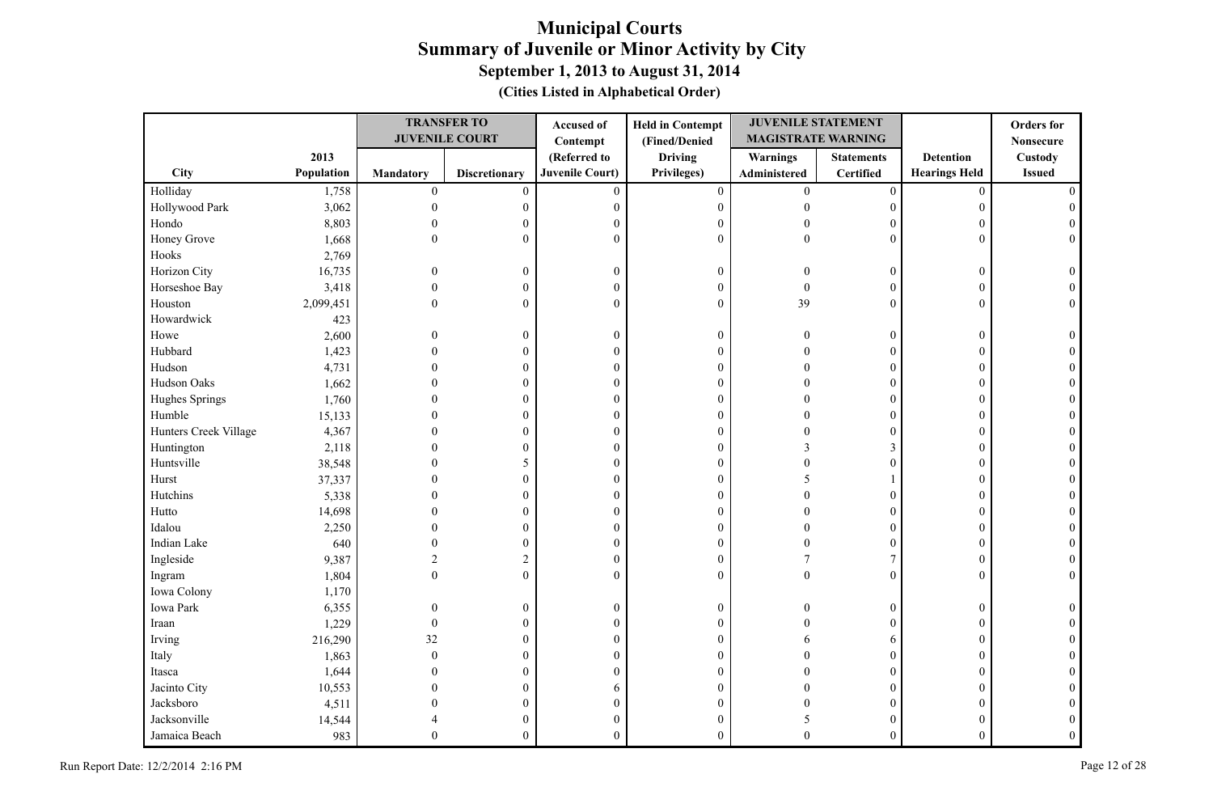|                       |            |                  | <b>TRANSFER TO</b>    | <b>Accused of</b>      | <b>Held in Contempt</b> | <b>JUVENILE STATEMENT</b> |                   |                      | <b>Orders</b> for |
|-----------------------|------------|------------------|-----------------------|------------------------|-------------------------|---------------------------|-------------------|----------------------|-------------------|
|                       |            |                  | <b>JUVENILE COURT</b> | Contempt               | (Fined/Denied           | <b>MAGISTRATE WARNING</b> |                   |                      | <b>Nonsecure</b>  |
|                       | 2013       |                  |                       | (Referred to           | <b>Driving</b>          | <b>Warnings</b>           | <b>Statements</b> | <b>Detention</b>     | Custody           |
| City                  | Population | <b>Mandatory</b> | <b>Discretionary</b>  | <b>Juvenile Court)</b> | Privileges)             | Administered              | <b>Certified</b>  | <b>Hearings Held</b> | <b>Issued</b>     |
| Holliday              | 1,758      | $\mathbf{0}$     | $\mathbf{0}$          | $\mathbf{0}$           | $\boldsymbol{0}$        | $\mathbf{0}$              | $\mathbf{0}$      | $\mathbf{0}$         |                   |
| Hollywood Park        | 3,062      | $\mathbf{0}$     | $\boldsymbol{0}$      | $\boldsymbol{0}$       | $\boldsymbol{0}$        | $\Omega$                  | $\boldsymbol{0}$  | $\mathbf{0}$         |                   |
| Hondo                 | 8,803      | $\mathbf{0}$     | $\overline{0}$        | $\boldsymbol{0}$       | $\boldsymbol{0}$        | 0                         | $\theta$          | $\boldsymbol{0}$     |                   |
| Honey Grove           | 1,668      | $\theta$         | $\overline{0}$        | $\theta$               | $\boldsymbol{0}$        | $\theta$                  | $\theta$          | $\theta$             | $\Omega$          |
| Hooks                 | 2,769      |                  |                       |                        |                         |                           |                   |                      |                   |
| Horizon City          | 16,735     | $\Omega$         | $\boldsymbol{0}$      | $\boldsymbol{0}$       | $\boldsymbol{0}$        | 0                         | $\boldsymbol{0}$  | $\boldsymbol{0}$     |                   |
| Horseshoe Bay         | 3,418      | $\Omega$         | $\boldsymbol{0}$      | $\mathbf{0}$           | $\boldsymbol{0}$        | $\theta$                  | $\mathbf{0}$      | $\theta$             |                   |
| Houston               | 2,099,451  | $\Omega$         | $\overline{0}$        | $\mathbf{0}$           | $\boldsymbol{0}$        | 39                        | $\theta$          | $\theta$             |                   |
| Howardwick            | 423        |                  |                       |                        |                         |                           |                   |                      |                   |
| Howe                  | 2,600      | $\mathbf{0}$     | $\boldsymbol{0}$      | $\boldsymbol{0}$       | $\boldsymbol{0}$        | $\Omega$                  | $\boldsymbol{0}$  | $\boldsymbol{0}$     |                   |
| Hubbard               | 1,423      | $\Omega$         | $\overline{0}$        | $\boldsymbol{0}$       | $\boldsymbol{0}$        | $\Omega$                  | $\mathbf{0}$      | $\mathbf{0}$         |                   |
| Hudson                | 4,731      | 0                | $\overline{0}$        | $\boldsymbol{0}$       | $\boldsymbol{0}$        | 0                         | $\boldsymbol{0}$  | $\overline{0}$       |                   |
| Hudson Oaks           | 1,662      |                  | $\overline{0}$        | $\boldsymbol{0}$       | $\boldsymbol{0}$        | 0                         | 0                 | $\theta$             |                   |
| Hughes Springs        | 1,760      | $\theta$         | $\theta$              | $\boldsymbol{0}$       | $\boldsymbol{0}$        |                           | $\mathbf{0}$      | $\theta$             |                   |
| Humble                | 15,133     | 0                | $\theta$              | $\boldsymbol{0}$       | $\boldsymbol{0}$        |                           | $\overline{0}$    | $\theta$             |                   |
| Hunters Creek Village | 4,367      | 0                | $\overline{0}$        | $\boldsymbol{0}$       | $\boldsymbol{0}$        |                           | $\overline{0}$    | $\overline{0}$       |                   |
| Huntington            | 2,118      | 0                | $\theta$              | $\mathbf{0}$           | $\boldsymbol{0}$        |                           | 3                 | $\theta$             |                   |
| Huntsville            | 38,548     | 0                | 5                     | $\theta$               | $\boldsymbol{0}$        |                           | $\mathbf{0}$      | $\mathbf{0}$         |                   |
| Hurst                 | 37,337     | 0                | $\overline{0}$        | $\boldsymbol{0}$       | $\boldsymbol{0}$        | 5                         |                   | $\mathbf{0}$         |                   |
| Hutchins              | 5,338      | 0                | 0                     | $\boldsymbol{0}$       | $\boldsymbol{0}$        |                           | $\overline{0}$    | $\mathbf{0}$         |                   |
| Hutto                 | 14,698     |                  | $\overline{0}$        | $\theta$               | $\boldsymbol{0}$        |                           | $\overline{0}$    | $\Omega$             |                   |
| Idalou                | 2,250      |                  | $\overline{0}$        | $\boldsymbol{0}$       | $\boldsymbol{0}$        |                           | $\theta$          | $\mathbf{0}$         |                   |
| Indian Lake           | 640        |                  | 0                     | $\boldsymbol{0}$       | $\boldsymbol{0}$        |                           | 0                 | $\mathbf{0}$         |                   |
| Ingleside             | 9,387      | $\overline{c}$   | $\sqrt{2}$            | $\boldsymbol{0}$       | $\boldsymbol{0}$        |                           | 7                 | $\theta$             |                   |
| Ingram                | 1,804      | $\theta$         | $\overline{0}$        | $\theta$               | $\boldsymbol{0}$        | $\Omega$                  | $\theta$          | $\Omega$             | $\Omega$          |
| Iowa Colony           | 1,170      |                  |                       |                        |                         |                           |                   |                      |                   |
| Iowa Park             | 6,355      | $\Omega$         | $\boldsymbol{0}$      | $\boldsymbol{0}$       | $\boldsymbol{0}$        |                           | $\mathbf{0}$      | $\mathbf{0}$         |                   |
| Iraan                 | 1,229      | $\mathbf{0}$     | $\theta$              | $\boldsymbol{0}$       | $\boldsymbol{0}$        |                           | $\Omega$          | $\Omega$             |                   |
| Irving                | 216,290    | 32               | $\overline{0}$        | $\boldsymbol{0}$       | $\boldsymbol{0}$        |                           | 6                 | $\theta$             |                   |
| Italy                 | 1,863      | $\mathbf{0}$     | $\overline{0}$        | $\boldsymbol{0}$       | $\boldsymbol{0}$        |                           | $\overline{0}$    | $\Omega$             |                   |
| Itasca                | 1,644      | $\Omega$         | $\overline{0}$        | $\theta$               | $\boldsymbol{0}$        |                           | $\overline{0}$    | $\theta$             |                   |
| Jacinto City          | 10,553     |                  | $\overline{0}$        | 6                      | $\boldsymbol{0}$        |                           | $\boldsymbol{0}$  | $\theta$             |                   |
| Jacksboro             | 4,511      |                  | $\overline{0}$        | $\boldsymbol{0}$       | $\boldsymbol{0}$        |                           | 0                 | $\theta$             |                   |
| Jacksonville          | 14,544     |                  | $\theta$              | $\boldsymbol{0}$       | $\boldsymbol{0}$        |                           | $\mathbf{0}$      | $\theta$             |                   |
| Jamaica Beach         | 983        | $\theta$         | $\overline{0}$        | $\theta$               | $\mathbf{0}$            | $\Omega$                  | $\mathbf{0}$      | $\theta$             |                   |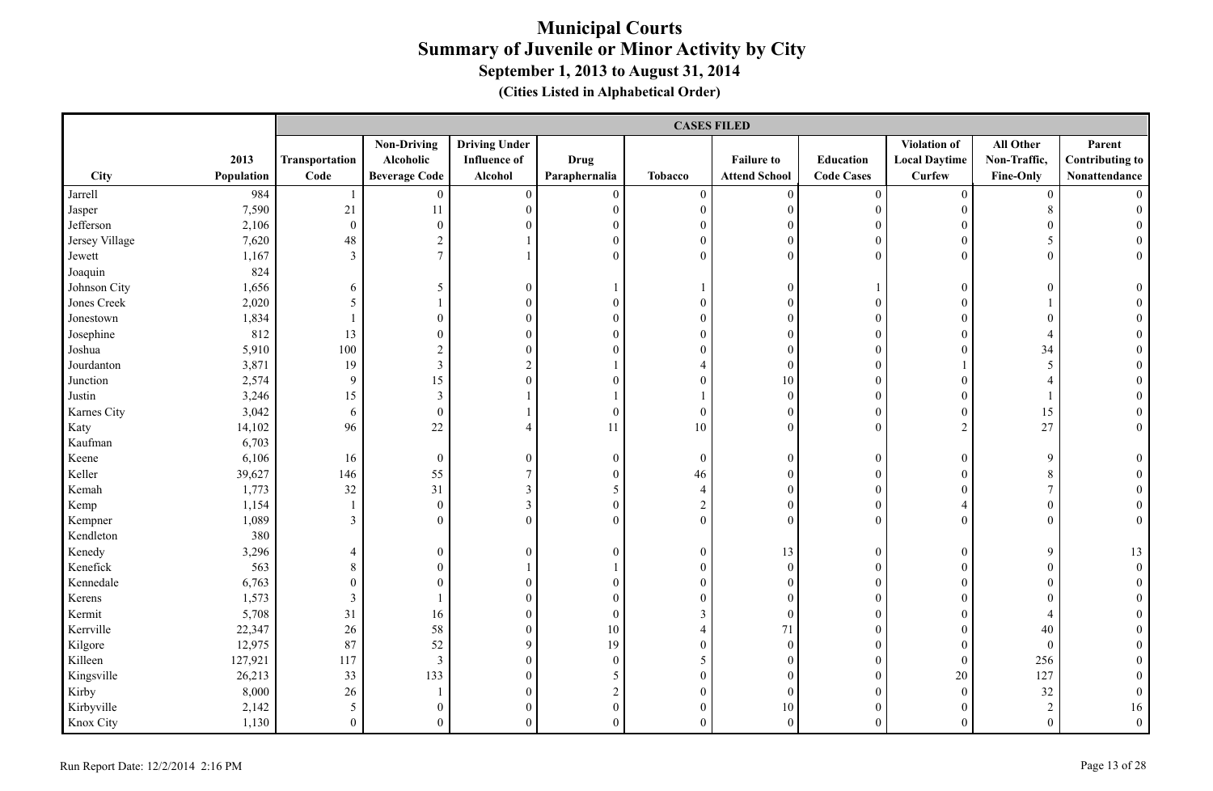|                |            |                       | <b>CASES FILED</b>      |                      |                  |                  |                      |                   |                      |                  |                        |  |  |  |
|----------------|------------|-----------------------|-------------------------|----------------------|------------------|------------------|----------------------|-------------------|----------------------|------------------|------------------------|--|--|--|
|                |            |                       | <b>Non-Driving</b>      | <b>Driving Under</b> |                  |                  |                      |                   | <b>Violation of</b>  | All Other        | Parent                 |  |  |  |
|                | 2013       | <b>Transportation</b> | Alcoholic               | <b>Influence of</b>  | <b>Drug</b>      |                  | <b>Failure to</b>    | Education         | <b>Local Daytime</b> | Non-Traffic,     | <b>Contributing to</b> |  |  |  |
| City           | Population | Code                  | <b>Beverage Code</b>    | Alcohol              | Paraphernalia    | <b>Tobacco</b>   | <b>Attend School</b> | <b>Code Cases</b> | <b>Curfew</b>        | Fine-Only        | Nonattendance          |  |  |  |
| Jarrell        | 984        |                       | $\overline{0}$          | $\boldsymbol{0}$     | $\boldsymbol{0}$ | $\boldsymbol{0}$ | $\boldsymbol{0}$     | $\boldsymbol{0}$  | $\mathbf{0}$         | $\overline{0}$   |                        |  |  |  |
| Jasper         | 7,590      | 21                    | 11                      | $\boldsymbol{0}$     | $\boldsymbol{0}$ | $\boldsymbol{0}$ | $\boldsymbol{0}$     | $\boldsymbol{0}$  | $\overline{0}$       | $8\,$            | $\theta$               |  |  |  |
| Jefferson      | 2,106      | $\boldsymbol{0}$      | $\mathbf{0}$            | $\theta$             | $\boldsymbol{0}$ | $\boldsymbol{0}$ | $\boldsymbol{0}$     | $\boldsymbol{0}$  | $\overline{0}$       | $\boldsymbol{0}$ |                        |  |  |  |
| Jersey Village | 7,620      | 48                    | $\overline{c}$          |                      | $\boldsymbol{0}$ | $\boldsymbol{0}$ | $\mathbf{0}$         | $\boldsymbol{0}$  | $\boldsymbol{0}$     | 5 <sup>5</sup>   |                        |  |  |  |
| Jewett         | 1,167      | $\mathfrak{Z}$        | $\overline{7}$          |                      | $\theta$         | $\overline{0}$   | $\Omega$             | $\boldsymbol{0}$  | $\Omega$             | $\theta$         | $\overline{0}$         |  |  |  |
| Joaquin        | 824        |                       |                         |                      |                  |                  |                      |                   |                      |                  |                        |  |  |  |
| Johnson City   | 1,656      | 6                     | 5                       | $\boldsymbol{0}$     |                  | $\mathbf{1}$     | $\mathbf{0}$         |                   | $\overline{0}$       | $\overline{0}$   | $\theta$               |  |  |  |
| Jones Creek    | 2,020      | 5                     |                         | $\mathbf{0}$         | $\overline{0}$   | $\boldsymbol{0}$ | $\mathbf{0}$         | $\boldsymbol{0}$  | $\overline{0}$       |                  |                        |  |  |  |
| Jonestown      | 1,834      | $\mathbf{1}$          | $\overline{0}$          | $\boldsymbol{0}$     | $\mathbf{0}$     | $\boldsymbol{0}$ | $\overline{0}$       | $\boldsymbol{0}$  | $\overline{0}$       | $\overline{0}$   |                        |  |  |  |
| Josephine      | 812        | 13                    | $\overline{0}$          | $\boldsymbol{0}$     | $\overline{0}$   | $\boldsymbol{0}$ | $\boldsymbol{0}$     | $\boldsymbol{0}$  | $\boldsymbol{0}$     | $\overline{4}$   |                        |  |  |  |
| Joshua         | 5,910      | 100                   | $\overline{c}$          | $\boldsymbol{0}$     | $\theta$         | $\boldsymbol{0}$ | $\boldsymbol{0}$     | $\boldsymbol{0}$  | $\overline{0}$       | 34               |                        |  |  |  |
| Jourdanton     | 3,871      | 19                    | $\overline{\mathbf{3}}$ | $\sqrt{2}$           |                  | $\overline{4}$   | $\boldsymbol{0}$     | $\boldsymbol{0}$  |                      | 5                |                        |  |  |  |
| Junction       | 2,574      | $\mathbf{9}$          | 15                      | $\overline{0}$       | $\theta$         | $\mathbf{0}$     | $10\,$               | $\boldsymbol{0}$  | $\overline{0}$       | $\overline{4}$   |                        |  |  |  |
| Justin         | 3,246      | 15                    | 3                       |                      |                  | $\mathbf{1}$     | $\mathbf{0}$         | $\boldsymbol{0}$  | $\overline{0}$       |                  |                        |  |  |  |
| Karnes City    | 3,042      | 6                     | $\boldsymbol{0}$        |                      | $\boldsymbol{0}$ | $\boldsymbol{0}$ | $\boldsymbol{0}$     | $\boldsymbol{0}$  | $\boldsymbol{0}$     | 15               | $\theta$               |  |  |  |
| Katy           | 14,102     | 96                    | 22                      | $\overline{4}$       | 11               | $10\,$           | $\mathbf{0}$         | $\boldsymbol{0}$  | $\overline{2}$       | 27               | $\overline{0}$         |  |  |  |
| Kaufman        | 6,703      |                       |                         |                      |                  |                  |                      |                   |                      |                  |                        |  |  |  |
| Keene          | 6,106      | 16                    | $\mathbf{0}$            | $\boldsymbol{0}$     | $\mathbf{0}$     | $\boldsymbol{0}$ | $\boldsymbol{0}$     | $\boldsymbol{0}$  | $\overline{0}$       | 9                | $\theta$               |  |  |  |
| Keller         | 39,627     | 146                   | 55                      | $\overline{7}$       | $\boldsymbol{0}$ | $46\,$           | $\boldsymbol{0}$     | $\boldsymbol{0}$  | $\overline{0}$       | $\,8\,$          |                        |  |  |  |
| Kemah          | 1,773      | 32                    | 31                      | $\mathfrak{Z}$       | 5                | $\overline{4}$   | $\boldsymbol{0}$     | $\boldsymbol{0}$  | $\boldsymbol{0}$     | $7\phantom{.0}$  |                        |  |  |  |
| Kemp           | 1,154      | $\mathbf{1}$          | $\mathbf{0}$            | $\mathfrak{Z}$       | $\mathbf{0}$     | $\sqrt{2}$       | $\boldsymbol{0}$     | $\boldsymbol{0}$  | $\overline{4}$       | $\boldsymbol{0}$ |                        |  |  |  |
| Kempner        | 1,089      | $\overline{3}$        | $\theta$                | $\theta$             | $\theta$         | $\mathbf{0}$     | $\theta$             | $\theta$          | $\overline{0}$       | $\mathbf{0}$     | $\overline{0}$         |  |  |  |
| Kendleton      | 380        |                       |                         |                      |                  |                  |                      |                   |                      |                  |                        |  |  |  |
| Kenedy         | 3,296      | 4                     | $\boldsymbol{0}$        | $\mathbf{0}$         | $\theta$         | $\boldsymbol{0}$ | 13                   | $\boldsymbol{0}$  | $\overline{0}$       | 9                | 13                     |  |  |  |
| Kenefick       | 563        | $8\,$                 | $\overline{0}$          |                      |                  | $\boldsymbol{0}$ | $\boldsymbol{0}$     | $\boldsymbol{0}$  | $\overline{0}$       | $\boldsymbol{0}$ | $\boldsymbol{0}$       |  |  |  |
| Kennedale      | 6,763      | $\boldsymbol{0}$      | $\overline{0}$          | $\overline{0}$       | $\theta$         | $\boldsymbol{0}$ | $\boldsymbol{0}$     | $\boldsymbol{0}$  | $\boldsymbol{0}$     | $\boldsymbol{0}$ | $\theta$               |  |  |  |
| Kerens         | 1,573      | $\mathfrak{Z}$        |                         | $\boldsymbol{0}$     | $\theta$         | $\boldsymbol{0}$ | $\mathbf{0}$         | $\boldsymbol{0}$  | $\overline{0}$       | $\boldsymbol{0}$ |                        |  |  |  |
| Kermit         | 5,708      | 31                    | 16                      | $\boldsymbol{0}$     | $\boldsymbol{0}$ | $\mathfrak{Z}$   | $\boldsymbol{0}$     | $\boldsymbol{0}$  | $\overline{0}$       | $\overline{4}$   |                        |  |  |  |
| Kerrville      | 22,347     | 26                    | 58                      | $\boldsymbol{0}$     | $10\,$           | $\overline{4}$   | $71\,$               | $\boldsymbol{0}$  | $\overline{0}$       | 40               |                        |  |  |  |
| Kilgore        | 12,975     | 87                    | 52                      | 9                    | 19               | $\boldsymbol{0}$ | $\boldsymbol{0}$     | $\boldsymbol{0}$  | $\boldsymbol{0}$     | $\mathbf{0}$     |                        |  |  |  |
| Killeen        | 127,921    | 117                   | $\mathfrak{Z}$          | $\mathbf{0}$         | $\boldsymbol{0}$ | 5                | $\mathbf{0}$         | $\mathbf{0}$      | $\overline{0}$       | 256              |                        |  |  |  |
| Kingsville     | 26,213     | 33                    | 133                     | $\mathbf{0}$         | 5                | $\overline{0}$   | $\mathbf{0}$         | $\mathbf{0}$      | 20                   | 127              |                        |  |  |  |
| Kirby          | 8,000      | $26\,$                | 1                       | $\boldsymbol{0}$     | $\sqrt{2}$       | $\boldsymbol{0}$ | $\boldsymbol{0}$     | $\boldsymbol{0}$  | $\mathbf{0}$         | 32               | $\theta$               |  |  |  |
| Kirbyville     | 2,142      | 5                     | $\overline{0}$          | $\overline{0}$       | $\boldsymbol{0}$ | $\boldsymbol{0}$ | $10\,$               | $\boldsymbol{0}$  | $\boldsymbol{0}$     | $\sqrt{2}$       | 16                     |  |  |  |
| Knox City      | 1,130      | $\overline{0}$        | $\Omega$                | $\overline{0}$       | $\Omega$         | $\mathbf{0}$     | $\mathbf{0}$         | $\theta$          | $\overline{0}$       | $\mathbf{0}$     | $\Omega$               |  |  |  |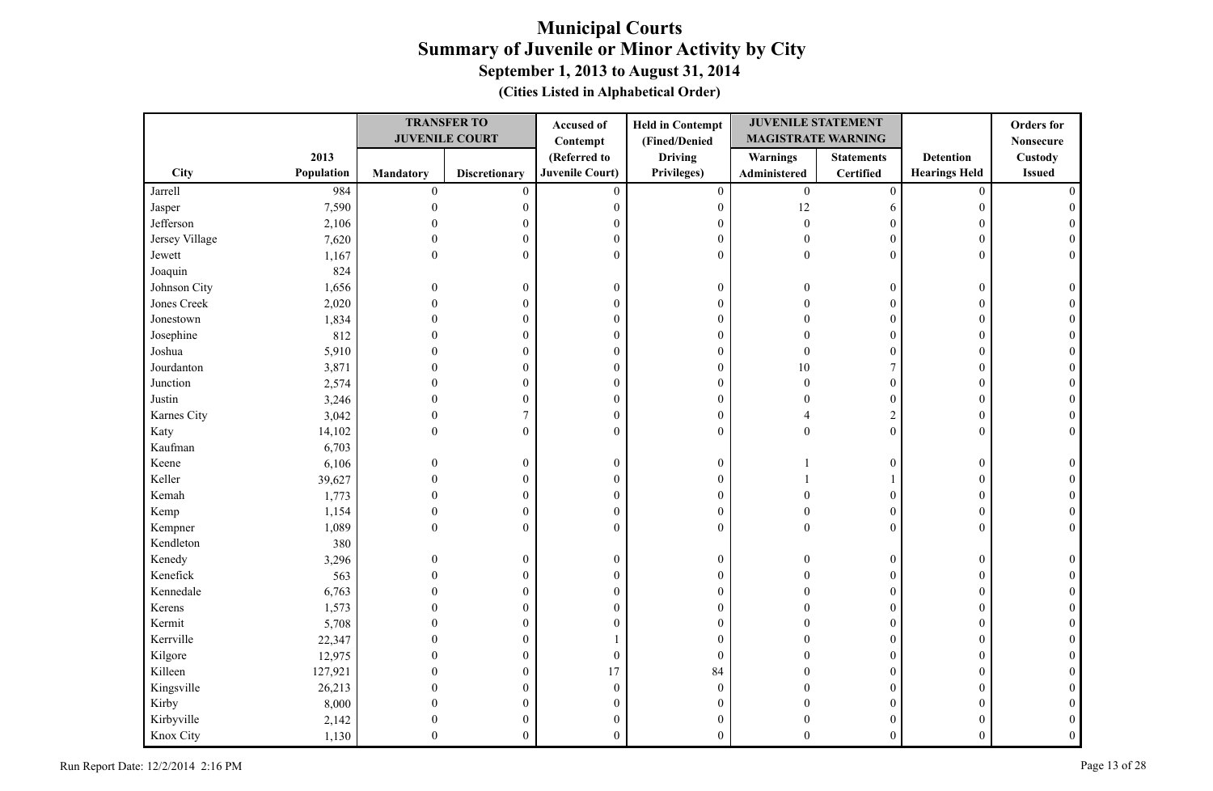|                |            |                  | <b>TRANSFER TO</b>    | Accused of             | <b>Held in Contempt</b> | <b>JUVENILE STATEMENT</b> |                   |                      | <b>Orders</b> for |
|----------------|------------|------------------|-----------------------|------------------------|-------------------------|---------------------------|-------------------|----------------------|-------------------|
|                |            |                  | <b>JUVENILE COURT</b> | Contempt               | (Fined/Denied           | <b>MAGISTRATE WARNING</b> |                   |                      | <b>Nonsecure</b>  |
|                | 2013       |                  |                       | (Referred to           | <b>Driving</b>          | <b>Warnings</b>           | <b>Statements</b> | <b>Detention</b>     | Custody           |
| City           | Population | Mandatory        | <b>Discretionary</b>  | <b>Juvenile Court)</b> | Privileges)             | Administered              | <b>Certified</b>  | <b>Hearings Held</b> | <b>Issued</b>     |
| Jarrell        | 984        | $\boldsymbol{0}$ | $\mathbf{0}$          | $\mathbf{0}$           | $\mathbf{0}$            | $\boldsymbol{0}$          | $\mathbf{0}$      | $\mathbf{0}$         |                   |
| Jasper         | 7,590      | $\theta$         | 0                     | $\mathbf{0}$           | $\boldsymbol{0}$        | $12\,$                    | 6                 | $\boldsymbol{0}$     |                   |
| Jefferson      | 2,106      |                  | 0                     | $\boldsymbol{0}$       | $\boldsymbol{0}$        | $\theta$                  | $\theta$          | $\boldsymbol{0}$     |                   |
| Jersey Village | 7,620      | $\Omega$         | $\mathbf{0}$          | $\mathbf{0}$           | $\boldsymbol{0}$        | $\Omega$                  | $\Omega$          | $\mathbf{0}$         |                   |
| Jewett         | 1,167      | $\theta$         | $\mathbf{0}$          | $\mathbf{0}$           | $\boldsymbol{0}$        | $\theta$                  | $\theta$          | $\mathbf{0}$         | $\Omega$          |
| Joaquin        | 824        |                  |                       |                        |                         |                           |                   |                      |                   |
| Johnson City   | 1,656      | $\theta$         | $\theta$              | $\mathbf{0}$           | $\boldsymbol{0}$        | $\Omega$                  | $\mathbf{0}$      | $\mathbf{0}$         |                   |
| Jones Creek    | 2,020      | $\Omega$         | $\theta$              | $\theta$               | $\boldsymbol{0}$        |                           | $\mathbf{0}$      | $\mathbf{0}$         |                   |
| Jonestown      | 1,834      | $\Omega$         | $\theta$              | $\boldsymbol{0}$       | $\boldsymbol{0}$        |                           | $\overline{0}$    | $\mathbf{0}$         |                   |
| Josephine      | 812        |                  | $\mathbf{0}$          | $\mathbf{0}$           | $\boldsymbol{0}$        |                           | $\overline{0}$    | $\mathbf{0}$         |                   |
| Joshua         | 5,910      |                  | $\mathbf{0}$          | $\mathbf{0}$           | $\boldsymbol{0}$        |                           | $\overline{0}$    | $\theta$             |                   |
| Jourdanton     | 3,871      |                  | 0                     | $\mathbf{0}$           | $\boldsymbol{0}$        | 10                        | $\overline{7}$    | $\boldsymbol{0}$     |                   |
| Junction       | 2,574      | $\Omega$         | 0                     | $\boldsymbol{0}$       | $\boldsymbol{0}$        | $\Omega$                  | $\boldsymbol{0}$  | $\boldsymbol{0}$     |                   |
| Justin         | 3,246      |                  | $\theta$              | $\boldsymbol{0}$       | $\boldsymbol{0}$        |                           | $\overline{0}$    | $\theta$             |                   |
| Karnes City    | 3,042      | $\theta$         | 7                     | $\boldsymbol{0}$       | $\boldsymbol{0}$        |                           | $\overline{c}$    | $\mathbf{0}$         |                   |
| Katy           | 14,102     | $\mathbf{0}$     | $\boldsymbol{0}$      | $\mathbf{0}$           | $\boldsymbol{0}$        | $\theta$                  | $\mathbf{0}$      | $\mathbf{0}$         |                   |
| Kaufman        | 6,703      |                  |                       |                        |                         |                           |                   |                      |                   |
| Keene          | 6,106      | $\mathbf{0}$     | $\boldsymbol{0}$      | $\mathbf{0}$           | $\boldsymbol{0}$        |                           | $\overline{0}$    | $\boldsymbol{0}$     |                   |
| Keller         | 39,627     | $\Omega$         | $\boldsymbol{0}$      | $\theta$               | $\boldsymbol{0}$        |                           |                   | $\mathbf{0}$         |                   |
| Kemah          | 1,773      |                  | $\boldsymbol{0}$      | $\overline{0}$         | $\boldsymbol{0}$        |                           | $\overline{0}$    | $\mathbf{0}$         |                   |
| Kemp           | 1,154      | $\Omega$         | $\theta$              | $\mathbf{0}$           | $\boldsymbol{0}$        |                           | $\overline{0}$    | $\mathbf{0}$         |                   |
| Kempner        | 1,089      | $\Omega$         | $\mathbf{0}$          | $\theta$               | $\mathbf{0}$            |                           | $\theta$          | $\mathbf{0}$         |                   |
| Kendleton      | 380        |                  |                       |                        |                         |                           |                   |                      |                   |
| Kenedy         | 3,296      | $\theta$         | $\boldsymbol{0}$      | $\boldsymbol{0}$       | $\boldsymbol{0}$        |                           | $\boldsymbol{0}$  | $\boldsymbol{0}$     |                   |
| Kenefick       | 563        |                  | $\theta$              | $\boldsymbol{0}$       | $\boldsymbol{0}$        |                           | $\overline{0}$    | $\mathbf{0}$         |                   |
| Kennedale      | 6,763      |                  | $\mathbf{0}$          | $\boldsymbol{0}$       | $\boldsymbol{0}$        |                           | $\overline{0}$    | $\mathbf{0}$         |                   |
| Kerens         | 1,573      |                  | $\mathbf{0}$          | $\overline{0}$         | $\boldsymbol{0}$        |                           | $\mathbf{0}$      | $\mathbf{0}$         |                   |
| Kermit         | 5,708      |                  | $\theta$              | $\mathbf{0}$           | $\boldsymbol{0}$        |                           | $\overline{0}$    | $\mathbf{0}$         |                   |
| Kerrville      | 22,347     |                  | $\theta$              |                        | $\boldsymbol{0}$        |                           | $\theta$          | $\theta$             |                   |
| Kilgore        | 12,975     |                  | $\theta$              | $\boldsymbol{0}$       | $\boldsymbol{0}$        |                           | $\overline{0}$    | $\mathbf{0}$         |                   |
| Killeen        | 127,921    |                  | $\theta$              | 17                     | 84                      |                           | $\theta$          | $\theta$             |                   |
| Kingsville     | 26,213     |                  | 0                     | $\mathbf{0}$           | $\boldsymbol{0}$        |                           | $\overline{0}$    | $\theta$             |                   |
| Kirby          | 8,000      |                  | 0                     | $\mathbf{0}$           | $\boldsymbol{0}$        |                           | $\overline{0}$    | $\theta$             |                   |
| Kirbyville     | 2,142      |                  | 0                     | $\mathbf{0}$           | $\boldsymbol{0}$        |                           | $\overline{0}$    | $\theta$             |                   |
| Knox City      | 1,130      | $\Omega$         | $\mathbf{0}$          | $\theta$               | $\overline{0}$          | $\Omega$                  | $\theta$          | $\theta$             |                   |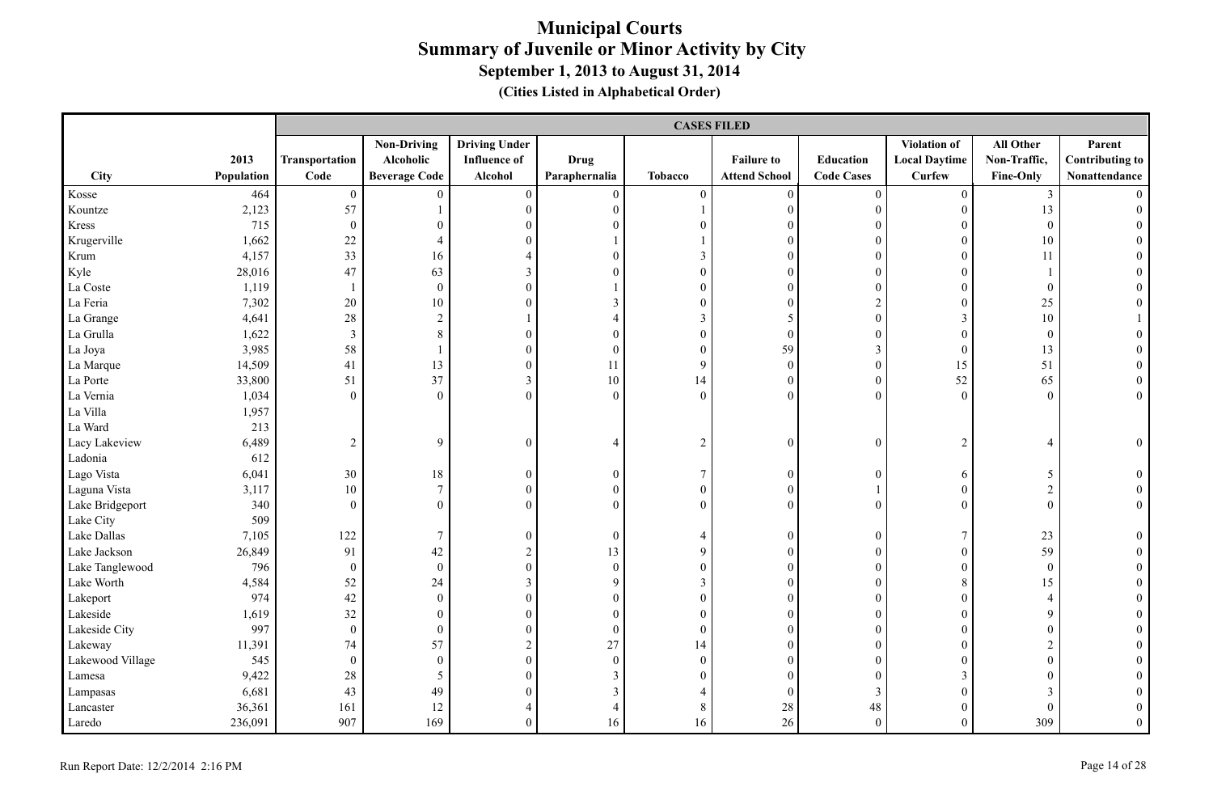|                  |            |                          | <b>CASES FILED</b>   |                      |                  |                  |                      |                   |                      |                  |                        |  |  |
|------------------|------------|--------------------------|----------------------|----------------------|------------------|------------------|----------------------|-------------------|----------------------|------------------|------------------------|--|--|
|                  |            |                          | <b>Non-Driving</b>   | <b>Driving Under</b> |                  |                  |                      |                   | Violation of         | All Other        | Parent                 |  |  |
|                  | 2013       | Transportation           | Alcoholic            | <b>Influence of</b>  | <b>Drug</b>      |                  | <b>Failure to</b>    | Education         | <b>Local Daytime</b> | Non-Traffic,     | <b>Contributing to</b> |  |  |
| City             | Population | Code                     | <b>Beverage Code</b> | Alcohol              | Paraphernalia    | <b>Tobacco</b>   | <b>Attend School</b> | <b>Code Cases</b> | <b>Curfew</b>        | Fine-Only        | Nonattendance          |  |  |
| Kosse            | 464        | $\boldsymbol{0}$         | $\theta$             | $\boldsymbol{0}$     | $\boldsymbol{0}$ | $\boldsymbol{0}$ | $\boldsymbol{0}$     | $\boldsymbol{0}$  | $\overline{0}$       | $\mathfrak{Z}$   |                        |  |  |
| Kountze          | 2,123      | 57                       |                      | $\boldsymbol{0}$     | $\boldsymbol{0}$ |                  | $\boldsymbol{0}$     | $\boldsymbol{0}$  | $\overline{0}$       | 13               | $\Omega$               |  |  |
| Kress            | 715        | $\boldsymbol{0}$         | $\overline{0}$       | $\mathbf{0}$         | $\theta$         | $\boldsymbol{0}$ | $\boldsymbol{0}$     | $\boldsymbol{0}$  | $\overline{0}$       | $\mathbf{0}$     |                        |  |  |
| Krugerville      | 1,662      | $22\,$                   | $\overline{4}$       | $\theta$             |                  |                  | $\boldsymbol{0}$     | $\boldsymbol{0}$  | $\overline{0}$       | 10               |                        |  |  |
| Krum             | 4,157      | 33                       | 16                   | $\overline{4}$       | $\theta$         | $\mathfrak{Z}$   | $\boldsymbol{0}$     | $\boldsymbol{0}$  | $\overline{0}$       | 11               |                        |  |  |
| Kyle             | 28,016     | 47                       | 63                   | 3                    | $\Omega$         | $\boldsymbol{0}$ | $\boldsymbol{0}$     | $\theta$          | $\overline{0}$       |                  |                        |  |  |
| La Coste         | 1,119      | $\overline{\phantom{a}}$ | $\overline{0}$       | $\theta$             |                  | $\overline{0}$   | $\overline{0}$       | $\mathbf{0}$      | $\overline{0}$       | $\mathbf{0}$     |                        |  |  |
| La Feria         | 7,302      | 20                       | 10                   | $\overline{0}$       | 3                | $\overline{0}$   | $\overline{0}$       | $\overline{2}$    | $\overline{0}$       | 25               |                        |  |  |
| La Grange        | 4,641      | $28\,$                   | $\overline{c}$       |                      | $\overline{4}$   | $\mathfrak{Z}$   | 5                    | $\boldsymbol{0}$  | $\mathfrak{Z}$       | $10\,$           |                        |  |  |
| La Grulla        | 1,622      | $\mathfrak{Z}$           | $8\,$                | $\boldsymbol{0}$     | $\overline{0}$   | $\boldsymbol{0}$ | $\boldsymbol{0}$     | $\boldsymbol{0}$  | $\overline{0}$       | $\boldsymbol{0}$ | $\theta$               |  |  |
| La Joya          | 3,985      | 58                       | $\mathbf{1}$         | $\boldsymbol{0}$     | $\boldsymbol{0}$ | $\boldsymbol{0}$ | 59                   | $\mathfrak{Z}$    | $\mathbf{0}$         | 13               |                        |  |  |
| La Marque        | 14,509     | 41                       | 13                   | $\boldsymbol{0}$     | 11               | 9                | $\boldsymbol{0}$     | $\boldsymbol{0}$  | 15                   | 51               | $\theta$               |  |  |
| La Porte         | 33,800     | 51                       | 37                   | $\mathfrak{Z}$       | 10               | 14               | $\boldsymbol{0}$     | $\boldsymbol{0}$  | 52                   | 65               | $\overline{0}$         |  |  |
| La Vernia        | 1,034      | $\boldsymbol{0}$         | $\Omega$             | $\theta$             | $\theta$         | $\boldsymbol{0}$ | $\theta$             | $\boldsymbol{0}$  | $\boldsymbol{0}$     | $\boldsymbol{0}$ | $\overline{0}$         |  |  |
| La Villa         | 1,957      |                          |                      |                      |                  |                  |                      |                   |                      |                  |                        |  |  |
| La Ward          | 213        |                          |                      |                      |                  |                  |                      |                   |                      |                  |                        |  |  |
| Lacy Lakeview    | 6,489      | $\sqrt{2}$               | 9                    | $\boldsymbol{0}$     | $\overline{4}$   | $\sqrt{2}$       | $\boldsymbol{0}$     | $\boldsymbol{0}$  | $\overline{c}$       | $\overline{4}$   | $\theta$               |  |  |
| Ladonia          | 612        |                          |                      |                      |                  |                  |                      |                   |                      |                  |                        |  |  |
| Lago Vista       | 6,041      | 30                       | 18                   | $\boldsymbol{0}$     | $\mathbf{0}$     | $\boldsymbol{7}$ | $\boldsymbol{0}$     | $\boldsymbol{0}$  | 6                    | 5                | $\overline{0}$         |  |  |
| Laguna Vista     | 3,117      | 10                       | $\boldsymbol{7}$     | $\boldsymbol{0}$     | $\boldsymbol{0}$ | $\boldsymbol{0}$ | $\boldsymbol{0}$     | $\mathbf{1}$      | $\overline{0}$       | $\overline{2}$   | $\boldsymbol{0}$       |  |  |
| Lake Bridgeport  | 340        | $\mathbf{0}$             | $\Omega$             | $\overline{0}$       | $\theta$         | $\boldsymbol{0}$ | $\overline{0}$       | $\boldsymbol{0}$  | $\overline{0}$       | $\mathbf{0}$     | $\overline{0}$         |  |  |
| Lake City        | 509        |                          |                      |                      |                  |                  |                      |                   |                      |                  |                        |  |  |
| Lake Dallas      | 7,105      | 122                      | 7                    | $\boldsymbol{0}$     | $\mathbf{0}$     | 4                | $\boldsymbol{0}$     | $\boldsymbol{0}$  | $\tau$               | 23               | $\overline{0}$         |  |  |
| Lake Jackson     | 26,849     | 91                       | 42                   | $\sqrt{2}$           | 13               | 9                | $\mathbf{0}$         | $\mathbf{0}$      | $\overline{0}$       | 59               | $\Omega$               |  |  |
| Lake Tanglewood  | 796        | $\mathbf{0}$             | $\overline{0}$       | $\boldsymbol{0}$     | $\boldsymbol{0}$ | $\boldsymbol{0}$ | $\mathbf{0}$         | $\boldsymbol{0}$  | $\overline{0}$       | $\overline{0}$   | $\Omega$               |  |  |
| Lake Worth       | 4,584      | 52                       | 24                   | $\mathfrak{Z}$       | 9                | $\mathfrak{Z}$   | $\boldsymbol{0}$     | $\boldsymbol{0}$  | 8                    | 15               | $\theta$               |  |  |
| Lakeport         | 974        | 42                       | $\boldsymbol{0}$     | $\boldsymbol{0}$     | $\boldsymbol{0}$ | $\boldsymbol{0}$ | $\boldsymbol{0}$     | $\boldsymbol{0}$  | $\overline{0}$       | $\overline{4}$   | $\theta$               |  |  |
| Lakeside         | 1,619      | 32                       | $\boldsymbol{0}$     | $\boldsymbol{0}$     | $\overline{0}$   | $\boldsymbol{0}$ | $\boldsymbol{0}$     | $\boldsymbol{0}$  | $\boldsymbol{0}$     | 9                | $\theta$               |  |  |
| Lakeside City    | 997        | $\boldsymbol{0}$         | $\boldsymbol{0}$     | $\boldsymbol{0}$     | $\boldsymbol{0}$ | $\boldsymbol{0}$ | $\boldsymbol{0}$     | $\boldsymbol{0}$  | $\boldsymbol{0}$     | $\boldsymbol{0}$ |                        |  |  |
| Lakeway          | 11,391     | 74                       | 57                   | $\overline{c}$       | 27               | 14               | $\boldsymbol{0}$     | $\theta$          | $\overline{0}$       | $\overline{2}$   |                        |  |  |
| Lakewood Village | 545        | $\mathbf{0}$             | $\overline{0}$       | $\mathbf{0}$         | $\mathbf{0}$     | $\overline{0}$   | $\boldsymbol{0}$     | $\boldsymbol{0}$  | $\overline{0}$       | $\theta$         |                        |  |  |
| Lamesa           | 9,422      | 28                       | 5                    | $\boldsymbol{0}$     | $\mathfrak{Z}$   | $\boldsymbol{0}$ | $\boldsymbol{0}$     | $\boldsymbol{0}$  | 3                    | $\boldsymbol{0}$ |                        |  |  |
| Lampasas         | 6,681      | 43                       | 49                   | $\boldsymbol{0}$     | $\mathfrak{Z}$   | $\overline{4}$   | $\boldsymbol{0}$     | $\mathfrak{Z}$    | $\overline{0}$       | $\mathfrak{Z}$   |                        |  |  |
| Lancaster        | 36,361     | 161                      | 12                   | $\overline{4}$       | $\overline{4}$   | $8\,$            | $28\,$               | 48                | $\overline{0}$       | $\mathbf{0}$     | $\theta$               |  |  |
| Laredo           | 236,091    | 907                      | 169                  | $\mathbf{0}$         | 16               | 16               | 26                   | $\boldsymbol{0}$  | $\overline{0}$       | 309              | $\overline{0}$         |  |  |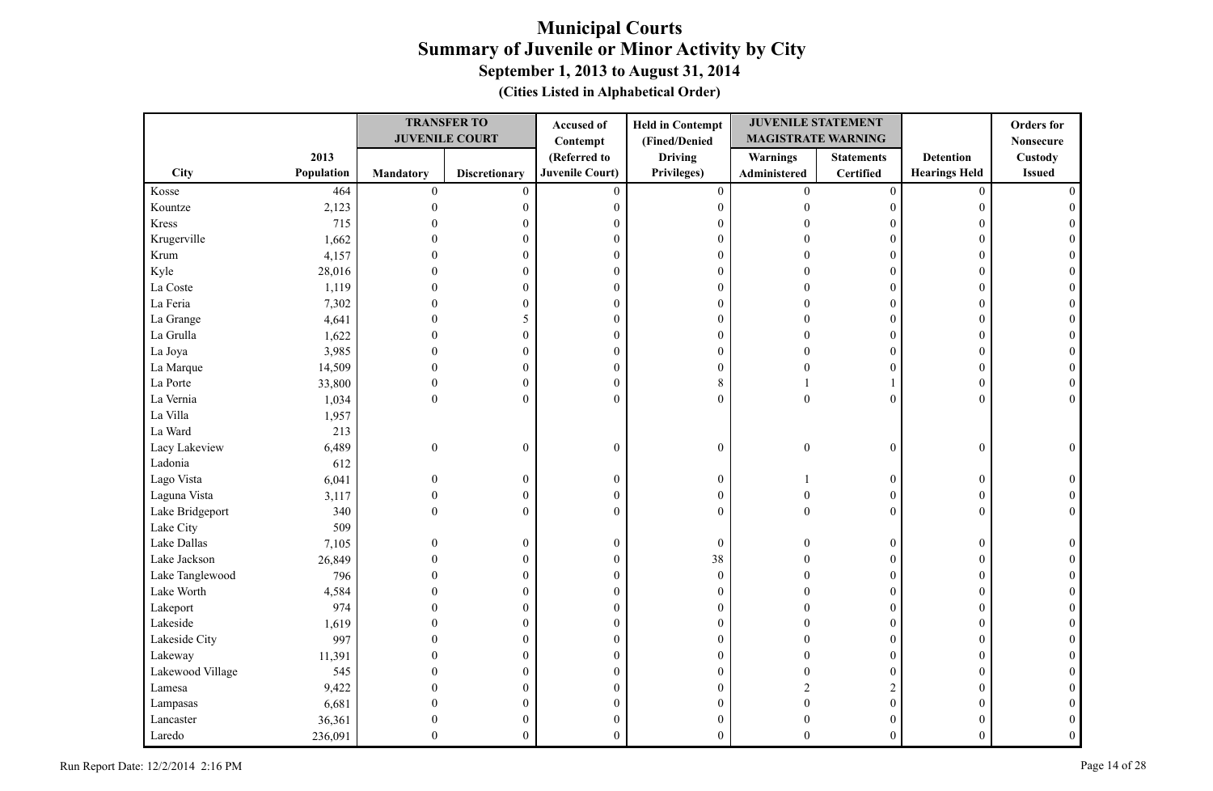|                  |            |                  | <b>TRANSFER TO</b>    | Accused of             | <b>Held in Contempt</b> | <b>JUVENILE STATEMENT</b> |                   |                      | <b>Orders</b> for |
|------------------|------------|------------------|-----------------------|------------------------|-------------------------|---------------------------|-------------------|----------------------|-------------------|
|                  |            |                  | <b>JUVENILE COURT</b> | Contempt               | (Fined/Denied           | <b>MAGISTRATE WARNING</b> |                   |                      | <b>Nonsecure</b>  |
|                  | 2013       |                  |                       | (Referred to           | <b>Driving</b>          | Warnings                  | <b>Statements</b> | <b>Detention</b>     | <b>Custody</b>    |
| City             | Population | <b>Mandatory</b> | <b>Discretionary</b>  | <b>Juvenile Court)</b> | Privileges)             | Administered              | Certified         | <b>Hearings Held</b> | <b>Issued</b>     |
| Kosse            | 464        | $\boldsymbol{0}$ | $\mathbf{0}$          | $\overline{0}$         | $\boldsymbol{0}$        | $\overline{0}$            | $\boldsymbol{0}$  | $\mathbf{0}$         |                   |
| Kountze          | 2,123      | $\mathbf{0}$     | $\boldsymbol{0}$      | $\boldsymbol{0}$       | $\boldsymbol{0}$        | $\theta$                  | $\boldsymbol{0}$  | 0                    |                   |
| Kress            | 715        |                  | 0                     | $\mathbf{0}$           | $\boldsymbol{0}$        |                           | 0                 |                      |                   |
| Krugerville      | 1,662      |                  | $\overline{0}$        | $\boldsymbol{0}$       | $\boldsymbol{0}$        |                           | $\theta$          | $\Omega$             |                   |
| Krum             | 4,157      |                  | 0                     | $\boldsymbol{0}$       | $\boldsymbol{0}$        |                           | $\Omega$          | $\theta$             |                   |
| Kyle             | 28,016     |                  | 0                     | $\boldsymbol{0}$       | $\boldsymbol{0}$        |                           | $\Omega$          | $\theta$             |                   |
| La Coste         | 1,119      | $\Omega$         | $\overline{0}$        | $\boldsymbol{0}$       | $\boldsymbol{0}$        |                           | $\theta$          | $\Omega$             |                   |
| La Feria         | 7,302      | $\Omega$         | $\boldsymbol{0}$      | $\boldsymbol{0}$       | $\boldsymbol{0}$        |                           | $\overline{0}$    | $\Omega$             |                   |
| La Grange        | 4,641      | $\Omega$         | 5                     | $\boldsymbol{0}$       | $\boldsymbol{0}$        |                           | $\boldsymbol{0}$  | $\Omega$             |                   |
| La Grulla        | 1,622      | $\Omega$         | $\overline{0}$        | $\mathbf{0}$           | $\mathbf{0}$            |                           | $\overline{0}$    | $\Omega$             |                   |
| La Joya          | 3,985      | $\theta$         | 0                     | $\boldsymbol{0}$       | $\boldsymbol{0}$        | $\Omega$                  | $\overline{0}$    | $\overline{0}$       |                   |
| La Marque        | 14,509     | $\Omega$         | 0                     | $\boldsymbol{0}$       | $\boldsymbol{0}$        |                           | 0                 | $\overline{0}$       |                   |
| La Porte         | 33,800     | $\mathbf{0}$     | $\boldsymbol{0}$      | $\boldsymbol{0}$       | $\,8\,$                 |                           |                   | $\Omega$             |                   |
| La Vernia        | 1,034      | $\boldsymbol{0}$ | $\boldsymbol{0}$      | $\boldsymbol{0}$       | $\mathbf{0}$            | $\boldsymbol{0}$          | $\overline{0}$    | $\theta$             | $\Omega$          |
| La Villa         | 1,957      |                  |                       |                        |                         |                           |                   |                      |                   |
| La Ward          | 213        |                  |                       |                        |                         |                           |                   |                      |                   |
| Lacy Lakeview    | 6,489      | $\boldsymbol{0}$ | $\boldsymbol{0}$      | $\boldsymbol{0}$       | $\boldsymbol{0}$        | $\theta$                  | $\boldsymbol{0}$  | $\boldsymbol{0}$     | $\Omega$          |
| Ladonia          | 612        |                  |                       |                        |                         |                           |                   |                      |                   |
| Lago Vista       | 6,041      | $\overline{0}$   | $\boldsymbol{0}$      | $\boldsymbol{0}$       | $\boldsymbol{0}$        |                           | $\overline{0}$    | $\overline{0}$       |                   |
| Laguna Vista     | 3,117      | $\overline{0}$   | $\boldsymbol{0}$      | $\boldsymbol{0}$       | $\boldsymbol{0}$        | $\Omega$                  | $\boldsymbol{0}$  | $\overline{0}$       |                   |
| Lake Bridgeport  | 340        | $\Omega$         | $\boldsymbol{0}$      | $\Omega$               | $\mathbf{0}$            | $\Omega$                  | $\overline{0}$    | $\Omega$             |                   |
| Lake City        | 509        |                  |                       |                        |                         |                           |                   |                      |                   |
| Lake Dallas      | 7,105      | $\theta$         | $\boldsymbol{0}$      | $\boldsymbol{0}$       | $\boldsymbol{0}$        | $\sqrt{ }$                | $\boldsymbol{0}$  | $\overline{0}$       |                   |
| Lake Jackson     | 26,849     |                  | 0                     | $\boldsymbol{0}$       | 38                      |                           | 0                 | $\overline{0}$       |                   |
| Lake Tanglewood  | 796        |                  | $\overline{0}$        | $\boldsymbol{0}$       | $\boldsymbol{0}$        |                           | $\theta$          | $\Omega$             |                   |
| Lake Worth       | 4,584      |                  | 0                     | $\boldsymbol{0}$       | $\boldsymbol{0}$        |                           | $\overline{0}$    | $\Omega$             |                   |
| Lakeport         | 974        |                  | 0                     | $\boldsymbol{0}$       | $\boldsymbol{0}$        |                           | $\overline{0}$    | $\overline{0}$       |                   |
| Lakeside         | 1,619      | $\Omega$         | $\overline{0}$        | $\boldsymbol{0}$       | $\boldsymbol{0}$        |                           | $\theta$          | $\Omega$             |                   |
| Lakeside City    | 997        | $\Omega$         | $\overline{0}$        | $\boldsymbol{0}$       | $\boldsymbol{0}$        |                           | $\overline{0}$    | $\Omega$             |                   |
| Lakeway          | 11,391     | 0                | $\boldsymbol{0}$      | $\boldsymbol{0}$       | $\boldsymbol{0}$        |                           | $\boldsymbol{0}$  | $\theta$             |                   |
| Lakewood Village | 545        |                  | 0                     | $\mathbf{0}$           | $\mathbf{0}$            |                           | $\theta$          | $\Omega$             |                   |
| Lamesa           | 9,422      |                  | 0                     | $\boldsymbol{0}$       | $\boldsymbol{0}$        |                           | $\overline{2}$    | $\Omega$             |                   |
| Lampasas         | 6,681      | $\theta$         | 0                     | $\boldsymbol{0}$       | $\boldsymbol{0}$        | $\sqrt{ }$                | $\boldsymbol{0}$  |                      |                   |
| Lancaster        | 36,361     | 0                | 0                     | $\boldsymbol{0}$       | $\boldsymbol{0}$        |                           | $\overline{0}$    |                      |                   |
| Laredo           | 236,091    | $\theta$         | $\overline{0}$        | $\overline{0}$         | $\theta$                | $\Omega$                  | $\overline{0}$    | $\overline{0}$       |                   |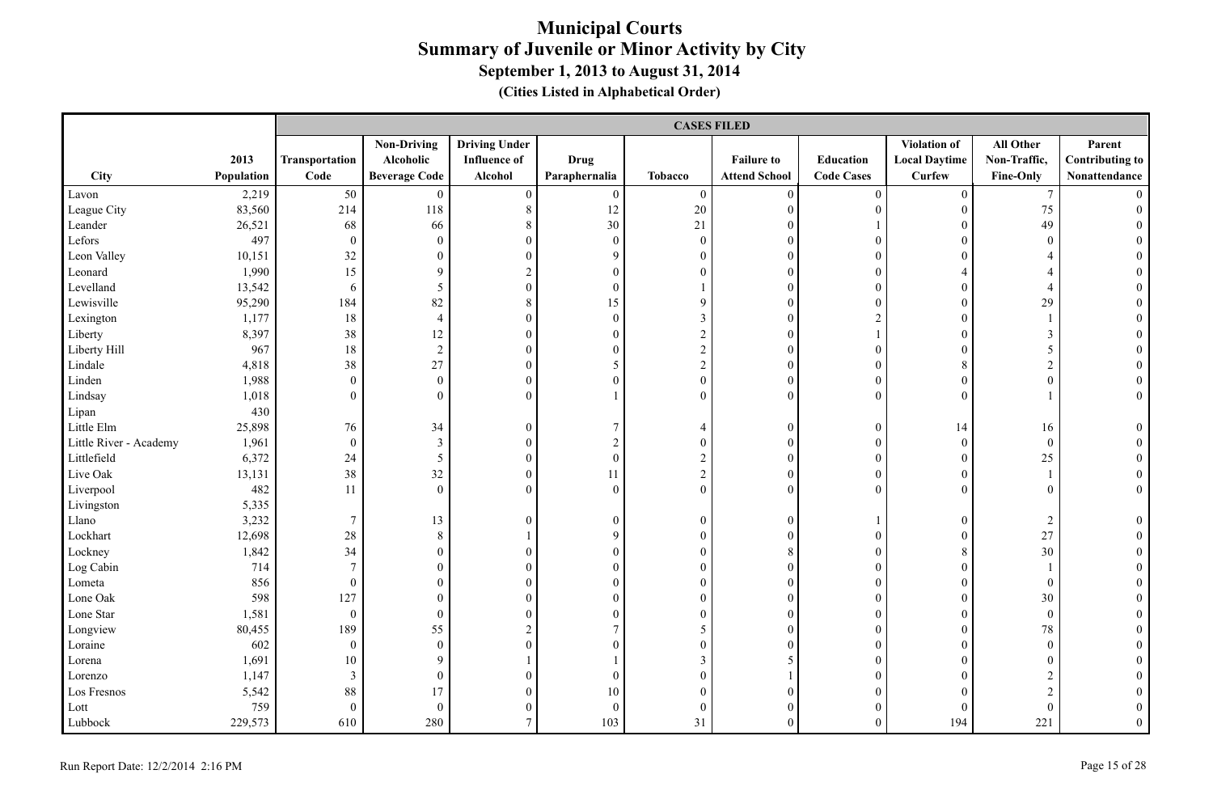|                        |            |                  | <b>CASES FILED</b>   |                      |                  |                  |                      |                   |                      |                  |                        |  |  |
|------------------------|------------|------------------|----------------------|----------------------|------------------|------------------|----------------------|-------------------|----------------------|------------------|------------------------|--|--|
|                        |            |                  | <b>Non-Driving</b>   | <b>Driving Under</b> |                  |                  |                      |                   | Violation of         | All Other        | Parent                 |  |  |
|                        | 2013       | Transportation   | Alcoholic            | <b>Influence of</b>  | Drug             |                  | <b>Failure to</b>    | <b>Education</b>  | <b>Local Daytime</b> | Non-Traffic,     | <b>Contributing to</b> |  |  |
| City                   | Population | Code             | <b>Beverage Code</b> | Alcohol              | Paraphernalia    | <b>Tobacco</b>   | <b>Attend School</b> | <b>Code Cases</b> | <b>Curfew</b>        | <b>Fine-Only</b> | Nonattendance          |  |  |
| Lavon                  | 2,219      | 50               | $\overline{0}$       | $\mathbf{0}$         | $\mathbf{0}$     | $\overline{0}$   | $\mathbf{0}$         | $\mathbf{0}$      | $\overline{0}$       | $\tau$           | $\Omega$               |  |  |
| League City            | 83,560     | 214              | 118                  | $8\,$                | 12               | $20\,$           | $\mathbf{0}$         | $\boldsymbol{0}$  | $\mathbf{0}$         | 75               | $\theta$               |  |  |
| Leander                | 26,521     | 68               | 66                   | $8\,$                | $30\,$           | 21               | $\mathbf{0}$         |                   | $\mathbf{0}$         | 49               |                        |  |  |
| Lefors                 | 497        | $\boldsymbol{0}$ | $\boldsymbol{0}$     | $\boldsymbol{0}$     | $\boldsymbol{0}$ | $\boldsymbol{0}$ | $\mathbf{0}$         | $\theta$          | $\theta$             | $\boldsymbol{0}$ |                        |  |  |
| Leon Valley            | 10,151     | 32               | $\boldsymbol{0}$     | $\mathbf{0}$         | 9                | $\boldsymbol{0}$ | $\mathbf{0}$         | $\theta$          | $\Omega$             | $\overline{4}$   |                        |  |  |
| Leonard                | 1,990      | 15               | 9                    | $\sqrt{2}$           | $\mathbf{0}$     | $\overline{0}$   | $\mathbf{0}$         | $\theta$          | $\overline{4}$       | $\overline{4}$   |                        |  |  |
| Levelland              | 13,542     | 6                | $\mathfrak{S}$       | $\boldsymbol{0}$     | $\mathbf{0}$     |                  | $\mathbf{0}$         | $\overline{0}$    | $\theta$             | $\overline{4}$   |                        |  |  |
| Lewisville             | 95,290     | 184              | 82                   | 8                    | 15               | 9                | $\mathbf{0}$         | $\boldsymbol{0}$  | $\theta$             | 29               |                        |  |  |
| Lexington              | 1,177      | $18\,$           | $\overline{4}$       | $\boldsymbol{0}$     | $\boldsymbol{0}$ | $\mathfrak{Z}$   | $\overline{0}$       | $\overline{c}$    | $\overline{0}$       |                  |                        |  |  |
| Liberty                | 8,397      | 38               | 12                   | $\boldsymbol{0}$     | $\boldsymbol{0}$ | $\boldsymbol{2}$ | $\overline{0}$       | $\mathbf{1}$      | $\overline{0}$       | $\mathfrak{Z}$   |                        |  |  |
| Liberty Hill           | 967        | 18               | $\sqrt{2}$           | $\boldsymbol{0}$     | $\boldsymbol{0}$ | $\sqrt{2}$       | $\mathbf{0}$         | $\boldsymbol{0}$  | $\theta$             | 5                | $\theta$               |  |  |
| Lindale                | 4,818      | 38               | 27                   | $\boldsymbol{0}$     | 5                | $\boldsymbol{2}$ | $\boldsymbol{0}$     | $\overline{0}$    | 8                    | $\overline{2}$   |                        |  |  |
| Linden                 | 1,988      | $\theta$         | $\boldsymbol{0}$     | $\boldsymbol{0}$     | $\boldsymbol{0}$ | $\boldsymbol{0}$ | $\boldsymbol{0}$     | $\overline{0}$    | $\mathbf{0}$         | $\boldsymbol{0}$ |                        |  |  |
| Lindsay                | 1,018      | $\theta$         | $\mathbf{0}$         | $\mathbf{0}$         |                  | $\boldsymbol{0}$ | $\mathbf{0}$         | $\theta$          | $\theta$             |                  | $\overline{0}$         |  |  |
| Lipan                  | 430        |                  |                      |                      |                  |                  |                      |                   |                      |                  |                        |  |  |
| Little Elm             | 25,898     | 76               | 34                   | $\mathbf{0}$         | 7                | $\overline{4}$   | $\mathbf{0}$         | $\mathbf{0}$      | 14                   | 16               | $\theta$               |  |  |
| Little River - Academy | 1,961      | $\mathbf{0}$     | $\mathfrak{Z}$       | $\mathbf{0}$         | $\sqrt{2}$       | $\boldsymbol{0}$ | $\boldsymbol{0}$     | $\boldsymbol{0}$  | $\mathbf{0}$         | $\boldsymbol{0}$ |                        |  |  |
| Littlefield            | 6,372      | 24               | $\mathfrak{S}$       | $\boldsymbol{0}$     | $\boldsymbol{0}$ | $\overline{c}$   | $\boldsymbol{0}$     | $\boldsymbol{0}$  | $\boldsymbol{0}$     | 25               | $\mathbf{0}$           |  |  |
| Live Oak               | 13,131     | 38               | 32                   | $\boldsymbol{0}$     | 11               | $\boldsymbol{2}$ | $\boldsymbol{0}$     | $\boldsymbol{0}$  | $\boldsymbol{0}$     |                  | $\mathbf{0}$           |  |  |
| Liverpool              | 482        | 11               | $\boldsymbol{0}$     | $\mathbf{0}$         | $\mathbf{0}$     | $\boldsymbol{0}$ | $\mathbf{0}$         | $\theta$          | $\theta$             | $\boldsymbol{0}$ | $\overline{0}$         |  |  |
| Livingston             | 5,335      |                  |                      |                      |                  |                  |                      |                   |                      |                  |                        |  |  |
| Llano                  | 3,232      | $\overline{7}$   | 13                   | $\boldsymbol{0}$     | $\boldsymbol{0}$ | $\boldsymbol{0}$ | $\boldsymbol{0}$     |                   | $\theta$             | $\overline{c}$   | $\boldsymbol{0}$       |  |  |
| Lockhart               | 12,698     | 28               | 8                    |                      | $\mathbf{9}$     | $\boldsymbol{0}$ | $\mathbf{0}$         | $\overline{0}$    | $\theta$             | 27               |                        |  |  |
| Lockney                | 1,842      | 34               | $\mathbf{0}$         | $\mathbf{0}$         | $\mathbf{0}$     | $\overline{0}$   | $\,8\,$              | $\boldsymbol{0}$  | 8                    | 30               |                        |  |  |
| Log Cabin              | 714        | $7\phantom{.0}$  | $\boldsymbol{0}$     | $\overline{0}$       | $\mathbf{0}$     | $\boldsymbol{0}$ | $\overline{0}$       | $\boldsymbol{0}$  | $\Omega$             |                  |                        |  |  |
| Lometa                 | 856        | $\mathbf{0}$     | $\boldsymbol{0}$     | $\overline{0}$       | $\boldsymbol{0}$ | $\boldsymbol{0}$ | $\overline{0}$       | $\overline{0}$    | $\overline{0}$       | $\boldsymbol{0}$ |                        |  |  |
| Lone Oak               | 598        | 127              | $\boldsymbol{0}$     | $\boldsymbol{0}$     | $\boldsymbol{0}$ | $\boldsymbol{0}$ | $\boldsymbol{0}$     | $\boldsymbol{0}$  | $\mathbf{0}$         | 30               | $\theta$               |  |  |
| Lone Star              | 1,581      | $\mathbf{0}$     | $\boldsymbol{0}$     | $\boldsymbol{0}$     | $\boldsymbol{0}$ | $\boldsymbol{0}$ | $\boldsymbol{0}$     | $\overline{0}$    | $\mathbf{0}$         | $\boldsymbol{0}$ |                        |  |  |
| Longview               | 80,455     | 189              | 55                   | $\sqrt{2}$           | 7                | 5                | $\mathbf{0}$         | $\overline{0}$    | $\theta$             | 78               |                        |  |  |
| Loraine                | 602        | $\overline{0}$   | $\boldsymbol{0}$     | $\mathbf{0}$         | $\boldsymbol{0}$ | $\boldsymbol{0}$ | $\mathbf{0}$         | $\boldsymbol{0}$  | $\theta$             | $\boldsymbol{0}$ |                        |  |  |
| Lorena                 | 1,691      | 10               | 9                    |                      |                  | 3                | 5                    | $\overline{0}$    | $\Omega$             | $\mathbf{0}$     |                        |  |  |
| Lorenzo                | 1,147      | $\overline{3}$   | $\boldsymbol{0}$     | $\boldsymbol{0}$     | $\boldsymbol{0}$ | $\boldsymbol{0}$ | $\mathbf{1}$         | $\boldsymbol{0}$  | $\theta$             | $\overline{2}$   |                        |  |  |
| Los Fresnos            | 5,542      | $88\,$           | 17                   | $\boldsymbol{0}$     | $10\,$           | $\boldsymbol{0}$ | $\mathbf{0}$         | $\overline{0}$    | $\Omega$             | $\overline{c}$   |                        |  |  |
| Lott                   | 759        | $\theta$         | $\boldsymbol{0}$     | $\boldsymbol{0}$     | $\mathbf{0}$     | $\boldsymbol{0}$ | $\mathbf{0}$         | $\overline{0}$    | $\Omega$             | $\boldsymbol{0}$ |                        |  |  |
| Lubbock                | 229,573    | 610              | 280                  | $\overline{7}$       | 103              | 31               | $\theta$             | $\overline{0}$    | 194                  | 221              | $\overline{0}$         |  |  |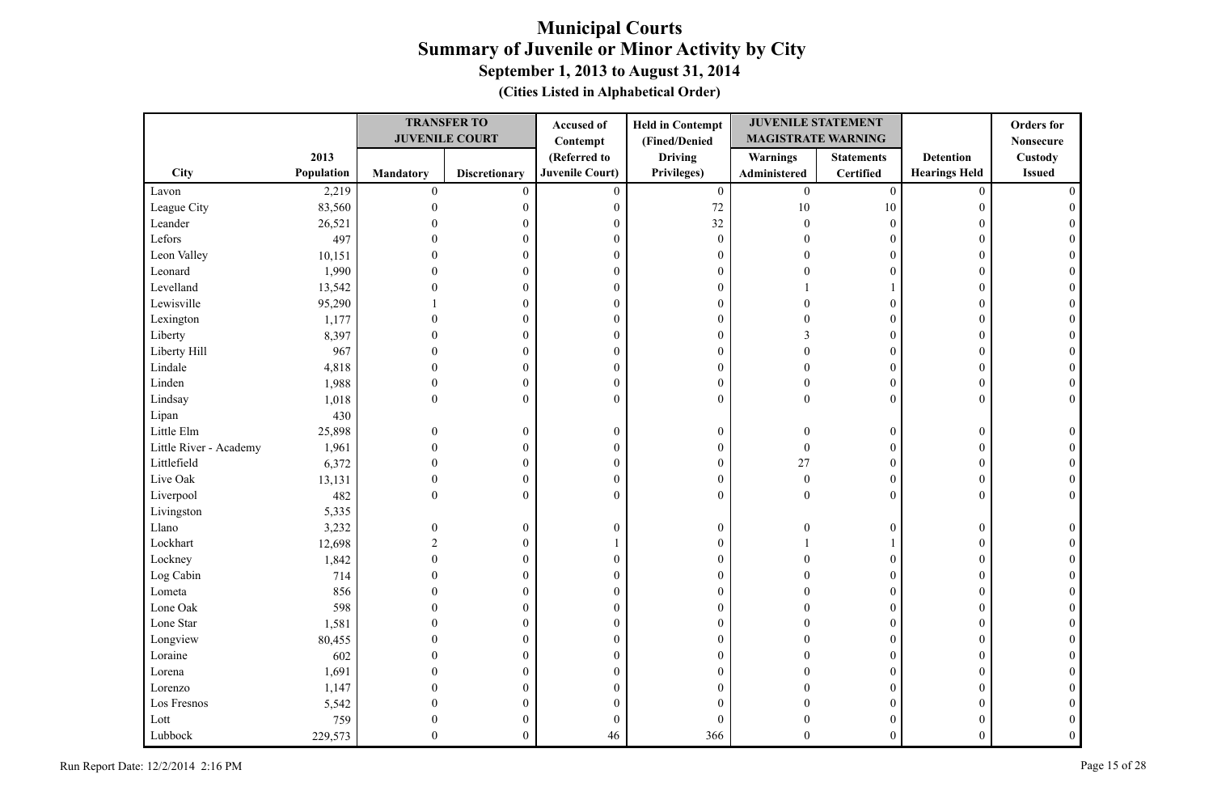|                        |            |                  | <b>TRANSFER TO</b>    | Accused of             | <b>Held in Contempt</b> | <b>JUVENILE STATEMENT</b> |                   |                      | <b>Orders</b> for |
|------------------------|------------|------------------|-----------------------|------------------------|-------------------------|---------------------------|-------------------|----------------------|-------------------|
|                        |            |                  | <b>JUVENILE COURT</b> | Contempt               | (Fined/Denied           | <b>MAGISTRATE WARNING</b> |                   |                      | <b>Nonsecure</b>  |
|                        | 2013       |                  |                       | (Referred to           | <b>Driving</b>          | <b>Warnings</b>           | <b>Statements</b> | <b>Detention</b>     | Custody           |
| <b>City</b>            | Population | <b>Mandatory</b> | <b>Discretionary</b>  | <b>Juvenile Court)</b> | Privileges)             | Administered              | <b>Certified</b>  | <b>Hearings Held</b> | <b>Issued</b>     |
| Lavon                  | 2,219      | $\boldsymbol{0}$ | $\mathbf{0}$          | $\mathbf{0}$           | $\mathbf{0}$            | $\boldsymbol{0}$          | $\mathbf{0}$      | $\mathbf{0}$         |                   |
| League City            | 83,560     | $\theta$         | 0                     | $\mathbf{0}$           | 72                      | 10                        | $10\,$            | $\theta$             |                   |
| Leander                | 26,521     |                  | 0                     | $\theta$               | 32                      | 0                         | $\mathbf{0}$      | 0                    |                   |
| Lefors                 | 497        |                  | $\theta$              | $\mathbf{0}$           | $\boldsymbol{0}$        |                           | $\mathbf{0}$      | $\theta$             |                   |
| Leon Valley            | 10,151     |                  | $\theta$              | $\theta$               | $\boldsymbol{0}$        |                           | $\mathbf{0}$      | $\theta$             |                   |
| Leonard                | 1,990      |                  | $\Omega$              | $\theta$               | $\boldsymbol{0}$        |                           | $\theta$          | $\theta$             |                   |
| Levelland              | 13,542     |                  | $\theta$              | $\mathbf{0}$           | $\boldsymbol{0}$        |                           |                   | $\Omega$             |                   |
| Lewisville             | 95,290     |                  | $\theta$              | $\boldsymbol{0}$       | $\boldsymbol{0}$        |                           | $\overline{0}$    | $\theta$             |                   |
| Lexington              | 1,177      |                  | $\boldsymbol{0}$      | $\boldsymbol{0}$       | $\boldsymbol{0}$        |                           | $\mathbf{0}$      | $\theta$             |                   |
| Liberty                | 8,397      |                  | $\theta$              | $\mathbf{0}$           | $\boldsymbol{0}$        |                           | $\mathbf{0}$      | $\theta$             |                   |
| Liberty Hill           | 967        |                  | $\mathbf{0}$          | $\mathbf{0}$           | $\boldsymbol{0}$        |                           | $\boldsymbol{0}$  | $\mathbf{0}$         |                   |
| Lindale                | 4,818      |                  | 0                     | $\mathbf{0}$           | $\boldsymbol{0}$        |                           | $\boldsymbol{0}$  | $\theta$             | $\Omega$          |
| Linden                 | 1,988      | $\Omega$         | $\theta$              | $\mathbf{0}$           | $\boldsymbol{0}$        |                           | $\boldsymbol{0}$  | $\theta$             |                   |
| Lindsay                | 1,018      | $\mathbf{0}$     | $\mathbf{0}$          | $\overline{0}$         | $\boldsymbol{0}$        | $\Omega$                  | $\mathbf{0}$      | $\mathbf{0}$         | $\theta$          |
| Lipan                  | 430        |                  |                       |                        |                         |                           |                   |                      |                   |
| Little Elm             | 25,898     | $\Omega$         | $\overline{0}$        | $\theta$               | $\boldsymbol{0}$        |                           | $\overline{0}$    | $\mathbf{0}$         |                   |
| Little River - Academy | 1,961      | $\Omega$         | $\boldsymbol{0}$      | $\mathbf{0}$           | $\boldsymbol{0}$        | $\Omega$                  | $\mathbf{0}$      | $\mathbf{0}$         |                   |
| Littlefield            | 6,372      | $\Omega$         | $\boldsymbol{0}$      | $\boldsymbol{0}$       | $\boldsymbol{0}$        | 27                        | $\mathbf{0}$      | $\mathbf{0}$         |                   |
| Live Oak               | 13,131     | $\Omega$         | $\boldsymbol{0}$      | $\boldsymbol{0}$       | $\boldsymbol{0}$        | $\overline{0}$            | $\mathbf{0}$      | $\mathbf{0}$         |                   |
| Liverpool              | 482        | $\Omega$         | $\mathbf{0}$          | $\theta$               | $\mathbf{0}$            | $\Omega$                  | $\theta$          | $\theta$             |                   |
| Livingston             | 5,335      |                  |                       |                        |                         |                           |                   |                      |                   |
| Llano                  | 3,232      | 0                | $\boldsymbol{0}$      | $\theta$               | $\boldsymbol{0}$        |                           | $\overline{0}$    | $\mathbf{0}$         |                   |
| Lockhart               | 12,698     |                  | $\theta$              |                        | $\boldsymbol{0}$        |                           |                   | $\theta$             |                   |
| Lockney                | 1,842      |                  | 0                     | $\boldsymbol{0}$       | $\boldsymbol{0}$        |                           | $\boldsymbol{0}$  | 0                    |                   |
| Log Cabin              | 714        |                  | $\mathbf{0}$          | $\mathbf{0}$           | $\boldsymbol{0}$        |                           | $\mathbf{0}$      | $\theta$             |                   |
| Lometa                 | 856        |                  | $\theta$              | $\theta$               | $\boldsymbol{0}$        |                           | $\overline{0}$    | $\theta$             |                   |
| Lone Oak               | 598        |                  | $\mathbf{0}$          | $\boldsymbol{0}$       | $\boldsymbol{0}$        |                           | $\overline{0}$    | $\theta$             |                   |
| Lone Star              | 1,581      |                  | $\mathbf{0}$          | $\mathbf{0}$           | $\boldsymbol{0}$        |                           | $\Omega$          | $\Omega$             |                   |
| Longview               | 80,455     |                  | $\theta$              | $\boldsymbol{0}$       | $\boldsymbol{0}$        |                           | $\mathbf{0}$      | $\theta$             |                   |
| Loraine                | 602        |                  | $\theta$              | $\boldsymbol{0}$       | $\boldsymbol{0}$        |                           | $\mathbf{0}$      | $\theta$             |                   |
| Lorena                 | 1,691      |                  | 0                     | $\mathbf{0}$           | $\boldsymbol{0}$        |                           | $\theta$          | 0                    |                   |
| Lorenzo                | 1,147      |                  | 0                     | $\theta$               | $\mathbf{0}$            |                           | $\overline{0}$    | $\theta$             |                   |
| Los Fresnos            | 5,542      |                  | 0                     | $\theta$               | $\mathbf{0}$            |                           | $\boldsymbol{0}$  | 0                    |                   |
| Lott                   | 759        |                  |                       | $\overline{0}$         | $\mathbf{0}$            |                           | $\theta$          | 0                    |                   |
| Lubbock                | 229,573    | $\Omega$         | $\mathbf{0}$          | 46                     | 366                     | 0                         | $\mathbf{0}$      | $\theta$             | $\Omega$          |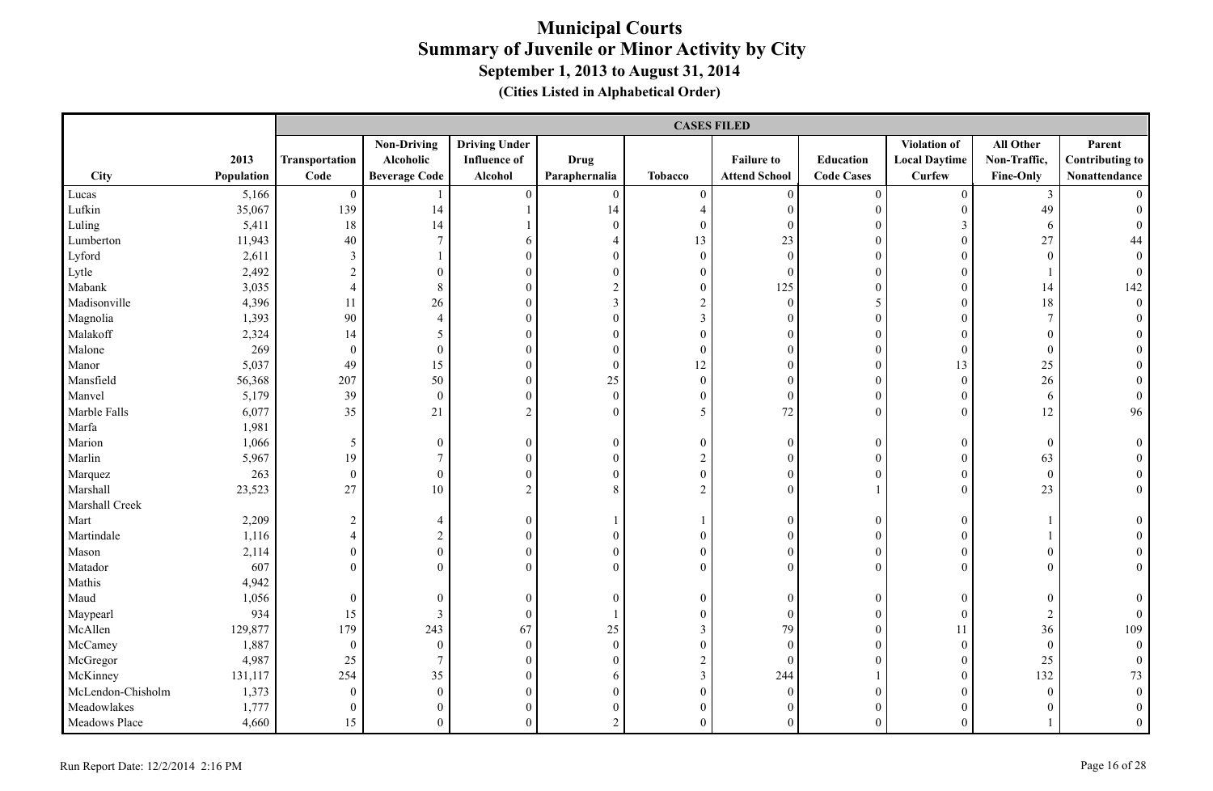|                   |            |                  | <b>CASES FILED</b>   |                      |                  |                  |                      |                   |                      |                  |                        |  |  |
|-------------------|------------|------------------|----------------------|----------------------|------------------|------------------|----------------------|-------------------|----------------------|------------------|------------------------|--|--|
|                   |            |                  | <b>Non-Driving</b>   | <b>Driving Under</b> |                  |                  |                      |                   | Violation of         | All Other        | Parent                 |  |  |
|                   | 2013       | Transportation   | Alcoholic            | <b>Influence of</b>  | Drug             |                  | <b>Failure to</b>    | Education         | <b>Local Daytime</b> | Non-Traffic,     | <b>Contributing to</b> |  |  |
| City              | Population | Code             | <b>Beverage Code</b> | Alcohol              | Paraphernalia    | <b>Tobacco</b>   | <b>Attend School</b> | <b>Code Cases</b> | <b>Curfew</b>        | Fine-Only        | Nonattendance          |  |  |
| Lucas             | 5,166      | $\overline{0}$   |                      | $\theta$             | $\boldsymbol{0}$ | $\boldsymbol{0}$ | $\mathbf{0}$         | $\boldsymbol{0}$  | $\mathbf{0}$         | $\mathfrak{Z}$   |                        |  |  |
| Lufkin            | 35,067     | 139              | 14                   |                      | 14               | 4                | $\mathbf{0}$         | $\boldsymbol{0}$  | $\mathbf{0}$         | 49               |                        |  |  |
| Luling            | 5,411      | 18               | 14                   |                      | $\boldsymbol{0}$ | $\boldsymbol{0}$ | $\mathbf{0}$         | $\boldsymbol{0}$  | $\mathfrak{Z}$       | 6                | $\Omega$               |  |  |
| Lumberton         | 11,943     | 40               | $7\phantom{.0}$      | 6                    | $\overline{4}$   | 13               | 23                   | $\theta$          | $\overline{0}$       | 27               | 44                     |  |  |
| Lyford            | 2,611      | 3                |                      | $\mathbf{0}$         | $\mathbf{0}$     | $\boldsymbol{0}$ | $\mathbf{0}$         | $\theta$          | $\Omega$             | $\mathbf{0}$     | $\overline{0}$         |  |  |
| Lytle             | 2,492      | $\sqrt{2}$       | $\overline{0}$       | $\mathbf{0}$         | $\boldsymbol{0}$ | $\boldsymbol{0}$ | $\mathbf{0}$         | $\overline{0}$    | $\mathbf{0}$         |                  | $\boldsymbol{0}$       |  |  |
| Mabank            | 3,035      | $\overline{4}$   | 8                    | $\mathbf{0}$         | $\sqrt{2}$       | $\boldsymbol{0}$ | 125                  | $\overline{0}$    | $\theta$             | 14               | 142                    |  |  |
| Madisonville      | 4,396      | 11               | 26                   | $\mathbf{0}$         | $\overline{3}$   | $\overline{c}$   | $\mathbf{0}$         | 5                 | $\theta$             | 18               | $\overline{0}$         |  |  |
| Magnolia          | 1,393      | 90               | $\overline{4}$       | $\mathbf{0}$         | $\boldsymbol{0}$ | $\mathfrak{Z}$   | $\mathbf{0}$         | $\boldsymbol{0}$  | $\overline{0}$       | $\tau$           | $\Omega$               |  |  |
| Malakoff          | 2,324      | 14               | 5                    | $\boldsymbol{0}$     | $\boldsymbol{0}$ | $\boldsymbol{0}$ | $\boldsymbol{0}$     | $\boldsymbol{0}$  | $\overline{0}$       | $\boldsymbol{0}$ |                        |  |  |
| Malone            | 269        | $\theta$         | $\boldsymbol{0}$     | $\boldsymbol{0}$     | $\mathbf{0}$     | $\boldsymbol{0}$ | $\boldsymbol{0}$     | $\boldsymbol{0}$  | $\mathbf{0}$         | $\mathbf{0}$     |                        |  |  |
| Manor             | 5,037      | 49               | 15                   | $\boldsymbol{0}$     | $\boldsymbol{0}$ | 12               | $\boldsymbol{0}$     | $\boldsymbol{0}$  | 13                   | 25               |                        |  |  |
| Mansfield         | 56,368     | 207              | 50                   | $\boldsymbol{0}$     | 25               | $\boldsymbol{0}$ | $\mathbf{0}$         | $\boldsymbol{0}$  | $\mathbf{0}$         | 26               |                        |  |  |
| Manvel            | 5,179      | 39               | $\mathbf{0}$         | $\mathbf{0}$         | $\mathbf{0}$     | $\overline{0}$   | $\mathbf{0}$         | $\theta$          | $\overline{0}$       | 6                | $\overline{0}$         |  |  |
| Marble Falls      | 6,077      | 35               | 21                   | $\sqrt{2}$           | $\mathbf{0}$     | 5                | $72\,$               | $\boldsymbol{0}$  | $\theta$             | 12               | 96                     |  |  |
| Marfa             | 1,981      |                  |                      |                      |                  |                  |                      |                   |                      |                  |                        |  |  |
| Marion            | 1,066      | $\mathfrak{S}$   | $\boldsymbol{0}$     | $\boldsymbol{0}$     | $\mathbf{0}$     | $\boldsymbol{0}$ | $\mathbf{0}$         | $\mathbf{0}$      | $\overline{0}$       | $\mathbf{0}$     | $\theta$               |  |  |
| Marlin            | 5,967      | 19               | $\tau$               | $\boldsymbol{0}$     | $\mathbf{0}$     | $\boldsymbol{2}$ | $\mathbf{0}$         | $\boldsymbol{0}$  | $\mathbf{0}$         | 63               | $\overline{0}$         |  |  |
| Marquez           | 263        | $\boldsymbol{0}$ | $\boldsymbol{0}$     | $\boldsymbol{0}$     | $\boldsymbol{0}$ | $\boldsymbol{0}$ | $\boldsymbol{0}$     | $\mathbf{0}$      | $\boldsymbol{0}$     | $\boldsymbol{0}$ | $\boldsymbol{0}$       |  |  |
| Marshall          | 23,523     | 27               | 10                   | $\overline{2}$       | 8                | $\overline{2}$   | $\mathbf{0}$         |                   | $\theta$             | 23               | $\overline{0}$         |  |  |
| Marshall Creek    |            |                  |                      |                      |                  |                  |                      |                   |                      |                  |                        |  |  |
| Mart              | 2,209      | $\sqrt{2}$       | $\overline{4}$       | $\boldsymbol{0}$     |                  |                  | $\mathbf{0}$         | $\boldsymbol{0}$  | $\theta$             |                  | $\theta$               |  |  |
| Martindale        | 1,116      | $\overline{4}$   | $\overline{2}$       | $\mathbf{0}$         | $\mathbf{0}$     | $\overline{0}$   | $\theta$             | $\mathbf{0}$      | $\Omega$             |                  |                        |  |  |
| Mason             | 2,114      | $\mathbf{0}$     | $\boldsymbol{0}$     | $\boldsymbol{0}$     | $\boldsymbol{0}$ | $\boldsymbol{0}$ | $\boldsymbol{0}$     | $\boldsymbol{0}$  | $\theta$             | $\boldsymbol{0}$ | $\theta$               |  |  |
| Matador           | 607        | $\Omega$         | $\boldsymbol{0}$     | $\mathbf{0}$         | $\mathbf{0}$     | $\mathbf{0}$     | $\overline{0}$       | $\overline{0}$    | $\Omega$             | $\overline{0}$   | $\overline{0}$         |  |  |
| Mathis            | 4,942      |                  |                      |                      |                  |                  |                      |                   |                      |                  |                        |  |  |
| Maud              | 1,056      | $\theta$         | $\mathbf{0}$         | $\boldsymbol{0}$     | $\mathbf{0}$     | $\boldsymbol{0}$ | $\mathbf{0}$         | $\boldsymbol{0}$  | $\theta$             | $\mathbf{0}$     | $\theta$               |  |  |
| Maypearl          | 934        | 15               | $\mathfrak{Z}$       | $\boldsymbol{0}$     |                  | $\boldsymbol{0}$ | $\boldsymbol{0}$     | $\boldsymbol{0}$  | $\mathbf{0}$         | $\overline{c}$   | $\boldsymbol{0}$       |  |  |
| McAllen           | 129,877    | 179              | 243                  | 67                   | $25\,$           | $\mathfrak{Z}$   | 79                   | $\overline{0}$    | 11                   | 36               | 109                    |  |  |
| McCamey           | 1,887      | $\theta$         | $\boldsymbol{0}$     | $\boldsymbol{0}$     | $\boldsymbol{0}$ | $\boldsymbol{0}$ | $\mathbf{0}$         | $\theta$          | $\boldsymbol{0}$     | $\boldsymbol{0}$ | $\overline{0}$         |  |  |
| McGregor          | 4,987      | 25               | $7\overline{ }$      | $\mathbf{0}$         | $\mathbf{0}$     | $\sqrt{2}$       | $\theta$             | $\theta$          | $\theta$             | 25               | $\theta$               |  |  |
| McKinney          | 131,117    | 254              | 35                   | $\mathbf{0}$         | 6                | $\mathfrak{Z}$   | 244                  |                   | $\Omega$             | 132              | 73                     |  |  |
| McLendon-Chisholm | 1,373      | $\theta$         | $\mathbf{0}$         | $\boldsymbol{0}$     | $\boldsymbol{0}$ | $\boldsymbol{0}$ | $\boldsymbol{0}$     | $\mathbf{0}$      | $\overline{0}$       | $\boldsymbol{0}$ | $\mathbf{0}$           |  |  |
| Meadowlakes       | 1,777      | $\boldsymbol{0}$ | $\boldsymbol{0}$     | $\boldsymbol{0}$     | $\boldsymbol{0}$ | $\boldsymbol{0}$ | $\mathbf{0}$         | $\overline{0}$    | $\overline{0}$       | $\boldsymbol{0}$ | $\theta$               |  |  |
| Meadows Place     | 4,660      | 15               | $\overline{0}$       | $\theta$             | $\sqrt{2}$       | $\overline{0}$   | $\theta$             | $\theta$          | $\theta$             |                  | $\Omega$               |  |  |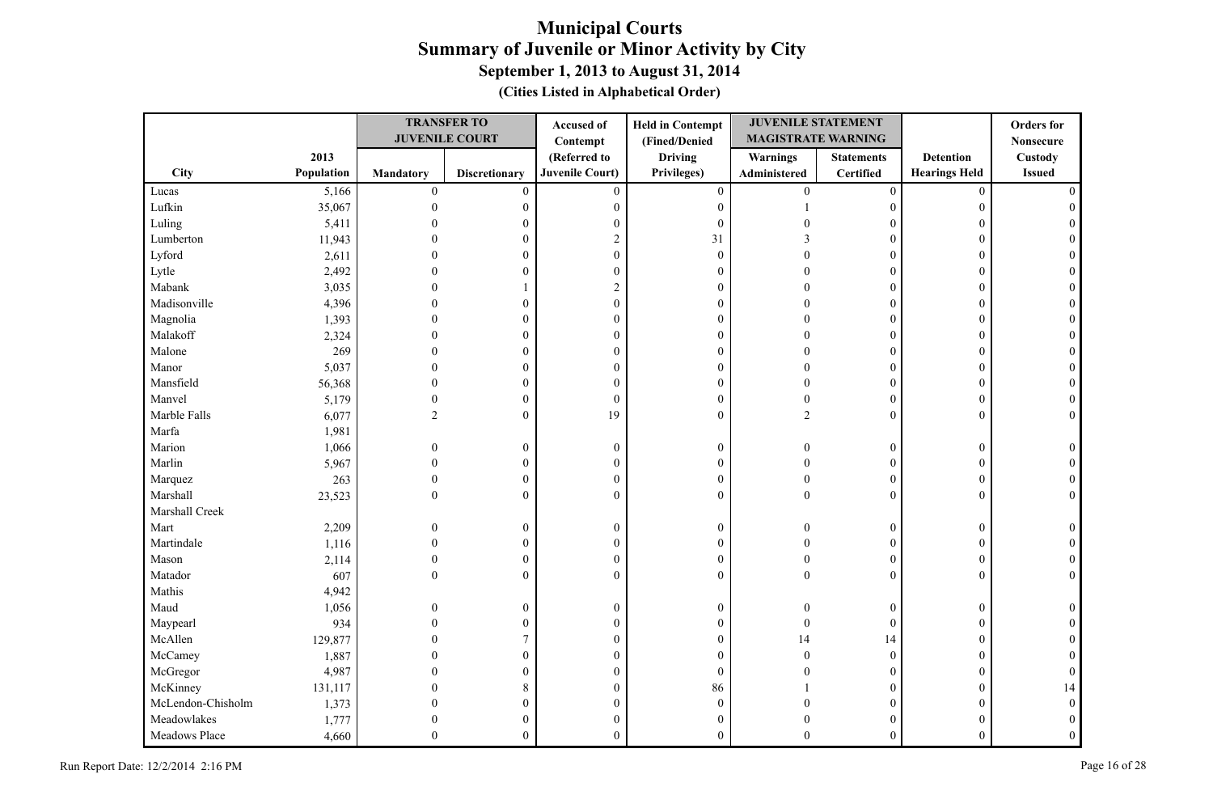|                   |            |                  | <b>TRANSFER TO</b>    | Accused of             | <b>Held in Contempt</b> | <b>JUVENILE STATEMENT</b> |                   |                      | <b>Orders</b> for |
|-------------------|------------|------------------|-----------------------|------------------------|-------------------------|---------------------------|-------------------|----------------------|-------------------|
|                   |            |                  | <b>JUVENILE COURT</b> | Contempt               | (Fined/Denied           | <b>MAGISTRATE WARNING</b> |                   |                      | <b>Nonsecure</b>  |
|                   | 2013       |                  |                       | (Referred to           | <b>Driving</b>          | Warnings                  | <b>Statements</b> | <b>Detention</b>     | Custody           |
| <b>City</b>       | Population | Mandatory        | <b>Discretionary</b>  | <b>Juvenile Court)</b> | Privileges)             | Administered              | <b>Certified</b>  | <b>Hearings Held</b> | <b>Issued</b>     |
| Lucas             | 5,166      | $\boldsymbol{0}$ | $\mathbf{0}$          | $\mathbf{0}$           | $\mathbf{0}$            | $\mathbf{0}$              | $\overline{0}$    | $\theta$             |                   |
| Lufkin            | 35,067     | $\Omega$         | $\boldsymbol{0}$      | $\boldsymbol{0}$       | $\boldsymbol{0}$        |                           | $\mathbf{0}$      | $\Omega$             |                   |
| Luling            | 5,411      |                  | $\mathbf{0}$          | $\boldsymbol{0}$       | $\boldsymbol{0}$        |                           | $\mathbf{0}$      | 0                    |                   |
| Lumberton         | 11,943     |                  | $\boldsymbol{0}$      | $\overline{2}$         | 31                      |                           | $\theta$          | $\Omega$             |                   |
| Lyford            | 2,611      |                  | $\mathbf{0}$          | $\boldsymbol{0}$       | $\boldsymbol{0}$        |                           | $\theta$          | $\Omega$             |                   |
| Lytle             | 2,492      |                  | $\mathbf{0}$          | $\mathbf{0}$           | $\boldsymbol{0}$        |                           | $\mathbf{0}$      | $\Omega$             |                   |
| Mabank            | 3,035      |                  |                       | $\overline{2}$         | $\boldsymbol{0}$        |                           | $\mathbf{0}$      | $\Omega$             |                   |
| Madisonville      | 4,396      |                  | $\overline{0}$        | $\theta$               | $\boldsymbol{0}$        |                           | $\theta$          | $\Omega$             |                   |
| Magnolia          | 1,393      |                  | $\mathbf{0}$          | $\theta$               | $\boldsymbol{0}$        |                           | $\mathbf{0}$      | $\theta$             |                   |
| Malakoff          | 2,324      |                  | $\theta$              | $\overline{0}$         | $\boldsymbol{0}$        |                           | $\boldsymbol{0}$  | $\Omega$             |                   |
| Malone            | 269        |                  | $\boldsymbol{0}$      | $\mathbf{0}$           | $\boldsymbol{0}$        |                           | 0                 | $\mathbf{0}$         |                   |
| Manor             | 5,037      |                  | $\mathbf{0}$          | $\boldsymbol{0}$       | $\boldsymbol{0}$        | $\Omega$                  | $\overline{0}$    | 0                    |                   |
| Mansfield         | 56,368     |                  | $\theta$              | $\mathbf{0}$           | $\boldsymbol{0}$        | $\Omega$                  | $\overline{0}$    | $\Omega$             |                   |
| Manvel            | 5,179      | $\mathbf{0}$     | $\boldsymbol{0}$      | $\boldsymbol{0}$       | $\boldsymbol{0}$        | $\Omega$                  | $\boldsymbol{0}$  | $\mathbf{0}$         |                   |
| Marble Falls      | 6,077      | $\overline{c}$   | $\boldsymbol{0}$      | 19                     | $\boldsymbol{0}$        | $\overline{2}$            | $\Omega$          | $\Omega$             |                   |
| Marfa             | 1,981      |                  |                       |                        |                         |                           |                   |                      |                   |
| Marion            | 1,066      | $\Omega$         | $\boldsymbol{0}$      | $\mathbf{0}$           | $\boldsymbol{0}$        | $\Omega$                  | $\boldsymbol{0}$  | $\mathbf{0}$         |                   |
| Marlin            | 5,967      | $\Omega$         | $\boldsymbol{0}$      | $\boldsymbol{0}$       | $\boldsymbol{0}$        | $\Omega$                  | $\boldsymbol{0}$  | $\mathbf{0}$         |                   |
| Marquez           | 263        | 0                | $\boldsymbol{0}$      | $\theta$               | $\boldsymbol{0}$        | $\Omega$                  | $\mathbf{0}$      | $\mathbf{0}$         |                   |
| Marshall          | 23,523     | $\Omega$         | $\overline{0}$        | $\theta$               | $\mathbf{0}$            | $\Omega$                  | $\theta$          | $\theta$             |                   |
| Marshall Creek    |            |                  |                       |                        |                         |                           |                   |                      |                   |
| Mart              | 2,209      |                  | $\boldsymbol{0}$      | $\mathbf{0}$           | $\boldsymbol{0}$        | 0                         | 0                 | $\mathbf{0}$         |                   |
| Martindale        | 1,116      |                  | $\overline{0}$        | $\boldsymbol{0}$       | $\boldsymbol{0}$        | $\Omega$                  | $\overline{0}$    | $\theta$             |                   |
| Mason             | 2,114      | $\Omega$         | $\boldsymbol{0}$      | $\boldsymbol{0}$       | $\boldsymbol{0}$        | $\Omega$                  | $\boldsymbol{0}$  | $\mathbf{0}$         |                   |
| Matador           | 607        | $\theta$         | $\boldsymbol{0}$      | $\mathbf{0}$           | $\boldsymbol{0}$        | $\Omega$                  | $\overline{0}$    | $\theta$             | $\Omega$          |
| Mathis            | 4,942      |                  |                       |                        |                         |                           |                   |                      |                   |
| Maud              | 1,056      | $\Omega$         | $\boldsymbol{0}$      | $\mathbf{0}$           | $\boldsymbol{0}$        | $\Omega$                  | $\mathbf{0}$      | $\theta$             |                   |
| Maypearl          | 934        |                  | $\boldsymbol{0}$      | $\boldsymbol{0}$       | $\boldsymbol{0}$        | $\Omega$                  | $\mathbf{0}$      | 0                    |                   |
| McAllen           | 129,877    |                  | 7                     | $\boldsymbol{0}$       | $\boldsymbol{0}$        | 14                        | 14                | $\theta$             |                   |
| McCamey           | 1,887      |                  | $\mathbf{0}$          | $\theta$               | $\mathbf{0}$            | $\Omega$                  | $\mathbf{0}$      | $\theta$             |                   |
| McGregor          | 4,987      |                  | $\boldsymbol{0}$      | $\mathbf{0}$           | $\boldsymbol{0}$        |                           | $\boldsymbol{0}$  | $\mathbf{0}$         |                   |
| McKinney          | 131,117    |                  | 8                     | $\boldsymbol{0}$       | 86                      |                           | 0                 | 0                    | 14                |
| McLendon-Chisholm | 1,373      |                  | $\boldsymbol{0}$      | $\boldsymbol{0}$       | $\boldsymbol{0}$        |                           | 0                 | 0                    |                   |
| Meadowlakes       | 1,777      |                  | $\theta$              | $\boldsymbol{0}$       | $\boldsymbol{0}$        |                           | $\boldsymbol{0}$  | 0                    |                   |
| Meadows Place     | 4,660      | $\Omega$         | $\overline{0}$        | $\theta$               | $\mathbf{0}$            | $\Omega$                  | $\overline{0}$    | $\mathbf{0}$         |                   |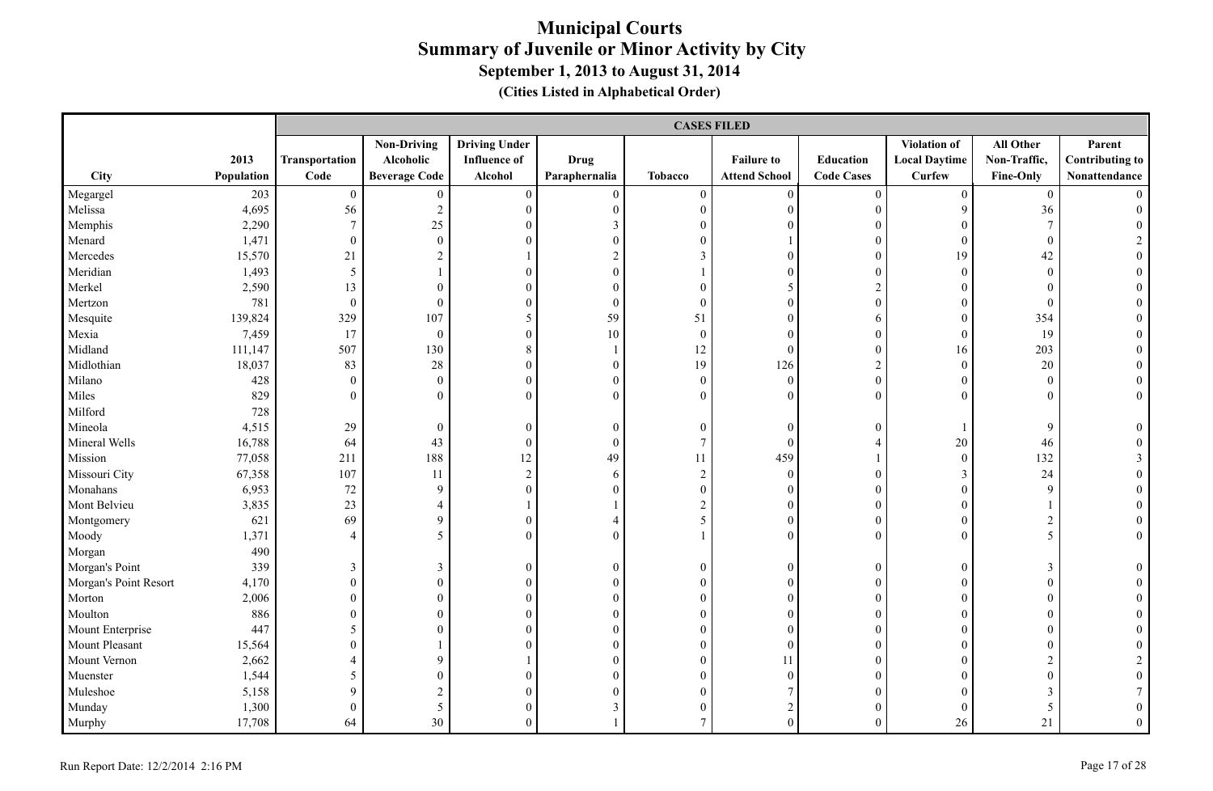|                       |            |                          | <b>CASES FILED</b>   |                      |                  |                  |                      |                          |                      |                  |                        |  |  |
|-----------------------|------------|--------------------------|----------------------|----------------------|------------------|------------------|----------------------|--------------------------|----------------------|------------------|------------------------|--|--|
|                       |            |                          | <b>Non-Driving</b>   | <b>Driving Under</b> |                  |                  |                      |                          | <b>Violation of</b>  | All Other        | Parent                 |  |  |
|                       | 2013       | Transportation           | Alcoholic            | <b>Influence of</b>  | <b>Drug</b>      |                  | <b>Failure to</b>    | <b>Education</b>         | <b>Local Daytime</b> | Non-Traffic,     | <b>Contributing to</b> |  |  |
| <b>City</b>           | Population | Code                     | <b>Beverage Code</b> | Alcohol              | Paraphernalia    | Tobacco          | <b>Attend School</b> | <b>Code Cases</b>        | <b>Curfew</b>        | Fine-Only        | Nonattendance          |  |  |
| Megargel              | 203        | $\boldsymbol{0}$         | $\boldsymbol{0}$     | $\boldsymbol{0}$     | $\boldsymbol{0}$ | $\boldsymbol{0}$ | $\boldsymbol{0}$     | $\boldsymbol{0}$         | $\overline{0}$       | $\overline{0}$   | $\Omega$               |  |  |
| Melissa               | 4,695      | 56                       | $\sqrt{2}$           | $\boldsymbol{0}$     | $\boldsymbol{0}$ | $\boldsymbol{0}$ | $\boldsymbol{0}$     | $\boldsymbol{0}$         | 9                    | 36               | $\Omega$               |  |  |
| Memphis               | 2,290      | $\tau$                   | 25                   | $\theta$             | $\mathfrak{Z}$   | $\boldsymbol{0}$ | $\boldsymbol{0}$     | $\boldsymbol{0}$         | $\overline{0}$       | $\tau$           |                        |  |  |
| Menard                | 1,471      | $\overline{0}$           | $\boldsymbol{0}$     | $\theta$             | $\theta$         | $\mathbf{0}$     |                      | $\mathbf{0}$             | $\overline{0}$       | $\mathbf{0}$     | $\overline{2}$         |  |  |
| Mercedes              | 15,570     | 21                       | $\overline{2}$       |                      | $\overline{2}$   | $\mathfrak{Z}$   | $\theta$             | $\mathbf{0}$             | 19                   | 42               | $\theta$               |  |  |
| Meridian              | 1,493      | 5                        |                      | $\theta$             | $\overline{0}$   | $\mathbf{1}$     | $\boldsymbol{0}$     | $\boldsymbol{0}$         | $\overline{0}$       | $\boldsymbol{0}$ |                        |  |  |
| Merkel                | 2,590      | 13                       | $\mathbf{0}$         | $\boldsymbol{0}$     | $\boldsymbol{0}$ | $\boldsymbol{0}$ | 5                    | $\sqrt{2}$               | $\overline{0}$       | $\mathbf{0}$     |                        |  |  |
| Mertzon               | 781        | $\overline{0}$           | $\mathbf{0}$         | $\boldsymbol{0}$     | $\boldsymbol{0}$ | $\mathbf{0}$     | $\boldsymbol{0}$     | $\boldsymbol{0}$         | $\overline{0}$       | $\overline{0}$   |                        |  |  |
| Mesquite              | 139,824    | 329                      | 107                  | 5                    | 59               | 51               | $\boldsymbol{0}$     | 6                        | $\overline{0}$       | 354              |                        |  |  |
| Mexia                 | 7,459      | 17                       | $\boldsymbol{0}$     | $\boldsymbol{0}$     | $10\,$           | $\boldsymbol{0}$ | $\boldsymbol{0}$     | $\boldsymbol{0}$         | $\overline{0}$       | 19               | $\mathbf{0}$           |  |  |
| Midland               | 111,147    | 507                      | 130                  | 8                    | $\mathbf{1}$     | 12               | $\boldsymbol{0}$     | $\boldsymbol{0}$         | 16                   | 203              | $\theta$               |  |  |
| Midlothian            | 18,037     | 83                       | 28                   | $\boldsymbol{0}$     | $\boldsymbol{0}$ | 19               | 126                  | $\overline{2}$           | $\overline{0}$       | 20               | $\overline{0}$         |  |  |
| Milano                | 428        | $\overline{0}$           | $\boldsymbol{0}$     | $\mathbf{0}$         | $\boldsymbol{0}$ | $\boldsymbol{0}$ | $\boldsymbol{0}$     | $\mathbf{0}$             | $\boldsymbol{0}$     | $\boldsymbol{0}$ | $\overline{0}$         |  |  |
| Miles                 | 829        | $\theta$                 | $\theta$             | $\theta$             | $\theta$         | $\theta$         | $\theta$             | $\boldsymbol{0}$         | $\overline{0}$       | $\mathbf{0}$     | $\overline{0}$         |  |  |
| Milford               | 728        |                          |                      |                      |                  |                  |                      |                          |                      |                  |                        |  |  |
| Mineola               | 4,515      | 29                       | $\boldsymbol{0}$     | $\boldsymbol{0}$     | $\boldsymbol{0}$ | $\boldsymbol{0}$ | $\boldsymbol{0}$     | $\boldsymbol{0}$         |                      | 9                | $\theta$               |  |  |
| Mineral Wells         | 16,788     | 64                       | 43                   | $\boldsymbol{0}$     | $\boldsymbol{0}$ | $\overline{7}$   | $\boldsymbol{0}$     | $\overline{4}$           | $20\,$               | 46               |                        |  |  |
| Mission               | 77,058     | 211                      | 188                  | 12                   | 49               | 11               | 459                  | $\overline{\phantom{a}}$ | $\boldsymbol{0}$     | 132              | 3                      |  |  |
| Missouri City         | 67,358     | $107\,$                  | 11                   | $\sqrt{2}$           | 6                | $\sqrt{2}$       | $\boldsymbol{0}$     | $\boldsymbol{0}$         | 3                    | 24               | $\Omega$               |  |  |
| Monahans              | 6,953      | $72\,$                   | 9                    | $\boldsymbol{0}$     | $\theta$         | $\boldsymbol{0}$ | $\overline{0}$       | $\boldsymbol{0}$         | $\boldsymbol{0}$     | 9                |                        |  |  |
| Mont Belvieu          | 3,835      | 23                       | $\overline{4}$       |                      |                  | $\overline{c}$   | $\boldsymbol{0}$     | $\boldsymbol{0}$         | $\boldsymbol{0}$     |                  |                        |  |  |
| Montgomery            | 621        | 69                       | 9                    | $\theta$             | $\overline{4}$   | 5                | $\boldsymbol{0}$     | $\boldsymbol{0}$         | $\boldsymbol{0}$     | $\overline{c}$   | $\theta$               |  |  |
| Moody                 | 1,371      | $\overline{\mathcal{A}}$ | 5                    | $\theta$             | $\Omega$         | $\mathbf{1}$     | $\theta$             | $\theta$                 | $\Omega$             | 5                | $\theta$               |  |  |
| Morgan                | 490        |                          |                      |                      |                  |                  |                      |                          |                      |                  |                        |  |  |
| Morgan's Point        | 339        | $\mathfrak{Z}$           | $\mathfrak{Z}$       | $\boldsymbol{0}$     | $\boldsymbol{0}$ | $\boldsymbol{0}$ | $\boldsymbol{0}$     | $\boldsymbol{0}$         | $\overline{0}$       | 3                | $\overline{0}$         |  |  |
| Morgan's Point Resort | 4,170      | $\overline{0}$           | $\boldsymbol{0}$     | $\boldsymbol{0}$     | $\boldsymbol{0}$ | $\boldsymbol{0}$ | $\boldsymbol{0}$     | $\boldsymbol{0}$         | $\boldsymbol{0}$     | $\mathbf{0}$     | $\theta$               |  |  |
| Morton                | 2,006      | $\overline{0}$           | $\mathbf{0}$         | $\mathbf{0}$         | $\boldsymbol{0}$ | $\boldsymbol{0}$ | $\overline{0}$       | $\mathbf{0}$             | $\overline{0}$       | $\boldsymbol{0}$ | $\Omega$               |  |  |
| Moulton               | 886        | $\overline{0}$           | $\boldsymbol{0}$     | $\overline{0}$       | $\boldsymbol{0}$ | $\boldsymbol{0}$ | $\boldsymbol{0}$     | $\boldsymbol{0}$         | $\overline{0}$       | $\boldsymbol{0}$ |                        |  |  |
| Mount Enterprise      | 447        | 5                        | $\mathbf{0}$         | $\boldsymbol{0}$     | $\boldsymbol{0}$ | $\boldsymbol{0}$ | $\overline{0}$       | $\boldsymbol{0}$         | $\overline{0}$       | $\mathbf{0}$     |                        |  |  |
| Mount Pleasant        | 15,564     | $\Omega$                 |                      | $\theta$             | $\theta$         | $\boldsymbol{0}$ | $\boldsymbol{0}$     | $\boldsymbol{0}$         | $\boldsymbol{0}$     | $\mathbf{0}$     |                        |  |  |
| Mount Vernon          | 2,662      | $\overline{4}$           | 9                    |                      | $\mathbf{0}$     | $\mathbf{0}$     | 11                   | $\mathbf{0}$             | $\overline{0}$       | $\overline{2}$   |                        |  |  |
| Muenster              | 1,544      | 5                        | $\mathbf{0}$         | $\mathbf{0}$         | $\mathbf{0}$     | $\mathbf{0}$     | $\mathbf{0}$         | $\mathbf{0}$             | $\overline{0}$       | $\overline{0}$   |                        |  |  |
| Muleshoe              | 5,158      | 9                        | $\sqrt{2}$           | $\overline{0}$       | $\boldsymbol{0}$ | $\boldsymbol{0}$ | $\overline{7}$       | $\boldsymbol{0}$         | $\overline{0}$       | 3                |                        |  |  |
| Munday                | 1,300      | $\overline{0}$           | 5                    | $\theta$             | $\mathfrak{Z}$   | $\boldsymbol{0}$ | $\sqrt{2}$           | $\boldsymbol{0}$         | $\overline{0}$       | 5                | $\theta$               |  |  |
| Murphy                | 17,708     | 64                       | 30                   | $\theta$             |                  | $\overline{7}$   | $\boldsymbol{0}$     | $\theta$                 | 26                   | 21               | $\Omega$               |  |  |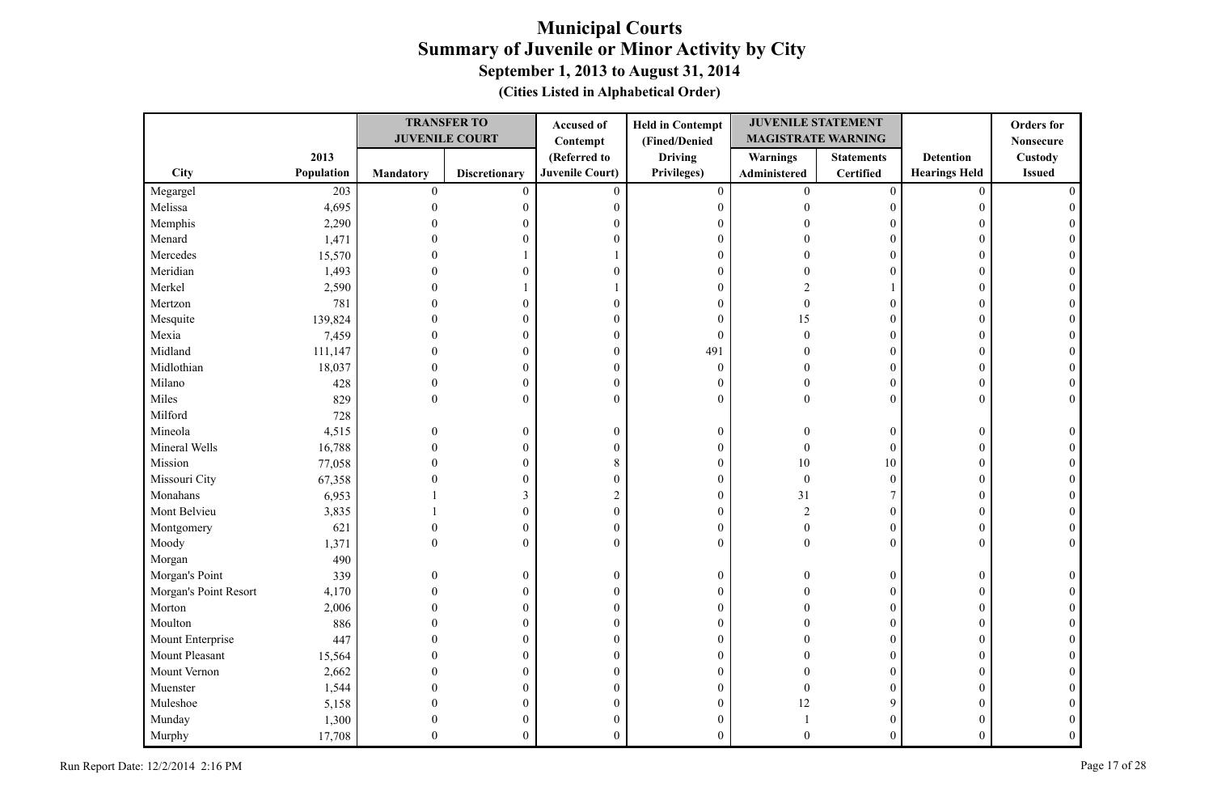|                       |            |                  | <b>TRANSFER TO</b>    | Accused of             | <b>Held in Contempt</b> | <b>JUVENILE STATEMENT</b> |                   |                      | <b>Orders</b> for |
|-----------------------|------------|------------------|-----------------------|------------------------|-------------------------|---------------------------|-------------------|----------------------|-------------------|
|                       |            |                  | <b>JUVENILE COURT</b> | Contempt               | (Fined/Denied           | <b>MAGISTRATE WARNING</b> |                   |                      | <b>Nonsecure</b>  |
|                       | 2013       |                  |                       | (Referred to           | <b>Driving</b>          | <b>Warnings</b>           | <b>Statements</b> | <b>Detention</b>     | Custody           |
| City                  | Population | <b>Mandatory</b> | <b>Discretionary</b>  | <b>Juvenile Court)</b> | Privileges)             | Administered              | <b>Certified</b>  | <b>Hearings Held</b> | <b>Issued</b>     |
| Megargel              | 203        | $\boldsymbol{0}$ | $\overline{0}$        | $\mathbf{0}$           | $\boldsymbol{0}$        | $\mathbf{0}$              | $\boldsymbol{0}$  | $\mathbf{0}$         |                   |
| Melissa               | 4,695      | $\theta$         | 0                     | $\mathbf{0}$           | $\boldsymbol{0}$        | ∩                         | $\boldsymbol{0}$  | $\theta$             |                   |
| Memphis               | 2,290      |                  | 0                     | $\theta$               | $\boldsymbol{0}$        |                           | 0                 | $\theta$             |                   |
| Menard                | 1,471      |                  | 0                     | $\theta$               | $\boldsymbol{0}$        |                           | $\theta$          | $\theta$             |                   |
| Mercedes              | 15,570     |                  |                       |                        | $\boldsymbol{0}$        |                           | $\mathbf{0}$      | $\theta$             |                   |
| Meridian              | 1,493      |                  | $\theta$              | $\Omega$               | $\boldsymbol{0}$        |                           | $\theta$          | $\theta$             |                   |
| Merkel                | 2,590      |                  |                       |                        | $\boldsymbol{0}$        |                           |                   | $\theta$             |                   |
| Mertzon               | 781        |                  | 0                     | $\boldsymbol{0}$       | $\boldsymbol{0}$        | O                         | $\overline{0}$    | $\theta$             |                   |
| Mesquite              | 139,824    |                  | $\theta$              | $\mathbf{0}$           | $\mathbf{0}$            | 15                        | $\mathbf{0}$      | $\theta$             |                   |
| Mexia                 | 7,459      |                  | $\theta$              | $\theta$               | $\theta$                | $\Omega$                  | $\mathbf{0}$      | $\theta$             |                   |
| Midland               | 111,147    |                  | $\Omega$              | $\mathbf{0}$           | 491                     |                           | $\boldsymbol{0}$  | $\theta$             |                   |
| Midlothian            | 18,037     |                  | $\theta$              | $\mathbf{0}$           | $\boldsymbol{0}$        |                           | $\overline{0}$    | $\theta$             |                   |
| Milano                | 428        | $\theta$         | $\boldsymbol{0}$      | $\mathbf{0}$           | $\mathbf{0}$            |                           | $\boldsymbol{0}$  | $\overline{0}$       |                   |
| Miles                 | 829        | $\Omega$         | $\boldsymbol{0}$      | $\theta$               | $\boldsymbol{0}$        | $\Omega$                  | $\Omega$          | $\theta$             | $\Omega$          |
| Milford               | 728        |                  |                       |                        |                         |                           |                   |                      |                   |
| Mineola               | 4,515      | $\Omega$         | $\boldsymbol{0}$      | $\boldsymbol{0}$       | $\boldsymbol{0}$        |                           | $\overline{0}$    | $\boldsymbol{0}$     |                   |
| Mineral Wells         | 16,788     |                  | $\mathbf{0}$          | $\overline{0}$         | $\boldsymbol{0}$        | $\Omega$                  | $\mathbf{0}$      | $\mathbf{0}$         |                   |
| Mission               | 77,058     |                  | $\mathbf{0}$          | 8                      | $\boldsymbol{0}$        | 10                        | $10\,$            | $\theta$             |                   |
| Missouri City         | 67,358     |                  | $\boldsymbol{0}$      | $\boldsymbol{0}$       | $\boldsymbol{0}$        | $\theta$                  | $\mathbf{0}$      | $\mathbf{0}$         |                   |
| Monahans              | 6,953      |                  | 3                     | $\overline{2}$         | $\boldsymbol{0}$        | 31                        | 7                 | $\mathbf{0}$         |                   |
| Mont Belvieu          | 3,835      |                  | $\mathbf{0}$          | $\mathbf{0}$           | $\boldsymbol{0}$        | $\overline{2}$            | $\mathbf{0}$      | $\theta$             |                   |
| Montgomery            | 621        |                  | $\boldsymbol{0}$      | $\boldsymbol{0}$       | $\boldsymbol{0}$        | $\Omega$                  | $\boldsymbol{0}$  | $\boldsymbol{0}$     |                   |
| Moody                 | 1,371      | $\Omega$         | $\theta$              | $\Omega$               | $\mathbf{0}$            | $\Omega$                  | $\theta$          | $\theta$             | $\Omega$          |
| Morgan                | 490        |                  |                       |                        |                         |                           |                   |                      |                   |
| Morgan's Point        | 339        |                  | $\boldsymbol{0}$      | $\boldsymbol{0}$       | $\boldsymbol{0}$        |                           | $\boldsymbol{0}$  | $\boldsymbol{0}$     |                   |
| Morgan's Point Resort | 4,170      |                  | $\theta$              | $\mathbf{0}$           | $\boldsymbol{0}$        |                           | $\mathbf{0}$      | $\theta$             |                   |
| Morton                | 2,006      |                  | $\theta$              | $\theta$               | $\boldsymbol{0}$        |                           | $\mathbf{0}$      | $\theta$             |                   |
| Moulton               | 886        |                  | 0                     | $\boldsymbol{0}$       | $\boldsymbol{0}$        |                           | $\mathbf{0}$      | $\theta$             |                   |
| Mount Enterprise      | 447        |                  | $\theta$              | $\mathbf{0}$           | $\boldsymbol{0}$        |                           | $\theta$          | $\Omega$             |                   |
| Mount Pleasant        | 15,564     |                  | $\theta$              | $\boldsymbol{0}$       | $\boldsymbol{0}$        |                           | $\mathbf{0}$      | $\theta$             |                   |
| Mount Vernon          | 2,662      |                  | $\theta$              | $\theta$               | $\boldsymbol{0}$        |                           | $\mathbf{0}$      | $\theta$             |                   |
| Muenster              | 1,544      |                  | $\theta$              | $\mathbf{0}$           | $\boldsymbol{0}$        |                           | $\mathbf{0}$      | $\theta$             |                   |
| Muleshoe              | 5,158      |                  | 0                     | $\boldsymbol{0}$       | $\boldsymbol{0}$        | 12                        | 9                 | $\theta$             |                   |
| Munday                | 1,300      |                  | 0                     | $\theta$               | $\boldsymbol{0}$        |                           | 0                 | 0                    |                   |
| Murphy                | 17,708     |                  | $\theta$              | $\theta$               | $\theta$                | 0                         | $\theta$          | $\theta$             |                   |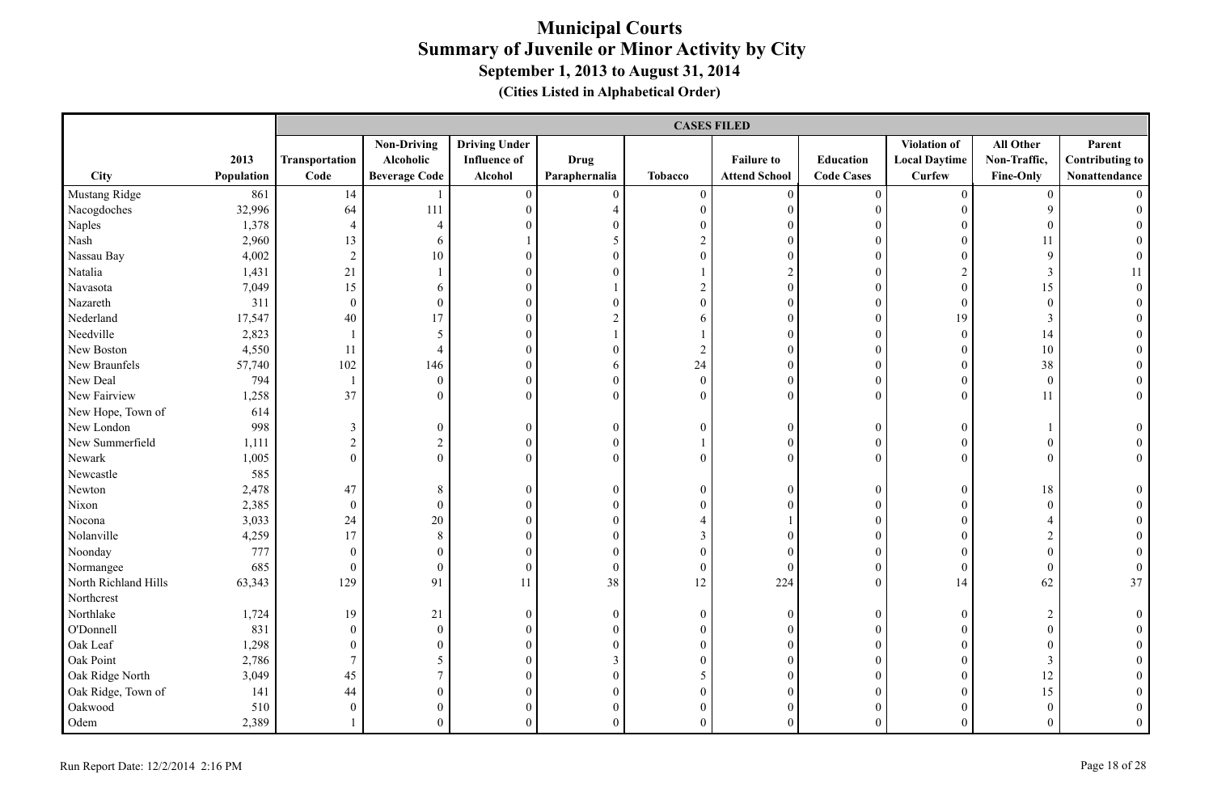|                      |            |                          | <b>CASES FILED</b>   |                      |                  |                  |                      |                   |                      |                  |                        |  |  |
|----------------------|------------|--------------------------|----------------------|----------------------|------------------|------------------|----------------------|-------------------|----------------------|------------------|------------------------|--|--|
|                      |            |                          | <b>Non-Driving</b>   | <b>Driving Under</b> |                  |                  |                      |                   | <b>Violation of</b>  | All Other        | Parent                 |  |  |
|                      | 2013       | Transportation           | Alcoholic            | <b>Influence of</b>  | <b>Drug</b>      |                  | <b>Failure to</b>    | Education         | <b>Local Daytime</b> | Non-Traffic,     | <b>Contributing to</b> |  |  |
| City                 | Population | Code                     | <b>Beverage Code</b> | Alcohol              | Paraphernalia    | <b>Tobacco</b>   | <b>Attend School</b> | <b>Code Cases</b> | <b>Curfew</b>        | Fine-Only        | Nonattendance          |  |  |
| Mustang Ridge        | 861        | 14                       |                      | $\boldsymbol{0}$     | $\boldsymbol{0}$ | $\boldsymbol{0}$ | $\boldsymbol{0}$     | $\boldsymbol{0}$  | $\mathbf{0}$         | $\overline{0}$   |                        |  |  |
| Nacogdoches          | 32,996     | 64                       | 111                  | $\boldsymbol{0}$     | $\overline{4}$   | $\boldsymbol{0}$ | $\boldsymbol{0}$     | $\boldsymbol{0}$  | $\overline{0}$       | 9                |                        |  |  |
| Naples               | 1,378      | $\overline{4}$           | $\overline{4}$       | $\theta$             | $\Omega$         | $\boldsymbol{0}$ | $\mathbf{0}$         | $\boldsymbol{0}$  | $\overline{0}$       | $\mathbf{0}$     |                        |  |  |
| Nash                 | 2,960      | 13                       | 6                    |                      | 5                | $\sqrt{2}$       | $\boldsymbol{0}$     | $\boldsymbol{0}$  | $\overline{0}$       | 11               |                        |  |  |
| Nassau Bay           | 4,002      | $\overline{2}$           | 10                   | $\theta$             | $\theta$         | $\mathbf{0}$     | $\theta$             | $\mathbf{0}$      | $\overline{0}$       | 9                |                        |  |  |
| Natalia              | 1,431      | 21                       |                      | $\theta$             | $\theta$         |                  | $\overline{c}$       | $\boldsymbol{0}$  | $\overline{c}$       | $\mathfrak{Z}$   |                        |  |  |
| Navasota             | 7,049      | 15                       | 6                    | $\theta$             |                  | $\overline{c}$   | $\boldsymbol{0}$     | $\boldsymbol{0}$  | $\overline{0}$       | 15               | $\Omega$               |  |  |
| Nazareth             | 311        | $\boldsymbol{0}$         | $\overline{0}$       | $\boldsymbol{0}$     | $\Omega$         | $\mathbf{0}$     | $\boldsymbol{0}$     | $\boldsymbol{0}$  | $\overline{0}$       | $\boldsymbol{0}$ |                        |  |  |
| Nederland            | 17,547     | 40                       | 17                   | $\boldsymbol{0}$     | $\overline{2}$   | 6                | $\overline{0}$       | $\boldsymbol{0}$  | 19                   | 3                |                        |  |  |
| Needville            | 2,823      | $\overline{1}$           | 5                    | $\overline{0}$       |                  |                  | $\boldsymbol{0}$     | $\boldsymbol{0}$  | $\boldsymbol{0}$     | 14               |                        |  |  |
| New Boston           | 4,550      | 11                       | $\overline{4}$       | $\boldsymbol{0}$     | $\theta$         | $\sqrt{2}$       | $\boldsymbol{0}$     | $\boldsymbol{0}$  | $\overline{0}$       | 10               |                        |  |  |
| New Braunfels        | 57,740     | 102                      | 146                  | $\boldsymbol{0}$     | 6                | 24               | $\boldsymbol{0}$     | $\boldsymbol{0}$  | $\boldsymbol{0}$     | 38               |                        |  |  |
| New Deal             | 794        | $\overline{\phantom{a}}$ | $\overline{0}$       | $\boldsymbol{0}$     | $\theta$         | $\boldsymbol{0}$ | $\boldsymbol{0}$     | $\mathbf{0}$      | $\overline{0}$       | $\mathbf{0}$     |                        |  |  |
| New Fairview         | 1,258      | 37                       | $\Omega$             | $\theta$             | $\theta$         | $\boldsymbol{0}$ | $\theta$             | $\theta$          | $\overline{0}$       | 11               | $\overline{0}$         |  |  |
| New Hope, Town of    | 614        |                          |                      |                      |                  |                  |                      |                   |                      |                  |                        |  |  |
| New London           | 998        | $\mathfrak{Z}$           | $\overline{0}$       | $\boldsymbol{0}$     | $\boldsymbol{0}$ | $\boldsymbol{0}$ | $\boldsymbol{0}$     | $\boldsymbol{0}$  | $\overline{0}$       |                  | $\theta$               |  |  |
| New Summerfield      | 1,111      | $\overline{2}$           | $\overline{c}$       | $\boldsymbol{0}$     | $\boldsymbol{0}$ | $\mathbf{1}$     | $\boldsymbol{0}$     | $\boldsymbol{0}$  | $\overline{0}$       | $\boldsymbol{0}$ |                        |  |  |
| Newark               | 1,005      | $\mathbf{0}$             | $\overline{0}$       | $\theta$             | $\theta$         | $\mathbf{0}$     | $\mathbf{0}$         | $\mathbf{0}$      | $\overline{0}$       | $\mathbf{0}$     | $\theta$               |  |  |
| Newcastle            | 585        |                          |                      |                      |                  |                  |                      |                   |                      |                  |                        |  |  |
| Newton               | 2,478      | 47                       | 8                    | $\overline{0}$       | $\overline{0}$   | $\boldsymbol{0}$ | $\mathbf{0}$         | $\boldsymbol{0}$  | $\overline{0}$       | 18               |                        |  |  |
| Nixon                | 2,385      | $\boldsymbol{0}$         | $\theta$             | $\overline{0}$       | $\theta$         | $\mathbf{0}$     | $\theta$             | $\boldsymbol{0}$  | $\overline{0}$       | $\mathbf{0}$     |                        |  |  |
| Nocona               | 3,033      | 24                       | $20\,$               | $\theta$             | $\theta$         | 4                |                      | $\theta$          | $\overline{0}$       | $\overline{4}$   |                        |  |  |
| Nolanville           | 4,259      | 17                       | 8                    | $\theta$             | $\theta$         | 3                | $\theta$             | $\theta$          | $\theta$             | $\overline{2}$   |                        |  |  |
| Noonday              | 777        | $\boldsymbol{0}$         | $\overline{0}$       | $\boldsymbol{0}$     | $\theta$         | $\boldsymbol{0}$ | $\overline{0}$       | $\boldsymbol{0}$  | $\overline{0}$       | $\boldsymbol{0}$ | $\theta$               |  |  |
| Normangee            | 685        | $\boldsymbol{0}$         | $\overline{0}$       | $\boldsymbol{0}$     | $\boldsymbol{0}$ | $\boldsymbol{0}$ | $\boldsymbol{0}$     | $\boldsymbol{0}$  | $\overline{0}$       | $\boldsymbol{0}$ | $\boldsymbol{0}$       |  |  |
| North Richland Hills | 63,343     | 129                      | 91                   | 11                   | 38               | 12               | 224                  | $\boldsymbol{0}$  | 14                   | 62               | 37                     |  |  |
| Northcrest           |            |                          |                      |                      |                  |                  |                      |                   |                      |                  |                        |  |  |
| Northlake            | 1,724      | 19                       | 21                   | $\boldsymbol{0}$     | $\mathbf{0}$     | $\boldsymbol{0}$ | $\boldsymbol{0}$     | $\boldsymbol{0}$  | $\overline{0}$       | $\overline{c}$   |                        |  |  |
| O'Donnell            | 831        | $\boldsymbol{0}$         | $\mathbf{0}$         | $\overline{0}$       | $\overline{0}$   | $\boldsymbol{0}$ | $\theta$             | $\boldsymbol{0}$  | $\overline{0}$       | $\boldsymbol{0}$ |                        |  |  |
| Oak Leaf             | 1,298      | $\boldsymbol{0}$         | $\theta$             | $\theta$             | $\theta$         | $\boldsymbol{0}$ | $\theta$             | $\boldsymbol{0}$  | $\overline{0}$       | $\boldsymbol{0}$ |                        |  |  |
| Oak Point            | 2,786      | $\overline{7}$           | 5                    | $\theta$             | 3                | $\mathbf{0}$     | $\boldsymbol{0}$     | $\boldsymbol{0}$  | $\overline{0}$       | 3                |                        |  |  |
| Oak Ridge North      | 3,049      | 45                       | $7\overline{ }$      | $\overline{0}$       | $\overline{0}$   | 5                | $\overline{0}$       | $\mathbf{0}$      | $\overline{0}$       | 12               |                        |  |  |
| Oak Ridge, Town of   | 141        | 44                       | $\overline{0}$       | $\overline{0}$       | $\overline{0}$   | $\boldsymbol{0}$ | $\boldsymbol{0}$     | $\boldsymbol{0}$  | $\overline{0}$       | 15               |                        |  |  |
| Oakwood              | 510        | $\boldsymbol{0}$         | $\overline{0}$       | $\theta$             | $\theta$         | $\boldsymbol{0}$ | $\boldsymbol{0}$     | $\theta$          | $\overline{0}$       | $\boldsymbol{0}$ |                        |  |  |
| Odem                 | 2,389      |                          | $\theta$             | $\theta$             | $\theta$         | $\Omega$         | $\Omega$             | $\theta$          | $\Omega$             | $\Omega$         | $\Omega$               |  |  |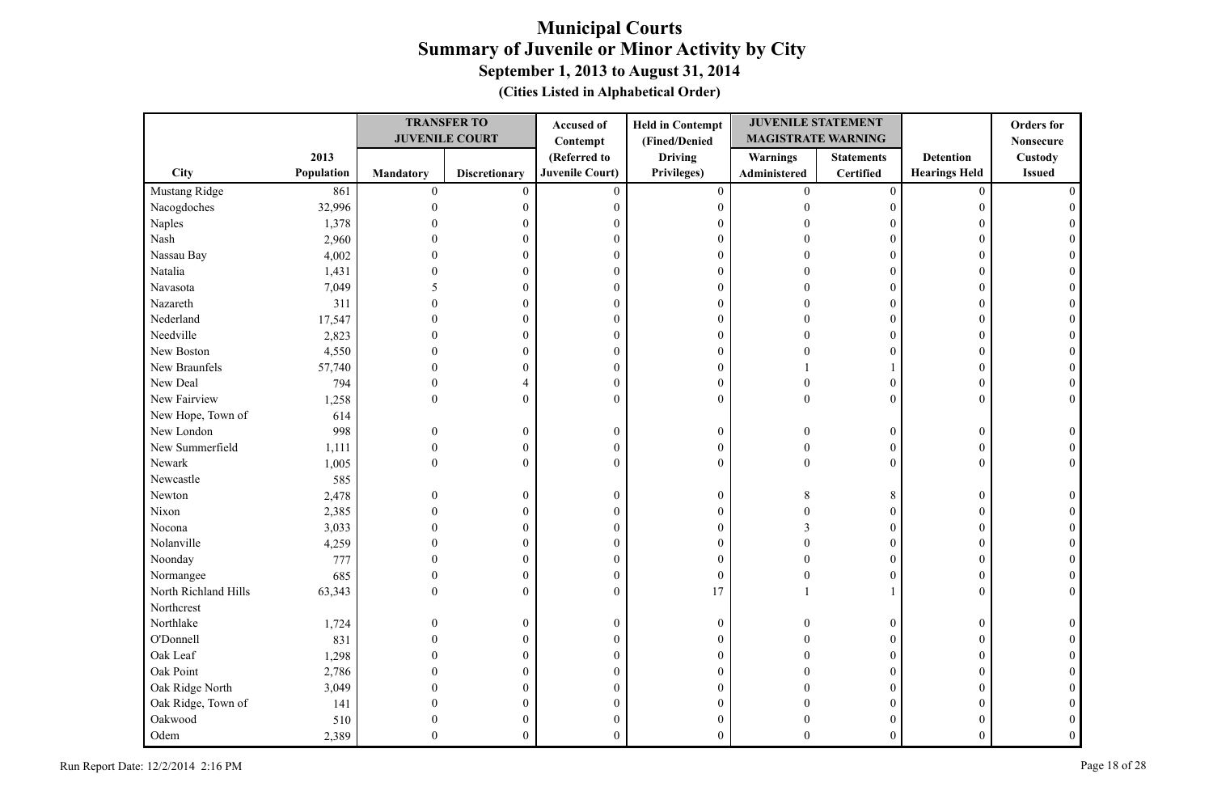|                      |            |                  | <b>TRANSFER TO</b>    | Accused of             | <b>Held in Contempt</b> | <b>JUVENILE STATEMENT</b> |                   |                      | <b>Orders</b> for |
|----------------------|------------|------------------|-----------------------|------------------------|-------------------------|---------------------------|-------------------|----------------------|-------------------|
|                      |            |                  | <b>JUVENILE COURT</b> | Contempt               | (Fined/Denied           | <b>MAGISTRATE WARNING</b> |                   |                      | <b>Nonsecure</b>  |
|                      | 2013       |                  |                       | (Referred to           | <b>Driving</b>          | Warnings                  | <b>Statements</b> | <b>Detention</b>     | Custody           |
| <b>City</b>          | Population | <b>Mandatory</b> | <b>Discretionary</b>  | <b>Juvenile Court)</b> | Privileges)             | Administered              | Certified         | <b>Hearings Held</b> | <b>Issued</b>     |
| Mustang Ridge        | 861        | $\boldsymbol{0}$ | $\mathbf{0}$          | $\mathbf{0}$           | $\overline{0}$          | $\overline{0}$            | $\boldsymbol{0}$  | $\mathbf{0}$         |                   |
| Nacogdoches          | 32,996     | $\mathbf{0}$     | $\boldsymbol{0}$      | $\boldsymbol{0}$       | $\boldsymbol{0}$        | $\Omega$                  | $\overline{0}$    | 0                    |                   |
| Naples               | 1,378      |                  | 0                     | $\overline{0}$         | $\mathbf{0}$            |                           | 0                 | 0                    |                   |
| Nash                 | 2,960      |                  | $\theta$              | $\boldsymbol{0}$       | $\mathbf{0}$            |                           | $\theta$          | $\Omega$             |                   |
| Nassau Bay           | 4,002      |                  | 0                     | $\boldsymbol{0}$       | $\boldsymbol{0}$        |                           | $\Omega$          | $\Omega$             |                   |
| Natalia              | 1,431      |                  | $\theta$              | $\boldsymbol{0}$       | $\boldsymbol{0}$        |                           | $\Omega$          | 0                    |                   |
| Navasota             | 7,049      |                  | $\theta$              | $\boldsymbol{0}$       | $\boldsymbol{0}$        |                           | $\theta$          | $\Omega$             |                   |
| Nazareth             | 311        |                  | $\theta$              | $\boldsymbol{0}$       | $\boldsymbol{0}$        |                           | $\overline{0}$    | $\Omega$             |                   |
| Nederland            | 17,547     |                  | $\overline{0}$        | $\boldsymbol{0}$       | $\boldsymbol{0}$        |                           | $\boldsymbol{0}$  | $\Omega$             |                   |
| Needville            | 2,823      |                  | $\theta$              | $\theta$               | $\mathbf{0}$            |                           | $\theta$          | $\Omega$             |                   |
| New Boston           | 4,550      | 0                | 0                     | $\boldsymbol{0}$       | $\boldsymbol{0}$        |                           | $\overline{0}$    | $\overline{0}$       |                   |
| New Braunfels        | 57,740     | 0                | 0                     | $\boldsymbol{0}$       | $\boldsymbol{0}$        |                           |                   | $\Omega$             |                   |
| New Deal             | 794        | $\Omega$         | 4                     | $\boldsymbol{0}$       | $\boldsymbol{0}$        | $\Omega$                  | $\overline{0}$    | 0                    |                   |
| New Fairview         | 1,258      | $\overline{0}$   | $\boldsymbol{0}$      | $\mathbf{0}$           | $\mathbf{0}$            | $\theta$                  | $\overline{0}$    | $\Omega$             |                   |
| New Hope, Town of    | 614        |                  |                       |                        |                         |                           |                   |                      |                   |
| New London           | 998        | $\Omega$         | $\boldsymbol{0}$      | $\boldsymbol{0}$       | $\boldsymbol{0}$        |                           | $\overline{0}$    | $\Omega$             |                   |
| New Summerfield      | 1,111      | $\mathbf{0}$     | $\boldsymbol{0}$      | $\boldsymbol{0}$       | $\boldsymbol{0}$        | $\Omega$                  | $\overline{0}$    | $\theta$             |                   |
| Newark               | 1,005      | $\Omega$         | $\overline{0}$        | $\theta$               | $\mathbf{0}$            | $\Omega$                  | $\theta$          | O                    |                   |
| Newcastle            | 585        |                  |                       |                        |                         |                           |                   |                      |                   |
| Newton               | 2,478      | 0                | $\boldsymbol{0}$      | $\boldsymbol{0}$       | $\boldsymbol{0}$        | 8                         | 8                 | $\mathbf{0}$         |                   |
| Nixon                | 2,385      |                  | $\mathbf{0}$          | $\boldsymbol{0}$       | $\boldsymbol{0}$        |                           | $\overline{0}$    | $\theta$             |                   |
| Nocona               | 3,033      |                  | 0                     | $\theta$               | $\mathbf{0}$            |                           | $\overline{0}$    | 0                    |                   |
| Nolanville           | 4,259      |                  | 0                     | $\boldsymbol{0}$       | $\boldsymbol{0}$        |                           | $\overline{0}$    | $\Omega$             |                   |
| Noonday              | 777        |                  | 0                     | $\boldsymbol{0}$       | $\boldsymbol{0}$        |                           | $\overline{0}$    | $\overline{0}$       |                   |
| Normangee            | 685        | $\Omega$         | $\overline{0}$        | $\boldsymbol{0}$       | $\boldsymbol{0}$        |                           | $\theta$          | $\theta$             |                   |
| North Richland Hills | 63,343     | $\Omega$         | $\overline{0}$        | $\mathbf{0}$           | 17                      |                           |                   | $\theta$             |                   |
| Northcrest           |            |                  |                       |                        |                         |                           |                   |                      |                   |
| Northlake            | 1,724      | $\Omega$         | $\boldsymbol{0}$      | $\boldsymbol{0}$       | $\boldsymbol{0}$        | $\Omega$                  | $\overline{0}$    | $\Omega$             |                   |
| O'Donnell            | 831        | $\Omega$         | $\overline{0}$        | $\boldsymbol{0}$       | $\boldsymbol{0}$        |                           | $\overline{0}$    | $\Omega$             |                   |
| Oak Leaf             | 1,298      |                  | $\overline{0}$        | $\boldsymbol{0}$       | $\boldsymbol{0}$        |                           | $\overline{0}$    | $\Omega$             |                   |
| Oak Point            | 2,786      |                  | 0                     | $\theta$               | $\mathbf{0}$            |                           | $\theta$          | 0                    |                   |
| Oak Ridge North      | 3,049      |                  | 0                     | $\boldsymbol{0}$       | $\mathbf{0}$            |                           | $\overline{0}$    | $\Omega$             |                   |
| Oak Ridge, Town of   | 141        |                  | 0                     | $\boldsymbol{0}$       | $\boldsymbol{0}$        |                           | $\overline{0}$    |                      |                   |
| Oakwood              | 510        |                  | 0                     | $\mathbf{0}$           | $\boldsymbol{0}$        |                           | 0                 |                      |                   |
| Odem                 | 2,389      | $\Omega$         | $\overline{0}$        | $\mathbf{0}$           | $\theta$                | $\Omega$                  | $\overline{0}$    | $\overline{0}$       |                   |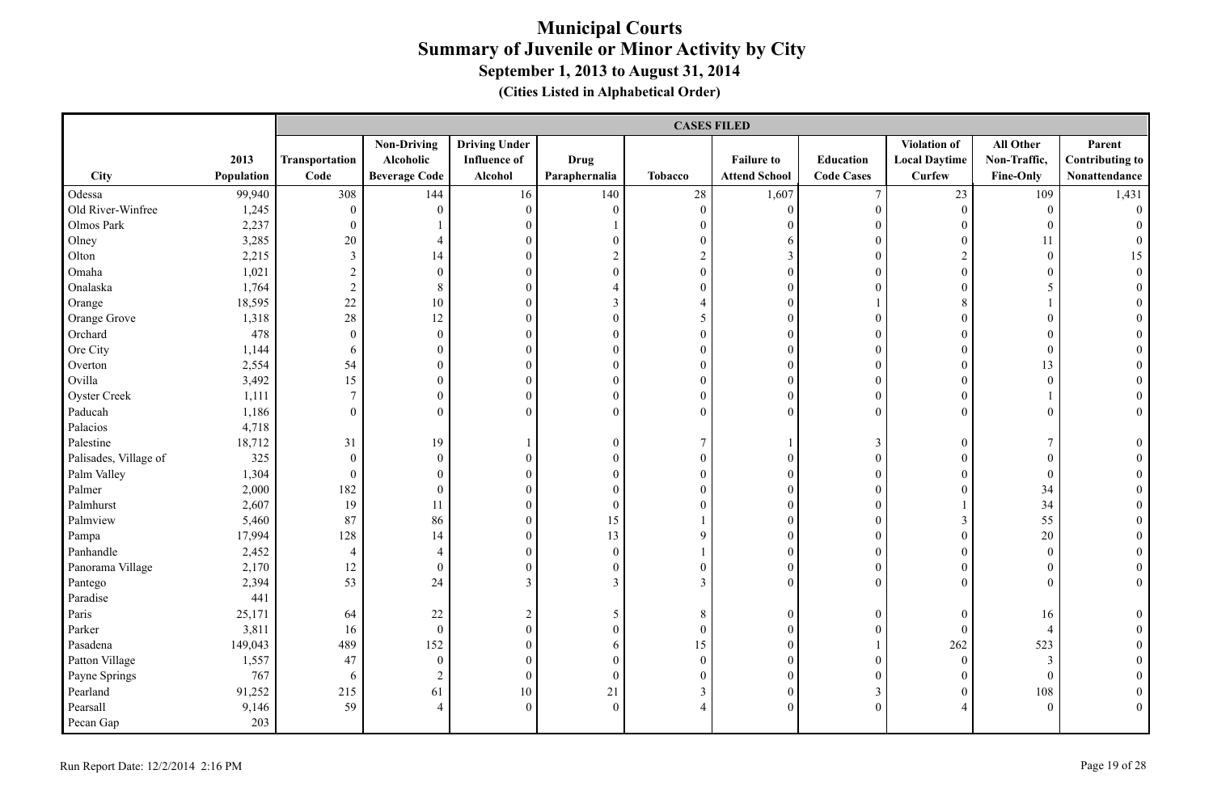|                       |            |                  | <b>CASES FILED</b>   |                      |                  |                  |                      |                   |                      |                  |                        |  |
|-----------------------|------------|------------------|----------------------|----------------------|------------------|------------------|----------------------|-------------------|----------------------|------------------|------------------------|--|
|                       |            |                  | <b>Non-Driving</b>   | <b>Driving Under</b> |                  |                  |                      |                   | Violation of         | All Other        | Parent                 |  |
|                       | 2013       | Transportation   | Alcoholic            | <b>Influence of</b>  | <b>Drug</b>      |                  | <b>Failure to</b>    | Education         | <b>Local Daytime</b> | Non-Traffic,     | <b>Contributing to</b> |  |
| City                  | Population | Code             | <b>Beverage Code</b> | Alcohol              | Paraphernalia    | <b>Tobacco</b>   | <b>Attend School</b> | <b>Code Cases</b> | <b>Curfew</b>        | Fine-Only        | Nonattendance          |  |
| Odessa                | 99,940     | 308              | 144                  | 16                   | 140              | 28               | 1,607                | $\overline{7}$    | 23                   | 109              | 1,431                  |  |
| Old River-Winfree     | 1,245      | $\boldsymbol{0}$ | $\overline{0}$       | $\mathbf{0}$         | $\overline{0}$   | $\boldsymbol{0}$ | $\mathbf{0}$         | $\boldsymbol{0}$  | $\overline{0}$       | $\overline{0}$   | $\overline{0}$         |  |
| Olmos Park            | 2,237      | $\boldsymbol{0}$ |                      | $\boldsymbol{0}$     |                  | $\mathbf{0}$     | $\mathbf{0}$         | $\boldsymbol{0}$  | $\mathbf{0}$         | $\boldsymbol{0}$ |                        |  |
| Olney                 | 3,285      | 20               | $\overline{4}$       | $\boldsymbol{0}$     | $\overline{0}$   | $\boldsymbol{0}$ | 6                    | $\boldsymbol{0}$  | $\theta$             | 11               |                        |  |
| Olton                 | 2,215      | $\mathfrak{Z}$   | 14                   | $\boldsymbol{0}$     | $\overline{c}$   | $\overline{c}$   | $\mathfrak{Z}$       | $\mathbf{0}$      | $\overline{c}$       | $\boldsymbol{0}$ | 15                     |  |
| Omaha                 | 1,021      | $\sqrt{2}$       | $\boldsymbol{0}$     | $\overline{0}$       | $\boldsymbol{0}$ | $\boldsymbol{0}$ | $\mathbf{0}$         | $\theta$          | $\theta$             | $\boldsymbol{0}$ | $\overline{0}$         |  |
| Onalaska              | 1,764      | $\sqrt{2}$       | 8                    | $\overline{0}$       | 4                | $\overline{0}$   | $\theta$             | $\theta$          | $\Omega$             | 5                |                        |  |
| Orange                | 18,595     | 22               | 10                   | $\overline{0}$       | $\overline{3}$   | 4                | $\mathbf{0}$         |                   | 8                    |                  |                        |  |
| Orange Grove          | 1,318      | $28\,$           | $12\,$               | $\boldsymbol{0}$     | $\boldsymbol{0}$ | 5                | $\boldsymbol{0}$     | $\boldsymbol{0}$  | $\boldsymbol{0}$     | $\boldsymbol{0}$ |                        |  |
| Orchard               | 478        | $\boldsymbol{0}$ | $\mathbf{0}$         | $\boldsymbol{0}$     | $\boldsymbol{0}$ | $\boldsymbol{0}$ | $\boldsymbol{0}$     | $\boldsymbol{0}$  | $\boldsymbol{0}$     | $\boldsymbol{0}$ |                        |  |
| Ore City              | 1,144      | 6                | $\boldsymbol{0}$     | $\boldsymbol{0}$     | $\boldsymbol{0}$ | $\boldsymbol{0}$ | $\boldsymbol{0}$     | $\boldsymbol{0}$  | $\boldsymbol{0}$     | $\boldsymbol{0}$ |                        |  |
| Overton               | 2,554      | 54               | $\boldsymbol{0}$     | $\boldsymbol{0}$     | $\boldsymbol{0}$ | $\boldsymbol{0}$ | $\boldsymbol{0}$     | $\boldsymbol{0}$  | $\theta$             | 13               |                        |  |
| Ovilla                | 3,492      | 15               | $\boldsymbol{0}$     | $\boldsymbol{0}$     | $\overline{0}$   | $\mathbf{0}$     | $\mathbf{0}$         | $\boldsymbol{0}$  | $\overline{0}$       | $\boldsymbol{0}$ |                        |  |
| <b>Oyster Creek</b>   | 1,111      | $\boldsymbol{7}$ | $\boldsymbol{0}$     | $\boldsymbol{0}$     | $\boldsymbol{0}$ | $\boldsymbol{0}$ | $\boldsymbol{0}$     | $\boldsymbol{0}$  | $\boldsymbol{0}$     |                  | $\overline{0}$         |  |
| Paducah               | 1,186      | $\boldsymbol{0}$ | $\mathbf{0}$         | $\boldsymbol{0}$     | $\overline{0}$   | $\overline{0}$   | $\mathbf{0}$         | $\mathbf{0}$      | $\theta$             | $\mathbf{0}$     | $\boldsymbol{0}$       |  |
| Palacios              | 4,718      |                  |                      |                      |                  |                  |                      |                   |                      |                  |                        |  |
| Palestine             | 18,712     | 31               | 19                   | $\mathbf{1}$         | $\overline{0}$   | $\overline{7}$   |                      | $\mathfrak{Z}$    | $\mathbf{0}$         | $\tau$           | $\theta$               |  |
| Palisades, Village of | 325        | $\boldsymbol{0}$ | $\boldsymbol{0}$     | $\boldsymbol{0}$     | $\boldsymbol{0}$ | $\boldsymbol{0}$ | $\mathbf{0}$         | $\boldsymbol{0}$  | $\boldsymbol{0}$     | $\boldsymbol{0}$ | $\theta$               |  |
| Palm Valley           | 1,304      | $\mathbf{0}$     | $\boldsymbol{0}$     | $\boldsymbol{0}$     | $\mathbf{0}$     | $\mathbf{0}$     | $\mathbf{0}$         | $\boldsymbol{0}$  | $\mathbf{0}$         | $\boldsymbol{0}$ | $\theta$               |  |
| Palmer                | 2,000      | 182              | $\boldsymbol{0}$     | $\boldsymbol{0}$     | $\boldsymbol{0}$ | $\boldsymbol{0}$ | $\boldsymbol{0}$     | $\boldsymbol{0}$  | $\Omega$             | 34               |                        |  |
| Palmhurst             | 2,607      | 19               | 11                   | $\boldsymbol{0}$     | $\boldsymbol{0}$ | $\overline{0}$   | $\mathbf{0}$         | $\boldsymbol{0}$  |                      | 34               |                        |  |
| Palmview              | 5,460      | 87               | 86                   | $\boldsymbol{0}$     | 15               |                  | $\mathbf{0}$         | $\boldsymbol{0}$  | 3                    | 55               | $\theta$               |  |
| Pampa                 | 17,994     | 128              | 14                   | $\boldsymbol{0}$     | 13               | 9                | $\mathbf{0}$         | $\mathbf{0}$      | $\theta$             | 20               | $\Omega$               |  |
| Panhandle             | 2,452      | $\overline{4}$   | $\overline{4}$       | $\overline{0}$       | $\overline{0}$   |                  | $\mathbf{0}$         | $\mathbf{0}$      | $\Omega$             | $\mathbf{0}$     | $\Omega$               |  |
| Panorama Village      | 2,170      | 12               | $\overline{0}$       | $\overline{0}$       | $\overline{0}$   | $\boldsymbol{0}$ | $\mathbf{0}$         | $\boldsymbol{0}$  | $\overline{0}$       | $\boldsymbol{0}$ | $\theta$               |  |
| Pantego               | 2,394      | 53               | 24                   | $\mathfrak{Z}$       | $\mathfrak{Z}$   | $\mathfrak{Z}$   | $\mathbf{0}$         | $\mathbf{0}$      | $\overline{0}$       | $\boldsymbol{0}$ | $\boldsymbol{0}$       |  |
| Paradise              | 441        |                  |                      |                      |                  |                  |                      |                   |                      |                  |                        |  |
| Paris                 | 25,171     | 64               | 22                   | $\overline{c}$       | 5                | $8\,$            | $\boldsymbol{0}$     | $\boldsymbol{0}$  | $\theta$             | 16               | $\boldsymbol{0}$       |  |
| Parker                | 3,811      | 16               | $\boldsymbol{0}$     | $\boldsymbol{0}$     | $\boldsymbol{0}$ | $\boldsymbol{0}$ | $\mathbf{0}$         | $\boldsymbol{0}$  | $\theta$             | $\overline{4}$   |                        |  |
| Pasadena              | 149,043    | 489              | 152                  | $\overline{0}$       | 6                | 15               | $\mathbf{0}$         |                   | 262                  | 523              | $\theta$               |  |
| Patton Village        | 1,557      | 47               | $\overline{0}$       | $\overline{0}$       | $\overline{0}$   | $\overline{0}$   | $\theta$             | $\mathbf{0}$      | $\Omega$             | 3                |                        |  |
| Payne Springs         | 767        | 6                | $\overline{c}$       | $\boldsymbol{0}$     | $\boldsymbol{0}$ | $\boldsymbol{0}$ | $\mathbf{0}$         | $\boldsymbol{0}$  | $\mathbf{0}$         | $\boldsymbol{0}$ |                        |  |
| Pearland              | 91,252     | 215              | 61                   | 10                   | 21               | $\mathfrak{Z}$   | $\mathbf{0}$         | $\mathfrak{Z}$    | $\mathbf{0}$         | 108              |                        |  |
| Pearsall              | 9,146      | 59               | $\overline{4}$       | $\overline{0}$       | $\Omega$         | $\overline{4}$   | $\theta$             | $\theta$          | $\overline{4}$       | $\Omega$         | $\Omega$               |  |
| Pecan Gap             | 203        |                  |                      |                      |                  |                  |                      |                   |                      |                  |                        |  |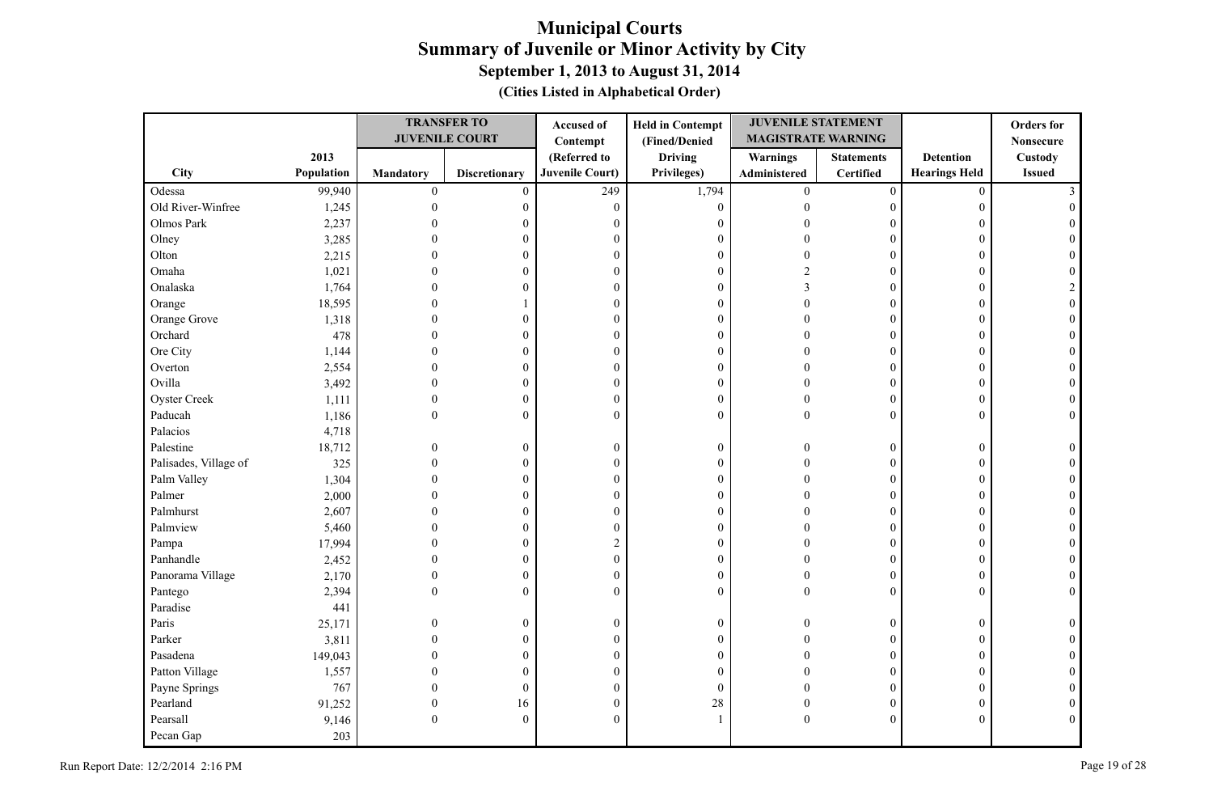|                       |            |              | <b>TRANSFER TO</b>    | Accused of       | <b>Held in Contempt</b> | <b>JUVENILE STATEMENT</b> |                   |                      | <b>Orders</b> for |
|-----------------------|------------|--------------|-----------------------|------------------|-------------------------|---------------------------|-------------------|----------------------|-------------------|
|                       |            |              | <b>JUVENILE COURT</b> | Contempt         | (Fined/Denied           | <b>MAGISTRATE WARNING</b> |                   |                      | <b>Nonsecure</b>  |
|                       | 2013       |              |                       | (Referred to     | <b>Driving</b>          | <b>Warnings</b>           | <b>Statements</b> | <b>Detention</b>     | Custody           |
| City                  | Population | Mandatory    | <b>Discretionary</b>  | Juvenile Court)  | Privileges)             | Administered              | <b>Certified</b>  | <b>Hearings Held</b> | <b>Issued</b>     |
| Odessa                | 99,940     | $\mathbf{0}$ | $\mathbf{0}$          | 249              | 1,794                   | $\overline{0}$            | $\overline{0}$    | $\mathbf{0}$         |                   |
| Old River-Winfree     | 1,245      | $\theta$     | $\boldsymbol{0}$      | $\theta$         | $\boldsymbol{0}$        | $\Omega$                  | $\mathbf{0}$      | $\boldsymbol{0}$     |                   |
| Olmos Park            | 2,237      |              | 0                     | $\overline{0}$   | $\boldsymbol{0}$        |                           | 0                 | 0                    |                   |
| Olney                 | 3,285      |              | $\overline{0}$        | $\theta$         | $\boldsymbol{0}$        |                           | $\theta$          | $\mathbf{0}$         |                   |
| Olton                 | 2,215      |              | 0                     | $\boldsymbol{0}$ | $\boldsymbol{0}$        |                           | $\boldsymbol{0}$  | $\mathbf{0}$         |                   |
| Omaha                 | 1,021      |              | $\theta$              | $\boldsymbol{0}$ | $\boldsymbol{0}$        | C                         | $\theta$          | $\theta$             |                   |
| Onalaska              | 1,764      |              | $\theta$              | $\theta$         | $\boldsymbol{0}$        |                           | $\theta$          | $\Omega$             |                   |
| Orange                | 18,595     |              |                       | $\boldsymbol{0}$ | $\boldsymbol{0}$        | $\Omega$                  | $\boldsymbol{0}$  | $\theta$             |                   |
| Orange Grove          | 1,318      | 0            | $\overline{0}$        | $\boldsymbol{0}$ | $\boldsymbol{0}$        |                           | $\boldsymbol{0}$  | $\mathbf{0}$         |                   |
| Orchard               | 478        | $\Omega$     | $\theta$              | $\theta$         | $\boldsymbol{0}$        | $\sqrt{ }$                | $\mathbf{0}$      | $\theta$             | $\Omega$          |
| Ore City              | 1,144      | 0            | 0                     | $\boldsymbol{0}$ | $\boldsymbol{0}$        | 0                         | $\overline{0}$    | $\mathbf{0}$         | $\Omega$          |
| Overton               | 2,554      | $\Omega$     | $\overline{0}$        | $\boldsymbol{0}$ | $\boldsymbol{0}$        | ∩                         | 0                 | $\mathbf{0}$         | $\Omega$          |
| Ovilla                | 3,492      | $\Omega$     | $\overline{0}$        | $\boldsymbol{0}$ | $\boldsymbol{0}$        | $\Omega$                  | $\overline{0}$    | $\theta$             | $\Omega$          |
| <b>Oyster Creek</b>   | 1,111      | $\mathbf{0}$ | $\boldsymbol{0}$      | $\boldsymbol{0}$ | $\boldsymbol{0}$        | $\Omega$                  | $\boldsymbol{0}$  | $\boldsymbol{0}$     | $\theta$          |
| Paducah               | 1,186      | $\theta$     | $\boldsymbol{0}$      | $\theta$         | $\boldsymbol{0}$        | $\Omega$                  | $\overline{0}$    | $\mathbf{0}$         | $\theta$          |
| Palacios              | 4,718      |              |                       |                  |                         |                           |                   |                      |                   |
| Palestine             | 18,712     | $\theta$     | $\boldsymbol{0}$      | $\boldsymbol{0}$ | $\boldsymbol{0}$        | $\Omega$                  | $\boldsymbol{0}$  | $\boldsymbol{0}$     |                   |
| Palisades, Village of | 325        | $\Omega$     | $\boldsymbol{0}$      | $\boldsymbol{0}$ | $\boldsymbol{0}$        | $\Omega$                  | $\boldsymbol{0}$  | $\mathbf{0}$         |                   |
| Palm Valley           | 1,304      | $\Omega$     | $\overline{0}$        | $\mathbf{0}$     | $\overline{0}$          | $\Omega$                  | $\mathbf{0}$      | $\mathbf{0}$         |                   |
| Palmer                | 2,000      |              | $\boldsymbol{0}$      | $\theta$         | $\boldsymbol{0}$        |                           | $\mathbf{0}$      | $\mathbf{0}$         |                   |
| Palmhurst             | 2,607      |              | $\mathbf{0}$          | $\boldsymbol{0}$ | $\boldsymbol{0}$        |                           | $\boldsymbol{0}$  | $\mathbf{0}$         |                   |
| Palmview              | 5,460      |              | $\overline{0}$        | $\theta$         | $\mathbf{0}$            |                           | $\boldsymbol{0}$  | $\mathbf{0}$         |                   |
| Pampa                 | 17,994     |              | 0                     | $\overline{2}$   | $\boldsymbol{0}$        |                           | $\boldsymbol{0}$  | $\theta$             |                   |
| Panhandle             | 2,452      |              | 0                     | $\boldsymbol{0}$ | $\boldsymbol{0}$        |                           | 0                 | $\boldsymbol{0}$     | $\theta$          |
| Panorama Village      | 2,170      | $\Omega$     | $\mathbf{0}$          | $\boldsymbol{0}$ | $\boldsymbol{0}$        |                           | $\mathbf{0}$      | $\mathbf{0}$         | $\Omega$          |
| Pantego               | 2,394      | $\theta$     | $\mathbf{0}$          | $\mathbf{0}$     | $\boldsymbol{0}$        | $\Omega$                  | $\overline{0}$    | $\mathbf{0}$         | $\Omega$          |
| Paradise              | 441        |              |                       |                  |                         |                           |                   |                      |                   |
| Paris                 | 25,171     | $\Omega$     | $\boldsymbol{0}$      | $\boldsymbol{0}$ | $\boldsymbol{0}$        | $\Omega$                  | $\overline{0}$    | $\mathbf{0}$         |                   |
| Parker                | 3,811      | $\Omega$     | $\overline{0}$        | $\boldsymbol{0}$ | $\boldsymbol{0}$        |                           | $\boldsymbol{0}$  | $\mathbf{0}$         |                   |
| Pasadena              | 149,043    | $\Omega$     | $\boldsymbol{0}$      | $\boldsymbol{0}$ | $\boldsymbol{0}$        |                           | $\mathbf{0}$      | $\mathbf{0}$         |                   |
| Patton Village        | 1,557      |              | $\mathbf{0}$          | $\theta$         | $\mathbf{0}$            |                           | $\theta$          | $\theta$             |                   |
| Payne Springs         | 767        |              | $\boldsymbol{0}$      | $\boldsymbol{0}$ | $\overline{0}$          |                           | $\overline{0}$    | $\mathbf{0}$         | $\Omega$          |
| Pearland              | 91,252     | $\theta$     | 16                    | $\boldsymbol{0}$ | 28                      | 0                         | 0                 | $\boldsymbol{0}$     | $\theta$          |
| Pearsall              | 9,146      | $\theta$     | $\mathbf{0}$          | $\theta$         | 1                       | $\Omega$                  | $\boldsymbol{0}$  | $\mathbf{0}$         | $\Omega$          |
| Pecan Gap             | 203        |              |                       |                  |                         |                           |                   |                      |                   |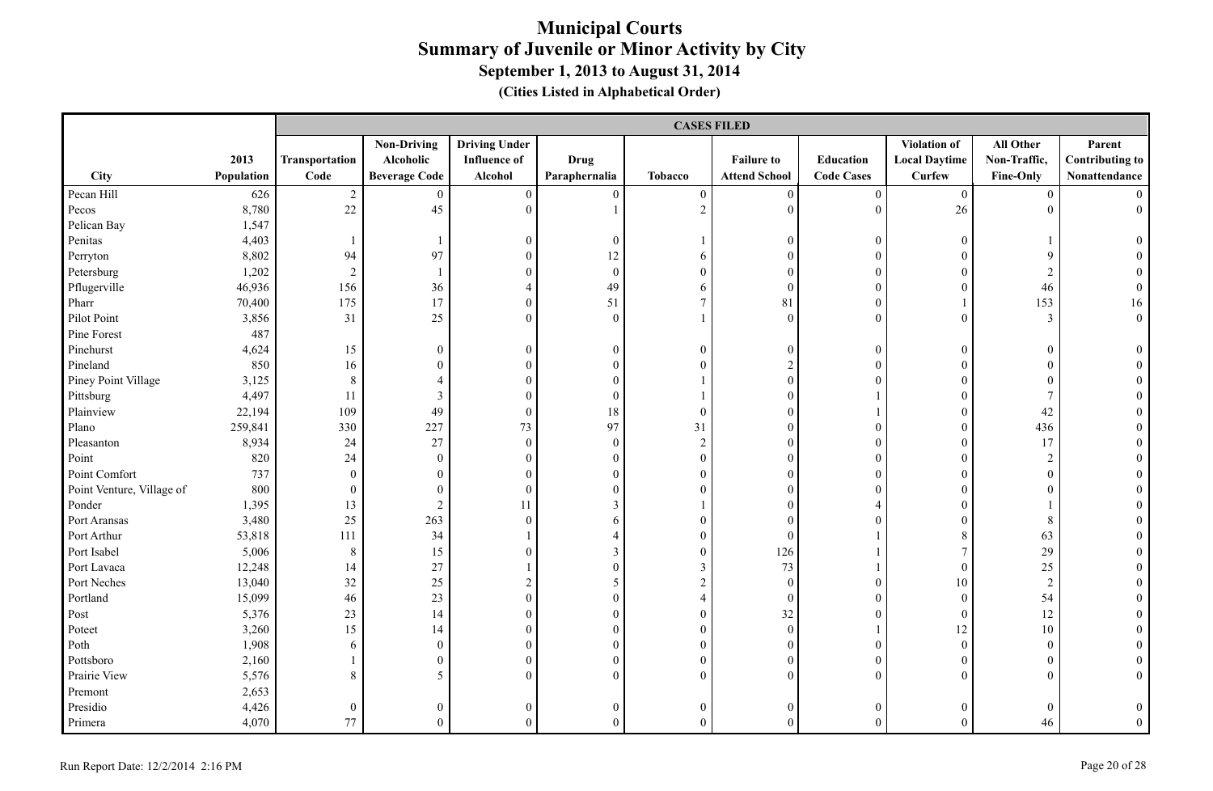|                           |            |                          |                      |                      |                  |                  | <b>CASES FILED</b>   |                   |                      |                  |                        |
|---------------------------|------------|--------------------------|----------------------|----------------------|------------------|------------------|----------------------|-------------------|----------------------|------------------|------------------------|
|                           |            |                          | <b>Non-Driving</b>   | <b>Driving Under</b> |                  |                  |                      |                   | Violation of         | All Other        | Parent                 |
|                           | 2013       | Transportation           | Alcoholic            | <b>Influence of</b>  | <b>Drug</b>      |                  | <b>Failure to</b>    | Education         | <b>Local Daytime</b> | Non-Traffic,     | <b>Contributing to</b> |
| City                      | Population | Code                     | <b>Beverage Code</b> | Alcohol              | Paraphernalia    | <b>Tobacco</b>   | <b>Attend School</b> | <b>Code Cases</b> | <b>Curfew</b>        | Fine-Only        | Nonattendance          |
| Pecan Hill                | 626        | $\sqrt{2}$               | $\overline{0}$       | $\boldsymbol{0}$     | $\boldsymbol{0}$ | $\boldsymbol{0}$ | $\boldsymbol{0}$     | $\boldsymbol{0}$  | $\overline{0}$       | $\boldsymbol{0}$ | $\Omega$               |
| Pecos                     | 8,780      | 22                       | 45                   | $\theta$             |                  | $\overline{2}$   | $\theta$             | $\mathbf{0}$      | 26                   | $\theta$         | $\overline{0}$         |
| Pelican Bay               | 1,547      |                          |                      |                      |                  |                  |                      |                   |                      |                  |                        |
| Penitas                   | 4,403      | $\overline{\phantom{a}}$ |                      | $\boldsymbol{0}$     | $\mathbf{0}$     |                  | $\boldsymbol{0}$     | $\boldsymbol{0}$  | $\boldsymbol{0}$     |                  | $\theta$               |
| Perryton                  | 8,802      | 94                       | 97                   | $\overline{0}$       | 12               | 6                | $\theta$             | $\boldsymbol{0}$  | $\overline{0}$       | 9                |                        |
| Petersburg                | 1,202      | $\overline{2}$           |                      | $\theta$             | $\mathbf{0}$     | $\mathbf{0}$     | $\theta$             | $\boldsymbol{0}$  | $\overline{0}$       | $\overline{c}$   |                        |
| Pflugerville              | 46,936     | 156                      | 36                   | $\overline{4}$       | 49               | 6                | $\mathbf{0}$         | $\boldsymbol{0}$  | $\overline{0}$       | 46               | $\Omega$               |
| Pharr                     | 70,400     | 175                      | 17                   | $\mathbf{0}$         | 51               | $\overline{7}$   | 81                   | $\boldsymbol{0}$  |                      | 153              | 16                     |
| Pilot Point               | 3,856      | 31                       | 25                   | $\theta$             | $\mathbf{0}$     | $\mathbf{1}$     | $\boldsymbol{0}$     | $\overline{0}$    | $\boldsymbol{0}$     | $\mathfrak{Z}$   | $0\,$                  |
| Pine Forest               | 487        |                          |                      |                      |                  |                  |                      |                   |                      |                  |                        |
| Pinehurst                 | 4,624      | 15                       | $\overline{0}$       | $\boldsymbol{0}$     | $\boldsymbol{0}$ | $\boldsymbol{0}$ | $\boldsymbol{0}$     | $\boldsymbol{0}$  | $\boldsymbol{0}$     | $\boldsymbol{0}$ | $\theta$               |
| Pineland                  | 850        | $16\,$                   | $\overline{0}$       | $\boldsymbol{0}$     | $\theta$         | $\mathbf{0}$     | $\overline{c}$       | $\boldsymbol{0}$  | $\overline{0}$       | $\boldsymbol{0}$ |                        |
| Piney Point Village       | 3,125      | $\,8\,$                  | $\overline{4}$       | $\theta$             | $\theta$         |                  | $\overline{0}$       | $\theta$          | $\overline{0}$       | $\boldsymbol{0}$ |                        |
| Pittsburg                 | 4,497      | 11                       | 3                    | $\theta$             | $\mathbf{0}$     |                  | $\overline{0}$       |                   | $\overline{0}$       | $\tau$           |                        |
| Plainview                 | 22,194     | 109                      | 49                   | $\boldsymbol{0}$     | $18\,$           | $\boldsymbol{0}$ | $\overline{0}$       |                   | $\overline{0}$       | 42               |                        |
| Plano                     | 259,841    | 330                      | 227                  | 73                   | 97               | 31               | $\boldsymbol{0}$     | $\boldsymbol{0}$  | $\overline{0}$       | 436              |                        |
| Pleasanton                | 8,934      | 24                       | 27                   | $\boldsymbol{0}$     | $\boldsymbol{0}$ | $\sqrt{2}$       | $\overline{0}$       | $\boldsymbol{0}$  | $\boldsymbol{0}$     | 17               |                        |
| Point                     | 820        | 24                       | $\boldsymbol{0}$     | $\boldsymbol{0}$     | $\boldsymbol{0}$ | $\boldsymbol{0}$ | $\mathbf{0}$         | $\boldsymbol{0}$  | $\boldsymbol{0}$     | $\sqrt{2}$       |                        |
| Point Comfort             | 737        | $\boldsymbol{0}$         | $\overline{0}$       | $\theta$             | $\theta$         | $\mathbf{0}$     | $\overline{0}$       | $\theta$          | $\overline{0}$       | $\boldsymbol{0}$ |                        |
| Point Venture, Village of | 800        | $\boldsymbol{0}$         | $\theta$             | $\boldsymbol{0}$     | $\theta$         | $\boldsymbol{0}$ | $\boldsymbol{0}$     | $\theta$          | $\overline{0}$       | $\boldsymbol{0}$ |                        |
| Ponder                    | 1,395      | 13                       | $\overline{2}$       | 11                   | 3                |                  | $\theta$             | $\overline{4}$    | $\overline{0}$       |                  |                        |
| Port Aransas              | 3,480      | 25                       | 263                  | $\theta$             | 6                | $\mathbf{0}$     | $\theta$             | $\theta$          | $\overline{0}$       | 8                |                        |
| Port Arthur               | 53,818     | 111                      | 34                   |                      | $\overline{4}$   | $\mathbf{0}$     | $\mathbf{0}$         |                   | 8                    | 63               |                        |
| Port Isabel               | 5,006      | $8\,$                    | 15                   | $\theta$             | 3                | $\mathbf{0}$     | 126                  |                   | $\overline{7}$       | 29               |                        |
| Port Lavaca               | 12,248     | 14                       | 27                   |                      | $\overline{0}$   | $\mathfrak{Z}$   | 73                   |                   | $\overline{0}$       | 25               |                        |
| Port Neches               | 13,040     | 32                       | 25                   | $\overline{c}$       | $\sqrt{5}$       | $\sqrt{2}$       | $\boldsymbol{0}$     | $\boldsymbol{0}$  | 10                   | $\sqrt{2}$       |                        |
| Portland                  | 15,099     | 46                       | 23                   | $\boldsymbol{0}$     | $\overline{0}$   | $\overline{4}$   | $\boldsymbol{0}$     | $\boldsymbol{0}$  | $\boldsymbol{0}$     | 54               |                        |
| Post                      | 5,376      | 23                       | 14                   | $\boldsymbol{0}$     | $\overline{0}$   | $\boldsymbol{0}$ | 32                   | $\boldsymbol{0}$  | $\overline{0}$       | 12               |                        |
| Poteet                    | 3,260      | 15                       | 14                   | $\boldsymbol{0}$     | $\overline{0}$   | $\boldsymbol{0}$ | $\boldsymbol{0}$     | $\mathbf{1}$      | 12                   | 10               |                        |
| Poth                      | 1,908      | 6                        | $\theta$             | $\theta$             | $\theta$         | $\mathbf{0}$     | $\mathbf{0}$         | $\mathbf{0}$      | $\overline{0}$       | $\boldsymbol{0}$ |                        |
| Pottsboro                 | 2,160      | 1                        | $\overline{0}$       | $\mathbf{0}$         | $\theta$         | $\overline{0}$   | $\mathbf{0}$         | $\boldsymbol{0}$  | $\overline{0}$       | $\mathbf{0}$     |                        |
| Prairie View              | 5,576      | $\,8\,$                  | 5                    | $\theta$             | $\theta$         | $\overline{0}$   | $\overline{0}$       | $\boldsymbol{0}$  | $\overline{0}$       | $\overline{0}$   |                        |
| Premont                   | 2,653      |                          |                      |                      |                  |                  |                      |                   |                      |                  |                        |
| Presidio                  | 4,426      | $\boldsymbol{0}$         | $\overline{0}$       | $\mathbf{0}$         | $\mathbf{0}$     | $\boldsymbol{0}$ | $\mathbf{0}$         | $\theta$          | $\boldsymbol{0}$     | $\boldsymbol{0}$ | $\mathbf{0}$           |
| Primera                   | 4,070      | 77                       | $\Omega$             | $\theta$             | $\theta$         | $\theta$         | $\overline{0}$       | $\theta$          | $\Omega$             | 46               | $\theta$               |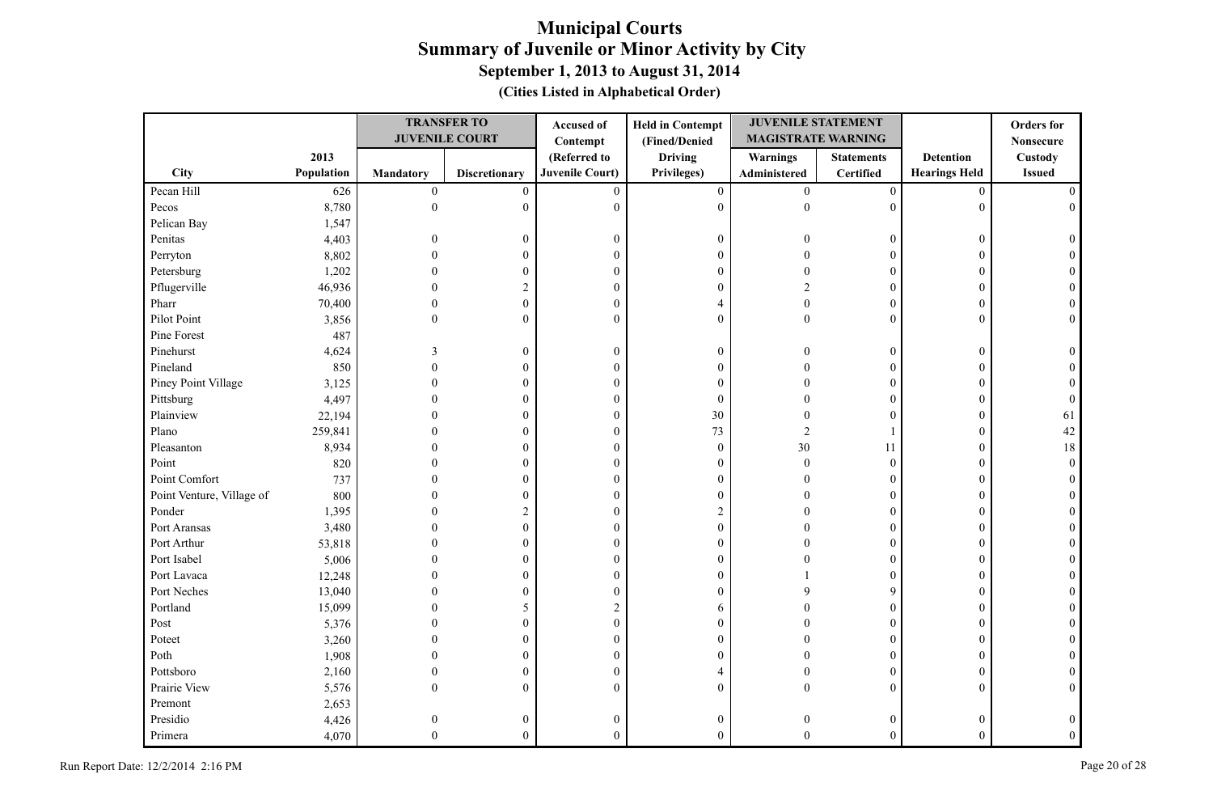|                           |            |                  | <b>TRANSFER TO</b>    | Accused of             | <b>Held in Contempt</b> | <b>JUVENILE STATEMENT</b> |                   |                      | <b>Orders</b> for |
|---------------------------|------------|------------------|-----------------------|------------------------|-------------------------|---------------------------|-------------------|----------------------|-------------------|
|                           |            |                  | <b>JUVENILE COURT</b> | Contempt               | (Fined/Denied           | <b>MAGISTRATE WARNING</b> |                   |                      | <b>Nonsecure</b>  |
|                           | 2013       |                  |                       | (Referred to           | <b>Driving</b>          | <b>Warnings</b>           | <b>Statements</b> | <b>Detention</b>     | Custody           |
| City                      | Population | <b>Mandatory</b> | <b>Discretionary</b>  | <b>Juvenile Court)</b> | Privileges)             | Administered              | <b>Certified</b>  | <b>Hearings Held</b> | <b>Issued</b>     |
| Pecan Hill                | 626        | $\boldsymbol{0}$ | $\mathbf{0}$          | $\mathbf{0}$           | $\boldsymbol{0}$        | $\overline{0}$            | $\boldsymbol{0}$  | $\mathbf{0}$         |                   |
| Pecos                     | 8,780      | $\overline{0}$   | $\boldsymbol{0}$      | $\theta$               | $\boldsymbol{0}$        | $\theta$                  | $\mathbf{0}$      | $\mathbf{0}$         |                   |
| Pelican Bay               | 1,547      |                  |                       |                        |                         |                           |                   |                      |                   |
| Penitas                   | 4,403      | $\theta$         | $\boldsymbol{0}$      | $\boldsymbol{0}$       | $\boldsymbol{0}$        |                           | $\boldsymbol{0}$  | $\boldsymbol{0}$     |                   |
| Perryton                  | 8,802      |                  | $\mathbf{0}$          | $\boldsymbol{0}$       | $\boldsymbol{0}$        |                           | $\boldsymbol{0}$  | $\theta$             |                   |
| Petersburg                | 1,202      |                  | $\overline{0}$        | $\mathbf{0}$           | $\boldsymbol{0}$        |                           | $\theta$          | $\theta$             |                   |
| Pflugerville              | 46,936     |                  | $\overline{2}$        | $\boldsymbol{0}$       | $\boldsymbol{0}$        |                           | $\mathbf{0}$      | $\theta$             |                   |
| Pharr                     | 70,400     | $\Omega$         | $\boldsymbol{0}$      | $\boldsymbol{0}$       | $\overline{4}$          | $\Omega$                  | $\boldsymbol{0}$  | $\theta$             |                   |
| Pilot Point               | 3,856      | $\theta$         | $\overline{0}$        | $\overline{0}$         | $\overline{0}$          | $\Omega$                  | $\overline{0}$    | $\mathbf{0}$         |                   |
| Pine Forest               | 487        |                  |                       |                        |                         |                           |                   |                      |                   |
| Pinehurst                 | 4,624      | 3                | $\boldsymbol{0}$      | $\boldsymbol{0}$       | $\boldsymbol{0}$        | $\Omega$                  | 0                 | $\boldsymbol{0}$     |                   |
| Pineland                  | 850        |                  | $\theta$              | $\mathbf{0}$           | $\boldsymbol{0}$        |                           | $\overline{0}$    | $\theta$             |                   |
| Piney Point Village       | 3,125      |                  | $\overline{0}$        | $\boldsymbol{0}$       | $\boldsymbol{0}$        |                           | $\overline{0}$    | 0                    |                   |
| Pittsburg                 | 4,497      |                  | 0                     | $\boldsymbol{0}$       | $\boldsymbol{0}$        |                           | 0                 | 0                    |                   |
| Plainview                 | 22,194     |                  | $\theta$              | $\boldsymbol{0}$       | 30                      |                           | $\mathbf{0}$      | $\mathbf{0}$         | 61                |
| Plano                     | 259,841    |                  | 0                     | $\boldsymbol{0}$       | 73                      | $\overline{2}$            | 1                 | $\mathbf{0}$         | 42                |
| Pleasanton                | 8,934      |                  | $\theta$              | $\mathbf{0}$           | $\theta$                | 30                        | 11                | $\mathbf{0}$         | 18                |
| Point                     | 820        |                  | $\theta$              | $\theta$               | $\boldsymbol{0}$        | $\theta$                  | $\mathbf{0}$      | $\Omega$             | $\Omega$          |
| Point Comfort             | 737        |                  | $\boldsymbol{0}$      | $\overline{0}$         | $\boldsymbol{0}$        | $\Omega$                  | $\boldsymbol{0}$  | $\mathbf{0}$         |                   |
| Point Venture, Village of | 800        |                  | $\theta$              | $\overline{0}$         | $\mathbf{0}$            |                           | $\theta$          | $\theta$             |                   |
| Ponder                    | 1,395      |                  | $\overline{c}$        | $\theta$               | $\overline{c}$          |                           | $\theta$          | $\theta$             |                   |
| Port Aransas              | 3,480      |                  | 0                     | $\boldsymbol{0}$       | $\boldsymbol{0}$        |                           | $\mathbf{0}$      | $\mathbf{0}$         |                   |
| Port Arthur               | 53,818     |                  | $\overline{0}$        | $\theta$               | $\boldsymbol{0}$        |                           | $\boldsymbol{0}$  | $\theta$             |                   |
| Port Isabel               | 5,006      |                  | 0                     | $\boldsymbol{0}$       | $\boldsymbol{0}$        |                           | $\boldsymbol{0}$  | 0                    |                   |
| Port Lavaca               | 12,248     |                  | $\overline{0}$        | $\boldsymbol{0}$       | $\boldsymbol{0}$        |                           | $\boldsymbol{0}$  | $\overline{0}$       |                   |
| Port Neches               | 13,040     |                  | $\overline{0}$        | $\theta$               | $\boldsymbol{0}$        |                           | 9                 | $\theta$             |                   |
| Portland                  | 15,099     |                  | 5                     | $\overline{2}$         | 6                       |                           | $\boldsymbol{0}$  | $\theta$             |                   |
| Post                      | 5,376      |                  | $\overline{0}$        | $\boldsymbol{0}$       | $\boldsymbol{0}$        |                           | $\boldsymbol{0}$  | $\theta$             |                   |
| Poteet                    | 3,260      |                  | $\theta$              | $\theta$               | $\boldsymbol{0}$        |                           | $\theta$          | $\theta$             |                   |
| Poth                      | 1,908      | 0                | $\boldsymbol{0}$      | $\boldsymbol{0}$       | $\boldsymbol{0}$        |                           | $\overline{0}$    | $\mathbf{0}$         |                   |
| Pottsboro                 | 2,160      | $\Omega$         | 0                     | $\boldsymbol{0}$       | $\overline{4}$          |                           | $\overline{0}$    | $\mathbf{0}$         |                   |
| Prairie View              | 5,576      | $\Omega$         | $\overline{0}$        | $\Omega$               | $\overline{0}$          | $\Omega$                  | $\overline{0}$    | $\mathbf{0}$         | $\Omega$          |
| Premont                   | 2,653      |                  |                       |                        |                         |                           |                   |                      |                   |
| Presidio                  | 4,426      | $\theta$         | 0                     | $\boldsymbol{0}$       | $\boldsymbol{0}$        |                           | 0                 | $\theta$             | $\Omega$          |
| Primera                   | 4,070      | $\Omega$         | $\theta$              | $\theta$               | $\theta$                | $\Omega$                  | $\theta$          | $\theta$             | $\Omega$          |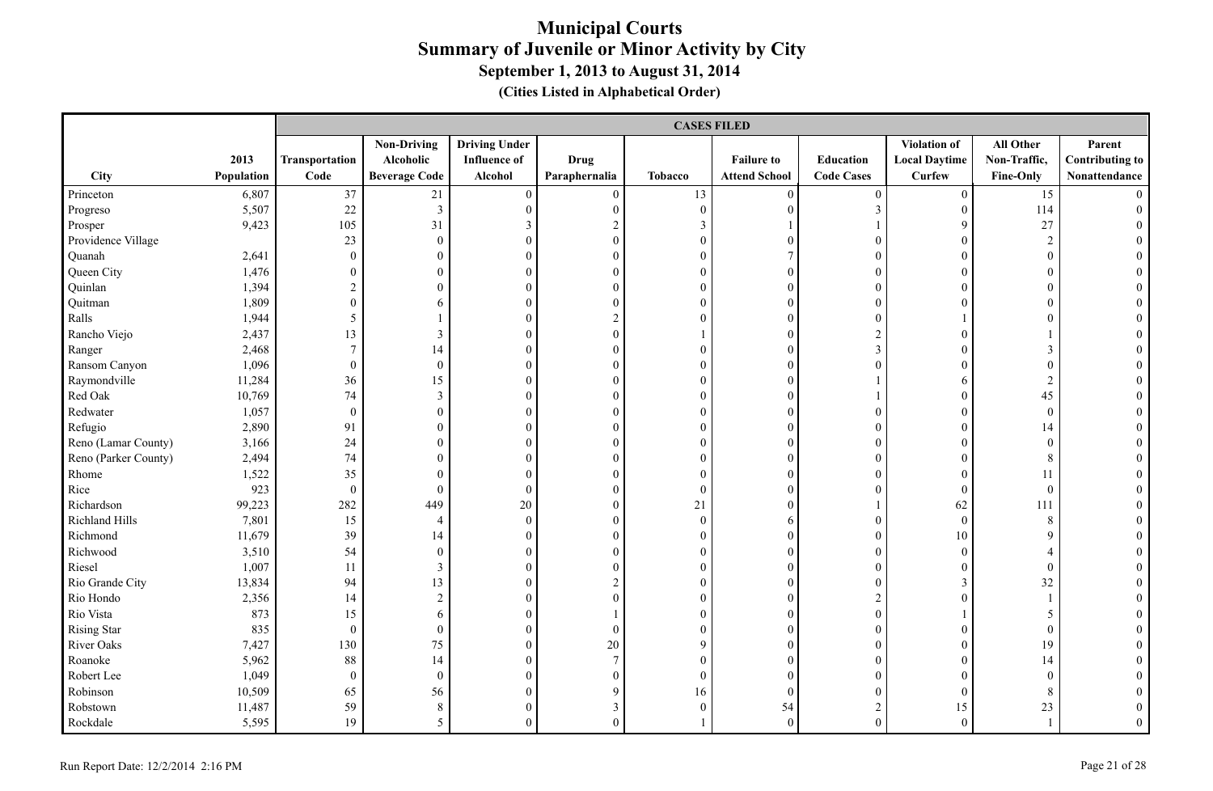|                      |            |                  |                         |                      |                  | <b>CASES FILED</b> |                      |                   |                      |                  |                        |
|----------------------|------------|------------------|-------------------------|----------------------|------------------|--------------------|----------------------|-------------------|----------------------|------------------|------------------------|
|                      |            |                  | <b>Non-Driving</b>      | <b>Driving Under</b> |                  |                    |                      |                   | <b>Violation of</b>  | All Other        | Parent                 |
|                      | 2013       | Transportation   | Alcoholic               | <b>Influence of</b>  | <b>Drug</b>      |                    | <b>Failure to</b>    | <b>Education</b>  | <b>Local Daytime</b> | Non-Traffic,     | <b>Contributing to</b> |
| City                 | Population | Code             | <b>Beverage Code</b>    | Alcohol              | Paraphernalia    | <b>Tobacco</b>     | <b>Attend School</b> | <b>Code Cases</b> | <b>Curfew</b>        | Fine-Only        | Nonattendance          |
| Princeton            | 6,807      | 37               | 21                      | $\mathbf{0}$         | $\boldsymbol{0}$ | 13                 | $\overline{0}$       | $\boldsymbol{0}$  | $\overline{0}$       | 15               |                        |
| Progreso             | 5,507      | $22\,$           | $\mathfrak{Z}$          | $\boldsymbol{0}$     | $\boldsymbol{0}$ | $\boldsymbol{0}$   | $\boldsymbol{0}$     | $\mathfrak{Z}$    | $\boldsymbol{0}$     | 114              |                        |
| Prosper              | 9,423      | 105              | 31                      | 3                    | $\overline{c}$   | $\mathfrak{Z}$     |                      |                   | 9                    | 27               |                        |
| Providence Village   |            | 23               | $\mathbf{0}$            | $\theta$             | $\theta$         | $\boldsymbol{0}$   | $\theta$             | $\theta$          | $\boldsymbol{0}$     | $\sqrt{2}$       |                        |
| Quanah               | 2,641      | $\boldsymbol{0}$ | $\overline{0}$          | $\theta$             | $\theta$         | $\overline{0}$     | $\overline{7}$       | $\boldsymbol{0}$  | $\overline{0}$       | $\mathbf{0}$     |                        |
| Queen City           | 1,476      | $\mathbf{0}$     | $\overline{0}$          | $\theta$             | $\theta$         | $\mathbf{0}$       | $\theta$             | $\theta$          | $\overline{0}$       | $\mathbf{0}$     |                        |
| Quinlan              | 1,394      | $\sqrt{2}$       | $\overline{0}$          | $\theta$             | $\theta$         | $\boldsymbol{0}$   | $\overline{0}$       | $\boldsymbol{0}$  | $\overline{0}$       | $\mathbf{0}$     |                        |
| Quitman              | 1,809      | $\boldsymbol{0}$ | 6                       | $\overline{0}$       | $\boldsymbol{0}$ | $\boldsymbol{0}$   | $\overline{0}$       | $\boldsymbol{0}$  | $\theta$             | $\overline{0}$   |                        |
| Ralls                | 1,944      | 5                |                         | $\boldsymbol{0}$     | $\overline{c}$   | $\boldsymbol{0}$   | $\boldsymbol{0}$     | $\boldsymbol{0}$  |                      | $\overline{0}$   |                        |
| Rancho Viejo         | 2,437      | 13               | 3                       | $\boldsymbol{0}$     | $\mathbf{0}$     |                    | $\boldsymbol{0}$     | $\sqrt{2}$        | $\overline{0}$       |                  |                        |
| Ranger               | 2,468      | $\tau$           | 14                      | $\mathbf{0}$         | $\theta$         | $\boldsymbol{0}$   | $\mathbf{0}$         | $\overline{3}$    | $\overline{0}$       | 3                |                        |
| Ransom Canyon        | 1,096      | $\boldsymbol{0}$ | $\mathbf{0}$            | $\overline{0}$       | $\overline{0}$   | $\boldsymbol{0}$   | $\boldsymbol{0}$     | $\theta$          | $\overline{0}$       | $\boldsymbol{0}$ |                        |
| Raymondville         | 11,284     | 36               | 15                      | $\boldsymbol{0}$     | $\mathbf{0}$     | $\boldsymbol{0}$   | $\overline{0}$       |                   | 6                    | $\sqrt{2}$       |                        |
| Red Oak              | 10,769     | 74               | 3                       | $\boldsymbol{0}$     | $\theta$         | $\boldsymbol{0}$   | $\theta$             |                   | $\overline{0}$       | 45               |                        |
| Redwater             | 1,057      | $\mathbf{0}$     | $\overline{0}$          | $\overline{0}$       | $\mathbf{0}$     | $\mathbf{0}$       | $\boldsymbol{0}$     | $\boldsymbol{0}$  | $\overline{0}$       | $\mathbf{0}$     |                        |
| Refugio              | 2,890      | 91               | $\overline{0}$          | $\boldsymbol{0}$     | $\overline{0}$   | $\overline{0}$     | $\overline{0}$       | $\boldsymbol{0}$  | $\overline{0}$       | 14               |                        |
| Reno (Lamar County)  | 3,166      | 24               | $\boldsymbol{0}$        | $\boldsymbol{0}$     | $\boldsymbol{0}$ | $\boldsymbol{0}$   | $\boldsymbol{0}$     | $\boldsymbol{0}$  | $\overline{0}$       | $\boldsymbol{0}$ |                        |
| Reno (Parker County) | 2,494      | 74               | $\boldsymbol{0}$        | $\overline{0}$       | $\overline{0}$   | $\boldsymbol{0}$   | $\boldsymbol{0}$     | $\boldsymbol{0}$  | $\boldsymbol{0}$     | $8\,$            |                        |
| Rhome                | 1,522      | 35               | $\overline{0}$          | $\theta$             | $\theta$         | $\boldsymbol{0}$   | $\overline{0}$       | $\boldsymbol{0}$  | $\boldsymbol{0}$     | 11               |                        |
| Rice                 | 923        | $\boldsymbol{0}$ | $\overline{0}$          | $\boldsymbol{0}$     | $\theta$         | $\boldsymbol{0}$   | $\overline{0}$       | $\theta$          | $\overline{0}$       | $\mathbf{0}$     |                        |
| Richardson           | 99,223     | 282              | 449                     | 20                   | $\theta$         | 21                 | $\theta$             | $\mathbf{1}$      | 62                   | 111              |                        |
| Richland Hills       | 7,801      | 15               | $\overline{4}$          | $\boldsymbol{0}$     | $\overline{0}$   | $\boldsymbol{0}$   | 6                    | $\boldsymbol{0}$  | $\mathbf{0}$         | 8                |                        |
| Richmond             | 11,679     | 39               | 14                      | $\boldsymbol{0}$     | $\boldsymbol{0}$ | $\boldsymbol{0}$   | $\overline{0}$       | $\boldsymbol{0}$  | 10                   | 9                |                        |
| Richwood             | 3,510      | 54               | $\overline{0}$          | $\theta$             | $\boldsymbol{0}$ | $\mathbf{0}$       | $\boldsymbol{0}$     | $\boldsymbol{0}$  | $\overline{0}$       | $\overline{4}$   |                        |
| Riesel               | 1,007      | 11               | $\overline{\mathbf{3}}$ | $\boldsymbol{0}$     | $\boldsymbol{0}$ | $\boldsymbol{0}$   | $\overline{0}$       | $\boldsymbol{0}$  | $\overline{0}$       | $\overline{0}$   |                        |
| Rio Grande City      | 13,834     | 94               | 13                      | $\overline{0}$       | $\overline{2}$   | $\boldsymbol{0}$   | $\overline{0}$       | $\boldsymbol{0}$  | 3                    | 32               |                        |
| Rio Hondo            | 2,356      | 14               | $\sqrt{2}$              | $\boldsymbol{0}$     | $\theta$         | $\boldsymbol{0}$   | $\boldsymbol{0}$     | $\sqrt{2}$        | $\overline{0}$       |                  |                        |
| Rio Vista            | 873        | 15               | 6                       | $\overline{0}$       |                  | $\boldsymbol{0}$   | $\boldsymbol{0}$     | $\boldsymbol{0}$  |                      | 5                |                        |
| <b>Rising Star</b>   | 835        | $\mathbf{0}$     | $\boldsymbol{0}$        | $\overline{0}$       | $\boldsymbol{0}$ | $\boldsymbol{0}$   | $\overline{0}$       | $\boldsymbol{0}$  | $\boldsymbol{0}$     | $\mathbf{0}$     |                        |
| <b>River Oaks</b>    | 7,427      | 130              | 75                      | $\theta$             | 20               | 9                  | $\theta$             | $\theta$          | $\overline{0}$       | 19               |                        |
| Roanoke              | 5,962      | 88               | 14                      | $\overline{0}$       | $\tau$           | $\mathbf{0}$       | $\Omega$             | $\boldsymbol{0}$  | $\overline{0}$       | 14               |                        |
| Robert Lee           | 1,049      | $\boldsymbol{0}$ | $\mathbf{0}$            | $\boldsymbol{0}$     | $\boldsymbol{0}$ | $\boldsymbol{0}$   | $\overline{0}$       | $\boldsymbol{0}$  | $\overline{0}$       | $\boldsymbol{0}$ |                        |
| Robinson             | 10,509     | 65               | 56                      | $\boldsymbol{0}$     | 9                | 16                 | $\boldsymbol{0}$     | $\boldsymbol{0}$  | $\overline{0}$       | 8                |                        |
| Robstown             | 11,487     | 59               | $8\,$                   | $\overline{0}$       | $\mathfrak{Z}$   | $\boldsymbol{0}$   | 54                   | $\sqrt{2}$        | 15                   | 23               |                        |
| Rockdale             | 5,595      | 19               | 5                       | $\Omega$             | $\theta$         |                    | $\theta$             | $\mathbf{0}$      | $\overline{0}$       |                  | $\theta$               |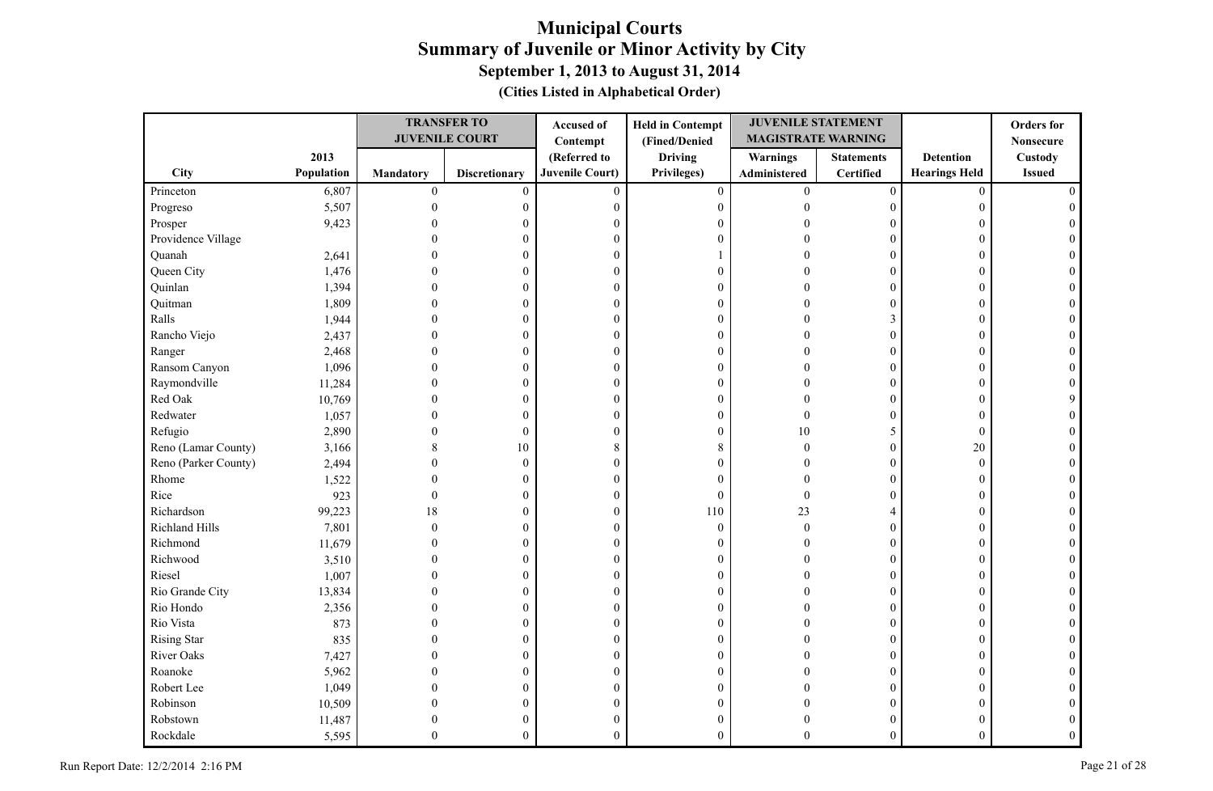|                      |            |                  | <b>TRANSFER TO</b>    | Accused of             | <b>Held in Contempt</b> | <b>JUVENILE STATEMENT</b> |                   |                      | <b>Orders</b> for |
|----------------------|------------|------------------|-----------------------|------------------------|-------------------------|---------------------------|-------------------|----------------------|-------------------|
|                      |            |                  | <b>JUVENILE COURT</b> | Contempt               | (Fined/Denied           | <b>MAGISTRATE WARNING</b> |                   |                      | <b>Nonsecure</b>  |
|                      | 2013       |                  |                       | (Referred to           | <b>Driving</b>          | <b>Warnings</b>           | <b>Statements</b> | <b>Detention</b>     | Custody           |
| City                 | Population | Mandatory        | <b>Discretionary</b>  | <b>Juvenile Court)</b> | Privileges)             | Administered              | <b>Certified</b>  | <b>Hearings Held</b> | <b>Issued</b>     |
| Princeton            | 6,807      | $\boldsymbol{0}$ | $\mathbf{0}$          | $\theta$               | $\overline{0}$          | $\overline{0}$            | $\boldsymbol{0}$  | $\mathbf{0}$         |                   |
| Progreso             | 5,507      |                  | 0                     | $\mathbf{0}$           | $\boldsymbol{0}$        | $\Omega$                  | $\mathbf{0}$      | $\theta$             |                   |
| Prosper              | 9,423      |                  | 0                     | $\mathbf{0}$           | $\boldsymbol{0}$        |                           | $\Omega$          | 0                    |                   |
| Providence Village   |            |                  | $\theta$              | $\mathbf{0}$           | $\boldsymbol{0}$        |                           | $\theta$          | $\Omega$             |                   |
| Quanah               | 2,641      |                  | $\theta$              | $\mathbf{0}$           | 1                       |                           | $\Omega$          | $\theta$             |                   |
| Queen City           | 1,476      |                  | $\theta$              | 0                      | $\boldsymbol{0}$        |                           | $\Omega$          | $\Omega$             |                   |
| Quinlan              | 1,394      |                  | $\Omega$              | $\theta$               | $\boldsymbol{0}$        |                           | $\theta$          | $\Omega$             |                   |
| Quitman              | 1,809      |                  | $\theta$              | $\mathbf{0}$           | $\boldsymbol{0}$        |                           | $\theta$          | $\theta$             |                   |
| Ralls                | 1,944      |                  | $\theta$              | $\boldsymbol{0}$       | $\boldsymbol{0}$        |                           | 3                 | $\Omega$             |                   |
| Rancho Viejo         | 2,437      |                  | $\theta$              | $\mathbf{0}$           | $\mathbf{0}$            |                           | $\theta$          | $\Omega$             |                   |
| Ranger               | 2,468      |                  | $\mathbf{0}$          | $\mathbf{0}$           | $\boldsymbol{0}$        |                           | $\mathbf{0}$      | $\theta$             |                   |
| Ransom Canyon        | 1,096      |                  | $\theta$              | $\boldsymbol{0}$       | $\mathbf{0}$            |                           | $\boldsymbol{0}$  | $\Omega$             |                   |
| Raymondville         | 11,284     |                  | $\theta$              | $\boldsymbol{0}$       | $\boldsymbol{0}$        |                           | $\theta$          | $\Omega$             |                   |
| Red Oak              | 10,769     |                  | $\theta$              | $\boldsymbol{0}$       | $\boldsymbol{0}$        |                           | $\mathbf{0}$      | $\theta$             |                   |
| Redwater             | 1,057      |                  | $\mathbf{0}$          | $\boldsymbol{0}$       | $\boldsymbol{0}$        |                           | $\theta$          | $\theta$             |                   |
| Refugio              | 2,890      |                  | $\mathbf{0}$          | $\mathbf{0}$           | $\boldsymbol{0}$        | 10                        | 5                 | $\mathbf{0}$         |                   |
| Reno (Lamar County)  | 3,166      |                  | 10                    | 8                      | $\,$ 8 $\,$             | $\Omega$                  | $\theta$          | $20\,$               |                   |
| Reno (Parker County) | 2,494      |                  | $\boldsymbol{0}$      | $\mathbf{0}$           | $\boldsymbol{0}$        |                           | $\theta$          | $\mathbf{0}$         |                   |
| Rhome                | 1,522      |                  | $\mathbf{0}$          | $\mathbf{0}$           | $\mathbf{0}$            |                           | $\theta$          | $\Omega$             |                   |
| Rice                 | 923        | $\theta$         | $\mathbf{0}$          | $\mathbf{0}$           | $\mathbf{0}$            | $\Omega$                  | $\Omega$          | $\Omega$             |                   |
| Richardson           | 99,223     | 18               | $\mathbf{0}$          | $\mathbf{0}$           | 110                     | 23                        | 4                 | $\theta$             |                   |
| Richland Hills       | 7,801      |                  | $\mathbf{0}$          | $\mathbf{0}$           | $\boldsymbol{0}$        | $\Omega$                  | $\theta$          | $\theta$             |                   |
| Richmond             | 11,679     |                  | $\theta$              | $\boldsymbol{0}$       | $\boldsymbol{0}$        |                           | $\theta$          | $\theta$             |                   |
| Richwood             | 3,510      |                  | $\overline{0}$        | $\boldsymbol{0}$       | $\boldsymbol{0}$        |                           | $\theta$          | $\theta$             |                   |
| Riesel               | 1,007      |                  | $\Omega$              | $\mathbf{0}$           | $\boldsymbol{0}$        |                           | $\theta$          | $\Omega$             |                   |
| Rio Grande City      | 13,834     |                  | $\theta$              | $\mathbf{0}$           | $\boldsymbol{0}$        |                           | $\theta$          | $\theta$             |                   |
| Rio Hondo            | 2,356      |                  | $\theta$              | $\mathbf{0}$           | $\boldsymbol{0}$        |                           | $\theta$          | $\theta$             |                   |
| Rio Vista            | 873        |                  | $\Omega$              | $\mathbf{0}$           | $\boldsymbol{0}$        |                           | $\theta$          | $\Omega$             |                   |
| <b>Rising Star</b>   | 835        |                  | $\theta$              | $\mathbf{0}$           | $\boldsymbol{0}$        |                           | $\theta$          | $\Omega$             |                   |
| River Oaks           | 7,427      |                  | $\theta$              | $\mathbf{0}$           | $\boldsymbol{0}$        |                           | $\theta$          | $\Omega$             |                   |
| Roanoke              | 5,962      |                  | $\Omega$              | $\mathbf{0}$           | $\overline{0}$          |                           | $\theta$          | $\Omega$             |                   |
| Robert Lee           | 1,049      |                  | $\theta$              | $\mathbf{0}$           | $\boldsymbol{0}$        |                           | $\mathbf{0}$      | $\Omega$             |                   |
| Robinson             | 10,509     |                  | 0                     | $\boldsymbol{0}$       | $\mathbf{0}$            |                           | $\theta$          | $\Omega$             |                   |
| Robstown             | 11,487     |                  | 0                     | $\mathbf{0}$           | $\boldsymbol{0}$        |                           | $\theta$          | 0                    |                   |
| Rockdale             | 5,595      |                  | $\theta$              | $\theta$               | $\theta$                |                           | $\theta$          | $\Omega$             |                   |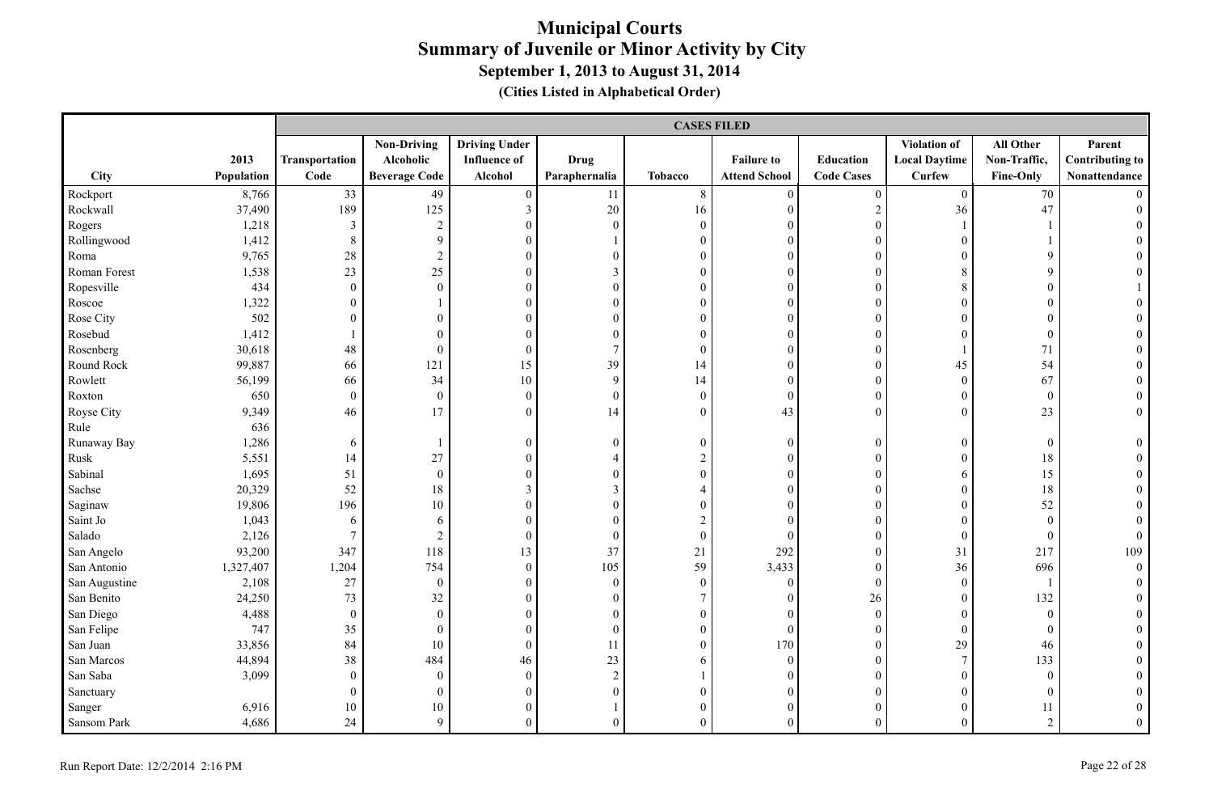|               |            |                  |                      |                      |                  | <b>CASES FILED</b> |                      |                   |                      |                  |                        |
|---------------|------------|------------------|----------------------|----------------------|------------------|--------------------|----------------------|-------------------|----------------------|------------------|------------------------|
|               |            |                  | <b>Non-Driving</b>   | <b>Driving Under</b> |                  |                    |                      |                   | Violation of         | All Other        | Parent                 |
|               | 2013       | Transportation   | Alcoholic            | <b>Influence</b> of  | <b>Drug</b>      |                    | <b>Failure to</b>    | Education         | <b>Local Daytime</b> | Non-Traffic,     | <b>Contributing to</b> |
| City          | Population | Code             | <b>Beverage Code</b> | Alcohol              | Paraphernalia    | Tobacco            | <b>Attend School</b> | <b>Code Cases</b> | <b>Curfew</b>        | <b>Fine-Only</b> | Nonattendance          |
| Rockport      | 8,766      | 33               | 49                   | $\boldsymbol{0}$     | 11               | $8\,$              | $\overline{0}$       | $\boldsymbol{0}$  | $\overline{0}$       | 70               |                        |
| Rockwall      | 37,490     | 189              | 125                  | $\mathfrak{Z}$       | $20\,$           | 16                 | $\mathbf{0}$         | $\sqrt{2}$        | 36                   | 47               |                        |
| Rogers        | 1,218      | $\overline{3}$   | $\overline{2}$       | $\mathbf{0}$         | $\boldsymbol{0}$ | $\boldsymbol{0}$   | $\mathbf{0}$         | $\boldsymbol{0}$  |                      |                  |                        |
| Rollingwood   | 1,412      | $\,8\,$          | 9                    | $\mathbf{0}$         |                  | $\overline{0}$     | $\mathbf{0}$         | $\overline{0}$    | $\theta$             |                  |                        |
| Roma          | 9,765      | 28               | $\sqrt{2}$           | $\Omega$             | $\mathbf{0}$     | $\overline{0}$     | $\theta$             | $\theta$          | $\theta$             | 9                |                        |
| Roman Forest  | 1,538      | 23               | 25                   | $\mathbf{0}$         | 3                | $\boldsymbol{0}$   | $\mathbf{0}$         | $\overline{0}$    | 8                    | 9                |                        |
| Ropesville    | 434        | $\theta$         | $\mathbf{0}$         | $\mathbf{0}$         | $\mathbf{0}$     | $\overline{0}$     | $\mathbf{0}$         | $\theta$          | 8                    | $\boldsymbol{0}$ |                        |
| Roscoe        | 1,322      | $\theta$         |                      | $\boldsymbol{0}$     | $\boldsymbol{0}$ | $\boldsymbol{0}$   | $\mathbf{0}$         | $\boldsymbol{0}$  | $\theta$             | $\boldsymbol{0}$ |                        |
| Rose City     | 502        | $\theta$         | $\mathbf{0}$         | $\mathbf{0}$         | $\mathbf{0}$     | $\boldsymbol{0}$   | $\mathbf{0}$         | $\mathbf{0}$      | $\overline{0}$       | $\boldsymbol{0}$ |                        |
| Rosebud       | 1,412      |                  | $\boldsymbol{0}$     | $\boldsymbol{0}$     | $\boldsymbol{0}$ | $\boldsymbol{0}$   | $\boldsymbol{0}$     | $\theta$          | $\mathbf{0}$         | $\boldsymbol{0}$ |                        |
| Rosenberg     | 30,618     | 48               | $\boldsymbol{0}$     | $\boldsymbol{0}$     | $\boldsymbol{7}$ | $\boldsymbol{0}$   | $\boldsymbol{0}$     | $\overline{0}$    |                      | $71\,$           |                        |
| Round Rock    | 99,887     | 66               | 121                  | 15                   | 39               | 14                 | $\mathbf{0}$         | $\overline{0}$    | 45                   | 54               |                        |
| Rowlett       | 56,199     | 66               | 34                   | 10                   | $\mathbf{9}$     | 14                 | $\mathbf{0}$         | $\boldsymbol{0}$  | $\boldsymbol{0}$     | 67               | $\theta$               |
| Roxton        | 650        | $\theta$         | $\mathbf{0}$         | $\mathbf{0}$         | $\mathbf{0}$     | $\overline{0}$     | $\mathbf{0}$         | $\theta$          | $\mathbf{0}$         | $\mathbf{0}$     | $\theta$               |
| Royse City    | 9,349      | 46               | 17                   | $\mathbf{0}$         | 14               | $\overline{0}$     | 43                   | $\theta$          | $\theta$             | 23               | $\overline{0}$         |
| Rule          | 636        |                  |                      |                      |                  |                    |                      |                   |                      |                  |                        |
| Runaway Bay   | 1,286      | 6                | 1                    | $\boldsymbol{0}$     | $\boldsymbol{0}$ | $\boldsymbol{0}$   | $\boldsymbol{0}$     | $\boldsymbol{0}$  | $\overline{0}$       | $\boldsymbol{0}$ | $\theta$               |
| Rusk          | 5,551      | 14               | 27                   | $\boldsymbol{0}$     | $\overline{4}$   | $\overline{2}$     | $\mathbf{0}$         | $\boldsymbol{0}$  | $\mathbf{0}$         | 18               | $\Omega$               |
| Sabinal       | 1,695      | 51               | $\boldsymbol{0}$     | $\boldsymbol{0}$     | $\boldsymbol{0}$ | $\boldsymbol{0}$   | $\boldsymbol{0}$     | $\theta$          | 6                    | 15               |                        |
| Sachse        | 20,329     | 52               | 18                   | $\mathfrak{Z}$       | $\mathfrak{Z}$   | $\overline{4}$     | $\boldsymbol{0}$     | $\overline{0}$    | $\mathbf{0}$         | 18               |                        |
| Saginaw       | 19,806     | 196              | 10                   | $\boldsymbol{0}$     | $\boldsymbol{0}$ | $\boldsymbol{0}$   | $\mathbf{0}$         | $\overline{0}$    | $\overline{0}$       | 52               |                        |
| Saint Jo      | 1,043      | 6                | 6                    | $\mathbf{0}$         | $\mathbf{0}$     | $\overline{c}$     | $\theta$             | $\theta$          | $\theta$             | $\mathbf{0}$     | $\theta$               |
| Salado        | 2,126      | $7\phantom{.0}$  | 2                    | $\mathbf{0}$         | $\mathbf{0}$     | $\overline{0}$     | $\theta$             | $\overline{0}$    | $\Omega$             | $\mathbf{0}$     | $\overline{0}$         |
| San Angelo    | 93,200     | 347              | 118                  | 13                   | 37               | 21                 | 292                  | $\boldsymbol{0}$  | 31                   | 217              | 109                    |
| San Antonio   | 1,327,407  | 1,204            | 754                  | $\boldsymbol{0}$     | 105              | 59                 | 3,433                | $\boldsymbol{0}$  | 36                   | 696              | $\overline{0}$         |
| San Augustine | 2,108      | 27               | $\boldsymbol{0}$     | $\boldsymbol{0}$     | $\boldsymbol{0}$ | $\boldsymbol{0}$   | $\overline{0}$       | $\boldsymbol{0}$  | $\boldsymbol{0}$     |                  | $\theta$               |
| San Benito    | 24,250     | 73               | 32                   | $\mathbf{0}$         | $\mathbf{0}$     | $\tau$             | $\mathbf{0}$         | 26                | $\boldsymbol{0}$     | 132              |                        |
| San Diego     | 4,488      | $\mathbf{0}$     | $\boldsymbol{0}$     | $\boldsymbol{0}$     | $\boldsymbol{0}$ | $\boldsymbol{0}$   | $\theta$             | $\boldsymbol{0}$  | $\overline{0}$       | $\boldsymbol{0}$ |                        |
| San Felipe    | 747        | 35               | $\boldsymbol{0}$     | $\boldsymbol{0}$     | $\boldsymbol{0}$ | $\boldsymbol{0}$   | $\mathbf{0}$         | $\overline{0}$    | $\mathbf{0}$         | $\mathbf{0}$     |                        |
| San Juan      | 33,856     | 84               | 10                   | $\boldsymbol{0}$     | 11               | $\boldsymbol{0}$   | 170                  | $\boldsymbol{0}$  | 29                   | 46               |                        |
| San Marcos    | 44,894     | 38               | 484                  | 46                   | 23               | 6                  | $\mathbf{0}$         | $\boldsymbol{0}$  | $\boldsymbol{7}$     | 133              |                        |
| San Saba      | 3,099      | $\theta$         | $\mathbf{0}$         | $\mathbf{0}$         | $\sqrt{2}$       |                    | $\mathbf{0}$         | $\mathbf{0}$      | $\Omega$             | $\mathbf{0}$     |                        |
| Sanctuary     |            | $\boldsymbol{0}$ | $\boldsymbol{0}$     | $\boldsymbol{0}$     | $\boldsymbol{0}$ | $\boldsymbol{0}$   | $\boldsymbol{0}$     | $\overline{0}$    | $\overline{0}$       | $\boldsymbol{0}$ |                        |
| Sanger        | 6,916      | 10               | 10                   | $\boldsymbol{0}$     |                  | $\boldsymbol{0}$   | $\mathbf{0}$         | $\overline{0}$    | $\mathbf{0}$         | 11               | $\mathbf{0}$           |
| Sansom Park   | 4,686      | 24               | 9                    | $\theta$             | $\theta$         | $\Omega$           | $\theta$             | $\theta$          | $\Omega$             | $\overline{2}$   | $\theta$               |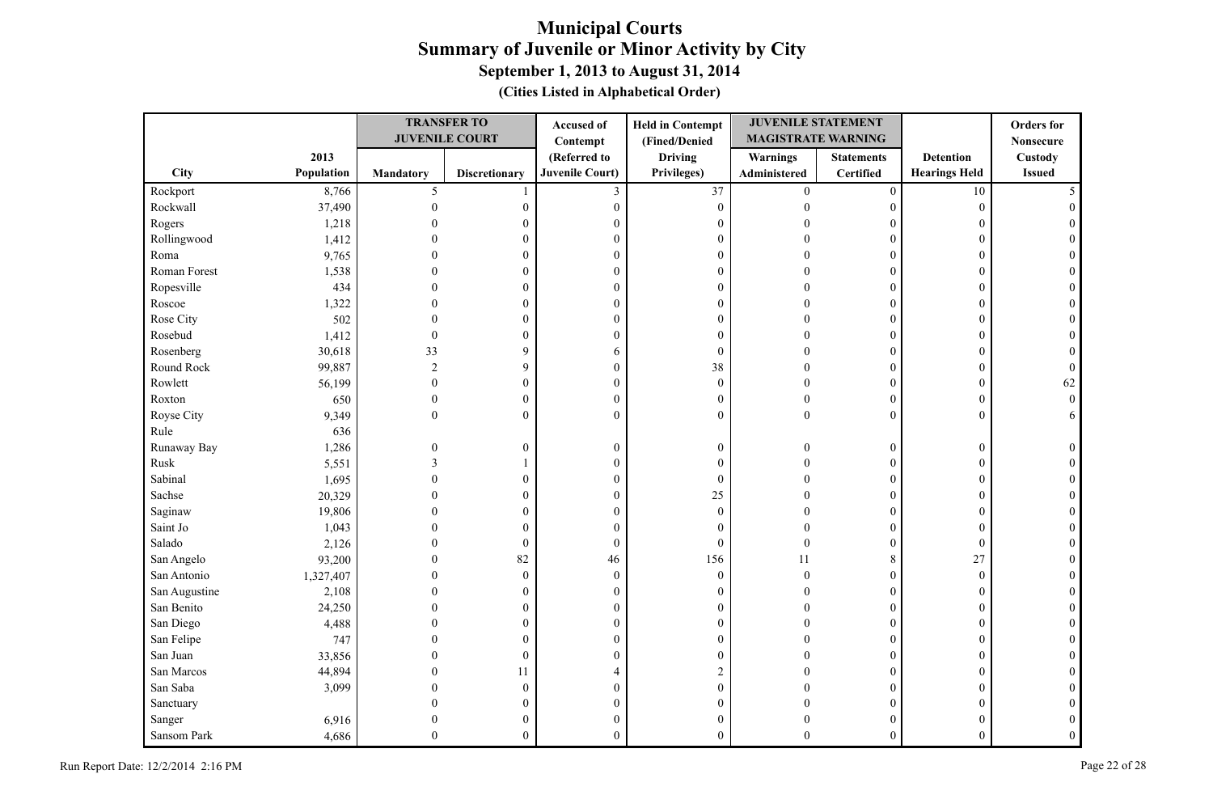|               |            |                  | <b>TRANSFER TO</b>    | Accused of             | <b>Held in Contempt</b> | <b>JUVENILE STATEMENT</b> |                   |                      | <b>Orders</b> for |
|---------------|------------|------------------|-----------------------|------------------------|-------------------------|---------------------------|-------------------|----------------------|-------------------|
|               |            |                  | <b>JUVENILE COURT</b> | Contempt               | (Fined/Denied           | <b>MAGISTRATE WARNING</b> |                   |                      | <b>Nonsecure</b>  |
|               | 2013       |                  |                       | (Referred to           | <b>Driving</b>          | <b>Warnings</b>           | <b>Statements</b> | <b>Detention</b>     | Custody           |
| City          | Population | <b>Mandatory</b> | <b>Discretionary</b>  | <b>Juvenile Court)</b> | Privileges)             | Administered              | Certified         | <b>Hearings Held</b> | <b>Issued</b>     |
| Rockport      | 8,766      | 5                |                       | 3                      | 37                      | $\overline{0}$            | $\boldsymbol{0}$  | 10                   |                   |
| Rockwall      | 37,490     | $\mathbf{0}$     | $\boldsymbol{0}$      | $\boldsymbol{0}$       | $\boldsymbol{0}$        | $\theta$                  | $\overline{0}$    | $\mathbf{0}$         |                   |
| Rogers        | 1,218      |                  | 0                     | $\mathbf{0}$           | $\boldsymbol{0}$        |                           | $\Omega$          | 0                    |                   |
| Rollingwood   | 1,412      |                  | 0                     | $\boldsymbol{0}$       | $\boldsymbol{0}$        |                           | $\theta$          | $\Omega$             |                   |
| Roma          | 9,765      |                  | 0                     | $\boldsymbol{0}$       | $\boldsymbol{0}$        |                           | $\theta$          | $\Omega$             |                   |
| Roman Forest  | 1,538      |                  | $\theta$              | $\boldsymbol{0}$       | $\boldsymbol{0}$        |                           | $\theta$          | $\Omega$             |                   |
| Ropesville    | 434        | $\Omega$         | $\overline{0}$        | $\boldsymbol{0}$       | $\boldsymbol{0}$        |                           | $\theta$          | $\Omega$             |                   |
| Roscoe        | 1,322      |                  | 0                     | $\boldsymbol{0}$       | $\boldsymbol{0}$        |                           | $\overline{0}$    | $\Omega$             |                   |
| Rose City     | 502        | 0                | $\boldsymbol{0}$      | $\boldsymbol{0}$       | $\boldsymbol{0}$        |                           | $\boldsymbol{0}$  | $\Omega$             |                   |
| Rosebud       | 1,412      | $\theta$         | 0                     | $\theta$               | $\mathbf{0}$            |                           | $\overline{0}$    | $\Omega$             |                   |
| Rosenberg     | 30,618     | 33               | 9                     | 6                      | $\mathbf{0}$            | $\Omega$                  | $\overline{0}$    | $\overline{0}$       |                   |
| Round Rock    | 99,887     | $\sqrt{2}$       | 9                     | $\boldsymbol{0}$       | 38                      | $\Omega$                  | 0                 | $\overline{0}$       |                   |
| Rowlett       | 56,199     | $\mathbf{0}$     | $\overline{0}$        | $\boldsymbol{0}$       | $\boldsymbol{0}$        | $\Omega$                  | $\overline{0}$    | $\Omega$             | 62                |
| Roxton        | 650        | $\mathbf{0}$     | $\boldsymbol{0}$      | $\boldsymbol{0}$       | $\boldsymbol{0}$        | $\theta$                  | $\overline{0}$    | $\overline{0}$       | $\Omega$          |
| Royse City    | 9,349      | $\overline{0}$   | $\boldsymbol{0}$      | $\theta$               | $\mathbf{0}$            | $\theta$                  | $\overline{0}$    | $\Omega$             | 6                 |
| Rule          | 636        |                  |                       |                        |                         |                           |                   |                      |                   |
| Runaway Bay   | 1,286      | $\Omega$         | $\boldsymbol{0}$      | $\boldsymbol{0}$       | $\boldsymbol{0}$        | $\Omega$                  | $\boldsymbol{0}$  | $\overline{0}$       |                   |
| Rusk          | 5,551      | 3                |                       | $\boldsymbol{0}$       | $\boldsymbol{0}$        | $\Omega$                  | $\overline{0}$    | $\Omega$             |                   |
| Sabinal       | 1,695      | $\Omega$         | $\overline{0}$        | $\mathbf{0}$           | $\mathbf{0}$            | $\sqrt{ }$                | $\overline{0}$    | $\Omega$             |                   |
| Sachse        | 20,329     | 0                | $\boldsymbol{0}$      | $\boldsymbol{0}$       | 25                      |                           | $\overline{0}$    | $\Omega$             |                   |
| Saginaw       | 19,806     |                  | 0                     | $\boldsymbol{0}$       | $\boldsymbol{0}$        |                           | $\overline{0}$    | $\Omega$             |                   |
| Saint Jo      | 1,043      |                  | $\boldsymbol{0}$      | $\mathbf{0}$           | $\mathbf{0}$            |                           | $\overline{0}$    | $\mathbf{0}$         |                   |
| Salado        | 2,126      |                  | $\boldsymbol{0}$      | $\boldsymbol{0}$       | $\mathbf{0}$            | $\Omega$                  | $\overline{0}$    | $\boldsymbol{0}$     |                   |
| San Angelo    | 93,200     |                  | 82                    | 46                     | 156                     | 11                        | 8                 | 27                   |                   |
| San Antonio   | 1,327,407  |                  | $\boldsymbol{0}$      | $\boldsymbol{0}$       | $\mathbf{0}$            | $\Omega$                  | $\theta$          | $\mathbf{0}$         |                   |
| San Augustine | 2,108      |                  | $\mathbf{0}$          | $\boldsymbol{0}$       | $\boldsymbol{0}$        |                           | $\overline{0}$    | $\Omega$             |                   |
| San Benito    | 24,250     |                  | 0                     | $\boldsymbol{0}$       | $\boldsymbol{0}$        |                           | $\overline{0}$    | $\overline{0}$       |                   |
| San Diego     | 4,488      | $\Omega$         | $\overline{0}$        | $\mathbf{0}$           | $\boldsymbol{0}$        |                           | $\theta$          | $\Omega$             |                   |
| San Felipe    | 747        | $\Omega$         | $\overline{0}$        | $\boldsymbol{0}$       | $\boldsymbol{0}$        |                           | $\overline{0}$    | $\Omega$             |                   |
| San Juan      | 33,856     | 0                | $\boldsymbol{0}$      | $\boldsymbol{0}$       | $\boldsymbol{0}$        |                           | $\boldsymbol{0}$  | $\Omega$             |                   |
| San Marcos    | 44,894     | 0                | 11                    | $\overline{4}$         | $\sqrt{2}$              |                           | $\theta$          | 0                    |                   |
| San Saba      | 3,099      | 0                | $\boldsymbol{0}$      | $\boldsymbol{0}$       | $\boldsymbol{0}$        |                           | $\overline{0}$    | $\Omega$             |                   |
| Sanctuary     |            |                  | 0                     | $\boldsymbol{0}$       | $\boldsymbol{0}$        |                           | 0                 |                      |                   |
| Sanger        | 6,916      | 0                | 0                     | $\boldsymbol{0}$       | $\boldsymbol{0}$        |                           | $\overline{0}$    |                      |                   |
| Sansom Park   | 4,686      | $\theta$         | $\overline{0}$        | $\overline{0}$         | $\theta$                | $\Omega$                  | $\overline{0}$    | $\overline{0}$       |                   |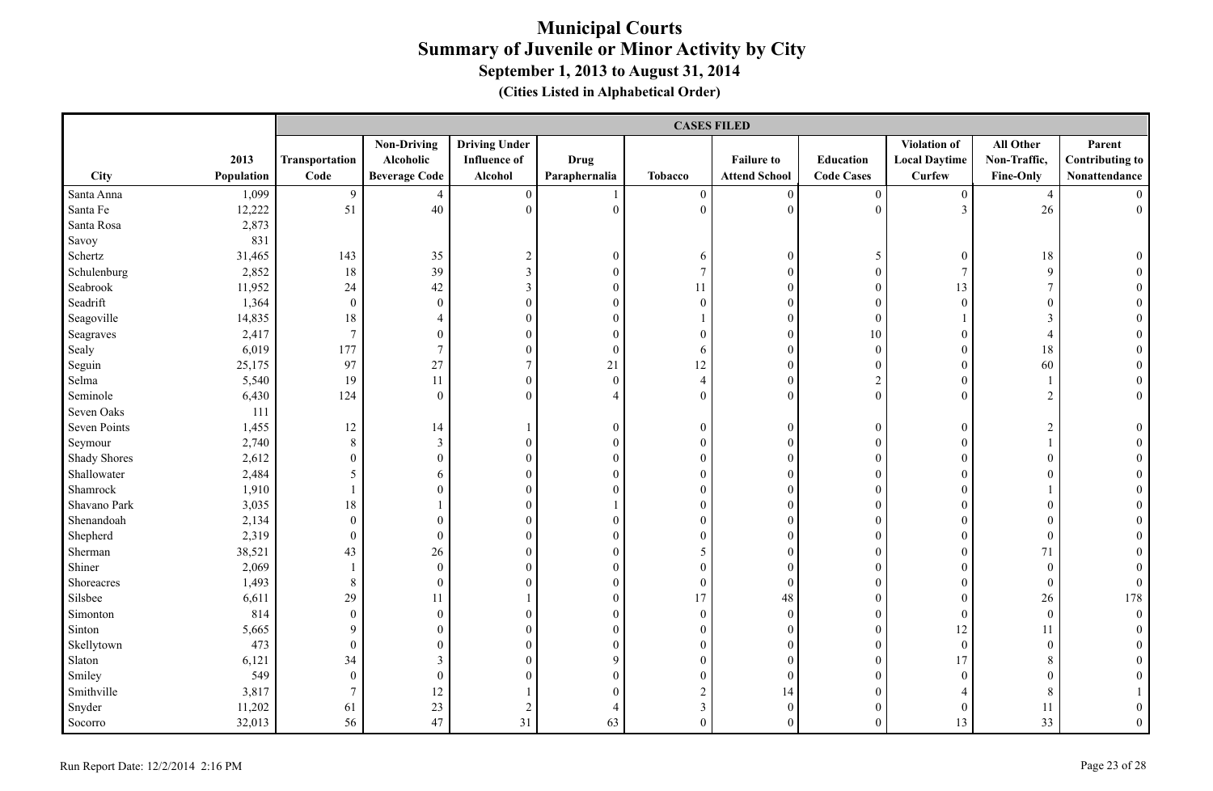|                     |            |                  | <b>CASES FILED</b>   |                      |                  |                  |                      |                   |                      |                  |                        |  |
|---------------------|------------|------------------|----------------------|----------------------|------------------|------------------|----------------------|-------------------|----------------------|------------------|------------------------|--|
|                     |            |                  | <b>Non-Driving</b>   | <b>Driving Under</b> |                  |                  |                      |                   | <b>Violation of</b>  | All Other        | Parent                 |  |
|                     | 2013       | Transportation   | Alcoholic            | <b>Influence</b> of  | <b>Drug</b>      |                  | <b>Failure to</b>    | <b>Education</b>  | <b>Local Daytime</b> | Non-Traffic,     | <b>Contributing to</b> |  |
| City                | Population | Code             | <b>Beverage Code</b> | Alcohol              | Paraphernalia    | <b>Tobacco</b>   | <b>Attend School</b> | <b>Code Cases</b> | <b>Curfew</b>        | Fine-Only        | Nonattendance          |  |
| Santa Anna          | 1,099      | $\overline{9}$   | 4                    | $\boldsymbol{0}$     | $\mathbf{1}$     | $\boldsymbol{0}$ | $\boldsymbol{0}$     | $\boldsymbol{0}$  | $\boldsymbol{0}$     | 4                | $\Omega$               |  |
| Santa Fe            | 12,222     | 51               | 40                   | $\boldsymbol{0}$     | $\boldsymbol{0}$ | $\boldsymbol{0}$ | $\mathbf{0}$         | $\boldsymbol{0}$  | $\overline{3}$       | 26               | $\overline{0}$         |  |
| Santa Rosa          | 2,873      |                  |                      |                      |                  |                  |                      |                   |                      |                  |                        |  |
| Savoy               | 831        |                  |                      |                      |                  |                  |                      |                   |                      |                  |                        |  |
| Schertz             | 31,465     | 143              | 35                   | $\overline{c}$       | $\boldsymbol{0}$ | 6                | $\boldsymbol{0}$     | 5                 | $\overline{0}$       | 18               | $\Omega$               |  |
| Schulenburg         | 2,852      | 18               | 39                   | $\overline{3}$       | $\boldsymbol{0}$ | $\boldsymbol{7}$ | $\overline{0}$       | $\boldsymbol{0}$  | $\tau$               | 9                |                        |  |
| Seabrook            | 11,952     | 24               | 42                   | $\mathfrak{Z}$       | $\boldsymbol{0}$ | 11               | $\boldsymbol{0}$     | $\boldsymbol{0}$  | 13                   | $\tau$           |                        |  |
| Seadrift            | 1,364      | $\overline{0}$   | $\boldsymbol{0}$     | $\boldsymbol{0}$     | $\boldsymbol{0}$ | $\boldsymbol{0}$ | $\boldsymbol{0}$     | $\boldsymbol{0}$  | $\overline{0}$       | $\boldsymbol{0}$ |                        |  |
| Seagoville          | 14,835     | 18               | $\overline{4}$       | $\boldsymbol{0}$     | $\boldsymbol{0}$ | -1               | $\boldsymbol{0}$     | $\boldsymbol{0}$  |                      | 3                |                        |  |
| Seagraves           | 2,417      | $\tau$           | $\boldsymbol{0}$     | $\boldsymbol{0}$     | $\boldsymbol{0}$ | $\boldsymbol{0}$ | $\boldsymbol{0}$     | $10\,$            | $\overline{0}$       | $\overline{4}$   |                        |  |
| Sealy               | 6,019      | 177              | $\boldsymbol{7}$     | $\boldsymbol{0}$     | $\boldsymbol{0}$ | $\sqrt{6}$       | $\boldsymbol{0}$     | $\boldsymbol{0}$  | $\overline{0}$       | 18               | $\theta$               |  |
| Seguin              | 25,175     | 97               | 27                   | $\overline{7}$       | 21               | 12               | $\boldsymbol{0}$     | $\boldsymbol{0}$  | $\boldsymbol{0}$     | 60               | $\theta$               |  |
| Selma               | 5,540      | 19               | 11                   | $\boldsymbol{0}$     | $\boldsymbol{0}$ | $\overline{4}$   | $\boldsymbol{0}$     | $\sqrt{2}$        | $\boldsymbol{0}$     |                  | $\overline{0}$         |  |
| Seminole            | 6,430      | 124              | $\mathbf{0}$         | $\theta$             | $\overline{4}$   | $\mathbf{0}$     | $\theta$             | $\mathbf{0}$      | $\overline{0}$       | $\overline{2}$   | $\overline{0}$         |  |
| Seven Oaks          | 111        |                  |                      |                      |                  |                  |                      |                   |                      |                  |                        |  |
| Seven Points        | 1,455      | 12               | 14                   |                      | $\boldsymbol{0}$ | $\boldsymbol{0}$ | $\boldsymbol{0}$     | $\boldsymbol{0}$  | $\overline{0}$       | $\sqrt{2}$       | $\theta$               |  |
| Seymour             | 2,740      | $8\,$            | $\mathfrak{Z}$       | $\boldsymbol{0}$     | $\boldsymbol{0}$ | $\boldsymbol{0}$ | $\boldsymbol{0}$     | $\boldsymbol{0}$  | $\overline{0}$       |                  |                        |  |
| <b>Shady Shores</b> | 2,612      | $\overline{0}$   | $\boldsymbol{0}$     | $\mathbf{0}$         | $\boldsymbol{0}$ | $\boldsymbol{0}$ | $\overline{0}$       | $\boldsymbol{0}$  | $\overline{0}$       | $\boldsymbol{0}$ | $\Omega$               |  |
| Shallowater         | 2,484      | 5                | 6                    | $\boldsymbol{0}$     | $\boldsymbol{0}$ | $\boldsymbol{0}$ | $\boldsymbol{0}$     | $\boldsymbol{0}$  | $\overline{0}$       | $\boldsymbol{0}$ |                        |  |
| Shamrock            | 1,910      | $\mathbf{1}$     | $\boldsymbol{0}$     | $\theta$             | $\boldsymbol{0}$ | $\boldsymbol{0}$ | $\overline{0}$       | $\boldsymbol{0}$  | $\overline{0}$       |                  |                        |  |
| Shavano Park        | 3,035      | 18               |                      | $\boldsymbol{0}$     |                  | $\boldsymbol{0}$ | $\boldsymbol{0}$     | $\boldsymbol{0}$  | $\overline{0}$       | $\boldsymbol{0}$ |                        |  |
| Shenandoah          | 2,134      | $\mathbf{0}$     | $\mathbf{0}$         | $\theta$             | $\boldsymbol{0}$ | $\mathbf{0}$     | $\theta$             | $\boldsymbol{0}$  | $\overline{0}$       | $\mathbf{0}$     |                        |  |
| Shepherd            | 2,319      | $\mathbf{0}$     | $\mathbf{0}$         | $\boldsymbol{0}$     | $\boldsymbol{0}$ | $\mathbf{0}$     | $\overline{0}$       | $\boldsymbol{0}$  | $\overline{0}$       | $\theta$         |                        |  |
| Sherman             | 38,521     | 43               | 26                   | $\boldsymbol{0}$     | $\boldsymbol{0}$ | 5                | $\boldsymbol{0}$     | $\boldsymbol{0}$  | $\boldsymbol{0}$     | 71               |                        |  |
| Shiner              | 2,069      | $\mathbf{1}$     | $\boldsymbol{0}$     | $\boldsymbol{0}$     | $\boldsymbol{0}$ | $\boldsymbol{0}$ | $\boldsymbol{0}$     | $\boldsymbol{0}$  | $\overline{0}$       | $\mathbf{0}$     | $\theta$               |  |
| Shoreacres          | 1,493      | $8\,$            | $\boldsymbol{0}$     | $\boldsymbol{0}$     | $\boldsymbol{0}$ | $\boldsymbol{0}$ | $\boldsymbol{0}$     | $\boldsymbol{0}$  | $\overline{0}$       | $\mathbf{0}$     | $\boldsymbol{0}$       |  |
| Silsbee             | 6,611      | 29               | 11                   | $\mathbf{1}$         | $\boldsymbol{0}$ | 17               | 48                   | $\mathbf{0}$      | $\overline{0}$       | 26               | 178                    |  |
| Simonton            | 814        | $\boldsymbol{0}$ | $\boldsymbol{0}$     | $\boldsymbol{0}$     | $\boldsymbol{0}$ | $\boldsymbol{0}$ | $\boldsymbol{0}$     | $\boldsymbol{0}$  | $\overline{0}$       | $\boldsymbol{0}$ | $\boldsymbol{0}$       |  |
| Sinton              | 5,665      | 9                | $\boldsymbol{0}$     | $\boldsymbol{0}$     | $\boldsymbol{0}$ | $\boldsymbol{0}$ | $\boldsymbol{0}$     | $\boldsymbol{0}$  | 12                   | 11               |                        |  |
| Skellytown          | 473        | $\overline{0}$   | $\boldsymbol{0}$     | $\boldsymbol{0}$     | $\boldsymbol{0}$ | $\boldsymbol{0}$ | $\theta$             | $\boldsymbol{0}$  | $\boldsymbol{0}$     | $\boldsymbol{0}$ |                        |  |
| Slaton              | 6,121      | 34               | $\mathfrak{Z}$       | $\mathbf{0}$         | 9                | $\boldsymbol{0}$ | $\boldsymbol{0}$     | $\mathbf{0}$      | 17                   | $8\,$            |                        |  |
| Smiley              | 549        | $\overline{0}$   | $\mathbf{0}$         | $\theta$             | $\boldsymbol{0}$ | $\mathbf{0}$     | $\mathbf{0}$         | $\mathbf{0}$      | $\overline{0}$       | $\overline{0}$   |                        |  |
| Smithville          | 3,817      | $\overline{7}$   | 12                   |                      | $\boldsymbol{0}$ | $\sqrt{2}$       | 14                   | $\boldsymbol{0}$  | 4                    | 8                |                        |  |
| Snyder              | 11,202     | 61               | 23                   | $\overline{c}$       | $\overline{4}$   | $\mathfrak{Z}$   | $\boldsymbol{0}$     | $\boldsymbol{0}$  | $\overline{0}$       | 11               |                        |  |
| Socorro             | 32,013     | 56               | 47                   | 31                   | 63               | $\boldsymbol{0}$ | $\overline{0}$       | $\theta$          | 13                   | 33               | $\theta$               |  |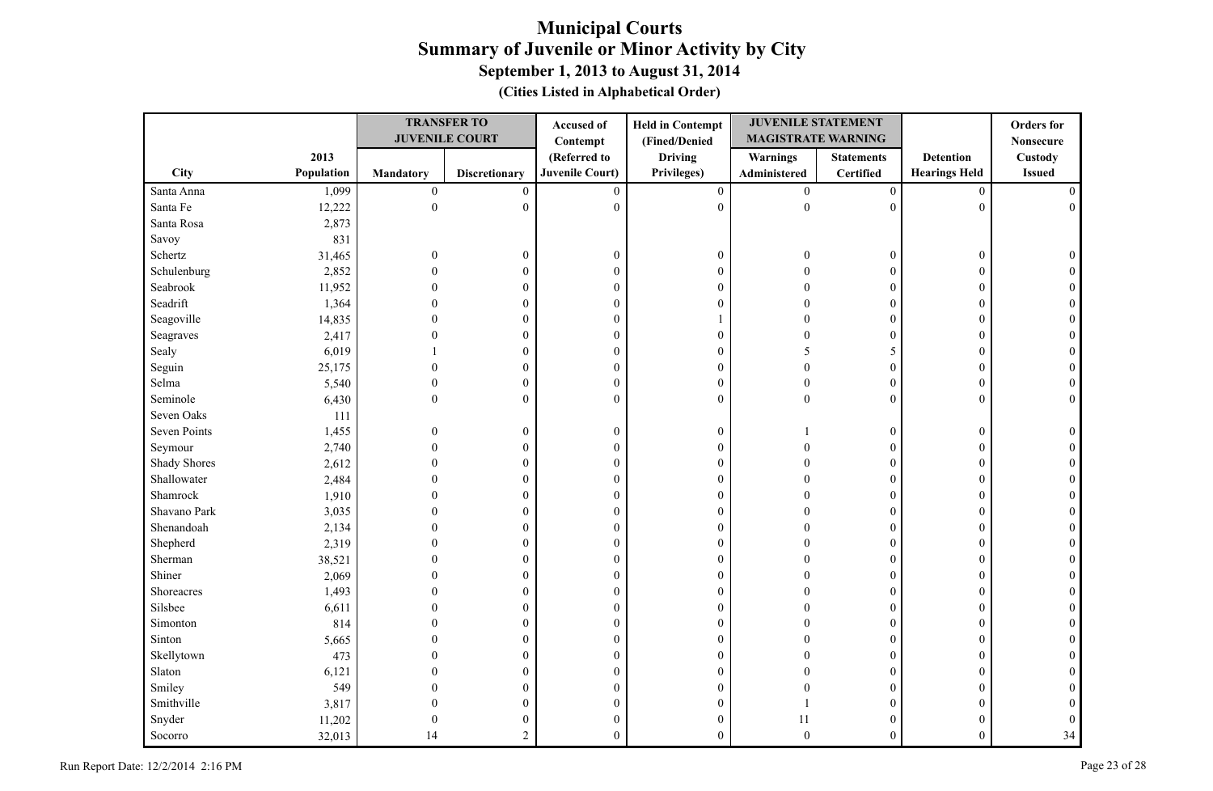|                     |            |                  | <b>TRANSFER TO</b>    | Accused of             | <b>Held in Contempt</b> | <b>JUVENILE STATEMENT</b> |                   |                      | <b>Orders</b> for |
|---------------------|------------|------------------|-----------------------|------------------------|-------------------------|---------------------------|-------------------|----------------------|-------------------|
|                     |            |                  | <b>JUVENILE COURT</b> | Contempt               | (Fined/Denied           | <b>MAGISTRATE WARNING</b> |                   |                      | <b>Nonsecure</b>  |
|                     | 2013       |                  |                       | (Referred to           | <b>Driving</b>          | <b>Warnings</b>           | <b>Statements</b> | <b>Detention</b>     | Custody           |
| City                | Population | <b>Mandatory</b> | <b>Discretionary</b>  | <b>Juvenile Court)</b> | Privileges)             | Administered              | <b>Certified</b>  | <b>Hearings Held</b> | <b>Issued</b>     |
| Santa Anna          | 1,099      | $\boldsymbol{0}$ | $\boldsymbol{0}$      | $\mathbf{0}$           | $\boldsymbol{0}$        | $\overline{0}$            | $\boldsymbol{0}$  | $\mathbf{0}$         | $\Omega$          |
| Santa Fe            | 12,222     | $\mathbf{0}$     | $\boldsymbol{0}$      | $\mathbf{0}$           | $\boldsymbol{0}$        | $\boldsymbol{0}$          | $\mathbf{0}$      | $\mathbf{0}$         | $\Omega$          |
| Santa Rosa          | 2,873      |                  |                       |                        |                         |                           |                   |                      |                   |
| Savoy               | 831        |                  |                       |                        |                         |                           |                   |                      |                   |
| Schertz             | 31,465     | $\mathbf{0}$     | $\boldsymbol{0}$      | $\boldsymbol{0}$       | $\boldsymbol{0}$        | $\Omega$                  | $\boldsymbol{0}$  | $\boldsymbol{0}$     | $\Omega$          |
| Schulenburg         | 2,852      | $\Omega$         | 0                     | $\boldsymbol{0}$       | $\boldsymbol{0}$        |                           | $\boldsymbol{0}$  | $\mathbf{0}$         |                   |
| Seabrook            | 11,952     | $\Omega$         | $\theta$              | $\mathbf{0}$           | $\boldsymbol{0}$        |                           | $\theta$          | $\theta$             |                   |
| Seadrift            | 1,364      | $\Omega$         | $\overline{0}$        | $\boldsymbol{0}$       | $\boldsymbol{0}$        |                           | $\mathbf{0}$      | $\mathbf{0}$         |                   |
| Seagoville          | 14,835     |                  | $\boldsymbol{0}$      | $\boldsymbol{0}$       | 1                       |                           | $\mathbf{0}$      | $\mathbf{0}$         |                   |
| Seagraves           | 2,417      |                  | 0                     | $\boldsymbol{0}$       | $\boldsymbol{0}$        |                           | $\boldsymbol{0}$  | $\mathbf{0}$         |                   |
| Sealy               | 6,019      |                  | 0                     | $\boldsymbol{0}$       | $\boldsymbol{0}$        | <sup>1</sup>              | 5                 | $\mathbf{0}$         | $\Omega$          |
| Seguin              | 25,175     | 0                | 0                     | $\boldsymbol{0}$       | $\boldsymbol{0}$        | $\Omega$                  | $\boldsymbol{0}$  | $\theta$             | $\Omega$          |
| Selma               | 5,540      | $\theta$         | 0                     | $\boldsymbol{0}$       | $\boldsymbol{0}$        | $\Omega$                  | 0                 | $\mathbf{0}$         |                   |
| Seminole            | 6,430      | $\theta$         | $\overline{0}$        | $\mathbf{0}$           | $\mathbf{0}$            | $\Omega$                  | $\overline{0}$    | $\mathbf{0}$         | $\Omega$          |
| Seven Oaks          | 111        |                  |                       |                        |                         |                           |                   |                      |                   |
| Seven Points        | 1,455      | $\theta$         | $\boldsymbol{0}$      | $\boldsymbol{0}$       | $\boldsymbol{0}$        |                           | 0                 | $\boldsymbol{0}$     |                   |
| Seymour             | 2,740      | $\Omega$         | $\boldsymbol{0}$      | $\mathbf{0}$           | $\boldsymbol{0}$        | $\Omega$                  | $\theta$          | $\theta$             |                   |
| <b>Shady Shores</b> | 2,612      | $\Omega$         | $\overline{0}$        | $\theta$               | $\boldsymbol{0}$        | $\Omega$                  | $\boldsymbol{0}$  | $\mathbf{0}$         |                   |
| Shallowater         | 2,484      | $\Omega$         | $\boldsymbol{0}$      | $\theta$               | $\boldsymbol{0}$        |                           | $\mathbf{0}$      | $\mathbf{0}$         |                   |
| Shamrock            | 1,910      |                  | 0                     | $\boldsymbol{0}$       | $\boldsymbol{0}$        |                           | $\boldsymbol{0}$  | $\mathbf{0}$         |                   |
| Shavano Park        | 3,035      |                  | 0                     | $\theta$               | $\mathbf{0}$            |                           | $\theta$          | $\mathbf{0}$         |                   |
| Shenandoah          | 2,134      |                  | 0                     | $\boldsymbol{0}$       | $\boldsymbol{0}$        |                           | $\boldsymbol{0}$  | $\theta$             |                   |
| Shepherd            | 2,319      |                  | 0                     | $\boldsymbol{0}$       | $\boldsymbol{0}$        |                           | $\mathbf{0}$      | 0                    |                   |
| Sherman             | 38,521     |                  | $\theta$              | $\boldsymbol{0}$       | $\boldsymbol{0}$        |                           | $\mathbf{0}$      | $\mathbf{0}$         |                   |
| Shiner              | 2,069      |                  | $\theta$              | $\boldsymbol{0}$       | $\boldsymbol{0}$        |                           | $\mathbf{0}$      | $\theta$             |                   |
| Shoreacres          | 1,493      |                  | 0                     | $\boldsymbol{0}$       | $\boldsymbol{0}$        |                           | $\overline{0}$    | $\mathbf{0}$         |                   |
| Silsbee             | 6,611      |                  | $\theta$              | $\boldsymbol{0}$       | $\boldsymbol{0}$        |                           | $\theta$          | $\theta$             |                   |
| Simonton            | 814        |                  | $\theta$              | $\boldsymbol{0}$       | $\boldsymbol{0}$        |                           | $\theta$          | $\theta$             |                   |
| Sinton              | 5,665      | $\Omega$         | $\theta$              | $\boldsymbol{0}$       | $\boldsymbol{0}$        |                           | $\mathbf{0}$      | $\mathbf{0}$         |                   |
| Skellytown          | 473        |                  | 0                     | $\boldsymbol{0}$       | $\boldsymbol{0}$        |                           | $\mathbf{0}$      | $\mathbf{0}$         |                   |
| Slaton              | 6,121      |                  | 0                     | $\mathbf{0}$           | $\boldsymbol{0}$        |                           | $\overline{0}$    | $\theta$             |                   |
| Smiley              | 549        |                  | $\overline{0}$        | $\boldsymbol{0}$       | $\boldsymbol{0}$        |                           | $\overline{0}$    | 0                    |                   |
| Smithville          | 3,817      |                  | $\overline{0}$        | $\boldsymbol{0}$       | $\boldsymbol{0}$        |                           | $\boldsymbol{0}$  | 0                    |                   |
| Snyder              | 11,202     | $\theta$         | $\theta$              | $\boldsymbol{0}$       | $\boldsymbol{0}$        | 11                        | $\overline{0}$    | $\theta$             |                   |
| Socorro             | 32,013     | 14               | $\overline{c}$        | $\theta$               | $\theta$                | $\theta$                  | $\overline{0}$    | $\mathbf{0}$         | 34                |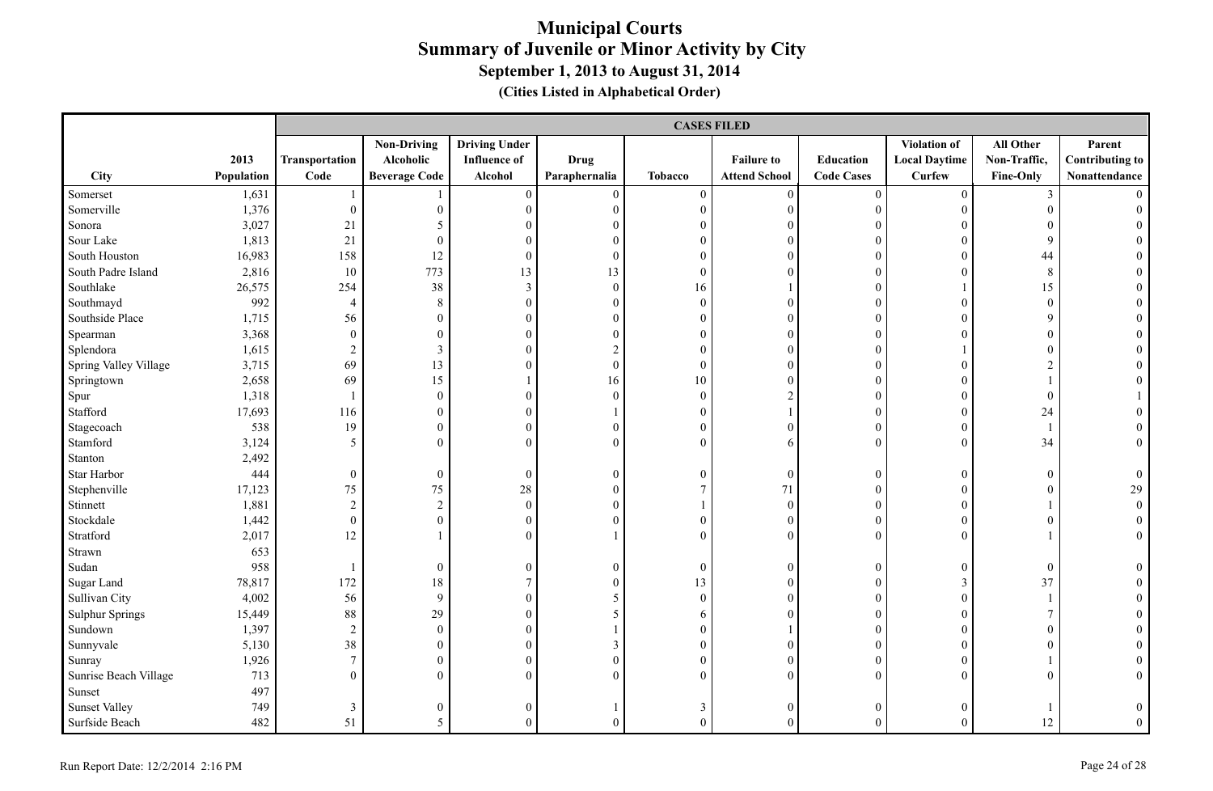|                        |            |                          |                      |                      |                  | <b>CASES FILED</b> |                      |                   |                      |                  |                        |
|------------------------|------------|--------------------------|----------------------|----------------------|------------------|--------------------|----------------------|-------------------|----------------------|------------------|------------------------|
|                        |            |                          | <b>Non-Driving</b>   | <b>Driving Under</b> |                  |                    |                      |                   | <b>Violation of</b>  | All Other        | Parent                 |
|                        | 2013       | Transportation           | Alcoholic            | <b>Influence of</b>  | <b>Drug</b>      |                    | <b>Failure to</b>    | <b>Education</b>  | <b>Local Daytime</b> | Non-Traffic,     | <b>Contributing to</b> |
| City                   | Population | Code                     | <b>Beverage Code</b> | Alcohol              | Paraphernalia    | <b>Tobacco</b>     | <b>Attend School</b> | <b>Code Cases</b> | <b>Curfew</b>        | Fine-Only        | Nonattendance          |
| Somerset               | 1,631      |                          |                      | $\boldsymbol{0}$     | $\mathbf{0}$     | $\mathbf{0}$       | $\mathbf{0}$         | $\boldsymbol{0}$  | $\overline{0}$       | 3                |                        |
| Somerville             | 1,376      | $\boldsymbol{0}$         | $\overline{0}$       | $\boldsymbol{0}$     | $\boldsymbol{0}$ | $\boldsymbol{0}$   | $\boldsymbol{0}$     | $\boldsymbol{0}$  | $\overline{0}$       | $\overline{0}$   | $\theta$               |
| Sonora                 | 3,027      | 21                       | 5                    | $\mathbf{0}$         | $\overline{0}$   | $\boldsymbol{0}$   | $\boldsymbol{0}$     | $\boldsymbol{0}$  | $\overline{0}$       | $\mathbf{0}$     |                        |
| Sour Lake              | 1,813      | 21                       | $\overline{0}$       | $\theta$             | $\theta$         | $\boldsymbol{0}$   | $\overline{0}$       | $\mathbf{0}$      | $\boldsymbol{0}$     | 9                |                        |
| South Houston          | 16,983     | 158                      | 12                   | $\boldsymbol{0}$     | $\theta$         | $\mathbf{0}$       | $\theta$             | $\boldsymbol{0}$  | $\overline{0}$       | 44               |                        |
| South Padre Island     | 2,816      | 10                       | 773                  | 13                   | 13               | $\mathbf{0}$       | $\theta$             | $\theta$          | $\overline{0}$       | 8                |                        |
| Southlake              | 26,575     | 254                      | 38                   | 3                    | $\boldsymbol{0}$ | 16                 |                      | $\boldsymbol{0}$  |                      | 15               |                        |
| Southmayd              | 992        | $\overline{4}$           | 8                    | $\boldsymbol{0}$     | $\boldsymbol{0}$ | $\boldsymbol{0}$   | $\overline{0}$       | $\boldsymbol{0}$  | $\overline{0}$       | $\boldsymbol{0}$ |                        |
| Southside Place        | 1,715      | 56                       | $\overline{0}$       | $\boldsymbol{0}$     | $\boldsymbol{0}$ | $\boldsymbol{0}$   | $\boldsymbol{0}$     | $\boldsymbol{0}$  | $\overline{0}$       | 9                |                        |
| Spearman               | 3,368      | $\boldsymbol{0}$         | $\boldsymbol{0}$     | $\boldsymbol{0}$     | $\mathbf{0}$     | $\boldsymbol{0}$   | $\boldsymbol{0}$     | $\boldsymbol{0}$  | $\overline{0}$       | $\boldsymbol{0}$ |                        |
| Splendora              | 1,615      | $\sqrt{2}$               | 3                    | $\boldsymbol{0}$     | $\overline{2}$   | $\mathbf{0}$       | $\mathbf{0}$         | $\boldsymbol{0}$  |                      | $\mathbf{0}$     | $\Omega$               |
| Spring Valley Village  | 3,715      | 69                       | 13                   | $\overline{0}$       | $\boldsymbol{0}$ | $\boldsymbol{0}$   | $\boldsymbol{0}$     | $\boldsymbol{0}$  | $\overline{0}$       | $\overline{2}$   |                        |
| Springtown             | 2,658      | 69                       | 15                   | $\mathbf{1}$         | 16               | $10\,$             | $\overline{0}$       | $\boldsymbol{0}$  | $\overline{0}$       |                  |                        |
| Spur                   | 1,318      | $\overline{\phantom{a}}$ | $\overline{0}$       | $\boldsymbol{0}$     | $\boldsymbol{0}$ | $\boldsymbol{0}$   | $\overline{c}$       | $\boldsymbol{0}$  | $\boldsymbol{0}$     | $\mathbf{0}$     |                        |
| Stafford               | 17,693     | 116                      | $\overline{0}$       | $\boldsymbol{0}$     |                  | $\boldsymbol{0}$   |                      | $\boldsymbol{0}$  | $\overline{0}$       | 24               |                        |
| Stagecoach             | 538        | 19                       | $\overline{0}$       | $\mathbf{0}$         | $\mathbf{0}$     | $\overline{0}$     | $\overline{0}$       | $\mathbf{0}$      | $\overline{0}$       |                  |                        |
| Stamford               | 3,124      | 5                        | $\overline{0}$       | $\overline{0}$       | $\overline{0}$   | $\boldsymbol{0}$   | 6                    | $\boldsymbol{0}$  | $\overline{0}$       | 34               | $\overline{0}$         |
| Stanton                | 2,492      |                          |                      |                      |                  |                    |                      |                   |                      |                  |                        |
| Star Harbor            | 444        | $\boldsymbol{0}$         | $\overline{0}$       | $\boldsymbol{0}$     | $\mathbf{0}$     | $\boldsymbol{0}$   | $\boldsymbol{0}$     | $\boldsymbol{0}$  | $\overline{0}$       | $\boldsymbol{0}$ | $\overline{0}$         |
| Stephenville           | 17,123     | 75                       | 75                   | 28                   | $\boldsymbol{0}$ | $\boldsymbol{7}$   | 71                   | $\boldsymbol{0}$  | $\overline{0}$       | $\boldsymbol{0}$ | 29                     |
| Stinnett               | 1,881      | $\overline{2}$           | $\overline{2}$       | $\boldsymbol{0}$     | $\theta$         | $\mathbf{1}$       | $\mathbf{0}$         | $\boldsymbol{0}$  | $\overline{0}$       |                  | $\overline{0}$         |
| Stockdale              | 1,442      | $\boldsymbol{0}$         | $\boldsymbol{0}$     | $\boldsymbol{0}$     | $\overline{0}$   | $\boldsymbol{0}$   | $\boldsymbol{0}$     | $\boldsymbol{0}$  | $\boldsymbol{0}$     | $\boldsymbol{0}$ | $\overline{0}$         |
| Stratford              | 2,017      | 12                       |                      | $\theta$             |                  | $\mathbf{0}$       | $\boldsymbol{0}$     | $\boldsymbol{0}$  | $\overline{0}$       |                  | $\overline{0}$         |
| Strawn                 | 653        |                          |                      |                      |                  |                    |                      |                   |                      |                  |                        |
| Sudan                  | 958        | $\overline{1}$           | $\boldsymbol{0}$     | $\boldsymbol{0}$     | $\boldsymbol{0}$ | $\boldsymbol{0}$   | $\boldsymbol{0}$     | $\boldsymbol{0}$  | $\boldsymbol{0}$     | $\overline{0}$   | $\theta$               |
| Sugar Land             | 78,817     | 172                      | 18                   | $\overline{7}$       | $\theta$         | 13                 | $\mathbf{0}$         | $\boldsymbol{0}$  | 3                    | 37               | $\Omega$               |
| Sullivan City          | 4,002      | 56                       | 9                    | $\boldsymbol{0}$     | 5                | $\boldsymbol{0}$   | $\boldsymbol{0}$     | $\boldsymbol{0}$  | $\overline{0}$       |                  | $\theta$               |
| <b>Sulphur Springs</b> | 15,449     | 88                       | 29                   | $\boldsymbol{0}$     | 5                | 6                  | $\boldsymbol{0}$     | $\overline{0}$    | $\overline{0}$       | $\tau$           | $\theta$               |
| Sundown                | 1,397      | $\sqrt{2}$               | $\overline{0}$       | $\overline{0}$       |                  | $\boldsymbol{0}$   | 1                    | $\boldsymbol{0}$  | $\overline{0}$       | $\mathbf{0}$     |                        |
| Sunnyvale              | 5,130      | 38                       | $\overline{0}$       | $\boldsymbol{0}$     | 3                | $\boldsymbol{0}$   | $\theta$             | $\theta$          | $\overline{0}$       | $\mathbf{0}$     |                        |
| Sunray                 | 1,926      | $\tau$                   | $\overline{0}$       | $\mathbf{0}$         | $\boldsymbol{0}$ | $\mathbf{0}$       | $\mathbf{0}$         | $\boldsymbol{0}$  | $\overline{0}$       |                  | $\Omega$               |
| Sunrise Beach Village  | 713        | $\boldsymbol{0}$         | $\overline{0}$       | $\theta$             | $\theta$         | $\boldsymbol{0}$   | $\overline{0}$       | $\mathbf{0}$      | $\overline{0}$       | $\mathbf{0}$     | $\overline{0}$         |
| Sunset                 | 497        |                          |                      |                      |                  |                    |                      |                   |                      |                  |                        |
| <b>Sunset Valley</b>   | 749        | $\mathfrak{Z}$           | $\boldsymbol{0}$     | $\overline{0}$       |                  | $\mathfrak{Z}$     | $\overline{0}$       | $\mathbf{0}$      | $\theta$             |                  | $\mathbf{0}$           |
| Surfside Beach         | 482        | 51                       | 5                    | $\Omega$             | $\Omega$         | $\theta$           | $\theta$             | $\theta$          | $\overline{0}$       | 12               | $\overline{0}$         |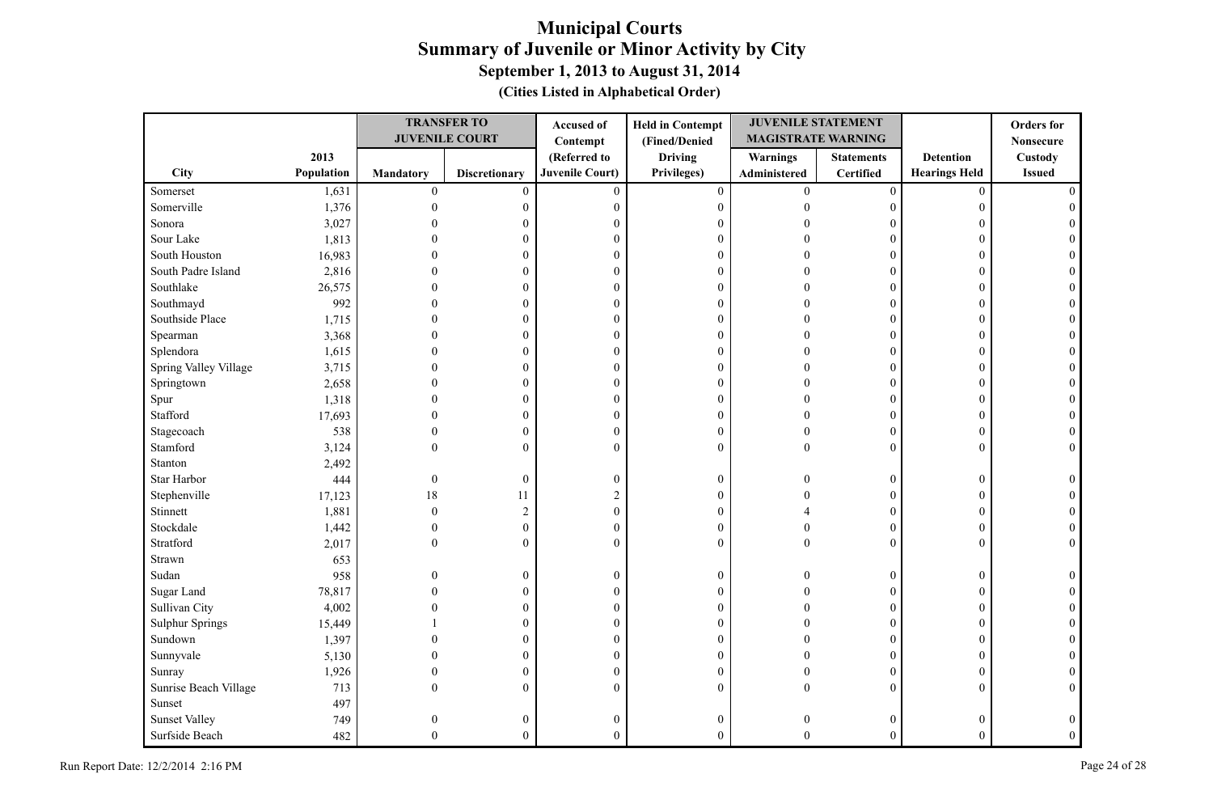|                        |            |                  | <b>TRANSFER TO</b>    | Accused of       | <b>Held in Contempt</b> | <b>JUVENILE STATEMENT</b> |                   |                      | <b>Orders</b> for |
|------------------------|------------|------------------|-----------------------|------------------|-------------------------|---------------------------|-------------------|----------------------|-------------------|
|                        |            |                  | <b>JUVENILE COURT</b> | Contempt         | (Fined/Denied           | <b>MAGISTRATE WARNING</b> |                   |                      | <b>Nonsecure</b>  |
|                        | 2013       |                  |                       | (Referred to     | <b>Driving</b>          | <b>Warnings</b>           | <b>Statements</b> | <b>Detention</b>     | Custody           |
| City                   | Population | <b>Mandatory</b> | <b>Discretionary</b>  | Juvenile Court)  | Privileges)             | Administered              | <b>Certified</b>  | <b>Hearings Held</b> | <b>Issued</b>     |
| Somerset               | 1,631      | $\boldsymbol{0}$ | $\mathbf{0}$          | $\overline{0}$   | $\mathbf{0}$            | $\overline{0}$            | $\mathbf{0}$      | $\mathbf{0}$         |                   |
| Somerville             | 1,376      | $\theta$         | $\boldsymbol{0}$      | $\boldsymbol{0}$ | $\boldsymbol{0}$        | $\Omega$                  | 0                 | $\overline{0}$       |                   |
| Sonora                 | 3,027      |                  | $\theta$              | $\theta$         | $\boldsymbol{0}$        |                           | 0                 | $\theta$             |                   |
| Sour Lake              | 1,813      |                  | $\theta$              | $\boldsymbol{0}$ | $\boldsymbol{0}$        |                           | $\boldsymbol{0}$  | $\theta$             |                   |
| South Houston          | 16,983     |                  | $\theta$              | $\boldsymbol{0}$ | $\boldsymbol{0}$        |                           | $\boldsymbol{0}$  | $\theta$             |                   |
| South Padre Island     | 2,816      |                  | 0                     | $\theta$         | $\boldsymbol{0}$        |                           | $\theta$          | $\theta$             |                   |
| Southlake              | 26,575     |                  | $\overline{0}$        | $\boldsymbol{0}$ | $\boldsymbol{0}$        |                           | $\mathbf{0}$      | $\theta$             |                   |
| Southmayd              | 992        |                  | $\theta$              | $\boldsymbol{0}$ | $\boldsymbol{0}$        |                           | $\boldsymbol{0}$  | $\theta$             |                   |
| Southside Place        | 1,715      |                  | $\theta$              | $\boldsymbol{0}$ | $\boldsymbol{0}$        |                           | $\mathbf{0}$      | $\mathbf{0}$         |                   |
| Spearman               | 3,368      |                  | 0                     | $\boldsymbol{0}$ | $\boldsymbol{0}$        |                           | $\mathbf{0}$      | $\theta$             |                   |
| Splendora              | 1,615      |                  | 0                     | $\boldsymbol{0}$ | $\boldsymbol{0}$        |                           | 0                 | $\theta$             |                   |
| Spring Valley Village  | 3,715      |                  | $\theta$              | $\boldsymbol{0}$ | $\boldsymbol{0}$        |                           | $\overline{0}$    | $\theta$             |                   |
| Springtown             | 2,658      |                  | $\overline{0}$        | $\boldsymbol{0}$ | $\boldsymbol{0}$        |                           | $\overline{0}$    | $\theta$             |                   |
| Spur                   | 1,318      | $\theta$         | 0                     | $\boldsymbol{0}$ | $\boldsymbol{0}$        |                           | 0                 | $\theta$             |                   |
| Stafford               | 17,693     | $\Omega$         | $\theta$              | $\boldsymbol{0}$ | $\boldsymbol{0}$        |                           | $\overline{0}$    | $\theta$             |                   |
| Stagecoach             | 538        | $\theta$         | $\boldsymbol{0}$      | $\boldsymbol{0}$ | $\boldsymbol{0}$        | $\Omega$                  | $\overline{0}$    | $\boldsymbol{0}$     |                   |
| Stamford               | 3,124      | $\theta$         | $\overline{0}$        | $\theta$         | $\overline{0}$          | $\Omega$                  | $\theta$          | $\theta$             |                   |
| Stanton                | 2,492      |                  |                       |                  |                         |                           |                   |                      |                   |
| Star Harbor            | 444        | $\boldsymbol{0}$ | $\boldsymbol{0}$      | $\boldsymbol{0}$ | $\boldsymbol{0}$        | $\Omega$                  | 0                 | $\boldsymbol{0}$     |                   |
| Stephenville           | 17,123     | 18               | 11                    | $\overline{2}$   | $\overline{0}$          |                           | $\boldsymbol{0}$  | $\mathbf{0}$         |                   |
| Stinnett               | 1,881      | $\theta$         | $\sqrt{2}$            | $\theta$         | $\boldsymbol{0}$        |                           | $\boldsymbol{0}$  | $\mathbf{0}$         |                   |
| Stockdale              | 1,442      | $\theta$         | $\boldsymbol{0}$      | $\boldsymbol{0}$ | $\boldsymbol{0}$        | 0                         | 0                 | $\boldsymbol{0}$     |                   |
| Stratford              | 2,017      | $\Omega$         | $\overline{0}$        | $\theta$         | $\mathbf{0}$            | $\Omega$                  | $\Omega$          | $\theta$             | $\Omega$          |
| Strawn                 | 653        |                  |                       |                  |                         |                           |                   |                      |                   |
| Sudan                  | 958        | $\Omega$         | $\boldsymbol{0}$      | $\boldsymbol{0}$ | $\boldsymbol{0}$        |                           | $\boldsymbol{0}$  | $\boldsymbol{0}$     |                   |
| Sugar Land             | 78,817     |                  | $\overline{0}$        | $\theta$         | $\boldsymbol{0}$        |                           | $\mathbf{0}$      | $\Omega$             |                   |
| Sullivan City          | 4,002      |                  | 0                     | $\boldsymbol{0}$ | $\boldsymbol{0}$        |                           | $\boldsymbol{0}$  | $\theta$             |                   |
| <b>Sulphur Springs</b> | 15,449     |                  | $\overline{0}$        | $\boldsymbol{0}$ | $\boldsymbol{0}$        |                           | $\boldsymbol{0}$  | $\theta$             |                   |
| Sundown                | 1,397      |                  | $\theta$              | $\boldsymbol{0}$ | $\boldsymbol{0}$        |                           | $\theta$          | $\Omega$             |                   |
| Sunnyvale              | 5,130      | $\Omega$         | $\boldsymbol{0}$      | $\boldsymbol{0}$ | $\boldsymbol{0}$        |                           | $\mathbf{0}$      | $\mathbf{0}$         |                   |
| Sunray                 | 1,926      | $\Omega$         | $\boldsymbol{0}$      | $\boldsymbol{0}$ | $\boldsymbol{0}$        | $\Omega$                  | $\boldsymbol{0}$  | $\mathbf{0}$         |                   |
| Sunrise Beach Village  | 713        | $\Omega$         | $\overline{0}$        | $\Omega$         | $\mathbf{0}$            | $\Omega$                  | $\overline{0}$    | $\mathbf{0}$         | $\Omega$          |
| Sunset                 | 497        |                  |                       |                  |                         |                           |                   |                      |                   |
| <b>Sunset Valley</b>   | 749        | $\Omega$         | $\boldsymbol{0}$      | $\boldsymbol{0}$ | $\boldsymbol{0}$        |                           | 0                 | $\theta$             | $\theta$          |
| Surfside Beach         | 482        | $\Omega$         | $\overline{0}$        | $\theta$         | $\theta$                | $\Omega$                  | $\overline{0}$    | $\theta$             | $\Omega$          |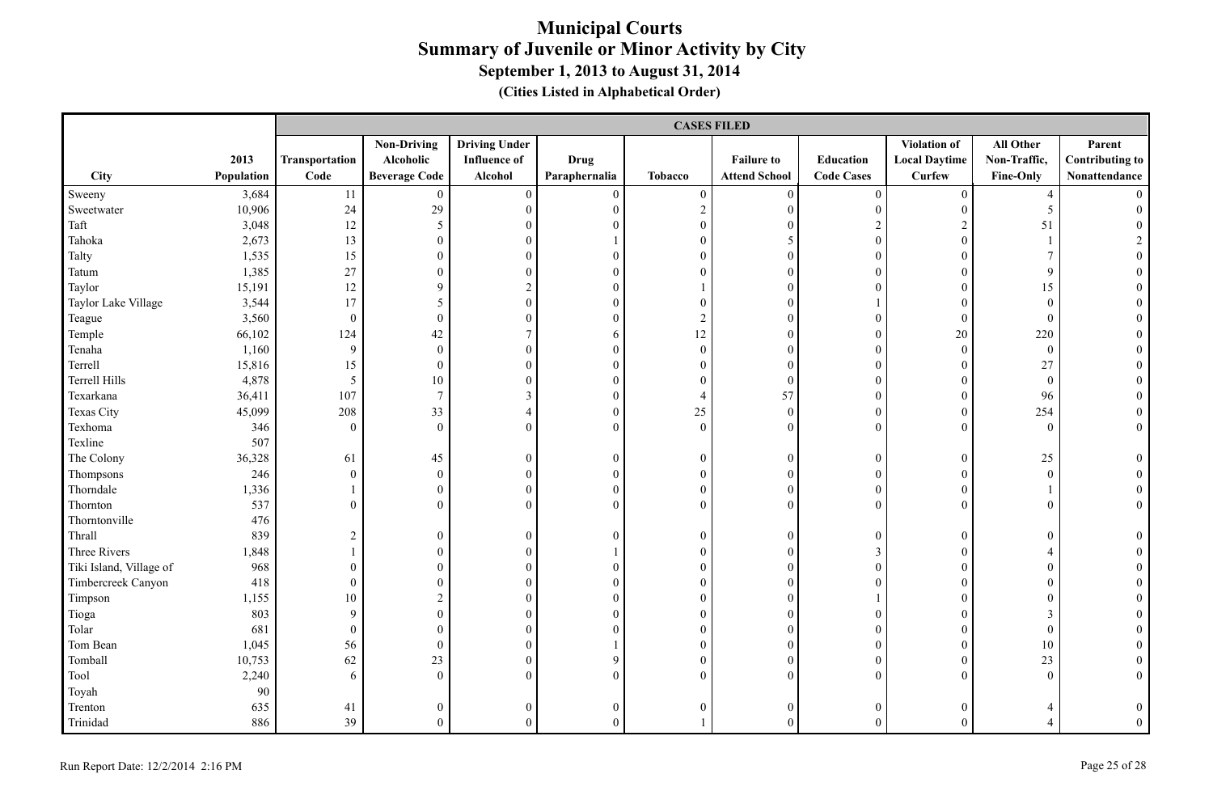|                         |            |                  | <b>CASES FILED</b>   |                      |                  |                  |                      |                   |                      |                  |                        |  |
|-------------------------|------------|------------------|----------------------|----------------------|------------------|------------------|----------------------|-------------------|----------------------|------------------|------------------------|--|
|                         |            |                  | <b>Non-Driving</b>   | <b>Driving Under</b> |                  |                  |                      |                   | Violation of         | All Other        | Parent                 |  |
|                         | 2013       | Transportation   | Alcoholic            | <b>Influence of</b>  | <b>Drug</b>      |                  | <b>Failure to</b>    | Education         | <b>Local Daytime</b> | Non-Traffic,     | <b>Contributing to</b> |  |
| City                    | Population | Code             | <b>Beverage Code</b> | Alcohol              | Paraphernalia    | <b>Tobacco</b>   | <b>Attend School</b> | <b>Code Cases</b> | <b>Curfew</b>        | Fine-Only        | Nonattendance          |  |
| Sweeny                  | 3,684      | 11               | $\overline{0}$       | $\overline{0}$       | $\overline{0}$   | $\overline{0}$   | $\overline{0}$       | $\boldsymbol{0}$  | $\overline{0}$       | $\overline{4}$   |                        |  |
| Sweetwater              | 10,906     | 24               | 29                   | $\boldsymbol{0}$     | $\boldsymbol{0}$ | $\sqrt{2}$       | $\mathbf{0}$         | $\boldsymbol{0}$  | $\mathbf{0}$         | 5                | $\theta$               |  |
| Taft                    | 3,048      | 12               | $\mathfrak{S}$       | $\boldsymbol{0}$     | $\overline{0}$   | $\boldsymbol{0}$ | $\mathbf{0}$         | $\sqrt{2}$        | $\sqrt{2}$           | 51               |                        |  |
| Tahoka                  | 2,673      | 13               | $\boldsymbol{0}$     | $\boldsymbol{0}$     |                  | $\boldsymbol{0}$ | 5                    | $\boldsymbol{0}$  | $\theta$             |                  | $\overline{2}$         |  |
| Talty                   | 1,535      | 15               | $\boldsymbol{0}$     | $\boldsymbol{0}$     | $\Omega$         | $\overline{0}$   | $\mathbf{0}$         | $\mathbf{0}$      | $\theta$             | $7\overline{ }$  | $\theta$               |  |
| Tatum                   | 1,385      | 27               | $\overline{0}$       | $\overline{0}$       | $\Omega$         | $\Omega$         | $\theta$             | $\theta$          | $\overline{0}$       | 9                |                        |  |
| Taylor                  | 15,191     | 12               | 9                    | $\overline{c}$       | $\overline{0}$   |                  | $\mathbf{0}$         | $\theta$          | $\theta$             | 15               |                        |  |
| Taylor Lake Village     | 3,544      | 17               | 5                    | $\boldsymbol{0}$     | $\boldsymbol{0}$ | $\overline{0}$   | $\mathbf{0}$         |                   | $\theta$             | $\mathbf{0}$     |                        |  |
| Teague                  | 3,560      | $\boldsymbol{0}$ | $\mathbf{0}$         | $\boldsymbol{0}$     | $\boldsymbol{0}$ | $\boldsymbol{2}$ | $\mathbf{0}$         | $\boldsymbol{0}$  | $\mathbf{0}$         | $\mathbf{0}$     |                        |  |
| Temple                  | 66,102     | 124              | 42                   | $\boldsymbol{7}$     | 6                | 12               | $\mathbf{0}$         | $\boldsymbol{0}$  | 20                   | 220              |                        |  |
| Tenaha                  | 1,160      | 9                | $\mathbf{0}$         | $\boldsymbol{0}$     | $\boldsymbol{0}$ | $\boldsymbol{0}$ | $\mathbf{0}$         | $\boldsymbol{0}$  | $\mathbf{0}$         | $\overline{0}$   | $\theta$               |  |
| Terrell                 | 15,816     | 15               | $\boldsymbol{0}$     | $\boldsymbol{0}$     | $\boldsymbol{0}$ | $\boldsymbol{0}$ | $\boldsymbol{0}$     | $\boldsymbol{0}$  | $\boldsymbol{0}$     | $27\,$           | $\theta$               |  |
| Terrell Hills           | 4,878      | 5                | $10\,$               | $\boldsymbol{0}$     | $\boldsymbol{0}$ | $\boldsymbol{0}$ | $\boldsymbol{0}$     | $\boldsymbol{0}$  | $\mathbf{0}$         | $\mathbf{0}$     |                        |  |
| Texarkana               | 36,411     | 107              | $7\phantom{.0}$      | $\overline{3}$       | $\boldsymbol{0}$ | $\overline{4}$   | 57                   | $\boldsymbol{0}$  | $\boldsymbol{0}$     | 96               |                        |  |
| <b>Texas City</b>       | 45,099     | 208              | 33                   | $\overline{4}$       | $\overline{0}$   | 25               | $\mathbf{0}$         | $\mathbf{0}$      | $\overline{0}$       | 254              | $\theta$               |  |
| Texhoma                 | 346        | $\overline{0}$   | $\overline{0}$       | $\overline{0}$       | $\overline{0}$   | $\overline{0}$   | $\theta$             | $\mathbf{0}$      | $\Omega$             | $\theta$         | $\overline{0}$         |  |
| Texline                 | 507        |                  |                      |                      |                  |                  |                      |                   |                      |                  |                        |  |
| The Colony              | 36,328     | 61               | 45                   | $\boldsymbol{0}$     | $\boldsymbol{0}$ | $\boldsymbol{0}$ | $\boldsymbol{0}$     | $\boldsymbol{0}$  | $\boldsymbol{0}$     | 25               | $\overline{0}$         |  |
| Thompsons               | 246        | $\boldsymbol{0}$ | $\boldsymbol{0}$     | $\boldsymbol{0}$     | $\boldsymbol{0}$ | $\boldsymbol{0}$ | $\boldsymbol{0}$     | $\boldsymbol{0}$  | $\boldsymbol{0}$     | $\mathbf{0}$     | $\theta$               |  |
| Thorndale               | 1,336      | 1                | $\boldsymbol{0}$     | $\boldsymbol{0}$     | $\boldsymbol{0}$ | $\boldsymbol{0}$ | $\mathbf{0}$         | $\boldsymbol{0}$  | $\mathbf{0}$         | 1                | $\boldsymbol{0}$       |  |
| Thornton                | 537        | $\Omega$         | $\overline{0}$       | $\overline{0}$       | $\Omega$         | $\Omega$         | $\theta$             | $\theta$          | $\Omega$             | $\mathbf{0}$     | $\overline{0}$         |  |
| Thorntonville           | 476        |                  |                      |                      |                  |                  |                      |                   |                      |                  |                        |  |
| Thrall                  | 839        | $\sqrt{2}$       | $\boldsymbol{0}$     | $\boldsymbol{0}$     | $\mathbf{0}$     | $\mathbf{0}$     | $\boldsymbol{0}$     | $\mathbf{0}$      | $\theta$             | $\overline{0}$   | $\theta$               |  |
| Three Rivers            | 1,848      | $\mathbf{1}$     | $\boldsymbol{0}$     | $\overline{0}$       | $\mathbf{1}$     | $\overline{0}$   | $\mathbf{0}$         | $\mathfrak{Z}$    | $\theta$             | $\overline{4}$   |                        |  |
| Tiki Island, Village of | 968        | $\boldsymbol{0}$ | $\mathbf{0}$         | $\boldsymbol{0}$     | $\boldsymbol{0}$ | $\boldsymbol{0}$ | $\mathbf{0}$         | $\boldsymbol{0}$  | $\overline{0}$       | $\mathbf{0}$     |                        |  |
| Timbercreek Canyon      | 418        | $\boldsymbol{0}$ | $\mathbf{0}$         | $\overline{0}$       | $\overline{0}$   | $\boldsymbol{0}$ | $\mathbf{0}$         | $\mathbf{0}$      | $\mathbf{0}$         | $\mathbf{0}$     | $\Omega$               |  |
| Timpson                 | 1,155      | $10\,$           | $\overline{c}$       | $\boldsymbol{0}$     | $\overline{0}$   | $\boldsymbol{0}$ | $\boldsymbol{0}$     | $\mathbf{1}$      | $\boldsymbol{0}$     | $\boldsymbol{0}$ | $\theta$               |  |
| Tioga                   | 803        | 9                | $\boldsymbol{0}$     | $\boldsymbol{0}$     | $\boldsymbol{0}$ | $\boldsymbol{0}$ | $\boldsymbol{0}$     | $\boldsymbol{0}$  | $\theta$             | $\mathfrak{Z}$   |                        |  |
| Tolar                   | 681        | $\boldsymbol{0}$ | $\boldsymbol{0}$     | $\boldsymbol{0}$     | $\overline{0}$   | $\boldsymbol{0}$ | $\boldsymbol{0}$     | $\boldsymbol{0}$  | $\mathbf{0}$         | $\boldsymbol{0}$ |                        |  |
| Tom Bean                | 1,045      | 56               | $\boldsymbol{0}$     | $\boldsymbol{0}$     |                  | $\boldsymbol{0}$ | $\boldsymbol{0}$     | $\boldsymbol{0}$  | $\overline{0}$       | 10               |                        |  |
| Tomball                 | 10,753     | 62               | 23                   | $\overline{0}$       | 9                | $\overline{0}$   | $\mathbf{0}$         | $\mathbf{0}$      | $\mathbf{0}$         | 23               | $\theta$               |  |
| Tool                    | 2,240      | 6                | $\boldsymbol{0}$     | $\boldsymbol{0}$     | $\overline{0}$   | $\overline{0}$   | $\mathbf{0}$         | $\mathbf{0}$      | $\Omega$             | $\mathbf{0}$     | $\overline{0}$         |  |
| Toyah                   | 90         |                  |                      |                      |                  |                  |                      |                   |                      |                  |                        |  |
| Trenton                 | 635        | 41               | $\mathbf{0}$         | $\boldsymbol{0}$     | $\mathbf{0}$     | $\mathbf{0}$     | $\boldsymbol{0}$     | $\boldsymbol{0}$  | $\overline{0}$       | 4                | $\mathbf{0}$           |  |
| Trinidad                | 886        | 39               | $\mathbf{0}$         | $\overline{0}$       | $\Omega$         |                  | $\theta$             | $\Omega$          | $\Omega$             | 4                | $\overline{0}$         |  |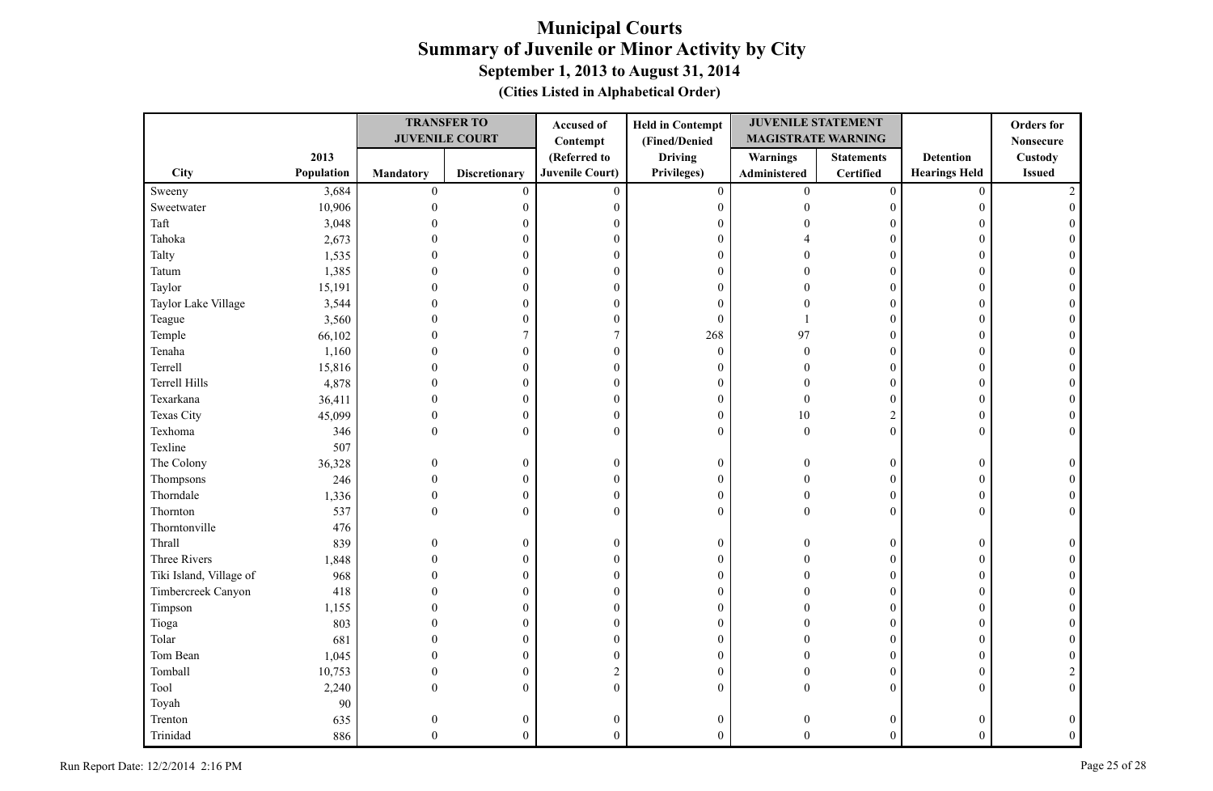|                         |            | <b>TRANSFER TO</b> |                       | <b>Held in Contempt</b><br>Accused of |                  | <b>JUVENILE STATEMENT</b> |                   |                      | <b>Orders</b> for |
|-------------------------|------------|--------------------|-----------------------|---------------------------------------|------------------|---------------------------|-------------------|----------------------|-------------------|
|                         |            |                    | <b>JUVENILE COURT</b> | Contempt                              | (Fined/Denied    | <b>MAGISTRATE WARNING</b> |                   |                      | <b>Nonsecure</b>  |
|                         | 2013       |                    |                       | (Referred to                          | <b>Driving</b>   | Warnings                  | <b>Statements</b> | <b>Detention</b>     | <b>Custody</b>    |
| City                    | Population | <b>Mandatory</b>   | <b>Discretionary</b>  | <b>Juvenile Court)</b>                | Privileges)      | Administered              | Certified         | <b>Hearings Held</b> | <b>Issued</b>     |
| Sweeny                  | 3,684      | $\boldsymbol{0}$   | $\mathbf{0}$          | $\mathbf{0}$                          | $\boldsymbol{0}$ | $\overline{0}$            | $\boldsymbol{0}$  | $\mathbf{0}$         |                   |
| Sweetwater              | 10,906     | $\mathbf{0}$       | $\boldsymbol{0}$      | $\boldsymbol{0}$                      | $\boldsymbol{0}$ | $\theta$                  | $\boldsymbol{0}$  | $\overline{0}$       |                   |
| Taft                    | 3,048      |                    | 0                     | $\theta$                              | $\mathbf{0}$     |                           | $\Omega$          |                      |                   |
| Tahoka                  | 2,673      |                    | 0                     | $\boldsymbol{0}$                      | $\boldsymbol{0}$ |                           | $\theta$          | $\Omega$             |                   |
| Talty                   | 1,535      |                    | 0                     | $\boldsymbol{0}$                      | $\boldsymbol{0}$ |                           | $\overline{0}$    | $\Omega$             |                   |
| Tatum                   | 1,385      |                    | $\theta$              | $\mathbf{0}$                          | $\mathbf{0}$     |                           | $\theta$          | $\Omega$             |                   |
| Taylor                  | 15,191     | $\Omega$           | $\overline{0}$        | $\boldsymbol{0}$                      | $\mathbf{0}$     |                           | $\overline{0}$    | $\Omega$             |                   |
| Taylor Lake Village     | 3,544      | $\Omega$           | 0                     | $\boldsymbol{0}$                      | $\boldsymbol{0}$ |                           | $\overline{0}$    | 0                    |                   |
| Teague                  | 3,560      | $\Omega$           | $\overline{0}$        | $\boldsymbol{0}$                      | $\theta$         |                           | $\overline{0}$    | $\Omega$             |                   |
| Temple                  | 66,102     | $\Omega$           | 7                     | $\boldsymbol{7}$                      | 268              | 97                        | $\overline{0}$    | $\Omega$             |                   |
| Tenaha                  | 1,160      | 0                  | 0                     | $\boldsymbol{0}$                      | $\boldsymbol{0}$ | $\Omega$                  | $\boldsymbol{0}$  | $\theta$             |                   |
| Terrell                 | 15,816     | $\Omega$           | 0                     | $\mathbf{0}$                          | $\mathbf{0}$     | $\Omega$                  | $\overline{0}$    | $\Omega$             |                   |
| Terrell Hills           | 4,878      | $\theta$           | 0                     | $\boldsymbol{0}$                      | $\boldsymbol{0}$ | $\Omega$                  | $\overline{0}$    | $\Omega$             |                   |
| Texarkana               | 36,411     | $\Omega$           | 0                     | $\boldsymbol{0}$                      | $\boldsymbol{0}$ | $\theta$                  | $\boldsymbol{0}$  | $\Omega$             |                   |
| Texas City              | 45,099     | $\theta$           | $\boldsymbol{0}$      | $\boldsymbol{0}$                      | $\boldsymbol{0}$ | 10                        | $\mathbf{2}$      | $\Omega$             |                   |
| Texhoma                 | 346        | $\Omega$           | $\mathbf{0}$          | $\mathbf{0}$                          | $\mathbf{0}$     | $\mathbf{0}$              | $\overline{0}$    | $\Omega$             |                   |
| Texline                 | 507        |                    |                       |                                       |                  |                           |                   |                      |                   |
| The Colony              | 36,328     | $\Omega$           | $\boldsymbol{0}$      | $\boldsymbol{0}$                      | $\boldsymbol{0}$ | $\Omega$                  | $\overline{0}$    | $\overline{0}$       |                   |
| Thompsons               | 246        | $\Omega$           | $\boldsymbol{0}$      | $\boldsymbol{0}$                      | $\boldsymbol{0}$ | $\Omega$                  | $\overline{0}$    | $\overline{0}$       |                   |
| Thorndale               | 1,336      | $\theta$           | $\boldsymbol{0}$      | $\boldsymbol{0}$                      | $\boldsymbol{0}$ | $\Omega$                  | $\overline{0}$    | $\overline{0}$       |                   |
| Thornton                | 537        | $\Omega$           | $\mathbf{0}$          | $\theta$                              | $\theta$         | $\Omega$                  | $\theta$          | $\theta$             |                   |
| Thorntonville           | 476        |                    |                       |                                       |                  |                           |                   |                      |                   |
| Thrall                  | 839        | $\Omega$           | $\boldsymbol{0}$      | $\boldsymbol{0}$                      | $\boldsymbol{0}$ | $\Omega$                  | $\overline{0}$    | $\overline{0}$       |                   |
| Three Rivers            | 1,848      |                    | 0                     | $\boldsymbol{0}$                      | $\boldsymbol{0}$ |                           | $\overline{0}$    | $\Omega$             |                   |
| Tiki Island, Village of | 968        |                    | 0                     | $\boldsymbol{0}$                      | $\boldsymbol{0}$ |                           | $\overline{0}$    | $\theta$             |                   |
| Timbercreek Canyon      | 418        |                    | $\theta$              | $\boldsymbol{0}$                      | $\boldsymbol{0}$ |                           | $\theta$          | $\Omega$             |                   |
| Timpson                 | 1,155      |                    | 0                     | $\boldsymbol{0}$                      | $\boldsymbol{0}$ |                           | $\overline{0}$    | $\Omega$             |                   |
| Tioga                   | 803        | $\Omega$           | 0                     | $\boldsymbol{0}$                      | $\boldsymbol{0}$ |                           | $\overline{0}$    | $\Omega$             |                   |
| Tolar                   | 681        | $\Omega$           | $\overline{0}$        | $\boldsymbol{0}$                      | $\boldsymbol{0}$ |                           | $\theta$          | $\Omega$             |                   |
| Tom Bean                | 1,045      | $\Omega$           | $\boldsymbol{0}$      | $\boldsymbol{0}$                      | $\boldsymbol{0}$ |                           | $\overline{0}$    | $\overline{0}$       |                   |
| Tomball                 | 10,753     | $\Omega$           | $\boldsymbol{0}$      | $\sqrt{2}$                            | $\boldsymbol{0}$ | $\Omega$                  | $\overline{0}$    | $\overline{0}$       |                   |
| Tool                    | 2,240      | $\Omega$           | $\overline{0}$        | $\mathbf{0}$                          | $\mathbf{0}$     | $\Omega$                  | $\overline{0}$    | $\Omega$             | $\theta$          |
| Toyah                   | 90         |                    |                       |                                       |                  |                           |                   |                      |                   |
| Trenton                 | 635        | $\theta$           | $\theta$              | $\boldsymbol{0}$                      | $\boldsymbol{0}$ |                           | $\boldsymbol{0}$  | 0                    |                   |
| Trinidad                | 886        | $\Omega$           | $\overline{0}$        | $\theta$                              | $\theta$         | $\Omega$                  | $\theta$          | $\theta$             |                   |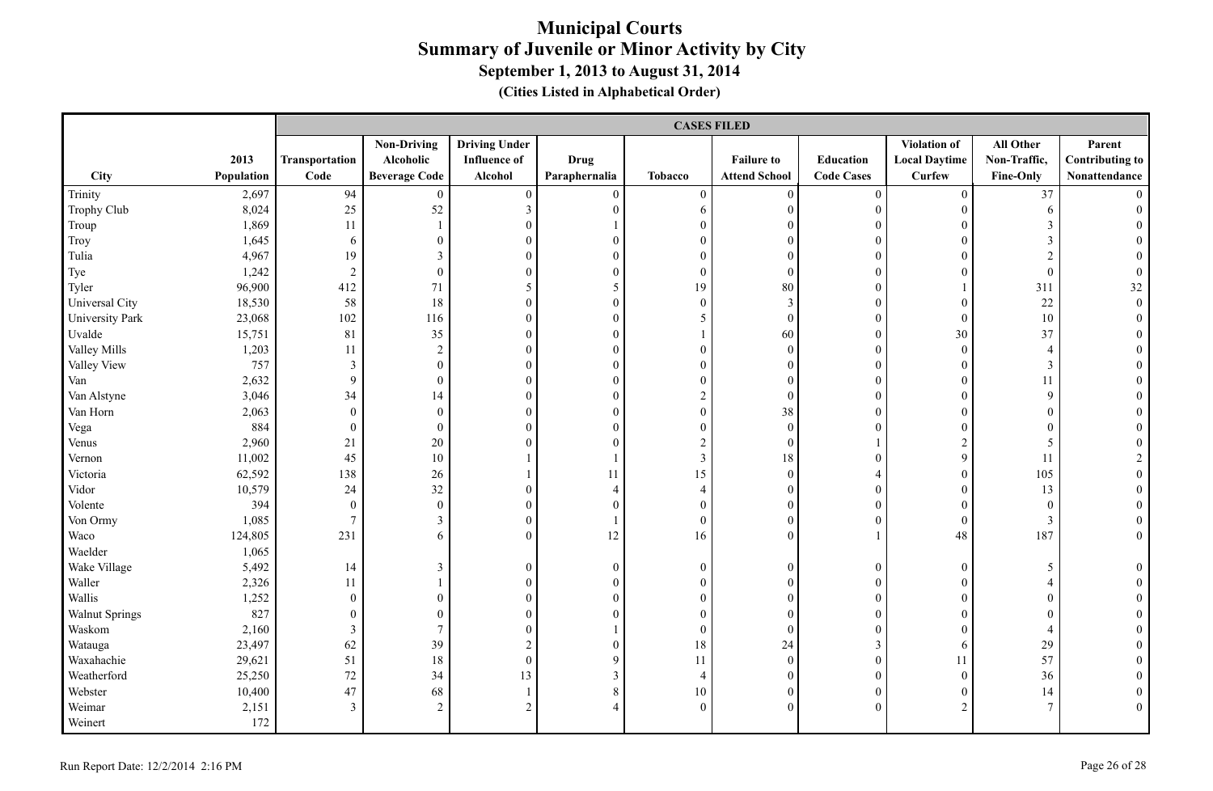|                       |            |                  |                      |                      |                  |                         | <b>CASES FILED</b>   |                   |                      |                  |                        |
|-----------------------|------------|------------------|----------------------|----------------------|------------------|-------------------------|----------------------|-------------------|----------------------|------------------|------------------------|
|                       |            |                  | <b>Non-Driving</b>   | <b>Driving Under</b> |                  |                         |                      |                   | Violation of         | All Other        | Parent                 |
|                       | 2013       | Transportation   | Alcoholic            | <b>Influence of</b>  | <b>Drug</b>      |                         | <b>Failure to</b>    | Education         | <b>Local Daytime</b> | Non-Traffic,     | <b>Contributing to</b> |
| City                  | Population | Code             | <b>Beverage Code</b> | Alcohol              | Paraphernalia    | <b>Tobacco</b>          | <b>Attend School</b> | <b>Code Cases</b> | <b>Curfew</b>        | Fine-Only        | Nonattendance          |
| Trinity               | 2,697      | 94               | $\mathbf{0}$         | $\boldsymbol{0}$     | $\boldsymbol{0}$ | $\boldsymbol{0}$        | $\mathbf{0}$         | $\boldsymbol{0}$  | $\overline{0}$       | 37               | $\Omega$               |
| Trophy Club           | 8,024      | $25\,$           | 52                   | $\mathfrak{Z}$       | $\boldsymbol{0}$ | 6                       | $\boldsymbol{0}$     | $\boldsymbol{0}$  | $\mathbf{0}$         | 6                | $\theta$               |
| Troup                 | 1,869      | 11               | 1                    | $\boldsymbol{0}$     |                  | $\boldsymbol{0}$        | $\mathbf{0}$         | $\boldsymbol{0}$  | $\mathbf{0}$         | $\mathfrak{Z}$   |                        |
| Troy                  | 1,645      | 6                | $\boldsymbol{0}$     | $\boldsymbol{0}$     | $\overline{0}$   | $\overline{0}$          | $\mathbf{0}$         | $\boldsymbol{0}$  | $\theta$             | $\mathfrak{Z}$   |                        |
| Tulia                 | 4,967      | 19               | $\mathfrak{Z}$       | $\boldsymbol{0}$     | $\Omega$         | $\overline{0}$          | $\theta$             | $\theta$          | $\Omega$             | $\overline{c}$   |                        |
| Tye                   | 1,242      | $\overline{2}$   | $\boldsymbol{0}$     | $\boldsymbol{0}$     | $\boldsymbol{0}$ | $\boldsymbol{0}$        | $\mathbf{0}$         | $\mathbf{0}$      | $\theta$             | $\boldsymbol{0}$ | $\theta$               |
| Tyler                 | 96,900     | 412              | 71                   | 5                    | 5                | 19                      | 80                   | $\boldsymbol{0}$  |                      | 311              | 32                     |
| Universal City        | 18,530     | 58               | 18                   | $\boldsymbol{0}$     | $\overline{0}$   | $\boldsymbol{0}$        | $\overline{3}$       | $\mathbf{0}$      | $\theta$             | $22\,$           | $\overline{0}$         |
| University Park       | 23,068     | 102              | 116                  | $\overline{0}$       | $\overline{0}$   | 5                       | $\mathbf{0}$         | $\boldsymbol{0}$  | $\mathbf{0}$         | 10               | $\theta$               |
| Uvalde                | 15,751     | 81               | 35                   | $\boldsymbol{0}$     | $\boldsymbol{0}$ |                         | 60                   | $\boldsymbol{0}$  | $30\,$               | 37               | $\mathbf{0}$           |
| Valley Mills          | 1,203      | 11               | $\overline{c}$       | $\boldsymbol{0}$     | $\boldsymbol{0}$ | $\boldsymbol{0}$        | $\boldsymbol{0}$     | $\boldsymbol{0}$  | $\mathbf{0}$         | $\overline{4}$   | $\theta$               |
| Valley View           | 757        | $\mathfrak{Z}$   | $\boldsymbol{0}$     | $\boldsymbol{0}$     | $\boldsymbol{0}$ | $\boldsymbol{0}$        | $\boldsymbol{0}$     | $\boldsymbol{0}$  | $\boldsymbol{0}$     | $\mathfrak{Z}$   | $\theta$               |
| Van                   | 2,632      | 9                | $\boldsymbol{0}$     | $\boldsymbol{0}$     | $\boldsymbol{0}$ | $\boldsymbol{0}$        | $\mathbf{0}$         | $\boldsymbol{0}$  | $\mathbf{0}$         | 11               |                        |
| Van Alstyne           | 3,046      | 34               | 14                   | $\overline{0}$       | $\overline{0}$   | $\sqrt{2}$              | $\mathbf{0}$         | $\mathbf{0}$      | $\mathbf{0}$         | 9                |                        |
| Van Horn              | 2,063      | $\boldsymbol{0}$ | $\boldsymbol{0}$     | $\boldsymbol{0}$     | $\boldsymbol{0}$ | $\boldsymbol{0}$        | 38                   | $\boldsymbol{0}$  | $\theta$             | $\overline{0}$   |                        |
| Vega                  | 884        | $\boldsymbol{0}$ | $\mathbf{0}$         | $\boldsymbol{0}$     | $\overline{0}$   | $\boldsymbol{0}$        | $\boldsymbol{0}$     | $\boldsymbol{0}$  | $\overline{0}$       | $\boldsymbol{0}$ |                        |
| Venus                 | 2,960      | 21               | $20\,$               | $\overline{0}$       | $\overline{0}$   | $\boldsymbol{2}$        | $\boldsymbol{0}$     |                   | $\overline{c}$       | 5                |                        |
| Vernon                | 11,002     | 45               | $10\,$               |                      |                  | $\overline{\mathbf{3}}$ | 18                   | $\overline{0}$    | 9                    | 11               | 2                      |
| Victoria              | 62,592     | 138              | 26                   | $\mathbf{1}$         | 11               | 15                      | $\boldsymbol{0}$     | $\overline{4}$    | $\boldsymbol{0}$     | 105              | $\mathbf{0}$           |
| Vidor                 | 10,579     | 24               | 32                   | $\boldsymbol{0}$     | $\overline{4}$   | $\overline{4}$          | $\boldsymbol{0}$     | $\boldsymbol{0}$  | $\boldsymbol{0}$     | 13               | $\mathbf{0}$           |
| Volente               | 394        | $\boldsymbol{0}$ | $\boldsymbol{0}$     | $\boldsymbol{0}$     | $\overline{0}$   | $\boldsymbol{0}$        | $\mathbf{0}$         | $\boldsymbol{0}$  | $\overline{0}$       | $\boldsymbol{0}$ | $\theta$               |
| Von Ormy              | 1,085      | $\overline{7}$   | $\mathfrak{Z}$       | $\boldsymbol{0}$     | 1                | $\boldsymbol{0}$        | $\mathbf{0}$         | $\boldsymbol{0}$  | $\boldsymbol{0}$     | $\mathfrak{Z}$   | $\boldsymbol{0}$       |
| Waco                  | 124,805    | 231              | 6                    | $\theta$             | 12               | 16                      | $\theta$             | $\mathbf{1}$      | 48                   | 187              | $\overline{0}$         |
| Waelder               | 1,065      |                  |                      |                      |                  |                         |                      |                   |                      |                  |                        |
| Wake Village          | 5,492      | 14               | $\mathfrak{Z}$       | $\overline{0}$       | $\overline{0}$   | $\boldsymbol{0}$        | $\boldsymbol{0}$     | $\boldsymbol{0}$  | $\boldsymbol{0}$     | 5                | $\overline{0}$         |
| Waller                | 2,326      | 11               |                      | $\boldsymbol{0}$     | $\boldsymbol{0}$ | $\boldsymbol{0}$        | $\boldsymbol{0}$     | $\boldsymbol{0}$  | $\boldsymbol{0}$     | $\overline{4}$   | $\theta$               |
| Wallis                | 1,252      | $\boldsymbol{0}$ | $\boldsymbol{0}$     | $\boldsymbol{0}$     | $\mathbf{0}$     | $\mathbf{0}$            | $\mathbf{0}$         | $\boldsymbol{0}$  | $\theta$             | $\boldsymbol{0}$ |                        |
| <b>Walnut Springs</b> | 827        | $\boldsymbol{0}$ | $\boldsymbol{0}$     | $\boldsymbol{0}$     | $\mathbf{0}$     | $\mathbf{0}$            | $\boldsymbol{0}$     | $\boldsymbol{0}$  | $\mathbf{0}$         | $\boldsymbol{0}$ |                        |
| Waskom                | 2,160      | $\mathfrak{Z}$   | $7\overline{ }$      | $\boldsymbol{0}$     |                  | $\mathbf{0}$            | $\mathbf{0}$         | $\boldsymbol{0}$  | $\overline{0}$       | $\overline{4}$   |                        |
| Watauga               | 23,497     | 62               | 39                   | $\overline{c}$       | $\boldsymbol{0}$ | 18                      | 24                   | 3                 | 6                    | 29               |                        |
| Waxahachie            | 29,621     | 51               | 18                   | $\overline{0}$       | 9                | 11                      | $\mathbf{0}$         | $\mathbf{0}$      | 11                   | 57               |                        |
| Weatherford           | 25,250     | 72               | 34                   | 13                   | $\mathfrak{Z}$   | $\overline{4}$          | $\mathbf{0}$         | $\mathbf{0}$      | $\overline{0}$       | 36               |                        |
| Webster               | 10,400     | 47               | 68                   | $\mathbf{1}$         | $8\,$            | 10                      | $\boldsymbol{0}$     | $\boldsymbol{0}$  | $\boldsymbol{0}$     | 14               |                        |
| Weimar                | 2,151      | $\mathfrak{Z}$   | $\overline{2}$       | $\overline{2}$       |                  | $\overline{0}$          | $\mathbf{0}$         | $\theta$          | $\overline{c}$       | $\overline{7}$   | $\theta$               |
| Weinert               | 172        |                  |                      |                      |                  |                         |                      |                   |                      |                  |                        |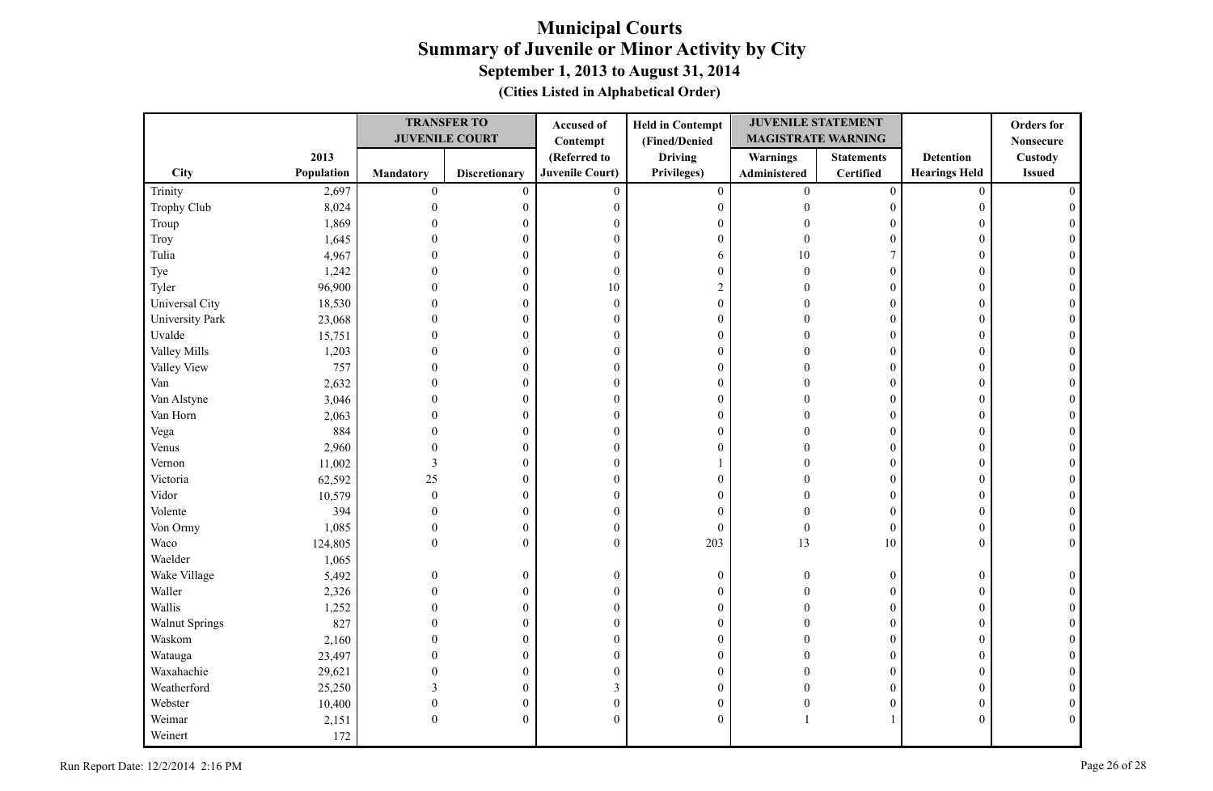|                 |            | <b>TRANSFER TO</b> |                       | <b>Held in Contempt</b><br>Accused of |                  | <b>JUVENILE STATEMENT</b> |                   |                      | <b>Orders</b> for |
|-----------------|------------|--------------------|-----------------------|---------------------------------------|------------------|---------------------------|-------------------|----------------------|-------------------|
|                 |            |                    | <b>JUVENILE COURT</b> | Contempt                              | (Fined/Denied    | <b>MAGISTRATE WARNING</b> |                   |                      | <b>Nonsecure</b>  |
|                 | 2013       |                    |                       | (Referred to                          | <b>Driving</b>   | Warnings                  | <b>Statements</b> | <b>Detention</b>     | Custody           |
| <b>City</b>     | Population | <b>Mandatory</b>   | <b>Discretionary</b>  | <b>Juvenile Court)</b>                | Privileges)      | Administered              | Certified         | <b>Hearings Held</b> | <b>Issued</b>     |
| Trinity         | 2,697      | $\boldsymbol{0}$   | $\mathbf{0}$          | $\mathbf{0}$                          | $\boldsymbol{0}$ | $\overline{0}$            | $\boldsymbol{0}$  | $\mathbf{0}$         |                   |
| Trophy Club     | 8,024      | $\mathbf{0}$       | $\boldsymbol{0}$      | $\boldsymbol{0}$                      | $\boldsymbol{0}$ | $\theta$                  | $\boldsymbol{0}$  | $\overline{0}$       |                   |
| Troup           | 1,869      |                    | 0                     | $\mathbf{0}$                          | $\mathbf{0}$     | $\sqrt{ }$                | $\Omega$          | 0                    |                   |
| Troy            | 1,645      |                    | $\overline{0}$        | $\boldsymbol{0}$                      | $\boldsymbol{0}$ | $\Omega$                  | $\theta$          | $\Omega$             |                   |
| Tulia           | 4,967      |                    | 0                     | $\boldsymbol{0}$                      | 6                | 10                        | 7                 | $\Omega$             |                   |
| Tye             | 1,242      | $\Omega$           | 0                     | $\boldsymbol{0}$                      | $\boldsymbol{0}$ | $\theta$                  | $\theta$          | $\theta$             |                   |
| Tyler           | 96,900     | $\Omega$           | $\overline{0}$        | 10                                    | $\sqrt{2}$       | $\Omega$                  | $\theta$          | $\Omega$             |                   |
| Universal City  | 18,530     | $\Omega$           | $\overline{0}$        | $\boldsymbol{0}$                      | $\boldsymbol{0}$ | $\Omega$                  | $\overline{0}$    | $\Omega$             |                   |
| University Park | 23,068     | $\Omega$           | $\boldsymbol{0}$      | $\boldsymbol{0}$                      | $\boldsymbol{0}$ | $\Omega$                  | $\boldsymbol{0}$  | $\Omega$             |                   |
| Uvalde          | 15,751     | $\Omega$           | $\overline{0}$        | $\boldsymbol{0}$                      | $\mathbf{0}$     | $\Omega$                  | $\overline{0}$    | $\Omega$             |                   |
| Valley Mills    | 1,203      | $\theta$           | 0                     | $\boldsymbol{0}$                      | $\boldsymbol{0}$ | $\Omega$                  | $\boldsymbol{0}$  | $\mathbf{0}$         |                   |
| Valley View     | 757        | $\Omega$           | 0                     | $\boldsymbol{0}$                      | $\boldsymbol{0}$ | $\Omega$                  | 0                 | $\overline{0}$       |                   |
| Van             | 2,632      | $\Omega$           | 0                     | $\boldsymbol{0}$                      | $\boldsymbol{0}$ | $\sqrt{ }$                | $\overline{0}$    | $\Omega$             |                   |
| Van Alstyne     | 3,046      | $\theta$           | $\boldsymbol{0}$      | $\boldsymbol{0}$                      | $\boldsymbol{0}$ | $\sqrt{ }$                | $\overline{0}$    | $\overline{0}$       |                   |
| Van Horn        | 2,063      | $\Omega$           | 0                     | $\boldsymbol{0}$                      | $\boldsymbol{0}$ | $\Omega$                  | $\overline{0}$    | $\overline{0}$       |                   |
| Vega            | 884        | $\Omega$           | $\overline{0}$        | $\boldsymbol{0}$                      | $\boldsymbol{0}$ | $\Omega$                  | $\theta$          | $\Omega$             |                   |
| Venus           | 2,960      | $\Omega$           | $\boldsymbol{0}$      | $\boldsymbol{0}$                      | $\boldsymbol{0}$ | $\Omega$                  | $\overline{0}$    | $\Omega$             |                   |
| Vernon          | 11,002     | 3                  | 0                     | $\boldsymbol{0}$                      |                  | $\Omega$                  | $\overline{0}$    | $\theta$             |                   |
| Victoria        | 62,592     | 25                 | $\overline{0}$        | $\boldsymbol{0}$                      | $\mathbf{0}$     | $\Omega$                  | $\overline{0}$    | $\overline{0}$       |                   |
| Vidor           | 10,579     | $\overline{0}$     | $\boldsymbol{0}$      | $\boldsymbol{0}$                      | $\mathbf{0}$     | $\Omega$                  | $\overline{0}$    | $\overline{0}$       |                   |
| Volente         | 394        | $\theta$           | $\boldsymbol{0}$      | $\boldsymbol{0}$                      | $\mathbf{0}$     | $\Omega$                  | $\overline{0}$    | $\mathbf{0}$         |                   |
| Von Ormy        | 1,085      | $\mathbf{0}$       | $\boldsymbol{0}$      | $\boldsymbol{0}$                      | $\mathbf{0}$     | $\theta$                  | $\boldsymbol{0}$  | $\mathbf{0}$         |                   |
| Waco            | 124,805    | $\Omega$           | $\overline{0}$        | $\mathbf{0}$                          | 203              | 13                        | $10\,$            | $\Omega$             | $\Omega$          |
| Waelder         | 1,065      |                    |                       |                                       |                  |                           |                   |                      |                   |
| Wake Village    | 5,492      | $\Omega$           | $\boldsymbol{0}$      | $\boldsymbol{0}$                      | $\boldsymbol{0}$ | $\Omega$                  | $\overline{0}$    | $\overline{0}$       |                   |
| Waller          | 2,326      | $\Omega$           | $\mathbf{0}$          | $\boldsymbol{0}$                      | $\boldsymbol{0}$ |                           | $\overline{0}$    | $\Omega$             |                   |
| Wallis          | 1,252      | $\Omega$           | 0                     | $\boldsymbol{0}$                      | $\boldsymbol{0}$ |                           | $\overline{0}$    | $\overline{0}$       |                   |
| Walnut Springs  | 827        | $\Omega$           | $\overline{0}$        | $\boldsymbol{0}$                      | $\boldsymbol{0}$ |                           | $\theta$          | $\Omega$             |                   |
| Waskom          | 2,160      | $\Omega$           | $\overline{0}$        | $\boldsymbol{0}$                      | $\boldsymbol{0}$ |                           | $\overline{0}$    | $\Omega$             |                   |
| Watauga         | 23,497     | $\Omega$           | $\boldsymbol{0}$      | $\boldsymbol{0}$                      | $\boldsymbol{0}$ | $\Omega$                  | $\boldsymbol{0}$  | $\theta$             |                   |
| Waxahachie      | 29,621     | 0                  | $\theta$              | $\mathbf{0}$                          | $\mathbf{0}$     |                           | $\theta$          | $\theta$             |                   |
| Weatherford     | 25,250     | 3                  | 0                     | $\mathfrak{Z}$                        | $\boldsymbol{0}$ |                           | $\overline{0}$    | $\overline{0}$       |                   |
| Webster         | 10,400     | $\mathbf{0}$       | 0                     | $\boldsymbol{0}$                      | $\boldsymbol{0}$ | $\Omega$                  | 0                 | $\overline{0}$       |                   |
| Weimar          | 2,151      | $\theta$           | 0                     | $\mathbf{0}$                          | $\mathbf{0}$     |                           |                   | $\Omega$             | $\Omega$          |
| Weinert         | 172        |                    |                       |                                       |                  |                           |                   |                      |                   |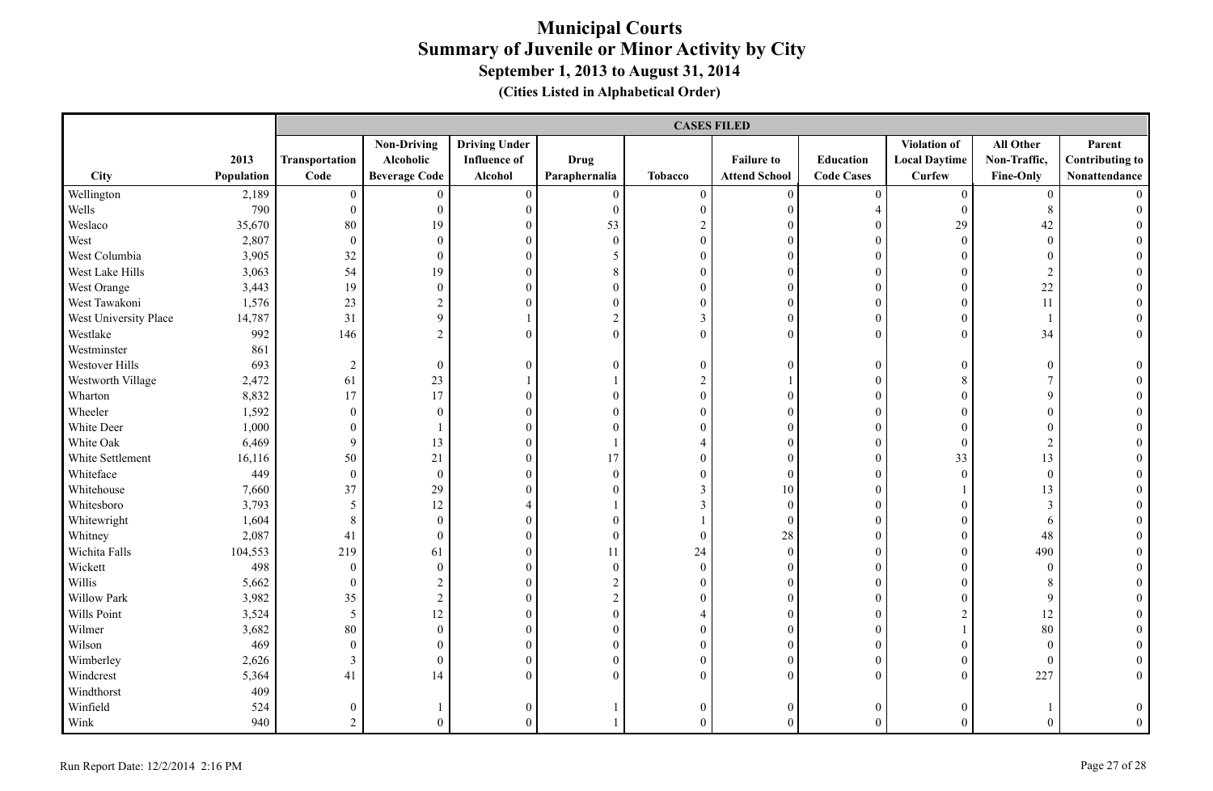|                       |            |                  | <b>CASES FILED</b>   |                      |                  |                  |                      |                   |                      |                  |                        |
|-----------------------|------------|------------------|----------------------|----------------------|------------------|------------------|----------------------|-------------------|----------------------|------------------|------------------------|
|                       |            |                  | <b>Non-Driving</b>   | <b>Driving Under</b> |                  |                  |                      |                   | Violation of         | All Other        | Parent                 |
|                       | 2013       | Transportation   | Alcoholic            | <b>Influence of</b>  | <b>Drug</b>      |                  | <b>Failure to</b>    | Education         | <b>Local Daytime</b> | Non-Traffic,     | <b>Contributing to</b> |
| City                  | Population | Code             | <b>Beverage Code</b> | Alcohol              | Paraphernalia    | <b>Tobacco</b>   | <b>Attend School</b> | <b>Code Cases</b> | <b>Curfew</b>        | Fine-Only        | Nonattendance          |
| Wellington            | 2,189      | $\mathbf{0}$     | $\overline{0}$       | $\overline{0}$       | $\overline{0}$   | $\overline{0}$   | $\overline{0}$       | $\mathbf{0}$      | $\overline{0}$       | $\overline{0}$   |                        |
| Wells                 | 790        | $\boldsymbol{0}$ | $\boldsymbol{0}$     | $\boldsymbol{0}$     | $\boldsymbol{0}$ | $\boldsymbol{0}$ | $\mathbf{0}$         | $\overline{4}$    | $\mathbf{0}$         | $8\,$            |                        |
| Weslaco               | 35,670     | 80               | 19                   | $\boldsymbol{0}$     | 53               | $\sqrt{2}$       | $\mathbf{0}$         | $\mathbf{0}$      | 29                   | 42               |                        |
| West                  | 2,807      | $\boldsymbol{0}$ | $\boldsymbol{0}$     | $\boldsymbol{0}$     | $\boldsymbol{0}$ | $\boldsymbol{0}$ | $\mathbf{0}$         | $\mathbf{0}$      | $\mathbf{0}$         | $\boldsymbol{0}$ |                        |
| West Columbia         | 3,905      | 32               | $\boldsymbol{0}$     | $\boldsymbol{0}$     | 5                | $\boldsymbol{0}$ | $\theta$             | $\mathbf{0}$      | $\theta$             | $\mathbf{0}$     |                        |
| West Lake Hills       | 3,063      | 54               | 19                   | $\overline{0}$       | 8                | $\overline{0}$   | $\theta$             | $\theta$          | $\theta$             | $\overline{2}$   |                        |
| West Orange           | 3,443      | 19               | $\boldsymbol{0}$     | $\boldsymbol{0}$     | $\overline{0}$   | $\boldsymbol{0}$ | $\mathbf{0}$         | $\boldsymbol{0}$  | $\theta$             | 22               |                        |
| West Tawakoni         | 1,576      | 23               | $\overline{2}$       | $\overline{0}$       | $\overline{0}$   | $\boldsymbol{0}$ | $\mathbf{0}$         | $\boldsymbol{0}$  | $\theta$             | 11               |                        |
| West University Place | 14,787     | 31               | 9                    | $\mathbf{1}$         | $\boldsymbol{2}$ | $\mathfrak{Z}$   | $\mathbf{0}$         | $\boldsymbol{0}$  | $\overline{0}$       |                  |                        |
| Westlake              | 992        | 146              | $\overline{2}$       | $\overline{0}$       | $\overline{0}$   | $\boldsymbol{0}$ | $\theta$             | $\mathbf{0}$      | $\overline{0}$       | 34               | $\overline{0}$         |
| Westminster           | 861        |                  |                      |                      |                  |                  |                      |                   |                      |                  |                        |
| Westover Hills        | 693        | $\overline{2}$   | $\mathbf{0}$         | $\boldsymbol{0}$     | $\mathbf{0}$     | $\mathbf{0}$     | $\boldsymbol{0}$     | $\boldsymbol{0}$  | $\boldsymbol{0}$     | $\boldsymbol{0}$ | $\overline{0}$         |
| Westworth Village     | 2,472      | 61               | 23                   |                      |                  | $\overline{c}$   |                      | $\boldsymbol{0}$  | 8                    | $\tau$           |                        |
| Wharton               | 8,832      | 17               | 17                   | $\boldsymbol{0}$     | $\overline{0}$   | $\boldsymbol{0}$ | $\mathbf{0}$         | $\boldsymbol{0}$  | $\overline{0}$       | 9                |                        |
| Wheeler               | 1,592      | $\mathbf{0}$     | $\overline{0}$       | $\boldsymbol{0}$     | $\Omega$         | $\boldsymbol{0}$ | $\theta$             | $\boldsymbol{0}$  | $\theta$             | $\mathbf{0}$     |                        |
| White Deer            | 1,000      | $\boldsymbol{0}$ | 1                    | $\overline{0}$       | $\Omega$         | $\overline{0}$   | $\mathbf{0}$         | $\mathbf{0}$      | $\Omega$             | $\overline{0}$   |                        |
| White Oak             | 6,469      | $\mathfrak{g}$   | 13                   | $\overline{0}$       |                  | 4                | $\boldsymbol{0}$     | $\boldsymbol{0}$  | $\mathbf{0}$         | $\overline{c}$   |                        |
| White Settlement      | 16,116     | 50               | 21                   | $\boldsymbol{0}$     | 17               | $\boldsymbol{0}$ | $\boldsymbol{0}$     | $\boldsymbol{0}$  | 33                   | 13               | $\theta$               |
| Whiteface             | 449        | $\boldsymbol{0}$ | $\boldsymbol{0}$     | $\boldsymbol{0}$     | $\boldsymbol{0}$ | $\boldsymbol{0}$ | $\boldsymbol{0}$     | $\boldsymbol{0}$  | $\boldsymbol{0}$     | $\boldsymbol{0}$ |                        |
| Whitehouse            | 7,660      | 37               | 29                   | $\overline{0}$       | $\overline{0}$   | $\overline{3}$   | 10                   | $\boldsymbol{0}$  |                      | 13               |                        |
| Whitesboro            | 3,793      | 5                | 12                   | 4                    |                  | $\mathfrak{Z}$   | $\mathbf{0}$         | $\mathbf{0}$      | $\theta$             | 3                |                        |
| Whitewright           | 1,604      | $\,8\,$          | $\boldsymbol{0}$     | $\boldsymbol{0}$     | $\overline{0}$   |                  | $\boldsymbol{0}$     | $\boldsymbol{0}$  | $\mathbf{0}$         | 6                |                        |
| Whitney               | 2,087      | 41               | $\overline{0}$       | $\boldsymbol{0}$     | $\boldsymbol{0}$ | $\boldsymbol{0}$ | $28\,$               | $\boldsymbol{0}$  | $\theta$             | 48               |                        |
| Wichita Falls         | 104,553    | 219              | 61                   | $\overline{0}$       | 11               | 24               | $\mathbf{0}$         | $\boldsymbol{0}$  | $\theta$             | 490              |                        |
| Wickett               | 498        | $\mathbf{0}$     | $\mathbf{0}$         | $\boldsymbol{0}$     | $\boldsymbol{0}$ | $\boldsymbol{0}$ | $\mathbf{0}$         | $\mathbf{0}$      | $\Omega$             | $\mathbf{0}$     |                        |
| Willis                | 5,662      | $\mathbf{0}$     | $\sqrt{2}$           | $\overline{0}$       | $\boldsymbol{2}$ | $\boldsymbol{0}$ | $\mathbf{0}$         | $\boldsymbol{0}$  | $\overline{0}$       | 8                |                        |
| Willow Park           | 3,982      | 35               | $\overline{c}$       | $\boldsymbol{0}$     | $\boldsymbol{2}$ | $\boldsymbol{0}$ | $\boldsymbol{0}$     | $\boldsymbol{0}$  | $\boldsymbol{0}$     | 9                |                        |
| Wills Point           | 3,524      | $\overline{5}$   | 12                   | $\boldsymbol{0}$     | $\boldsymbol{0}$ | $\overline{4}$   | $\boldsymbol{0}$     | $\boldsymbol{0}$  | $\overline{c}$       | 12               |                        |
| Wilmer                | 3,682      | 80               | $\boldsymbol{0}$     | $\boldsymbol{0}$     | $\boldsymbol{0}$ | $\boldsymbol{0}$ | $\mathbf{0}$         | $\boldsymbol{0}$  |                      | 80               |                        |
| Wilson                | 469        | $\boldsymbol{0}$ | $\overline{0}$       | $\boldsymbol{0}$     | $\overline{0}$   | $\boldsymbol{0}$ | $\mathbf{0}$         | $\boldsymbol{0}$  | $\overline{0}$       | $\mathbf{0}$     |                        |
| Wimberley             | 2,626      | $\mathfrak{Z}$   | $\overline{0}$       | $\overline{0}$       | $\overline{0}$   | $\overline{0}$   | $\theta$             | $\mathbf{0}$      | $\theta$             | $\theta$         |                        |
| Windcrest             | 5,364      | 41               | 14                   | $\overline{0}$       | $\overline{0}$   | $\overline{0}$   | $\mathbf{0}$         | $\theta$          | $\theta$             | 227              | $\overline{0}$         |
| Windthorst            | 409        |                  |                      |                      |                  |                  |                      |                   |                      |                  |                        |
| Winfield              | 524        | $\boldsymbol{0}$ |                      | $\boldsymbol{0}$     |                  | $\boldsymbol{0}$ | $\mathbf{0}$         | $\boldsymbol{0}$  | $\Omega$             |                  | $\theta$               |
| Wink                  | 940        | $\overline{2}$   | $\theta$             | $\overline{0}$       |                  | $\Omega$         | $\theta$             | $\theta$          | $\Omega$             | $\theta$         | $\theta$               |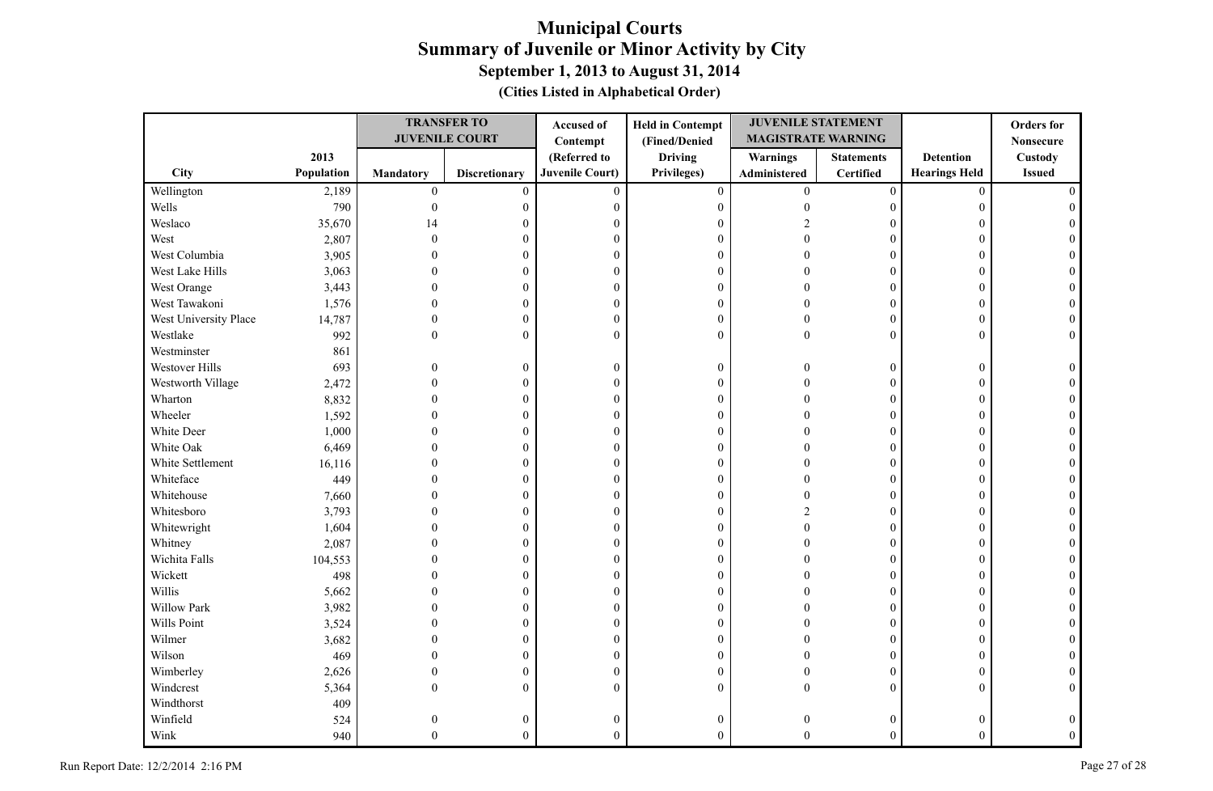|                       |            | <b>TRANSFER TO</b> |                       | <b>Held in Contempt</b><br>Accused of |                  | <b>JUVENILE STATEMENT</b> |                   |                      | <b>Orders</b> for |
|-----------------------|------------|--------------------|-----------------------|---------------------------------------|------------------|---------------------------|-------------------|----------------------|-------------------|
|                       |            |                    | <b>JUVENILE COURT</b> | Contempt                              | (Fined/Denied    | <b>MAGISTRATE WARNING</b> |                   |                      | <b>Nonsecure</b>  |
|                       | 2013       |                    |                       | (Referred to                          | <b>Driving</b>   | <b>Warnings</b>           | <b>Statements</b> | <b>Detention</b>     | Custody           |
| City                  | Population | Mandatory          | <b>Discretionary</b>  | <b>Juvenile Court)</b>                | Privileges)      | Administered              | Certified         | <b>Hearings Held</b> | <b>Issued</b>     |
| Wellington            | 2,189      | $\boldsymbol{0}$   | $\mathbf{0}$          | $\mathbf{0}$                          | $\overline{0}$   | $\overline{0}$            | $\overline{0}$    | $\mathbf{0}$         |                   |
| Wells                 | 790        | $\mathbf{0}$       | $\boldsymbol{0}$      | $\boldsymbol{0}$                      | $\boldsymbol{0}$ | $\theta$                  | $\overline{0}$    | $\Omega$             |                   |
| Weslaco               | 35,670     | 14                 | 0                     | $\overline{0}$                        | $\mathbf{0}$     |                           | $\Omega$          | 0                    |                   |
| West                  | 2,807      | $\Omega$           | 0                     | $\boldsymbol{0}$                      | $\mathbf{0}$     |                           | $\theta$          | $\Omega$             |                   |
| West Columbia         | 3,905      |                    | 0                     | $\boldsymbol{0}$                      | $\boldsymbol{0}$ |                           | $\theta$          | $\Omega$             |                   |
| West Lake Hills       | 3,063      |                    | $\theta$              | $\boldsymbol{0}$                      | $\boldsymbol{0}$ |                           | $\theta$          | $\Omega$             |                   |
| West Orange           | 3,443      | $\Omega$           | $\overline{0}$        | $\boldsymbol{0}$                      | $\mathbf{0}$     |                           | $\theta$          | $\Omega$             |                   |
| West Tawakoni         | 1,576      | $\Omega$           | $\overline{0}$        | $\boldsymbol{0}$                      | $\boldsymbol{0}$ |                           | $\overline{0}$    | $\Omega$             |                   |
| West University Place | 14,787     | $\Omega$           | $\boldsymbol{0}$      | $\boldsymbol{0}$                      | $\boldsymbol{0}$ | $\Omega$                  | $\boldsymbol{0}$  | $\Omega$             |                   |
| Westlake              | 992        | $\Omega$           | $\overline{0}$        | $\theta$                              | $\mathbf{0}$     | $\Omega$                  | $\theta$          | $\theta$             |                   |
| Westminster           | 861        |                    |                       |                                       |                  |                           |                   |                      |                   |
| Westover Hills        | 693        | $\theta$           | 0                     | $\boldsymbol{0}$                      | $\boldsymbol{0}$ | $\Omega$                  | $\boldsymbol{0}$  | $\overline{0}$       |                   |
| Westworth Village     | 2,472      | $\theta$           | 0                     | $\boldsymbol{0}$                      | $\boldsymbol{0}$ | $\sqrt{ }$                | $\overline{0}$    | $\Omega$             |                   |
| Wharton               | 8,832      | $\theta$           | 0                     | $\boldsymbol{0}$                      | $\boldsymbol{0}$ |                           | $\overline{0}$    | $\overline{0}$       |                   |
| Wheeler               | 1,592      | $\Omega$           | 0                     | $\boldsymbol{0}$                      | $\boldsymbol{0}$ |                           | $\overline{0}$    | $\Omega$             |                   |
| White Deer            | 1,000      |                    | 0                     | $\theta$                              | $\mathbf{0}$     |                           | $\theta$          | $\Omega$             |                   |
| White Oak             | 6,469      | $\Omega$           | $\theta$              | $\boldsymbol{0}$                      | $\boldsymbol{0}$ |                           | $\theta$          | $\Omega$             |                   |
| White Settlement      | 16,116     | $\Omega$           | 0                     | $\boldsymbol{0}$                      | $\boldsymbol{0}$ |                           | $\theta$          | $\Omega$             |                   |
| Whiteface             | 449        | $\Omega$           | $\overline{0}$        | $\overline{0}$                        | $\mathbf{0}$     |                           | $\theta$          | $\theta$             |                   |
| Whitehouse            | 7,660      |                    | $\overline{0}$        | $\theta$                              | $\mathbf{0}$     | $\Omega$                  | $\overline{0}$    | $\Omega$             |                   |
| Whitesboro            | 3,793      |                    | 0                     | $\boldsymbol{0}$                      | $\boldsymbol{0}$ |                           | $\overline{0}$    | $\theta$             |                   |
| Whitewright           | 1,604      |                    | 0                     | $\theta$                              | $\mathbf{0}$     | $\Omega$                  | $\overline{0}$    | 0                    |                   |
| Whitney               | 2,087      |                    | $\theta$              | $\boldsymbol{0}$                      | $\boldsymbol{0}$ |                           | $\overline{0}$    | $\Omega$             |                   |
| Wichita Falls         | 104,553    |                    | 0                     | $\boldsymbol{0}$                      | $\boldsymbol{0}$ |                           | $\overline{0}$    | $\overline{0}$       |                   |
| Wickett               | 498        |                    | $\theta$              | $\boldsymbol{0}$                      | $\mathbf{0}$     |                           | $\theta$          | $\Omega$             |                   |
| Willis                | 5,662      |                    | 0                     | $\boldsymbol{0}$                      | $\boldsymbol{0}$ |                           | $\overline{0}$    | $\Omega$             |                   |
| Willow Park           | 3,982      |                    | 0                     | $\boldsymbol{0}$                      | $\boldsymbol{0}$ |                           | $\overline{0}$    | $\overline{0}$       |                   |
| Wills Point           | 3,524      | ∩                  | $\theta$              | $\boldsymbol{0}$                      | $\mathbf{0}$     |                           | $\theta$          | $\Omega$             |                   |
| Wilmer                | 3,682      | $\Omega$           | $\overline{0}$        | $\boldsymbol{0}$                      | $\boldsymbol{0}$ |                           | $\overline{0}$    | $\Omega$             |                   |
| Wilson                | 469        | 0                  | $\boldsymbol{0}$      | $\boldsymbol{0}$                      | $\boldsymbol{0}$ |                           | $\overline{0}$    | $\Omega$             |                   |
| Wimberley             | 2,626      | 0                  | $\overline{0}$        | $\mathbf{0}$                          | $\mathbf{0}$     | n                         | $\theta$          | $\Omega$             |                   |
| Windcrest             | 5,364      | $\Omega$           | $\overline{0}$        | $\theta$                              | $\mathbf{0}$     | $\Omega$                  | $\overline{0}$    | $\Omega$             | $\Omega$          |
| Windthorst            | 409        |                    |                       |                                       |                  |                           |                   |                      |                   |
| Winfield              | 524        | $\theta$           | 0                     | $\boldsymbol{0}$                      | $\boldsymbol{0}$ |                           | $\overline{0}$    |                      |                   |
| Wink                  | 940        | $\Omega$           | $\overline{0}$        | $\theta$                              | $\theta$         | $\Omega$                  | $\theta$          | $\theta$             |                   |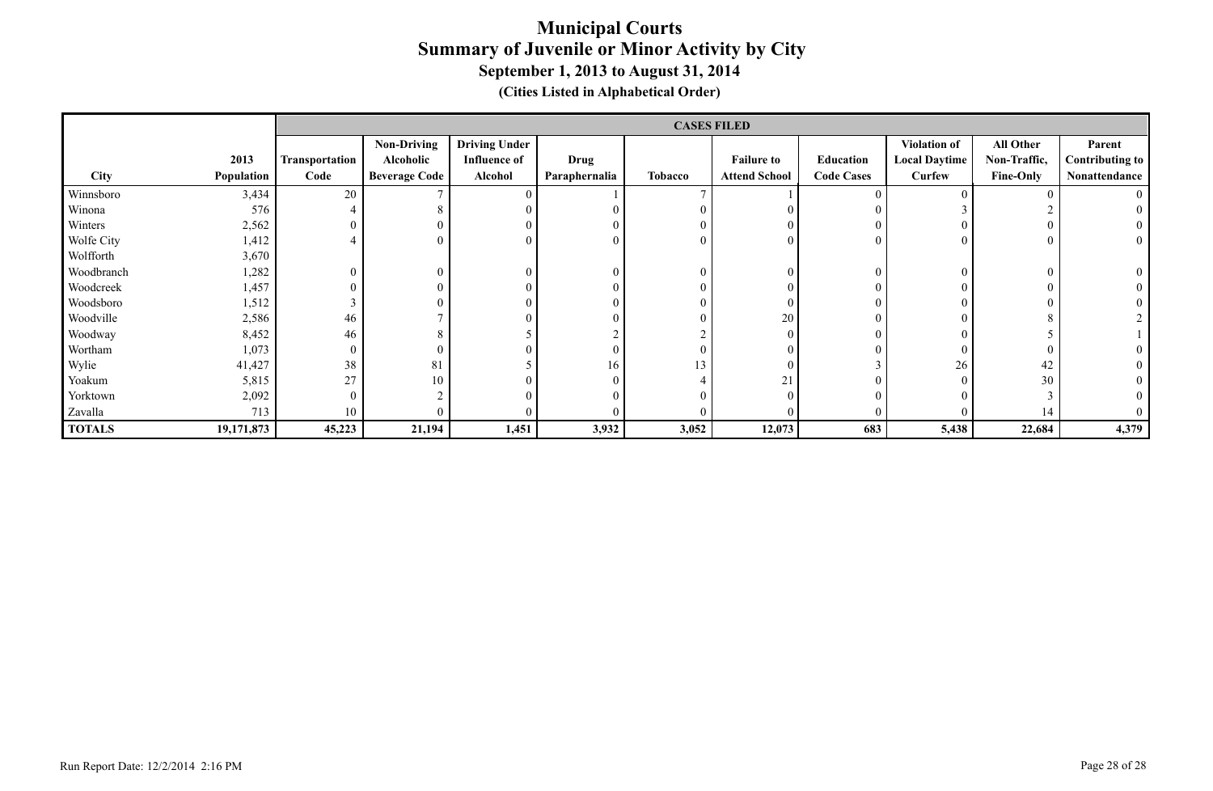|               |            |                |                      |                      |               |                | <b>CASES FILED</b>   |                   |                      |                  |                        |
|---------------|------------|----------------|----------------------|----------------------|---------------|----------------|----------------------|-------------------|----------------------|------------------|------------------------|
|               |            |                | <b>Non-Driving</b>   | <b>Driving Under</b> |               |                |                      |                   | <b>Violation of</b>  | All Other        | Parent                 |
|               | 2013       | Transportation | Alcoholic            | <b>Influence of</b>  | Drug          |                | <b>Failure to</b>    | Education         | <b>Local Daytime</b> | Non-Traffic,     | <b>Contributing to</b> |
| City          | Population | Code           | <b>Beverage Code</b> | Alcohol              | Paraphernalia | <b>Tobacco</b> | <b>Attend School</b> | <b>Code Cases</b> | Curfew               | <b>Fine-Only</b> | Nonattendance          |
| Winnsboro     | 3,434      | 20             |                      |                      |               |                |                      |                   |                      |                  |                        |
| Winona        | 576        |                | 8                    |                      |               |                |                      |                   |                      |                  |                        |
| Winters       | 2,562      |                | $\overline{0}$       |                      |               |                |                      |                   | $\theta$             |                  |                        |
| Wolfe City    | 1,412      |                | $\overline{0}$       |                      |               |                |                      |                   | $\theta$             |                  | $\mathbf{0}$           |
| Wolfforth     | 3,670      |                |                      |                      |               |                |                      |                   |                      |                  |                        |
| Woodbranch    | .282       |                | $\overline{0}$       | $\theta$             |               |                | $\theta$             |                   | $\theta$             |                  |                        |
| Woodcreek     | 1,457      |                | $\overline{0}$       |                      |               |                |                      |                   | $\theta$             |                  |                        |
| Woodsboro     | 1,512      |                | $\overline{0}$       |                      |               |                | $\theta$             |                   | $\theta$             |                  |                        |
| Woodville     | 2,586      | 46             |                      |                      |               |                | 20                   |                   | $\theta$             |                  |                        |
| Woodway       | 8,452      | 46             | 8                    |                      |               |                | $\theta$             |                   | $\Omega$             |                  |                        |
| Wortham       | 1,073      | $\Omega$       | $\overline{0}$       |                      |               |                |                      |                   | $\theta$             |                  |                        |
| Wylie         | 41,427     | 38             | 81                   |                      | 16            | 13             |                      |                   | 26                   | 42               |                        |
| Yoakum        | 5,815      | 27             | 10                   |                      |               |                | 21                   |                   | $\Omega$             | 30               |                        |
| Yorktown      | 2,092      |                | $\bigcap$            |                      |               |                |                      |                   | $\Omega$             |                  |                        |
| Zavalla       | 713        | 10             |                      |                      |               |                |                      |                   |                      | 14               | $\overline{0}$         |
| <b>TOTALS</b> | 19,171,873 | 45,223         | 21,194               | 1,451                | 3,932         | 3,052          | 12,073               | 683               | 5,438                | 22,684           | 4,379                  |